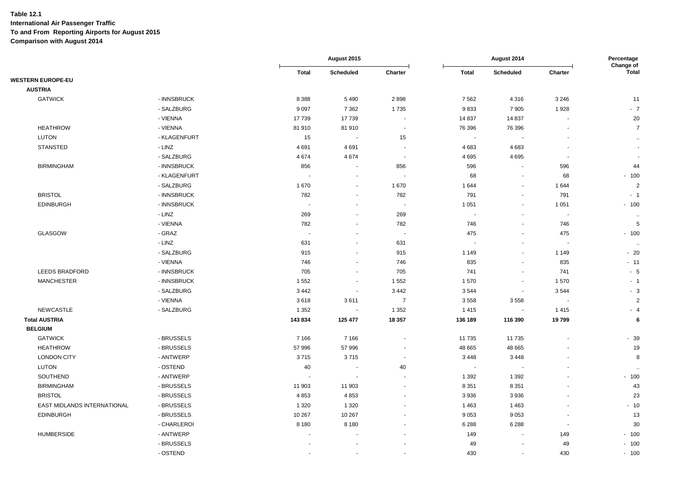|                             |              |                          | August 2015              |                          |                          | August 2014              |                          | Percentage<br>Change of |
|-----------------------------|--------------|--------------------------|--------------------------|--------------------------|--------------------------|--------------------------|--------------------------|-------------------------|
|                             |              | <b>Total</b>             | Scheduled                | Charter                  | <b>Total</b>             | Scheduled                | Charter                  | <b>Total</b>            |
| <b>WESTERN EUROPE-EU</b>    |              |                          |                          |                          |                          |                          |                          |                         |
| <b>AUSTRIA</b>              |              |                          |                          |                          |                          |                          |                          |                         |
| <b>GATWICK</b>              | - INNSBRUCK  | 8 3 8 8                  | 5490                     | 2898                     | 7562                     | 4316                     | 3 2 4 6                  | 11                      |
|                             | - SALZBURG   | 9 0 9 7                  | 7 3 6 2                  | 1735                     | 9833                     | 7905                     | 1928                     | $-7$                    |
|                             | - VIENNA     | 17 739                   | 17739                    | $\blacksquare$           | 14 8 37                  | 14 8 37                  | ÷,                       | 20                      |
| <b>HEATHROW</b>             | - VIENNA     | 81 910                   | 81 910                   | $\sim$                   | 76 396                   | 76 396                   | ÷,                       | $\overline{7}$          |
| <b>LUTON</b>                | - KLAGENFURT | 15                       | $\sim$                   | 15                       | $\sim$                   | $\sim$                   |                          | $\sim$                  |
| <b>STANSTED</b>             | - LINZ       | 4691                     | 4 6 9 1                  | $\sim$                   | 4 6 8 3                  | 4683                     |                          | $\sim$                  |
|                             | - SALZBURG   | 4674                     | 4674                     | $\sim$                   | 4 6 9 5                  | 4695                     | $\blacksquare$           | $\blacksquare$          |
| <b>BIRMINGHAM</b>           | - INNSBRUCK  | 856                      | $\sim$                   | 856                      | 596                      | $\sim$                   | 596                      | 44                      |
|                             | - KLAGENFURT | $\overline{\phantom{a}}$ | $\overline{\phantom{a}}$ | $\sim$                   | 68                       | $\overline{\phantom{a}}$ | 68                       | $-100$                  |
|                             | - SALZBURG   | 1670                     | $\sim$                   | 1670                     | 1644                     | $\sim$                   | 1644                     | $\overline{2}$          |
| <b>BRISTOL</b>              | - INNSBRUCK  | 782                      | $\sim$                   | 782                      | 791                      | $\sim$                   | 791                      | $-1$                    |
| <b>EDINBURGH</b>            | - INNSBRUCK  | $\overline{\phantom{a}}$ | $\sim$                   | $\sim$                   | 1 0 5 1                  | $\sim$                   | 1 0 5 1                  | $-100$                  |
|                             | - LINZ       | 269                      | $\sim$                   | 269                      | $\overline{\phantom{a}}$ | $\blacksquare$           | $\overline{\phantom{a}}$ | $\ddot{\phantom{1}}$    |
|                             | - VIENNA     | 782                      |                          | 782                      | 746                      | $\blacksquare$           | 746                      | 5                       |
| GLASGOW                     | - GRAZ       | $\sim$                   | $\blacksquare$           | $\overline{\phantom{a}}$ | 475                      | $\sim$                   | 475                      | $-100$                  |
|                             | - LINZ       | 631                      |                          | 631                      | ÷,                       | $\blacksquare$           | $\overline{\phantom{a}}$ | $\sim$                  |
|                             | - SALZBURG   | 915                      | $\omega$                 | 915                      | 1 1 4 9                  | $\blacksquare$           | 1 1 4 9                  | $-20$                   |
|                             | - VIENNA     | 746                      | $\sim$                   | 746                      | 835                      | $\sim$                   | 835                      | $-11$                   |
| LEEDS BRADFORD              | - INNSBRUCK  | 705                      | $\sim$                   | 705                      | 741                      | $\omega$                 | 741                      | $-5$                    |
| <b>MANCHESTER</b>           | - INNSBRUCK  | 1552                     | $\sim$                   | 1 5 5 2                  | 1570                     | $\sim$                   | 1570                     | $-1$                    |
|                             | - SALZBURG   | 3 4 4 2                  | $\sim$                   | 3 4 4 2                  | 3544                     | $\sim$                   | 3544                     | $-3$                    |
|                             | - VIENNA     | 3618                     | 3611                     | $\overline{7}$           | 3558                     | 3558                     |                          | $\overline{2}$          |
| NEWCASTLE                   | - SALZBURG   | 1 3 5 2                  | $\sim$                   | 1 3 5 2                  | 1415                     | $\sim$                   | 1415                     | $-4$                    |
| <b>Total AUSTRIA</b>        |              | 143 834                  | 125 477                  | 18 357                   | 136 189                  | 116 390                  | 19799                    | 6                       |
| <b>BELGIUM</b>              |              |                          |                          |                          |                          |                          |                          |                         |
| <b>GATWICK</b>              | - BRUSSELS   | 7 1 6 6                  | 7 1 6 6                  | $\blacksquare$           | 11 735                   | 11 735                   | $\blacksquare$           | $-39$                   |
| <b>HEATHROW</b>             | - BRUSSELS   | 57 996                   | 57 996                   | $\sim$                   | 48 665                   | 48 665                   |                          | 19                      |
| <b>LONDON CITY</b>          | - ANTWERP    | 3715                     | 3715                     | $\overline{\phantom{a}}$ | 3448                     | 3 4 4 8                  |                          | 8                       |
| <b>LUTON</b>                | - OSTEND     | 40                       | $\blacksquare$           | 40                       | $\sim$                   |                          |                          | $\ddotsc$               |
| SOUTHEND                    | - ANTWERP    | $\overline{\phantom{a}}$ | $\blacksquare$           | $\overline{\phantom{a}}$ | 1 3 9 2                  | 1 3 9 2                  |                          | $-100$                  |
| <b>BIRMINGHAM</b>           | - BRUSSELS   | 11 903                   | 11 903                   | $\blacksquare$           | 8 3 5 1                  | 8 3 5 1                  |                          | 43                      |
| <b>BRISTOL</b>              | - BRUSSELS   | 4853                     | 4853                     | $\blacksquare$           | 3936                     | 3936                     |                          | 23                      |
| EAST MIDLANDS INTERNATIONAL | - BRUSSELS   | 1 3 2 0                  | 1 3 2 0                  | $\sim$                   | 1463                     | 1463                     |                          | $-10$                   |
| <b>EDINBURGH</b>            | - BRUSSELS   | 10 267                   | 10 267                   | $\sim$                   | 9053                     | 9053                     | $\overline{\phantom{a}}$ | 13                      |
|                             | - CHARLEROI  | 8 1 8 0                  | 8 1 8 0                  | $\blacksquare$           | 6 2 8 8                  | 6 2 8 8                  | $\blacksquare$           | 30                      |
| <b>HUMBERSIDE</b>           | - ANTWERP    | $\overline{\phantom{a}}$ |                          | ä,                       | 149                      | $\sim$                   | 149                      | $-100$                  |
|                             | - BRUSSELS   | $\ddot{\phantom{1}}$     |                          | $\blacksquare$           | 49                       | $\blacksquare$           | 49                       | $-100$                  |
|                             | - OSTEND     |                          |                          | $\blacksquare$           | 430                      | $\sim$                   | 430                      | $-100$                  |
|                             |              |                          |                          |                          |                          |                          |                          |                         |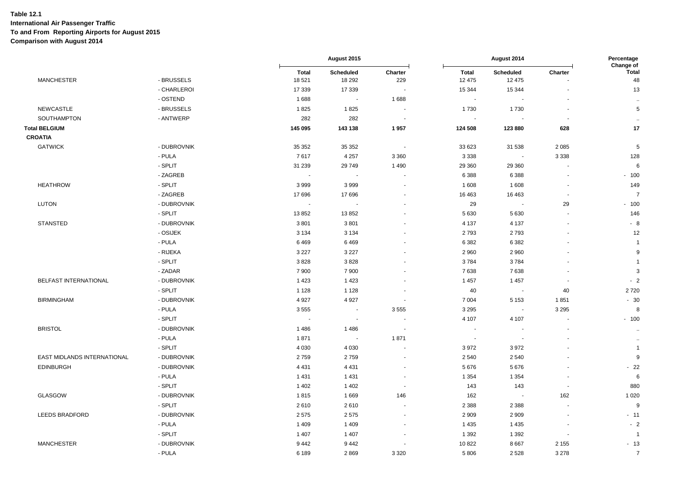|                             |             |                          | August 2015              |                          |                          | August 2014              |                | Percentage<br>Change of |
|-----------------------------|-------------|--------------------------|--------------------------|--------------------------|--------------------------|--------------------------|----------------|-------------------------|
| <b>MANCHESTER</b>           | - BRUSSELS  | <b>Total</b><br>18 5 21  | Scheduled<br>18 29 2     | Charter<br>229           | <b>Total</b><br>12 475   | Scheduled<br>12 475      | Charter        | <b>Total</b><br>48      |
|                             | - CHARLEROI | 17 339                   | 17 339                   | $\blacksquare$           | 15 344                   | 15 344                   |                | 13                      |
|                             | - OSTEND    | 1688                     | $\tilde{\phantom{a}}$    | 1688                     | $\sim$                   | $\sim$                   |                | $\ddot{\phantom{1}}$    |
| <b>NEWCASTLE</b>            | - BRUSSELS  | 1825                     | 1825                     | $\blacksquare$           | 1730                     | 1730                     |                | $\,$ 5 $\,$             |
| SOUTHAMPTON                 | - ANTWERP   | 282                      | 282                      |                          | $\overline{\phantom{a}}$ |                          |                | $\sim$                  |
| <b>Total BELGIUM</b>        |             | 145 095                  | 143 138                  | 1957                     | 124 508                  | 123 880                  | 628            | 17                      |
| <b>CROATIA</b>              |             |                          |                          |                          |                          |                          |                |                         |
| <b>GATWICK</b>              | - DUBROVNIK | 35 352                   | 35 35 2                  | $\sim$                   | 33 623                   | 31 538                   | 2 0 8 5        | $\,$ 5 $\,$             |
|                             | - PULA      | 7617                     | 4 2 5 7                  | 3 3 6 0                  | 3 3 3 8                  | $\overline{\phantom{a}}$ | 3 3 3 8        | 128                     |
|                             | - SPLIT     | 31 239                   | 29749                    | 1490                     | 29 360                   | 29 3 60                  | $\sim$         | 6                       |
|                             | - ZAGREB    |                          |                          |                          | 6 3 8 8                  | 6 3 8 8                  |                | $-100$                  |
| <b>HEATHROW</b>             | - SPLIT     | 3999                     | 3999                     |                          | 1 608                    | 1608                     |                | 149                     |
|                             | - ZAGREB    | 17 696                   | 17696                    | $\overline{\phantom{a}}$ | 16 4 63                  | 16 4 63                  | $\sim$         | $\overline{7}$          |
| <b>LUTON</b>                | - DUBROVNIK | $\overline{\phantom{a}}$ | $\overline{\phantom{a}}$ | $\blacksquare$           | 29                       | $\sim$                   | 29             | $-100$                  |
|                             | - SPLIT     | 13852                    | 13852                    |                          | 5 6 30                   | 5630                     |                | 146                     |
| <b>STANSTED</b>             | - DUBROVNIK | 3801                     | 3801                     |                          | 4 1 3 7                  | 4 1 3 7                  |                | $-8$                    |
|                             | - OSIJEK    | 3 1 3 4                  | 3 1 3 4                  | L.                       | 2793                     | 2793                     | ÷              | 12                      |
|                             | - PULA      | 6469                     | 6469                     |                          | 6 3 8 2                  | 6382                     |                | $\overline{1}$          |
|                             | - RIJEKA    | 3 2 2 7                  | 3 2 2 7                  |                          | 2 9 6 0                  | 2960                     |                | 9                       |
|                             | - SPLIT     | 3828                     | 3828                     |                          | 3784                     | 3784                     |                | $\overline{1}$          |
|                             | - ZADAR     | 7 900                    | 7 9 0 0                  | $\blacksquare$           | 7638                     | 7638                     | $\blacksquare$ | $\sqrt{3}$              |
| BELFAST INTERNATIONAL       | - DUBROVNIK | 1423                     | 1 4 2 3                  |                          | 1 4 5 7                  | 1457                     | $\sim$         | $-2$                    |
|                             | - SPLIT     | 1 1 2 8                  | 1 1 2 8                  | $\blacksquare$           | 40                       | $\sim$                   | 40             | 2720                    |
| <b>BIRMINGHAM</b>           | - DUBROVNIK | 4 9 27                   | 4 9 27                   | $\overline{a}$           | 7 0 0 4                  | 5 1 5 3                  | 1851           | $-30$                   |
|                             | - PULA      | 3555                     | $\sim$                   | 3555                     | 3 2 9 5                  | $\sim$                   | 3 2 9 5        | 8                       |
|                             | - SPLIT     | $\sim$                   | $\mathbf{u}$             | $\blacksquare$           | 4 107                    | 4 1 0 7                  |                | $-100$                  |
| <b>BRISTOL</b>              | - DUBROVNIK | 1486                     | 1486                     | $\overline{\phantom{a}}$ | $\sim$                   |                          |                | $\alpha$                |
|                             | - PULA      | 1871                     | $\sim$                   | 1871                     | $\sim$                   | $\overline{\phantom{a}}$ |                | $\ddot{\phantom{a}}$    |
|                             | - SPLIT     | 4 0 3 0                  | 4 0 3 0                  |                          | 3972                     | 3972                     |                | $\overline{1}$          |
| EAST MIDLANDS INTERNATIONAL | - DUBROVNIK | 2759                     | 2759                     |                          | 2 5 4 0                  | 2540                     |                | 9                       |
| <b>EDINBURGH</b>            | - DUBROVNIK | 4 4 3 1                  | 4 4 3 1                  | $\blacksquare$           | 5676                     | 5676                     |                | $-22$                   |
|                             | - PULA      | 1 4 3 1                  | 1431                     | $\blacksquare$           | 1 3 5 4                  | 1 3 5 4                  |                | 6                       |
|                             | - SPLIT     | 1 4 0 2                  | 1 4 0 2                  |                          | 143                      | 143                      |                | 880                     |
| <b>GLASGOW</b>              | - DUBROVNIK | 1815                     | 1669                     | 146                      | 162                      | $\sim$                   | 162            | 1 0 2 0                 |
|                             | - SPLIT     | 2610                     | 2610                     | $\ddot{\phantom{1}}$     | 2 3 8 8                  | 2 3 8 8                  |                | 9                       |
| LEEDS BRADFORD              | - DUBROVNIK | 2575                     | 2575                     | $\blacksquare$           | 2 9 0 9                  | 2 9 0 9                  |                | $-11$                   |
|                             | - PULA      | 1 4 0 9                  | 1 4 0 9                  |                          | 1 4 3 5                  | 1 4 3 5                  |                | $-2$                    |
|                             | - SPLIT     | 1 4 0 7                  | 1 4 0 7                  |                          | 1 3 9 2                  | 1 3 9 2                  |                | $\overline{1}$          |
| <b>MANCHESTER</b>           | - DUBROVNIK | 9442                     | 9442                     |                          | 10 822                   | 8667                     | 2 1 5 5        | $-13$                   |
|                             | - PULA      | 6 189                    | 2869                     | 3 3 2 0                  | 5806                     | 2528                     | 3 2 7 8        | $\overline{7}$          |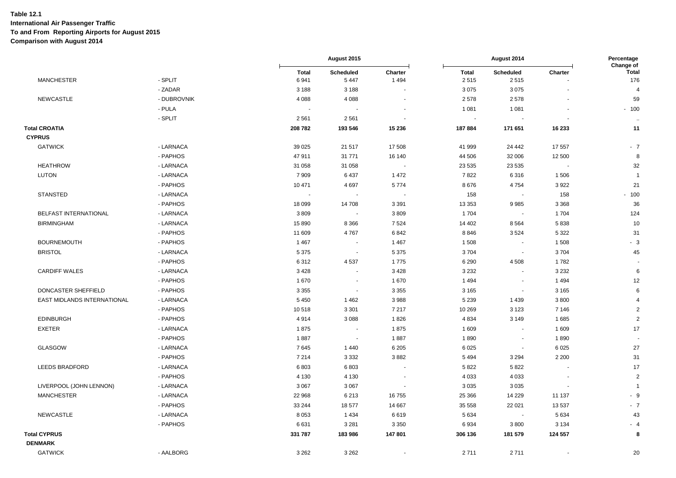|                                       |             |                      | August 2015              |                          | August 2014              |                          | Percentage<br>Change of |                     |
|---------------------------------------|-------------|----------------------|--------------------------|--------------------------|--------------------------|--------------------------|-------------------------|---------------------|
| <b>MANCHESTER</b>                     | - SPLIT     | <b>Total</b><br>6941 | Scheduled<br>5 4 4 7     | Charter<br>1494          | <b>Total</b><br>2515     | Scheduled<br>2515        | Charter                 | <b>Total</b><br>176 |
|                                       | - ZADAR     | 3 1 8 8              | 3 1 8 8                  |                          | 3 0 7 5                  | 3075                     |                         | $\overline{4}$      |
| <b>NEWCASTLE</b>                      | - DUBROVNIK | 4 0 8 8              | 4 0 8 8                  |                          | 2 5 7 8                  | 2578                     |                         | 59                  |
|                                       | - PULA      |                      |                          |                          | 1 0 8 1                  | 1 0 8 1                  |                         | $-100$              |
|                                       | - SPLIT     | 2561                 | 2 5 6 1                  |                          | $\overline{\phantom{a}}$ |                          |                         | $\ldots$            |
| <b>Total CROATIA</b><br><b>CYPRUS</b> |             | 208 782              | 193 546                  | 15 236                   | 187884                   | 171 651                  | 16 233                  | 11                  |
| <b>GATWICK</b>                        | - LARNACA   | 39 0 25              | 21 517                   | 17 508                   | 41 999                   | 24 442                   | 17 557                  | $-7$                |
|                                       | - PAPHOS    | 47 911               | 31 771                   | 16 140                   | 44 506                   | 32 006                   | 12 500                  | 8                   |
| <b>HEATHROW</b>                       | - LARNACA   | 31 058               | 31 058                   |                          | 23 535                   | 23 5 35                  |                         | 32                  |
| <b>LUTON</b>                          | - LARNACA   | 7909                 | 6437                     | 1472                     | 7822                     | 6316                     | 1506                    | $\overline{1}$      |
|                                       | - PAPHOS    | 10 471               | 4697                     | 5774                     | 8676                     | 4754                     | 3922                    | 21                  |
| <b>STANSTED</b>                       | - LARNACA   |                      | $\overline{\phantom{a}}$ |                          | 158                      | $\tilde{\phantom{a}}$    | 158                     | $-100$              |
|                                       | - PAPHOS    | 18 099               | 14 708                   | 3 3 9 1                  | 13 3 5 3                 | 9985                     | 3 3 6 8                 | 36                  |
| BELFAST INTERNATIONAL                 | - LARNACA   | 3809                 | ۰.                       | 3809                     | 1 704                    | $\blacksquare$           | 1704                    | 124                 |
| <b>BIRMINGHAM</b>                     | - LARNACA   | 15 890               | 8 3 6 6                  | 7524                     | 14 402                   | 8564                     | 5838                    | 10                  |
|                                       | - PAPHOS    | 11 609               | 4767                     | 6842                     | 8846                     | 3524                     | 5 3 2 2                 | 31                  |
| <b>BOURNEMOUTH</b>                    | - PAPHOS    | 1 4 6 7              | $\overline{\phantom{a}}$ | 1 4 6 7                  | 1 508                    | $\blacksquare$           | 1508                    | $-3$                |
| <b>BRISTOL</b>                        | - LARNACA   | 5 3 7 5              | $\blacksquare$           | 5 3 7 5                  | 3704                     | $\sim$                   | 3704                    | 45                  |
|                                       | - PAPHOS    | 6312                 | 4537                     | 1775                     | 6 2 9 0                  | 4508                     | 1782                    |                     |
| <b>CARDIFF WALES</b>                  | - LARNACA   | 3 4 2 8              | $\sim$                   | 3 4 2 8                  | 3 2 3 2                  | $\blacksquare$           | 3 2 3 2                 | 6                   |
|                                       | - PAPHOS    | 1670                 | $\blacksquare$           | 1670                     | 1 4 9 4                  | $\overline{\phantom{a}}$ | 1 4 9 4                 | 12                  |
| DONCASTER SHEFFIELD                   | - PAPHOS    | 3 3 5 5              | $\sim$                   | 3 3 5 5                  | 3 1 6 5                  | $\sim$                   | 3 1 6 5                 | 6                   |
| EAST MIDLANDS INTERNATIONAL           | - LARNACA   | 5 4 5 0              | 1462                     | 3988                     | 5 2 3 9                  | 1 4 3 9                  | 3800                    | $\overline{4}$      |
|                                       | - PAPHOS    | 10518                | 3 3 0 1                  | 7 2 1 7                  | 10 269                   | 3 1 2 3                  | 7 1 4 6                 | $\overline{2}$      |
| <b>EDINBURGH</b>                      | - PAPHOS    | 4914                 | 3088                     | 1826                     | 4 8 3 4                  | 3 1 4 9                  | 1685                    | $\overline{2}$      |
| <b>EXETER</b>                         | - LARNACA   | 1875                 | $\blacksquare$           | 1875                     | 1 609                    | $\blacksquare$           | 1 609                   | 17                  |
|                                       | - PAPHOS    | 1887                 | $\sim$                   | 1887                     | 1890                     | $\blacksquare$           | 1890                    |                     |
| GLASGOW                               | - LARNACA   | 7645                 | 1440                     | 6 2 0 5                  | 6 0 25                   | $\blacksquare$           | 6 0 25                  | 27                  |
|                                       | - PAPHOS    | 7 2 1 4              | 3 3 3 2                  | 3882                     | 5 4 9 4                  | 3 2 9 4                  | 2 2 0 0                 | 31                  |
| <b>LEEDS BRADFORD</b>                 | - LARNACA   | 6803                 | 6803                     |                          | 5822                     | 5822                     |                         | 17                  |
|                                       | - PAPHOS    | 4 1 3 0              | 4 1 3 0                  | $\overline{\phantom{a}}$ | 4 0 3 3                  | 4 0 3 3                  | $\blacksquare$          | $\overline{2}$      |
| LIVERPOOL (JOHN LENNON)               | - LARNACA   | 3 0 6 7              | 3 0 6 7                  |                          | 3 0 3 5                  | 3 0 3 5                  |                         | $\overline{1}$      |
| <b>MANCHESTER</b>                     | - LARNACA   | 22 968               | 6 2 1 3                  | 16755                    | 25 366                   | 14 2 29                  | 11 137                  | $-9$                |
|                                       | - PAPHOS    | 33 244               | 18 577                   | 14 667                   | 35 558                   | 22 0 21                  | 13 5 37                 | $-7$                |
| <b>NEWCASTLE</b>                      | - LARNACA   | 8 0 5 3              | 1 4 3 4                  | 6619                     | 5 6 3 4                  | $\overline{\phantom{a}}$ | 5 6 3 4                 | 43                  |
|                                       | - PAPHOS    | 6631                 | 3 2 8 1                  | 3 3 5 0                  | 6934                     | 3800                     | 3 1 3 4                 | $-4$                |
| <b>Total CYPRUS</b>                   |             | 331 787              | 183 986                  | 147 801                  | 306 136                  | 181 579                  | 124 557                 | 8                   |
| <b>DENMARK</b>                        |             |                      |                          |                          |                          |                          |                         |                     |
| <b>GATWICK</b>                        | - AALBORG   | 3 2 6 2              | 3 2 6 2                  |                          | 2711                     | 2711                     |                         | 20                  |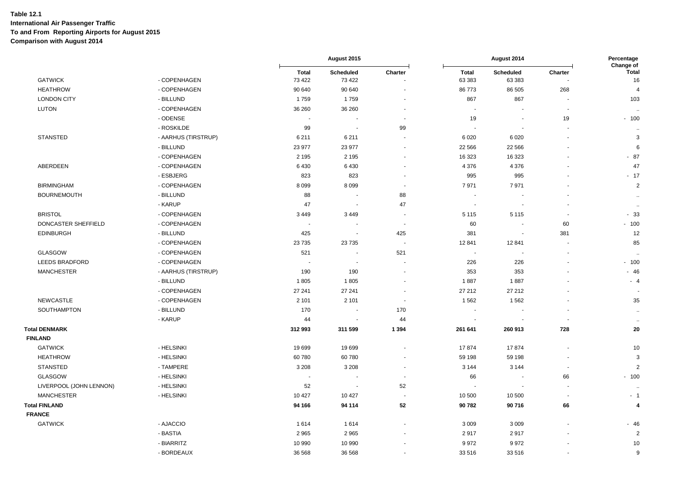|                         |                     |                          | August 2015                 |                          |                          | August 2014                |                          | Percentage<br>Change of  |  |
|-------------------------|---------------------|--------------------------|-----------------------------|--------------------------|--------------------------|----------------------------|--------------------------|--------------------------|--|
| <b>GATWICK</b>          | - COPENHAGEN        | <b>Total</b><br>73 422   | Scheduled<br>73 4 22        | Charter                  | <b>Total</b><br>63 383   | <b>Scheduled</b><br>63 383 | Charter                  | <b>Total</b><br>16       |  |
| <b>HEATHROW</b>         | - COPENHAGEN        | 90 640                   | 90 640                      |                          | 86 773                   | 86 505                     | 268                      | $\overline{4}$           |  |
| <b>LONDON CITY</b>      | - BILLUND           | 1759                     | 1759                        |                          | 867                      | 867                        |                          | 103                      |  |
| LUTON                   | - COPENHAGEN        | 36 260                   | 36 260                      |                          | $\overline{\phantom{a}}$ | $\overline{\phantom{a}}$   | $\overline{\phantom{a}}$ | $\ddot{\phantom{a}}$     |  |
|                         | - ODENSE            | $\sim$                   |                             |                          | 19                       | $\overline{\phantom{a}}$   | 19                       | $-100$                   |  |
|                         | - ROSKILDE          | 99                       | $\overline{\phantom{a}}$    | 99                       | $\blacksquare$           | $\overline{\phantom{a}}$   | $\overline{\phantom{a}}$ | $\ddot{\phantom{a}}$     |  |
| <b>STANSTED</b>         | - AARHUS (TIRSTRUP) | 6211                     | 6 2 1 1                     |                          | 6 0 20                   | 6020                       |                          | 3                        |  |
|                         | - BILLUND           | 23 977                   | 23 977                      |                          | 22 5 6 6                 | 22 5 6 6                   |                          | 6                        |  |
|                         | - COPENHAGEN        | 2 1 9 5                  | 2 1 9 5                     | $\ddot{\phantom{1}}$     | 16 323                   | 16 323                     |                          | $-87$                    |  |
| <b>ABERDEEN</b>         | - COPENHAGEN        | 6 4 3 0                  | 6430                        |                          | 4 3 7 6                  | 4 3 7 6                    |                          | 47                       |  |
|                         | - ESBJERG           | 823                      | 823                         | ä,                       | 995                      | 995                        |                          | $-17$                    |  |
| <b>BIRMINGHAM</b>       | - COPENHAGEN        | 8 0 9 9                  | 8 0 9 9                     |                          | 7971                     | 7971                       |                          | $\overline{2}$           |  |
| <b>BOURNEMOUTH</b>      | - BILLUND           | 88                       | $\blacksquare$              | 88                       | $\blacksquare$           | $\overline{\phantom{a}}$   |                          | $\ddot{\phantom{a}}$     |  |
|                         | - KARUP             | 47                       | ÷.                          | 47                       | ÷,                       |                            |                          | $\ddotsc$                |  |
| <b>BRISTOL</b>          | - COPENHAGEN        | 3 4 4 9                  | 3 4 4 9                     |                          | 5 1 1 5                  | 5 1 1 5                    | $\overline{\phantom{a}}$ | $-33$                    |  |
| DONCASTER SHEFFIELD     | - COPENHAGEN        |                          |                             | $\sim$                   | 60                       | $\blacksquare$             | 60                       | $-100$                   |  |
| <b>EDINBURGH</b>        | - BILLUND           | 425                      | ÷.                          | 425                      | 381                      | $\blacksquare$             | 381                      | 12                       |  |
|                         | - COPENHAGEN        | 23 7 35                  | 23 7 35                     | $\overline{\phantom{a}}$ | 12 841                   | 12 841                     | $\overline{\phantom{a}}$ | 85                       |  |
| GLASGOW                 | - COPENHAGEN        | 521                      | $\overline{\phantom{a}}$    | 521                      | $\overline{\phantom{a}}$ |                            |                          | $\ddot{\phantom{1}}$     |  |
| <b>LEEDS BRADFORD</b>   | - COPENHAGEN        | $\overline{\phantom{a}}$ |                             |                          | 226                      | 226                        |                          | $-100$                   |  |
| <b>MANCHESTER</b>       | - AARHUS (TIRSTRUP) | 190                      | 190                         |                          | 353                      | 353                        |                          | $-46$                    |  |
|                         | - BILLUND           | 1805                     | 1805                        |                          | 1887                     | 1887                       |                          | $-4$                     |  |
|                         | - COPENHAGEN        | 27 241                   | 27 241                      | $\overline{\phantom{a}}$ | 27 21 2                  | 27 212                     |                          | $\overline{\phantom{a}}$ |  |
| <b>NEWCASTLE</b>        | - COPENHAGEN        | 2 1 0 1                  | 2 1 0 1                     | $\overline{\phantom{a}}$ | 1 5 6 2                  | 1562                       |                          | 35                       |  |
| SOUTHAMPTON             | - BILLUND           | 170                      | $\overline{\phantom{a}}$    | 170                      | ÷,                       |                            |                          | $\sim$                   |  |
|                         | - KARUP             | 44                       | $\blacksquare$              | 44                       | $\blacksquare$           |                            | $\sim$                   | $\ddotsc$                |  |
| <b>Total DENMARK</b>    |                     | 312 993                  | 311 599                     | 1 3 9 4                  | 261 641                  | 260 913                    | 728                      | 20                       |  |
| <b>FINLAND</b>          |                     |                          |                             |                          |                          |                            |                          |                          |  |
| <b>GATWICK</b>          | - HELSINKI          | 19699                    | 19699                       | L,                       | 17874                    | 17874                      | ÷,                       | 10                       |  |
| <b>HEATHROW</b>         | - HELSINKI          | 60 780                   | 60780                       |                          | 59 198                   | 59 198                     |                          | 3                        |  |
| <b>STANSTED</b>         | - TAMPERE           | 3 2 0 8                  | 3 2 0 8                     | ä,                       | 3 1 4 4                  | 3 1 4 4                    | $\overline{\phantom{a}}$ | $\overline{2}$           |  |
| <b>GLASGOW</b>          | - HELSINKI          | ÷,                       |                             | ä,                       | 66                       |                            | 66                       | $-100$                   |  |
| LIVERPOOL (JOHN LENNON) | - HELSINKI          | 52                       | $\mathcal{L}_{\mathcal{A}}$ | 52                       | $\overline{\phantom{a}}$ |                            | $\overline{\phantom{a}}$ | $\ddot{\phantom{1}}$     |  |
| <b>MANCHESTER</b>       | - HELSINKI          | 10 427                   | 10 4 27                     |                          | 10 500                   | 10 500                     | $\overline{\phantom{a}}$ | $-1$                     |  |
| <b>Total FINLAND</b>    |                     | 94 166                   | 94 114                      | 52                       | 90782                    | 90716                      | 66                       | 4                        |  |
| <b>FRANCE</b>           |                     |                          |                             |                          |                          |                            |                          |                          |  |
| <b>GATWICK</b>          | - AJACCIO           | 1614                     | 1614                        |                          | 3 0 0 9                  | 3 0 0 9                    |                          | $-46$                    |  |
|                         | - BASTIA            | 2 9 6 5                  | 2965                        |                          | 2917                     | 2917                       |                          | $\overline{2}$           |  |
|                         | - BIARRITZ          | 10 990                   | 10 990                      |                          | 9972                     | 9972                       |                          | 10                       |  |
|                         | - BORDEAUX          | 36 568                   | 36 568                      |                          | 33 516                   | 33516                      |                          | 9                        |  |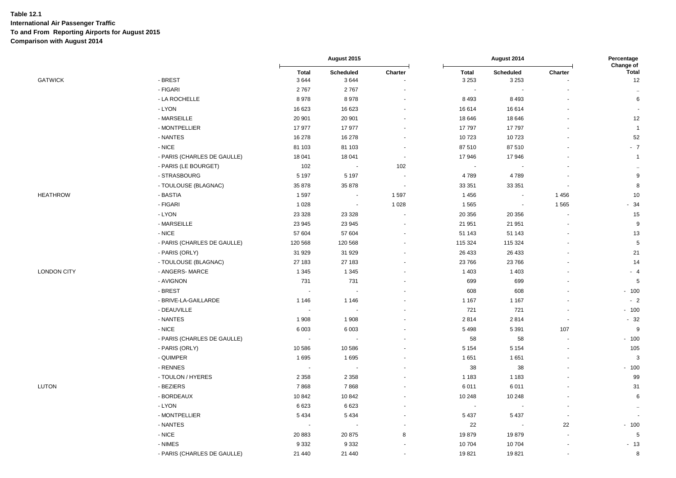|             |                             | August 2015          |                          | August 2014              |                         |                          | Percentage |                            |
|-------------|-----------------------------|----------------------|--------------------------|--------------------------|-------------------------|--------------------------|------------|----------------------------|
| GATWICK     | - BREST                     | <b>Total</b><br>3644 | Scheduled<br>3644        | Charter                  | <b>Total</b><br>3 2 5 3 | Scheduled<br>3 2 5 3     | Charter    | Change of<br>Total<br>$12$ |
|             | - FIGARI                    | 2767                 | 2767                     |                          |                         |                          |            |                            |
|             | - LA ROCHELLE               | 8978                 | 8978                     |                          | 8 4 9 3                 | 8 4 9 3                  |            | 6                          |
|             | - LYON                      | 16 623               | 16 623                   |                          | 16 614                  | 16 614                   |            |                            |
|             | - MARSEILLE                 | 20 901               | 20 901                   |                          | 18 646                  | 18 646                   |            | 12                         |
|             | - MONTPELLIER               | 17 977               | 17977                    |                          | 17797                   | 17797                    |            | $\overline{1}$             |
|             | - NANTES                    | 16 278               | 16 278                   |                          | 10723                   | 10723                    |            | 52                         |
|             | - NICE                      | 81 103               | 81 103                   |                          | 87 510                  | 87510                    |            | $-7$                       |
|             | - PARIS (CHARLES DE GAULLE) | 18 041               | 18 041                   | $\overline{\phantom{a}}$ | 17 946                  | 17 946                   |            | $\overline{1}$             |
|             | - PARIS (LE BOURGET)        | 102                  | $\sim$                   | 102                      |                         |                          |            |                            |
|             | - STRASBOURG                | 5 1 9 7              | 5 1 9 7                  |                          | 4789                    | 4789                     |            | 9                          |
|             | - TOULOUSE (BLAGNAC)        | 35 878               | 35 878                   |                          | 33 351                  | 33 351                   |            | 8                          |
| HEATHROW    | - BASTIA                    | 1597                 | $\overline{\phantom{a}}$ | 1597                     | 1 4 5 6                 |                          | 1456       | 10                         |
|             | - FIGARI                    | 1 0 2 8              | $\blacksquare$           | 1 0 28                   | 1 5 6 5                 | $\overline{\phantom{a}}$ | 1565       | $-34$                      |
|             | - LYON                      | 23 3 28              | 23 3 28                  |                          | 20 356                  | 20 356                   |            | 15                         |
|             | - MARSEILLE                 | 23 945               | 23 945                   |                          | 21 951                  | 21 951                   |            | 9                          |
|             | - NICE                      | 57 604               | 57 604                   |                          | 51 143                  | 51 143                   |            | 13                         |
|             | - PARIS (CHARLES DE GAULLE) | 120 568              | 120 568                  |                          | 115 324                 | 115 324                  |            | $\,$ 5 $\,$                |
|             | - PARIS (ORLY)              | 31 929               | 31 929                   |                          | 26 433                  | 26 433                   |            | 21                         |
|             | - TOULOUSE (BLAGNAC)        | 27 183               | 27 183                   |                          | 23766                   | 23766                    |            | 14                         |
| LONDON CITY | - ANGERS- MARCE             | 1 3 4 5              | 1 3 4 5                  |                          | 1 4 0 3                 | 1 4 0 3                  |            | $-4$                       |
|             | - AVIGNON                   | 731                  | 731                      |                          | 699                     | 699                      |            | 5                          |
|             | - BREST                     | $\sim$               | $\overline{\phantom{a}}$ |                          | 608                     | 608                      |            | $-100$                     |
|             | - BRIVE-LA-GAILLARDE        | 1 1 4 6              | 1 1 4 6                  |                          | 1 1 6 7                 | 1 1 6 7                  |            | $-2$                       |
|             | - DEAUVILLE                 |                      |                          |                          | 721                     | 721                      |            | $-100$                     |
|             | - NANTES                    | 1 908                | 1 9 0 8                  |                          | 2814                    | 2814                     |            | $-32$                      |
|             | - NICE                      | 6 0 0 3              | 6 0 0 3                  |                          | 5 4 9 8                 | 5 3 9 1                  | 107        | 9                          |
|             | - PARIS (CHARLES DE GAULLE) | $\sim$               | $\blacksquare$           |                          | 58                      | 58                       |            | $-100$                     |
|             | - PARIS (ORLY)              | 10 586               | 10 586                   |                          | 5 1 5 4                 | 5 1 5 4                  |            | 105                        |
|             | - QUIMPER                   | 1695                 | 1695                     |                          | 1651                    | 1651                     |            | 3                          |
|             | - RENNES                    |                      |                          |                          | 38                      | 38                       |            | $-100$                     |
|             | - TOULON / HYERES           | 2 3 5 8              | 2 3 5 8                  |                          | 1 1 8 3                 | 1 1 8 3                  |            | 99                         |
| LUTON       | - BEZIERS                   | 7868                 | 7868                     |                          | 6011                    | 6011                     |            | 31                         |
|             | - BORDEAUX                  | 10 842               | 10842                    |                          | 10 248                  | 10 248                   |            | 6                          |
|             | - LYON                      | 6623                 | 6623                     |                          |                         |                          |            | $\ddotsc$                  |
|             | - MONTPELLIER               | 5 4 3 4              | 5 4 3 4                  |                          | 5 4 3 7                 | 5 4 3 7                  |            |                            |
|             | - NANTES                    |                      | $\sim$                   |                          | 22                      | $\overline{\phantom{a}}$ | 22         | $-100$                     |
|             | - NICE                      | 20 883               | 20 875                   | 8                        | 19879                   | 19879                    |            | $5\phantom{.0}$            |
|             | - NIMES                     | 9 3 3 2              | 9 3 3 2                  |                          | 10704                   | 10704                    |            | $-13$                      |
|             | - PARIS (CHARLES DE GAULLE) | 21 440               | 21 440                   |                          | 19821                   | 19821                    |            | 8                          |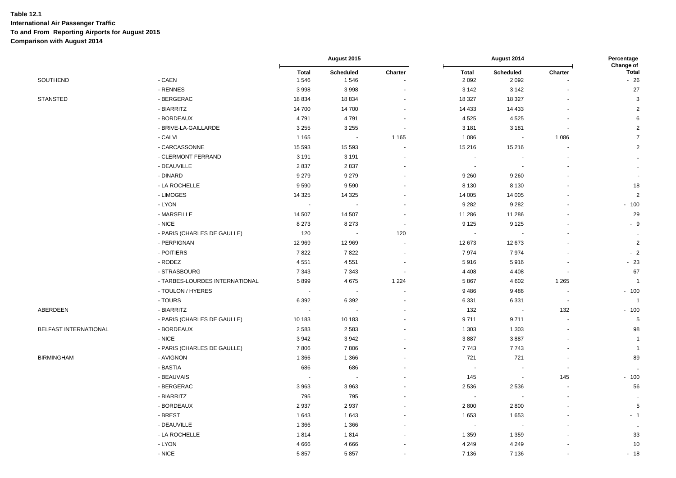|                              |                                | August 2015          |                          | August 2014              |                         |                          | Percentage<br>Change of  |                          |
|------------------------------|--------------------------------|----------------------|--------------------------|--------------------------|-------------------------|--------------------------|--------------------------|--------------------------|
| SOUTHEND                     | - CAEN                         | <b>Total</b><br>1546 | Scheduled<br>1546        | Charter                  | <b>Total</b><br>2 0 9 2 | Scheduled<br>2 0 9 2     | Charter                  | <b>Total</b><br>$-26$    |
|                              | - RENNES                       | 3998                 | 3998                     |                          | 3 1 4 2                 | 3 1 4 2                  |                          | $27\,$                   |
| <b>STANSTED</b>              | - BERGERAC                     | 18 8 34              | 18834                    |                          | 18 327                  | 18 327                   |                          | $\mathbf{3}$             |
|                              | - BIARRITZ                     | 14 700               | 14 700                   |                          | 14 4 33                 | 14 4 33                  |                          | $\mathbf 2$              |
|                              | - BORDEAUX                     | 4791                 | 4791                     | $\sim$                   | 4 5 2 5                 | 4525                     |                          | 6                        |
|                              | - BRIVE-LA-GAILLARDE           | 3 2 5 5              | 3 2 5 5                  | $\blacksquare$           | 3 1 8 1                 | 3 1 8 1                  |                          | $\overline{c}$           |
|                              | - CALVI                        | 1 1 6 5              |                          | 1 1 6 5                  | 1 0 8 6                 |                          | 1 0 8 6                  | $\overline{7}$           |
|                              | - CARCASSONNE                  | 15 5 93              | 15 5 93                  |                          | 15 216                  | 15 216                   |                          | $\overline{2}$           |
|                              | - CLERMONT FERRAND             | 3 1 9 1              | 3 1 9 1                  |                          |                         |                          |                          | $\ddot{\phantom{1}}$     |
|                              | - DEAUVILLE                    | 2837                 | 2837                     |                          |                         |                          |                          | $\bullet\bullet$         |
|                              | - DINARD                       | 9 2 7 9              | 9 2 7 9                  |                          | 9 2 6 0                 | 9 2 6 0                  |                          | $\overline{\phantom{a}}$ |
|                              | - LA ROCHELLE                  | 9590                 | 9590                     |                          | 8 1 3 0                 | 8 1 3 0                  |                          | 18                       |
|                              | - LIMOGES                      | 14 3 25              | 14 3 25                  |                          | 14 005                  | 14 005                   |                          | $\overline{2}$           |
|                              | - LYON                         | $\sim$               | $\blacksquare$           | $\sim$                   | 9 2 8 2                 | 9 2 8 2                  |                          | $-100$                   |
|                              | - MARSEILLE                    | 14 507               | 14 507                   | $\sim$                   | 11 286                  | 11 286                   |                          | 29                       |
|                              | - NICE                         | 8 2 7 3              | 8 2 7 3                  | $\overline{\phantom{a}}$ | 9 1 2 5                 | 9 1 2 5                  |                          | $-9$                     |
|                              | - PARIS (CHARLES DE GAULLE)    | 120                  |                          | 120                      |                         |                          |                          | $\sim$                   |
|                              | - PERPIGNAN                    | 12 969               | 12 969                   | ä,                       | 12 673                  | 12673                    |                          | $\overline{2}$           |
|                              | - POITIERS                     | 7822                 | 7822                     |                          | 7974                    | 7974                     |                          | $-2$                     |
|                              | - RODEZ                        | 4551                 | 4551                     | $\overline{\phantom{a}}$ | 5916                    | 5916                     |                          | $-23$                    |
|                              | - STRASBOURG                   | 7 3 4 3              | 7 3 4 3                  | $\overline{\phantom{a}}$ | 4 4 0 8                 | 4 4 0 8                  |                          | 67                       |
|                              | - TARBES-LOURDES INTERNATIONAL | 5899                 | 4675                     | 1 2 2 4                  | 5867                    | 4 6 0 2                  | 1 2 6 5                  | $\overline{1}$           |
|                              | - TOULON / HYERES              | $\sim$               | $\overline{\phantom{a}}$ | $\blacksquare$           | 9486                    | 9486                     | $\sim$                   | $-100$                   |
|                              | - TOURS                        | 6 3 9 2              | 6 3 9 2                  |                          | 6 3 3 1                 | 6331                     | $\overline{\phantom{a}}$ | $\overline{1}$           |
| ABERDEEN                     | - BIARRITZ                     | $\sim$               |                          |                          | 132                     |                          | 132                      | $-100$                   |
|                              | - PARIS (CHARLES DE GAULLE)    | 10 183               | 10 183                   |                          | 9711                    | 9711                     |                          | 5                        |
| <b>BELFAST INTERNATIONAL</b> | - BORDEAUX                     | 2 5 8 3              | 2 5 8 3                  |                          | 1 3 0 3                 | 1 3 0 3                  |                          | 98                       |
|                              | - NICE                         | 3942                 | 3942                     |                          | 3887                    | 3887                     |                          | $\overline{1}$           |
|                              | - PARIS (CHARLES DE GAULLE)    | 7806                 | 7806                     |                          | 7743                    | 7743                     |                          | $\overline{1}$           |
| BIRMINGHAM                   | - AVIGNON                      | 1 3 6 6              | 1 3 6 6                  |                          | 721                     | 721                      |                          | 89                       |
|                              | - BASTIA                       | 686                  | 686                      |                          |                         |                          |                          | $\ddot{\phantom{a}}$     |
|                              | - BEAUVAIS                     | $\sim$               | $\overline{\phantom{a}}$ |                          | 145                     | $\overline{\phantom{a}}$ | 145                      | $-100$                   |
|                              | - BERGERAC                     | 3 9 6 3              | 3963                     |                          | 2 5 3 6                 | 2536                     |                          | 56                       |
|                              | - BIARRITZ                     | 795                  | 795                      |                          |                         |                          |                          | $\ddotsc$                |
|                              | - BORDEAUX                     | 2937                 | 2937                     |                          | 2800                    | 2800                     |                          | $\overline{5}$           |
|                              | - BREST                        | 1643                 | 1643                     |                          | 1653                    | 1653                     |                          | $-1$                     |
|                              | - DEAUVILLE                    | 1 3 6 6              | 1 3 6 6                  |                          |                         |                          |                          |                          |
|                              | - LA ROCHELLE                  | 1814                 | 1814                     |                          | 1 3 5 9                 | 1 3 5 9                  |                          | 33                       |
|                              | - LYON                         | 4666                 | 4666                     |                          | 4 2 4 9                 | 4 2 4 9                  |                          | 10                       |
|                              | $-$ NICE                       | 5857                 | 5857                     |                          | 7 1 3 6                 | 7 1 3 6                  |                          | $-18$                    |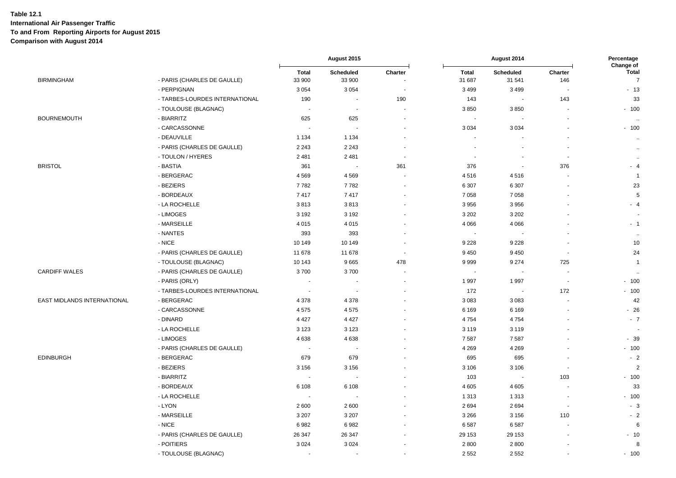|                             |                                |                        | August 2015              |                          |                          | August 2014              |                          | Percentage<br>Change of        |
|-----------------------------|--------------------------------|------------------------|--------------------------|--------------------------|--------------------------|--------------------------|--------------------------|--------------------------------|
| <b>BIRMINGHAM</b>           | - PARIS (CHARLES DE GAULLE)    | <b>Total</b><br>33 900 | Scheduled<br>33 900      | Charter                  | <b>Total</b><br>31 687   | Scheduled<br>31 541      | Charter<br>146           | <b>Total</b><br>$\overline{7}$ |
|                             | - PERPIGNAN                    | 3 0 5 4                | 3 0 5 4                  |                          | 3 4 9 9                  | 3 4 9 9                  |                          | $-13$                          |
|                             | - TARBES-LOURDES INTERNATIONAL | 190                    | $\sim$                   | 190                      | 143                      | $\blacksquare$           | 143                      | 33                             |
|                             | - TOULOUSE (BLAGNAC)           | $\sim$                 | $\sim$                   | $\blacksquare$           | 3850                     | 3850                     |                          | $-100$                         |
| <b>BOURNEMOUTH</b>          | - BIARRITZ                     | 625                    | 625                      | $\blacksquare$           |                          |                          |                          |                                |
|                             | - CARCASSONNE                  | $\sim$                 | ÷.                       |                          | 3 0 3 4                  | 3 0 3 4                  |                          | $-100$                         |
|                             | - DEAUVILLE                    | 1 1 3 4                | 1 1 3 4                  |                          |                          |                          |                          | $\ddot{\phantom{a}}$           |
|                             | - PARIS (CHARLES DE GAULLE)    | 2 2 4 3                | 2 2 4 3                  |                          |                          |                          |                          | $\ddot{\phantom{a}}$           |
|                             | - TOULON / HYERES              | 2 4 8 1                | 2 4 8 1                  | $\overline{a}$           |                          |                          | $\overline{\phantom{a}}$ | $\sim$                         |
| <b>BRISTOL</b>              | - BASTIA                       | 361                    | $\blacksquare$           | 361                      | 376                      | $\overline{\phantom{a}}$ | 376                      | $-4$                           |
|                             | - BERGERAC                     | 4569                   | 4569                     |                          | 4516                     | 4516                     |                          | $\overline{1}$                 |
|                             | - BEZIERS                      | 7782                   | 7782                     | $\blacksquare$           | 6 3 0 7                  | 6 3 0 7                  |                          | 23                             |
|                             | - BORDEAUX                     | 7417                   | 7417                     | $\overline{\phantom{a}}$ | 7 0 5 8                  | 7 0 5 8                  |                          | 5                              |
|                             | - LA ROCHELLE                  | 3813                   | 3813                     | $\blacksquare$           | 3956                     | 3956                     |                          | $-4$                           |
|                             | - LIMOGES                      | 3 1 9 2                | 3 1 9 2                  |                          | 3 2 0 2                  | 3 2 0 2                  |                          |                                |
|                             | - MARSEILLE                    | 4 0 1 5                | 4 0 1 5                  |                          | 4 0 6 6                  | 4 0 6 6                  |                          | $-1$                           |
|                             | - NANTES                       | 393                    | 393                      |                          |                          |                          |                          | $\ddot{\phantom{1}}$           |
|                             | - NICE                         | 10 149                 | 10 149                   |                          | 9 2 2 8                  | 9 2 2 8                  |                          | 10                             |
|                             | - PARIS (CHARLES DE GAULLE)    | 11 678                 | 11 678                   | $\ddot{\phantom{0}}$     | 9 4 5 0                  | 9450                     |                          | 24                             |
|                             | - TOULOUSE (BLAGNAC)           | 10 143                 | 9665                     | 478                      | 9999                     | 9 2 7 4                  | 725                      | $\overline{1}$                 |
| <b>CARDIFF WALES</b>        | - PARIS (CHARLES DE GAULLE)    | 3700                   | 3700                     | $\sim$                   | $\overline{\phantom{a}}$ | $\overline{\phantom{a}}$ | $\overline{\phantom{a}}$ |                                |
|                             | - PARIS (ORLY)                 |                        | $\overline{\phantom{a}}$ |                          | 1 9 9 7                  | 1997                     | $\overline{\phantom{a}}$ | $-100$                         |
|                             | - TARBES-LOURDES INTERNATIONAL | $\sim$                 | $\overline{\phantom{a}}$ | $\overline{\phantom{a}}$ | 172                      |                          | 172                      | $-100$                         |
| EAST MIDLANDS INTERNATIONAL | - BERGERAC                     | 4 3 7 8                | 4 3 7 8                  |                          | 3 0 8 3                  | 3 0 8 3                  |                          | 42                             |
|                             | - CARCASSONNE                  | 4575                   | 4575                     |                          | 6 1 6 9                  | 6 1 6 9                  |                          | $-26$                          |
|                             | - DINARD                       | 4 4 2 7                | 4 4 2 7                  |                          | 4754                     | 4754                     |                          | $-7$                           |
|                             | - LA ROCHELLE                  | 3 1 2 3                | 3 1 2 3                  |                          | 3 1 1 9                  | 3 1 1 9                  |                          |                                |
|                             | - LIMOGES                      | 4638                   | 4638                     |                          | 7587                     | 7587                     |                          | $-39$                          |
|                             | - PARIS (CHARLES DE GAULLE)    |                        | $\sim$                   |                          | 4 2 6 9                  | 4 2 6 9                  |                          | $-100$                         |
| <b>EDINBURGH</b>            | - BERGERAC                     | 679                    | 679                      |                          | 695                      | 695                      |                          | $-2$                           |
|                             | - BEZIERS                      | 3 1 5 6                | 3 1 5 6                  |                          | 3 1 0 6                  | 3 1 0 6                  |                          | $\overline{2}$                 |
|                             | - BIARRITZ                     | $\sim$                 |                          |                          | 103                      |                          | 103                      | $-100$                         |
|                             | - BORDEAUX                     | 6 1 0 8                | 6 1 0 8                  |                          | 4 6 0 5                  | 4605                     |                          | 33                             |
|                             | - LA ROCHELLE                  | $\sim$                 | $\overline{\phantom{a}}$ |                          | 1 3 1 3                  | 1 3 1 3                  |                          | $-100$                         |
|                             | - LYON                         | 2 600                  | 2600                     |                          | 2694                     | 2694                     | $\overline{\phantom{a}}$ | $-3$                           |
|                             | - MARSEILLE                    | 3 2 0 7                | 3 2 0 7                  |                          | 3 2 6 6                  | 3 1 5 6                  | 110                      | $-2$                           |
|                             | - NICE                         | 6982                   | 6982                     |                          | 6587                     | 6587                     |                          | 6                              |
|                             | - PARIS (CHARLES DE GAULLE)    | 26 347                 | 26 347                   |                          | 29 153                   | 29 153                   |                          | $-10$                          |
|                             | - POITIERS                     | 3 0 2 4                | 3 0 2 4                  |                          | 2800                     | 2800                     |                          | 8                              |
|                             | - TOULOUSE (BLAGNAC)           |                        |                          | ÷,                       | 2 5 5 2                  | 2 5 5 2                  |                          | $-100$                         |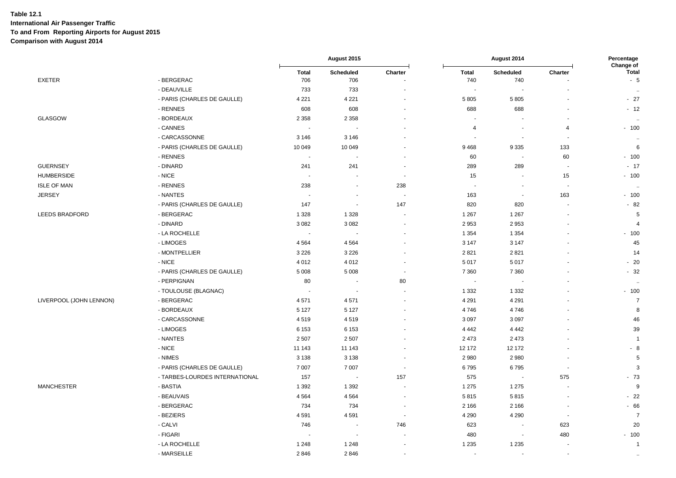|                         |                                |                          | August 2015              |                | August 2014              |                          | Percentage<br>Change of  |                      |
|-------------------------|--------------------------------|--------------------------|--------------------------|----------------|--------------------------|--------------------------|--------------------------|----------------------|
|                         |                                | <b>Total</b>             | Scheduled                | Charter        | <b>Total</b>             | <b>Scheduled</b>         | Charter                  | <b>Total</b>         |
| <b>EXETER</b>           | - BERGERAC                     | 706                      | 706                      |                | 740                      | 740                      |                          | $-5$                 |
|                         | - DEAUVILLE                    | 733                      | 733                      |                | $\overline{\phantom{a}}$ |                          |                          | $\ddotsc$            |
|                         | - PARIS (CHARLES DE GAULLE)    | 4 2 2 1                  | 4 2 2 1                  |                | 5 8 0 5                  | 5805                     | ÷,                       | $-27$                |
|                         | - RENNES                       | 608                      | 608                      |                | 688                      | 688                      | $\sim$                   | $-12$                |
| GLASGOW                 | - BORDEAUX                     | 2 3 5 8                  | 2 3 5 8                  |                |                          |                          |                          | $\sim$               |
|                         | - CANNES                       |                          |                          |                | $\overline{a}$           |                          | 4                        | $-100$               |
|                         | - CARCASSONNE                  | 3 1 4 6                  | 3 1 4 6                  |                | $\overline{\phantom{a}}$ | $\sim$                   | $\blacksquare$           | $\ddot{\phantom{a}}$ |
|                         | - PARIS (CHARLES DE GAULLE)    | 10 049                   | 10 049                   |                | 9468                     | 9335                     | 133                      | 6                    |
|                         | - RENNES                       | $\sim$                   | $\overline{\phantom{a}}$ |                | 60                       | $\overline{\phantom{a}}$ | 60                       | $-100$               |
| <b>GUERNSEY</b>         | - DINARD                       | 241                      | 241                      |                | 289                      | 289                      | ÷,                       | $-17$                |
| <b>HUMBERSIDE</b>       | - NICE                         | $\sim$                   | $\overline{\phantom{a}}$ | $\sim$         | 15                       |                          | 15                       | $-100$               |
| <b>ISLE OF MAN</b>      | - RENNES                       | 238                      | $\blacksquare$           | 238            | $\overline{\phantom{a}}$ | $\overline{\phantom{a}}$ | $\blacksquare$           | $\ddotsc$            |
| <b>JERSEY</b>           | - NANTES                       |                          | ÷,                       |                | 163                      |                          | 163                      | $-100$               |
|                         | - PARIS (CHARLES DE GAULLE)    | 147                      | $\blacksquare$           | 147            | 820                      | 820                      | ÷,                       | $-82$                |
| <b>LEEDS BRADFORD</b>   | - BERGERAC                     | 1 3 2 8                  | 1 3 2 8                  |                | 1 2 6 7                  | 1 2 6 7                  |                          | $5\phantom{.0}$      |
|                         | - DINARD                       | 3 0 8 2                  | 3 0 8 2                  |                | 2 9 5 3                  | 2953                     |                          | $\overline{4}$       |
|                         | - LA ROCHELLE                  | $\overline{\phantom{a}}$ | $\overline{\phantom{a}}$ |                | 1 3 5 4                  | 1 3 5 4                  |                          | $-100$               |
|                         | - LIMOGES                      | 4 5 6 4                  | 4564                     |                | 3 1 4 7                  | 3 1 4 7                  |                          | 45                   |
|                         | - MONTPELLIER                  | 3 2 2 6                  | 3 2 2 6                  |                | 2821                     | 2821                     |                          | 14                   |
|                         | - NICE                         | 4 0 1 2                  | 4 0 1 2                  |                | 5 0 1 7                  | 5017                     |                          | $-20$                |
|                         | - PARIS (CHARLES DE GAULLE)    | 5 0 0 8                  | 5 0 0 8                  | $\blacksquare$ | 7 3 6 0                  | 7 3 6 0                  |                          | $-32$                |
|                         | - PERPIGNAN                    | 80                       | $\overline{\phantom{a}}$ | 80             |                          |                          |                          | $\sim$               |
|                         | - TOULOUSE (BLAGNAC)           |                          | $\overline{\phantom{a}}$ | $\sim$         | 1 3 3 2                  | 1 3 3 2                  |                          | $-100$               |
| LIVERPOOL (JOHN LENNON) | - BERGERAC                     | 4571                     | 4571                     |                | 4 2 9 1                  | 4 2 9 1                  |                          | $\overline{7}$       |
|                         | - BORDEAUX                     | 5 1 2 7                  | 5 1 2 7                  |                | 4746                     | 4746                     |                          | 8                    |
|                         | - CARCASSONNE                  | 4519                     | 4519                     |                | 3 0 9 7                  | 3097                     |                          | 46                   |
|                         | - LIMOGES                      | 6 1 5 3                  | 6 1 5 3                  |                | 4 4 4 2                  | 4 4 4 2                  |                          | 39                   |
|                         | - NANTES                       | 2 5 0 7                  | 2 5 0 7                  |                | 2 4 7 3                  | 2473                     |                          | $\overline{1}$       |
|                         | - NICE                         | 11 143                   | 11 143                   |                | 12 172                   | 12 172                   |                          | $-8$                 |
|                         | - NIMES                        | 3 1 3 8                  | 3 1 3 8                  |                | 2 9 8 0                  | 2 9 8 0                  |                          | $5\phantom{.0}$      |
|                         | - PARIS (CHARLES DE GAULLE)    | 7 0 0 7                  | 7 0 0 7                  | $\blacksquare$ | 6795                     | 6795                     | $\overline{\phantom{a}}$ | 3                    |
|                         | - TARBES-LOURDES INTERNATIONAL | 157                      | $\overline{\phantom{a}}$ | 157            | 575                      | $\overline{\phantom{a}}$ | 575                      | $-73$                |
| <b>MANCHESTER</b>       | - BASTIA                       | 1 3 9 2                  | 1 3 9 2                  |                | 1 2 7 5                  | 1 2 7 5                  |                          | 9                    |
|                         | - BEAUVAIS                     | 4 5 6 4                  | 4564                     |                | 5815                     | 5815                     |                          | $-22$                |
|                         | - BERGERAC                     | 734                      | 734                      |                | 2 1 6 6                  | 2 1 6 6                  | $\blacksquare$           | $-66$                |
|                         | - BEZIERS                      | 4591                     | 4591                     | $\sim$         | 4 2 9 0                  | 4 2 9 0                  | $\sim$                   | $\overline{7}$       |
|                         | - CALVI                        | 746                      | $\sim$                   | 746            | 623                      |                          | 623                      | 20                   |
|                         | - FIGARI                       | $\sim$                   | $\overline{\phantom{a}}$ |                | 480                      |                          | 480                      | $-100$               |
|                         | - LA ROCHELLE                  | 1 2 4 8                  | 1 2 4 8                  |                | 1 2 3 5                  | 1 2 3 5                  |                          | $\overline{1}$       |
|                         | - MARSEILLE                    | 2846                     | 2846                     | $\blacksquare$ |                          |                          | $\blacksquare$           | $\sim$               |
|                         |                                |                          |                          |                |                          |                          |                          |                      |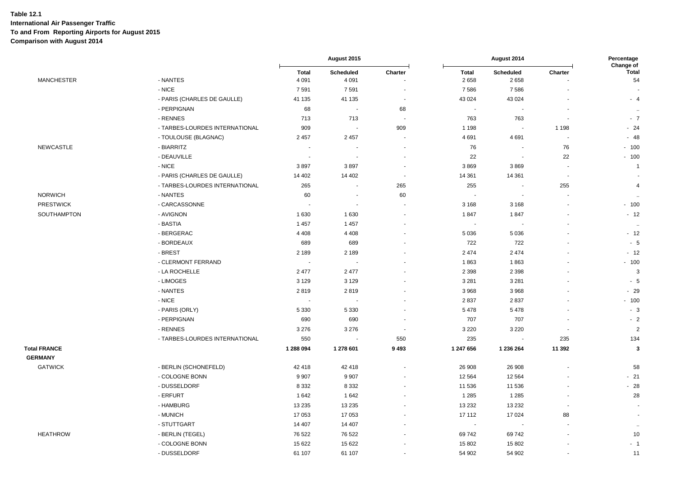|                     |                                |                          | August 2015              |                          | August 2014          |                       | Percentage<br>Change of |                      |
|---------------------|--------------------------------|--------------------------|--------------------------|--------------------------|----------------------|-----------------------|-------------------------|----------------------|
| <b>MANCHESTER</b>   | - NANTES                       | <b>Total</b><br>4 0 9 1  | Scheduled<br>4 0 9 1     | Charter                  | <b>Total</b><br>2658 | Scheduled<br>2658     | Charter                 | <b>Total</b><br>54   |
|                     | - NICE                         | 7591                     | 7591                     | ä,                       | 7586                 | 7586                  |                         |                      |
|                     | - PARIS (CHARLES DE GAULLE)    | 41 135                   | 41 135                   | ÷,                       | 43 0 24              | 43 0 24               |                         | $-4$                 |
|                     | - PERPIGNAN                    | 68                       | $\blacksquare$           | 68                       | $\blacksquare$       | $\blacksquare$        | $\blacksquare$          | $\sim$               |
|                     | - RENNES                       | 713                      | 713                      | $\sim$                   | 763                  | 763                   | ÷,                      | $-7$                 |
|                     | - TARBES-LOURDES INTERNATIONAL | 909                      | $\overline{\phantom{a}}$ | 909                      | 1 1 9 8              | $\blacksquare$        | 1 1 9 8                 | $-24$                |
|                     | - TOULOUSE (BLAGNAC)           | 2 4 5 7                  | 2 4 5 7                  |                          | 4691                 | 4691                  |                         | $-48$                |
| <b>NEWCASTLE</b>    | - BIARRITZ                     | $\sim$                   |                          |                          | 76                   | $\sim$                | 76                      | $-100$               |
|                     | - DEAUVILLE                    | $\overline{\phantom{a}}$ |                          | $\blacksquare$           | 22                   | ä,                    | 22                      | $-100$               |
|                     | - NICE                         | 3897                     | 3897                     |                          | 3869                 | 3869                  |                         | $\mathbf{1}$         |
|                     | - PARIS (CHARLES DE GAULLE)    | 14 402                   | 14 402                   | $\overline{\phantom{a}}$ | 14 361               | 14 3 61               | <b>.</b>                |                      |
|                     | - TARBES-LOURDES INTERNATIONAL | 265                      | $\sim$                   | 265                      | 255                  | $\sim$                | 255                     | $\overline{4}$       |
| <b>NORWICH</b>      | - NANTES                       | 60                       | $\blacksquare$           | 60                       | $\blacksquare$       | $\blacksquare$        | $\blacksquare$          | $\sim$               |
| <b>PRESTWICK</b>    | - CARCASSONNE                  |                          | $\blacksquare$           |                          | 3 1 6 8              | 3 1 6 8               | ÷,                      | $-100$               |
| SOUTHAMPTON         | - AVIGNON                      | 1 6 3 0                  | 1630                     |                          | 1847                 | 1847                  | $\blacksquare$          | $-12$                |
|                     | - BASTIA                       | 1 4 5 7                  | 1 4 5 7                  |                          |                      |                       |                         | $\ddot{\phantom{a}}$ |
|                     | - BERGERAC                     | 4 4 0 8                  | 4 4 0 8                  |                          | 5 0 36               | 5 0 3 6               | $\ddot{\phantom{1}}$    | $-12$                |
|                     | - BORDEAUX                     | 689                      | 689                      |                          | 722                  | 722                   |                         | $-5$                 |
|                     | - BREST                        | 2 1 8 9                  | 2 1 8 9                  |                          | 2 4 7 4              | 2474                  | $\ddot{\phantom{0}}$    | $-12$                |
|                     | - CLERMONT FERRAND             | $\sim$                   |                          |                          | 1863                 | 1863                  |                         | $-100$               |
|                     | - LA ROCHELLE                  | 2 4 7 7                  | 2 4 7 7                  |                          | 2 3 9 8              | 2 3 9 8               | $\overline{a}$          | $\mathbf{3}$         |
|                     | - LIMOGES                      | 3 1 2 9                  | 3 1 2 9                  |                          | 3 2 8 1              | 3 2 8 1               | ÷,                      | $-5$                 |
|                     | - NANTES                       | 2819                     | 2819                     |                          | 3 9 6 8              | 3968                  |                         | $-29$                |
|                     | - NICE                         | ÷                        |                          |                          | 2837                 | 2837                  |                         | $-100$               |
|                     | - PARIS (ORLY)                 | 5 3 3 0                  | 5 3 3 0                  |                          | 5 4 7 8              | 5478                  |                         | $-3$                 |
|                     | - PERPIGNAN                    | 690                      | 690                      |                          | 707                  | 707                   | $\sim$                  | $-2$                 |
|                     | - RENNES                       | 3 2 7 6                  | 3 2 7 6                  | $\sim$                   | 3 2 2 0              | 3 2 2 0               | ۰.                      | $\overline{2}$       |
|                     | - TARBES-LOURDES INTERNATIONAL | 550                      | $\blacksquare$           | 550                      | 235                  | $\tilde{\phantom{a}}$ | 235                     | 134                  |
| <b>Total FRANCE</b> |                                | 1 288 094                | 1 278 601                | 9493                     | 1 247 656            | 1 236 264             | 11 392                  | $\mathbf{3}$         |
| <b>GERMANY</b>      |                                |                          |                          |                          |                      |                       |                         |                      |
| <b>GATWICK</b>      | - BERLIN (SCHONEFELD)          | 42 418                   | 42 418                   |                          | 26 908               | 26 908                |                         | 58                   |
|                     | - COLOGNE BONN                 | 9 9 0 7                  | 9 9 0 7                  | $\blacksquare$           | 12 5 64              | 12 5 64               | $\blacksquare$          | $-21$                |
|                     | - DUSSELDORF                   | 8 3 3 2                  | 8 3 3 2                  | $\ddot{\phantom{1}}$     | 11 536               | 11 536                | $\ddot{\phantom{1}}$    | $-28$                |
|                     | - ERFURT                       | 1642                     | 1642                     |                          | 1 2 8 5              | 1 2 8 5               | $\blacksquare$          | 28                   |
|                     | - HAMBURG                      | 13 2 35                  | 13 2 35                  |                          | 13 2 32              | 13 2 32               | $\sim$                  |                      |
|                     | - MUNICH                       | 17 053                   | 17 053                   |                          | 17 112               | 17 0 24               | 88                      |                      |
|                     | - STUTTGART                    | 14 407                   | 14 407                   |                          | $\sim$               |                       | $\blacksquare$          | $\sim$               |
| <b>HEATHROW</b>     | - BERLIN (TEGEL)               | 76 522                   | 76 522                   |                          | 69 742               | 69742                 |                         | 10                   |
|                     | - COLOGNE BONN                 | 15 622                   | 15 622                   |                          | 15 802               | 15 802                |                         | $-1$                 |
|                     | - DUSSELDORF                   | 61 107                   | 61 107                   | $\blacksquare$           | 54 902               | 54 902                | $\ddot{\phantom{0}}$    | 11                   |
|                     |                                |                          |                          |                          |                      |                       |                         |                      |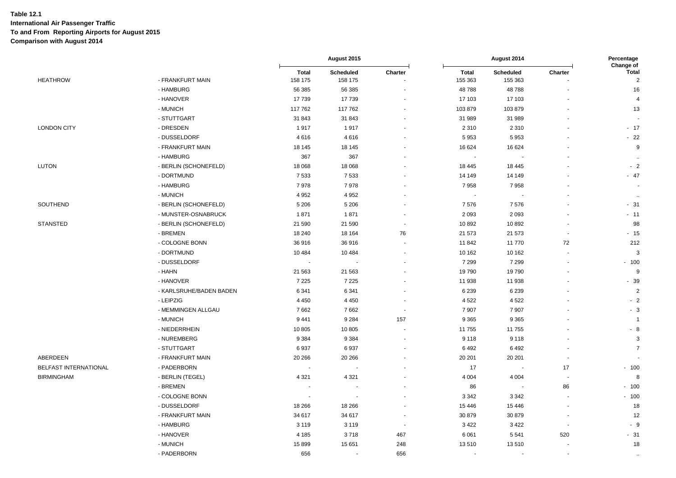|                       |                         |                         | August 2015          |                          |                         | August 2014          |                          | Percentage<br>Change of |  |
|-----------------------|-------------------------|-------------------------|----------------------|--------------------------|-------------------------|----------------------|--------------------------|-------------------------|--|
| <b>HEATHROW</b>       | - FRANKFURT MAIN        | <b>Total</b><br>158 175 | Scheduled<br>158 175 | Charter                  | <b>Total</b><br>155 363 | Scheduled<br>155 363 | Charter                  | Total<br>$\sqrt{2}$     |  |
|                       | - HAMBURG               | 56 385                  | 56 385               |                          | 48788                   | 48788                |                          | 16                      |  |
|                       | - HANOVER               | 17739                   | 17739                |                          | 17 103                  | 17 103               |                          | $\overline{4}$          |  |
|                       | - MUNICH                | 117 762                 | 117 762              |                          | 103879                  | 103879               |                          | 13                      |  |
|                       | - STUTTGART             | 31 843                  | 31 843               | $\sim$                   | 31 989                  | 31 989               |                          |                         |  |
| <b>LONDON CITY</b>    | - DRESDEN               | 1917                    | 1917                 |                          | 2 3 1 0                 | 2 3 1 0              |                          | $-17$                   |  |
|                       | - DUSSELDORF            | 4616                    | 4616                 |                          | 5953                    | 5953                 |                          | $-22$                   |  |
|                       | - FRANKFURT MAIN        | 18 145                  | 18 145               |                          | 16 624                  | 16 624               |                          | $9\,$                   |  |
|                       | - HAMBURG               | 367                     | 367                  |                          | $\blacksquare$          |                      |                          | $\ddotsc$               |  |
| <b>LUTON</b>          | - BERLIN (SCHONEFELD)   | 18 068                  | 18 0 68              |                          | 18 4 45                 | 18 4 45              |                          | $-2$                    |  |
|                       | - DORTMUND              | 7 5 3 3                 | 7533                 |                          | 14 149                  | 14 14 9              |                          | $-47$                   |  |
|                       | - HAMBURG               | 7978                    | 7978                 | $\ddot{\phantom{1}}$     | 7958                    | 7958                 |                          | ÷.                      |  |
|                       | - MUNICH                | 4 9 5 2                 | 4 9 5 2              | $\sim$                   | $\sim$                  |                      |                          | $\ddotsc$               |  |
| SOUTHEND              | - BERLIN (SCHONEFELD)   | 5 2 0 6                 | 5 2 0 6              |                          | 7576                    | 7576                 |                          | $-31$                   |  |
|                       | - MUNSTER-OSNABRUCK     | 1871                    | 1871                 | $\overline{\phantom{a}}$ | 2 0 9 3                 | 2093                 |                          | $-11$                   |  |
| <b>STANSTED</b>       | - BERLIN (SCHONEFELD)   | 21 590                  | 21 590               |                          | 10892                   | 10892                |                          | 98                      |  |
|                       | - BREMEN                | 18 240                  | 18 164               | 76                       | 21 573                  | 21 573               | $\sim$                   | $-15$                   |  |
|                       | - COLOGNE BONN          | 36916                   | 36 916               |                          | 11842                   | 11770                | 72                       | 212                     |  |
|                       | - DORTMUND              | 10 4 84                 | 10 4 84              | $\ddot{\phantom{1}}$     | 10 162                  | 10 162               |                          | 3                       |  |
|                       | - DUSSELDORF            | $\sim$                  |                      |                          | 7 2 9 9                 | 7 2 9 9              |                          | $-100$                  |  |
|                       | - HAHN                  | 21 563                  | 21 5 63              |                          | 19790                   | 19790                |                          | $\boldsymbol{9}$        |  |
|                       | - HANOVER               | 7 2 2 5                 | 7 2 2 5              | $\blacksquare$           | 11 938                  | 11 938               |                          | $-39$                   |  |
|                       | - KARLSRUHE/BADEN BADEN | 6 3 4 1                 | 6 3 4 1              |                          | 6 2 3 9                 | 6 2 3 9              |                          | $\overline{2}$          |  |
|                       | - LEIPZIG               | 4 4 5 0                 | 4 4 5 0              | $\ddot{\phantom{1}}$     | 4 5 22                  | 4522                 |                          | $-2$                    |  |
|                       | - MEMMINGEN ALLGAU      | 7662                    | 7662                 |                          | 7907                    | 7907                 |                          | $-3$                    |  |
|                       | - MUNICH                | 9 4 4 1                 | 9 2 8 4              | 157                      | 9 3 6 5                 | 9 3 6 5              |                          | $\overline{1}$          |  |
|                       | - NIEDERRHEIN           | 10 805                  | 10 805               | ÷,                       | 11755                   | 11755                |                          | $-8$                    |  |
|                       | - NUREMBERG             | 9 3 8 4                 | 9 3 8 4              |                          | 9 1 1 8                 | 9 1 1 8              |                          | $\mathbf{3}$            |  |
|                       | - STUTTGART             | 6937                    | 6937                 | ٠                        | 6492                    | 6492                 |                          | $\overline{7}$          |  |
| ABERDEEN              | - FRANKFURT MAIN        | 20 26 6                 | 20 26 6              |                          | 20 201                  | 20 20 1              |                          |                         |  |
| BELFAST INTERNATIONAL | - PADERBORN             |                         |                      |                          | 17                      |                      | 17                       | $-100$                  |  |
| <b>BIRMINGHAM</b>     | - BERLIN (TEGEL)        | 4 3 2 1                 | 4 3 2 1              |                          | 4 0 0 4                 | 4 0 0 4              |                          | 8                       |  |
|                       | - BREMEN                |                         |                      | ä,                       | 86                      |                      | 86                       | $-100$                  |  |
|                       | - COLOGNE BONN          |                         |                      |                          | 3 3 4 2                 | 3 3 4 2              | $\sim$                   | $-100$                  |  |
|                       | - DUSSELDORF            | 18 26 6                 | 18 26 6              |                          | 15 4 46                 | 15 4 46              |                          | 18                      |  |
|                       | - FRANKFURT MAIN        | 34 617                  | 34 617               | $\blacksquare$           | 30 879                  | 30 879               | $\sim$                   | 12                      |  |
|                       | - HAMBURG               | 3 1 1 9                 | 3 1 1 9              | $\overline{\phantom{a}}$ | 3 4 2 2                 | 3422                 | $\overline{\phantom{a}}$ | $-9$                    |  |
|                       | - HANOVER               | 4 1 8 5                 | 3718                 | 467                      | 6 0 61                  | 5 5 4 1              | 520                      | $-31$                   |  |
|                       | - MUNICH                | 15 899                  | 15 651               | 248                      | 13510                   | 13510                |                          | 18                      |  |
|                       | - PADERBORN             | 656                     |                      | 656                      | $\sim$                  |                      | $\sim$                   | $\ddot{\phantom{a}}$    |  |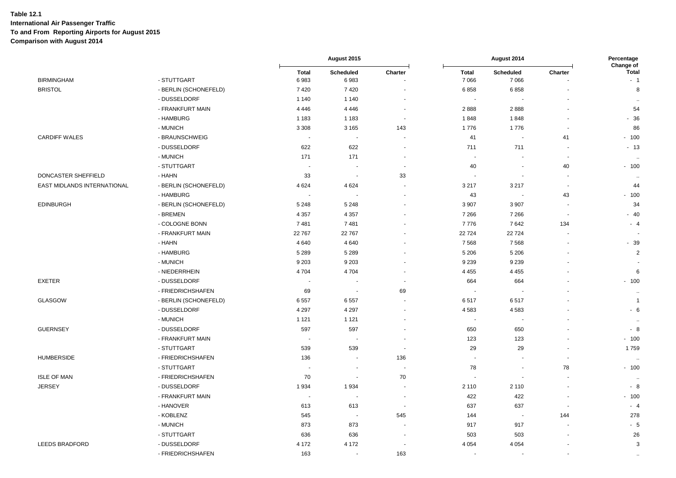|                             |                       |                          | August 2015              |                      |                       | August 2014              |                          | Percentage<br>Change of |  |
|-----------------------------|-----------------------|--------------------------|--------------------------|----------------------|-----------------------|--------------------------|--------------------------|-------------------------|--|
| <b>BIRMINGHAM</b>           | - STUTTGART           | <b>Total</b><br>6983     | Scheduled<br>6983        | Charter              | <b>Total</b><br>7066  | Scheduled<br>7066        | Charter                  | <b>Total</b><br>$-1$    |  |
| <b>BRISTOL</b>              | - BERLIN (SCHONEFELD) | 7420                     | 7420                     |                      | 6858                  | 6858                     |                          | 8                       |  |
|                             | - DUSSELDORF          | 1 1 4 0                  | 1 1 4 0                  |                      | $\sim$                | $\overline{\phantom{a}}$ |                          | $\ddotsc$               |  |
|                             | - FRANKFURT MAIN      | 4 4 4 6                  | 4 4 4 6                  | $\blacksquare$       | 2888                  | 2888                     | $\sim$                   | 54                      |  |
|                             | - HAMBURG             | 1 1 8 3                  | 1 1 8 3                  | $\blacksquare$       | 1848                  | 1848                     | $\blacksquare$           | $-36$                   |  |
|                             | - MUNICH              | 3 3 0 8                  | 3 1 6 5                  | 143                  | 1776                  | 1776                     | $\blacksquare$           | 86                      |  |
| <b>CARDIFF WALES</b>        | - BRAUNSCHWEIG        |                          | $\sim$                   |                      | 41                    | ÷,                       | 41                       | $-100$                  |  |
|                             | - DUSSELDORF          | 622                      | 622                      |                      | 711                   | 711                      | $\blacksquare$           | $-13$                   |  |
|                             | - MUNICH              | 171                      | 171                      | $\overline{a}$       | $\blacksquare$        |                          | $\overline{\phantom{a}}$ | $\ddotsc$               |  |
|                             | - STUTTGART           | $\overline{\phantom{a}}$ |                          | $\blacksquare$       | 40                    | $\overline{\phantom{a}}$ | 40                       | $-100$                  |  |
| DONCASTER SHEFFIELD         | - HAHN                | 33                       | $\sim$                   | 33                   | $\sim$                |                          | $\overline{\phantom{a}}$ | $\ddotsc$               |  |
| EAST MIDLANDS INTERNATIONAL | - BERLIN (SCHONEFELD) | 4 6 24                   | 4 6 24                   | $\blacksquare$       | 3 2 1 7               | 3 2 1 7                  | $\overline{\phantom{a}}$ | 44                      |  |
|                             | - HAMBURG             |                          | $\sim$                   | ÷                    | 43                    | $\sim$                   | 43                       | $-100$                  |  |
| <b>EDINBURGH</b>            | - BERLIN (SCHONEFELD) | 5 2 4 8                  | 5 2 4 8                  | $\blacksquare$       | 3 9 0 7               | 3 9 0 7                  | $\overline{\phantom{a}}$ | 34                      |  |
|                             | - BREMEN              | 4 3 5 7                  | 4 3 5 7                  | ä,                   | 7 2 6 6               | 7 2 6 6                  | $\overline{\phantom{a}}$ | $-40$                   |  |
|                             | - COLOGNE BONN        | 7481                     | 7481                     |                      | 7776                  | 7642                     | 134                      | $-4$                    |  |
|                             | - FRANKFURT MAIN      | 22 767                   | 22 767                   |                      | 22724                 | 22724                    | $\blacksquare$           |                         |  |
|                             | - HAHN                | 4 6 4 0                  | 4 6 4 0                  |                      | 7568                  | 7568                     |                          | $-39$                   |  |
|                             | - HAMBURG             | 5 2 8 9                  | 5 2 8 9                  | $\blacksquare$       | 5 2 0 6               | 5 2 0 6                  | $\blacksquare$           | $\mathbf 2$             |  |
|                             | - MUNICH              | 9 2 0 3                  | 9 2 0 3                  |                      | 9 2 3 9               | 9 2 3 9                  |                          |                         |  |
|                             | - NIEDERRHEIN         | 4704                     | 4 704                    | $\ddot{\phantom{1}}$ | 4 4 5 5               | 4 4 5 5                  | $\ddot{\phantom{1}}$     | 6                       |  |
| <b>EXETER</b>               | - DUSSELDORF          |                          |                          | $\blacksquare$       | 664                   | 664                      | $\ddot{\phantom{1}}$     | $-100$                  |  |
|                             | - FRIEDRICHSHAFEN     | 69                       | $\sim$                   | 69                   |                       |                          |                          | $\sim$                  |  |
| <b>GLASGOW</b>              | - BERLIN (SCHONEFELD) | 6557                     | 6557                     | ÷.                   | 6517                  | 6517                     |                          | $\overline{1}$          |  |
|                             | - DUSSELDORF          | 4 2 9 7                  | 4 2 9 7                  | $\blacksquare$       | 4583                  | 4583                     |                          | $-6$                    |  |
|                             | - MUNICH              | 1 1 2 1                  | 1 1 2 1                  | $\blacksquare$       | $\tilde{\phantom{a}}$ | ÷,                       | ÷,                       | $\ddot{\phantom{a}}$    |  |
| <b>GUERNSEY</b>             | - DUSSELDORF          | 597                      | 597                      |                      | 650                   | 650                      |                          | $-8$                    |  |
|                             | - FRANKFURT MAIN      | $\sim$                   | $\sim$                   | $\blacksquare$       | 123                   | 123                      | $\blacksquare$           | $-100$                  |  |
|                             | - STUTTGART           | 539                      | 539                      |                      | 29                    | 29                       |                          | 1759                    |  |
| <b>HUMBERSIDE</b>           | - FRIEDRICHSHAFEN     | 136                      | $\overline{\phantom{a}}$ | 136                  | $\sim$                | $\ddot{\phantom{1}}$     | ÷,                       | $\ddot{\phantom{a}}$    |  |
|                             | - STUTTGART           |                          | $\overline{\phantom{a}}$ | $\overline{a}$       | 78                    | $\overline{a}$           | 78                       | $-100$                  |  |
| <b>ISLE OF MAN</b>          | - FRIEDRICHSHAFEN     | 70                       | $\sim$                   | 70                   | $\sim$                | $\sim$                   | $\blacksquare$           | ٠.                      |  |
| <b>JERSEY</b>               | - DUSSELDORF          | 1934                     | 1934                     | ä,                   | 2 1 1 0               | 2 1 1 0                  | $\overline{\phantom{a}}$ | $-8$                    |  |
|                             | - FRANKFURT MAIN      | $\sim$                   | $\sim$                   | $\ddot{\phantom{1}}$ | 422                   | 422                      | $\overline{a}$           | $-100$                  |  |
|                             | - HANOVER             | 613                      | 613                      | $\blacksquare$       | 637                   | 637                      | $\sim$                   | $-4$                    |  |
|                             | - KOBLENZ             | 545                      | $\sim$                   | 545                  | 144                   | $\overline{\phantom{a}}$ | 144                      | 278                     |  |
|                             | - MUNICH              | 873                      | 873                      | $\sim$               | 917                   | 917                      | $\overline{\phantom{a}}$ | $-5$                    |  |
|                             | - STUTTGART           | 636                      | 636                      |                      | 503                   | 503                      |                          | 26                      |  |
| <b>LEEDS BRADFORD</b>       | - DUSSELDORF          | 4 1 7 2                  | 4 1 7 2                  | $\blacksquare$       | 4 0 5 4               | 4 0 5 4                  |                          | 3                       |  |
|                             | - FRIEDRICHSHAFEN     | 163                      | $\blacksquare$           | 163                  | $\blacksquare$        |                          |                          | $\sim$                  |  |
|                             |                       |                          |                          |                      |                       |                          |                          |                         |  |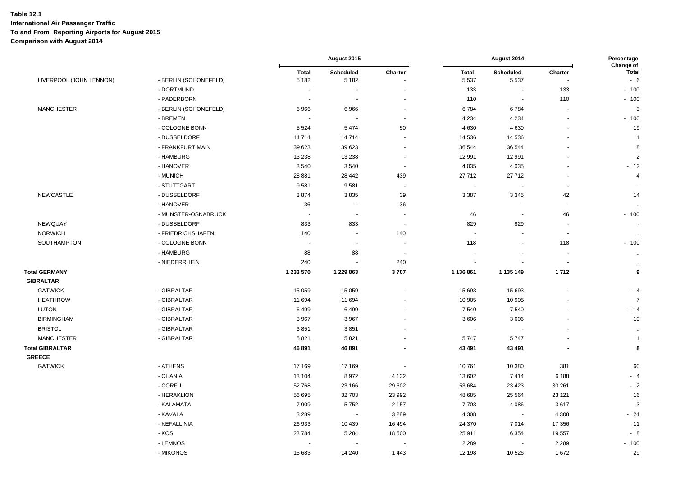|                         |                       |                         | August 2015              |                          |                          | August 2014              |                          | Percentage<br>Change of |  |
|-------------------------|-----------------------|-------------------------|--------------------------|--------------------------|--------------------------|--------------------------|--------------------------|-------------------------|--|
| LIVERPOOL (JOHN LENNON) | - BERLIN (SCHONEFELD) | <b>Total</b><br>5 1 8 2 | Scheduled<br>5 1 8 2     | Charter                  | <b>Total</b><br>5 5 3 7  | Scheduled<br>5537        | Charter                  | <b>Total</b><br>$-6$    |  |
|                         | - DORTMUND            | $\blacksquare$          | ÷,                       |                          | 133                      | $\sim$                   | 133                      | $-100$                  |  |
|                         | - PADERBORN           |                         |                          |                          | 110                      | $\blacksquare$           | 110                      | $-100$                  |  |
| <b>MANCHESTER</b>       | - BERLIN (SCHONEFELD) | 6966                    | 6966                     | ÷,                       | 6784                     | 6784                     | $\blacksquare$           | 3                       |  |
|                         | - BREMEN              |                         |                          |                          | 4 2 3 4                  | 4 2 3 4                  | $\blacksquare$           | $-100$                  |  |
|                         | - COLOGNE BONN        | 5 5 2 4                 | 5474                     | 50                       | 4 6 3 0                  | 4630                     |                          | 19                      |  |
|                         | - DUSSELDORF          | 14 7 14                 | 14714                    |                          | 14 536                   | 14 536                   |                          | $\overline{1}$          |  |
|                         | - FRANKFURT MAIN      | 39 623                  | 39 623                   |                          | 36 544                   | 36 544                   |                          | 8                       |  |
|                         | - HAMBURG             | 13 2 38                 | 13 2 38                  | $\overline{a}$           | 12 991                   | 12 991                   |                          | $\overline{2}$          |  |
|                         | - HANOVER             | 3540                    | 3540                     | $\blacksquare$           | 4 0 3 5                  | 4 0 3 5                  |                          | $-12$                   |  |
|                         | - MUNICH              | 28 881                  | 28 442                   | 439                      | 27712                    | 27712                    |                          | $\overline{4}$          |  |
|                         | - STUTTGART           | 9581                    | 9581                     | $\overline{\phantom{a}}$ | ÷,                       | $\blacksquare$           | $\overline{\phantom{a}}$ | $\cdots$                |  |
| <b>NEWCASTLE</b>        | - DUSSELDORF          | 3874                    | 3835                     | 39                       | 3 3 8 7                  | 3 3 4 5                  | 42                       | 14                      |  |
|                         | - HANOVER             | 36                      | $\overline{\phantom{a}}$ | 36                       | $\overline{\phantom{a}}$ |                          | $\overline{\phantom{a}}$ | $\ddot{\phantom{1}}$    |  |
|                         | - MUNSTER-OSNABRUCK   | $\sim$                  | $\sim$                   | $\overline{\phantom{a}}$ | 46                       | $\blacksquare$           | 46                       | $-100$                  |  |
| NEWQUAY                 | - DUSSELDORF          | 833                     | 833                      |                          | 829                      | 829                      |                          |                         |  |
| <b>NORWICH</b>          | - FRIEDRICHSHAFEN     | 140                     | $\blacksquare$           | 140                      | $\overline{\phantom{a}}$ | $\sim$                   | $\overline{\phantom{a}}$ | $\sim$                  |  |
| SOUTHAMPTON             | - COLOGNE BONN        | $\sim$                  | ÷,                       |                          | 118                      | $\blacksquare$           | 118                      | $-100$                  |  |
|                         | - HAMBURG             | 88                      | 88                       | $\overline{\phantom{a}}$ |                          | $\overline{\phantom{a}}$ | $\overline{\phantom{a}}$ | $\sim$                  |  |
|                         | - NIEDERRHEIN         | 240                     |                          | 240                      |                          |                          |                          | $\sim$                  |  |
| <b>Total GERMANY</b>    |                       | 1 233 570               | 1 229 863                | 3707                     | 1 136 861                | 1 135 149                | 1712                     | 9                       |  |
| <b>GIBRALTAR</b>        |                       |                         |                          |                          |                          |                          |                          |                         |  |
| <b>GATWICK</b>          | - GIBRALTAR           | 15 0 59                 | 15 0 59                  |                          | 15 693                   | 15 693                   |                          | $-4$                    |  |
| <b>HEATHROW</b>         | - GIBRALTAR           | 11 694                  | 11 694                   |                          | 10 905                   | 10 905                   |                          | $\overline{7}$          |  |
| <b>LUTON</b>            | - GIBRALTAR           | 6499                    | 6499                     |                          | 7 5 4 0                  | 7540                     |                          | $-14$                   |  |
| <b>BIRMINGHAM</b>       | - GIBRALTAR           | 3 9 6 7                 | 3 9 6 7                  |                          | 3 6 0 6                  | 3606                     |                          | 10                      |  |
| <b>BRISTOL</b>          | - GIBRALTAR           | 3851                    | 3851                     |                          |                          |                          |                          | $\sim$                  |  |
| <b>MANCHESTER</b>       | - GIBRALTAR           | 5821                    | 5821                     |                          | 5747                     | 5747                     |                          | $\overline{1}$          |  |
| Total GIBRALTAR         |                       | 46 891                  | 46 891                   |                          | 43 491                   | 43 491                   |                          | 8                       |  |
| <b>GREECE</b>           |                       |                         |                          |                          |                          |                          |                          |                         |  |
| <b>GATWICK</b>          | - ATHENS              | 17 169                  | 17 169                   |                          | 10761                    | 10 380                   | 381                      | 60                      |  |
|                         | - CHANIA              | 13 104                  | 8972                     | 4 1 3 2                  | 13 602                   | 7414                     | 6 1 8 8                  | $-4$                    |  |
|                         | - CORFU               | 52 768                  | 23 166                   | 29 602                   | 53 684                   | 23 4 23                  | 30 261                   | $-2$                    |  |
|                         | - HERAKLION           | 56 695                  | 32 703                   | 23 992                   | 48 685                   | 25 5 64                  | 23 1 21                  | 16                      |  |
|                         | - KALAMATA            | 7 9 0 9                 | 5752                     | 2 1 5 7                  | 7703                     | 4086                     | 3617                     | 3                       |  |
|                         | - KAVALA              | 3 2 8 9                 | $\overline{\phantom{a}}$ | 3 2 8 9                  | 4 3 0 8                  | $\overline{\phantom{a}}$ | 4 3 0 8                  | $-24$                   |  |
|                         | - KEFALLINIA          | 26 933                  | 10 439                   | 16 4 94                  | 24 370                   | 7014                     | 17 356                   | 11                      |  |
|                         | - KOS                 | 23 7 84                 | 5 2 8 4                  | 18 500                   | 25 911                   | 6 3 5 4                  | 19557                    | - 8                     |  |
|                         | - LEMNOS              |                         |                          |                          | 2 2 8 9                  | $\blacksquare$           | 2 2 8 9                  | $-100$                  |  |
|                         | - MIKONOS             | 15 683                  | 14 240                   | 1 4 4 3                  | 12 198                   | 10526                    | 1672                     | 29                      |  |
|                         |                       |                         |                          |                          |                          |                          |                          |                         |  |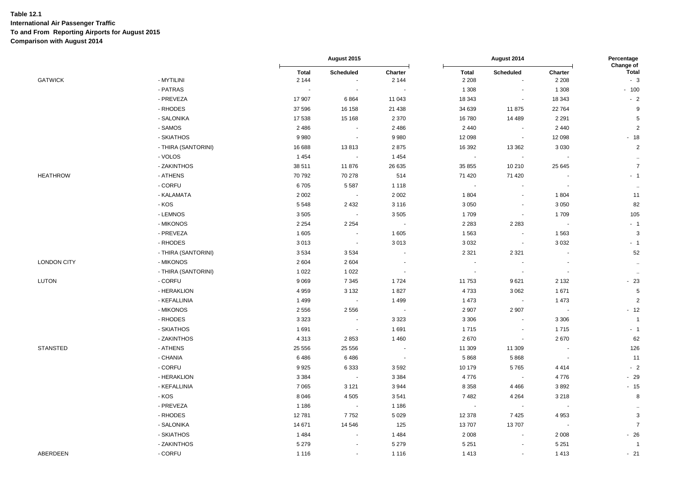|                    |                     | August 2015             |                          |                          | Percentage<br>Change of  |                          |                          |                           |
|--------------------|---------------------|-------------------------|--------------------------|--------------------------|--------------------------|--------------------------|--------------------------|---------------------------|
| <b>GATWICK</b>     | - MYTILINI          | <b>Total</b><br>2 1 4 4 | Scheduled                | Charter<br>2 1 4 4       | <b>Total</b><br>2 2 0 8  | Scheduled                | Charter<br>2 2 0 8       | <b>Total</b><br>$-3$      |
|                    | - PATRAS            | $\sim$                  |                          | $\overline{\phantom{a}}$ | 1 3 0 8                  |                          | 1 3 0 8                  | $-100$                    |
|                    | - PREVEZA           | 17 907                  | 6864                     | 11 043                   | 18 343                   | $\sim$                   | 18 343                   | $-2$                      |
|                    | - RHODES            | 37 596                  | 16 158                   | 21 4 38                  | 34 639                   | 11875                    | 22 764                   | 9                         |
|                    | - SALONIKA          | 17 538                  | 15 168                   | 2 3 7 0                  | 16780                    | 14 4 8 9                 | 2 2 9 1                  | $\,$ 5 $\,$               |
|                    | - SAMOS             | 2 4 8 6                 | $\blacksquare$           | 2486                     | 2 4 4 0                  | $\mathbf{r}$             | 2 4 4 0                  | $\sqrt{2}$                |
|                    | - SKIATHOS          | 9980                    | $\blacksquare$           | 9980                     | 12 098                   | $\blacksquare$           | 12 098                   | $-18$                     |
|                    | - THIRA (SANTORINI) | 16 688                  | 13813                    | 2875                     | 16 392                   | 13 3 6 2                 | 3 0 3 0                  | $\sqrt{2}$                |
|                    | - VOLOS             | 1 4 5 4                 | $\sim$                   | 1 4 5 4                  | $\sim$                   | $\sim$                   | $\sim$                   | $\ddot{\phantom{a}}$      |
|                    | - ZAKINTHOS         | 38 511                  | 11876                    | 26 635                   | 35 855                   | 10 210                   | 25 645                   | $\boldsymbol{7}$          |
| <b>HEATHROW</b>    | - ATHENS            | 70 792                  | 70 278                   | 514                      | 71 420                   | 71 4 20                  |                          | $-1$                      |
|                    | - CORFU             | 6705                    | 5 5 8 7                  | 1 1 1 8                  | $\overline{\phantom{a}}$ | $\sim$                   | $\blacksquare$           | $\cdot\cdot$              |
|                    | - KALAMATA          | 2 0 0 2                 | $\sim$                   | 2 0 0 2                  | 1 804                    | $\overline{\phantom{a}}$ | 1804                     | 11                        |
|                    | - KOS               | 5 5 4 8                 | 2 4 3 2                  | 3 1 1 6                  | 3 0 5 0                  | $\sim$                   | 3 0 5 0                  | 82                        |
|                    | - LEMNOS            | 3505                    |                          | 3505                     | 1709                     |                          | 1709                     | 105                       |
|                    | - MIKONOS           | 2 2 5 4                 | 2 2 5 4                  | $\sim$                   | 2 2 8 3                  | 2 2 8 3                  | $\sim$                   | $-1$                      |
|                    | - PREVEZA           | 1 605                   | $\tilde{\phantom{a}}$    | 1 605                    | 1563                     | $\sim$                   | 1563                     | $\ensuremath{\mathsf{3}}$ |
|                    | - RHODES            | 3013                    | $\sim$                   | 3013                     | 3 0 3 2                  | $\sim$                   | 3 0 3 2                  | $-1$                      |
|                    | - THIRA (SANTORINI) | 3534                    | 3534                     | $\ddot{\phantom{a}}$     | 2 3 2 1                  | 2 3 2 1                  | $\overline{\phantom{a}}$ | 52                        |
| <b>LONDON CITY</b> | - MIKONOS           | 2 6 0 4                 | 2604                     |                          | $\blacksquare$           |                          |                          | $\ddot{\phantom{1}}$      |
|                    | - THIRA (SANTORINI) | 1 0 2 2                 | 1 0 2 2                  | $\overline{\phantom{a}}$ | $\blacksquare$           | $\sim$                   | $\blacksquare$           | $\sim$                    |
| <b>LUTON</b>       | - CORFU             | 9 0 6 9                 | 7 3 4 5                  | 1724                     | 11753                    | 9621                     | 2 1 3 2                  | $-23$                     |
|                    | - HERAKLION         | 4 9 5 9                 | 3 1 3 2                  | 1827                     | 4733                     | 3 0 6 2                  | 1671                     | $\sqrt{5}$                |
|                    | - KEFALLINIA        | 1 4 9 9                 | $\overline{\phantom{a}}$ | 1499                     | 1 4 7 3                  |                          | 1 4 7 3                  | $\overline{2}$            |
|                    | - MIKONOS           | 2556                    | 2 5 5 6                  | $\sim$                   | 2 9 0 7                  | 2 9 0 7                  | $\blacksquare$           | $-12$                     |
|                    | - RHODES            | 3 3 2 3                 | $\sim$                   | 3 3 2 3                  | 3 3 0 6                  | $\sim$                   | 3 3 0 6                  | $\overline{1}$            |
|                    | - SKIATHOS          | 1691                    | $\sim$                   | 1691                     | 1715                     |                          | 1715                     | $-1$                      |
|                    | - ZAKINTHOS         | 4 3 1 3                 | 2853                     | 1 4 6 0                  | 2670                     | $\sim$                   | 2670                     | 62                        |
| <b>STANSTED</b>    | - ATHENS            | 25 556                  | 25 556                   |                          | 11 309                   | 11 309                   |                          | 126                       |
|                    | - CHANIA            | 6486                    | 6486                     | $\sim$                   | 5868                     | 5868                     | $\blacksquare$           | 11                        |
|                    | - CORFU             | 9925                    | 6 3 3 3                  | 3592                     | 10 179                   | 5765                     | 4 4 1 4                  | $-2$                      |
|                    | - HERAKLION         | 3 3 8 4                 | $\sim$                   | 3 3 8 4                  | 4776                     | $\sim$                   | 4776                     | $-29$                     |
|                    | - KEFALLINIA        | 7 0 6 5                 | 3 1 2 1                  | 3944                     | 8 3 5 8                  | 4466                     | 3892                     | $-15$                     |
|                    | - KOS               | 8 0 4 6                 | 4 5 0 5                  | 3541                     | 7482                     | 4 2 6 4                  | 3 2 1 8                  | 8                         |
|                    | - PREVEZA           | 1 1 8 6                 | $\sim$                   | 1 1 8 6                  | $\bullet$                |                          | $\blacksquare$           | $\bullet\bullet$          |
|                    | - RHODES            | 12781                   | 7752                     | 5 0 2 9                  | 12 378                   | 7425                     | 4953                     | $\ensuremath{\mathsf{3}}$ |
|                    | - SALONIKA          | 14 671                  | 14 546                   | 125                      | 13707                    | 13707                    | $\sim$ $\sim$            | $\overline{7}$            |
|                    | - SKIATHOS          | 1 4 8 4                 | ٠                        | 1484                     | 2 0 0 8                  | $\sim$                   | 2 0 0 8                  | $-26$                     |
|                    | - ZAKINTHOS         | 5 2 7 9                 |                          | 5 2 7 9                  | 5 2 5 1                  |                          | 5 2 5 1                  | $\overline{1}$            |
| ABERDEEN           | - CORFU             | 1 1 1 6                 | $\blacksquare$           | 1 1 1 6                  | 1 4 1 3                  | $\sim$                   | 1413                     | $-21$                     |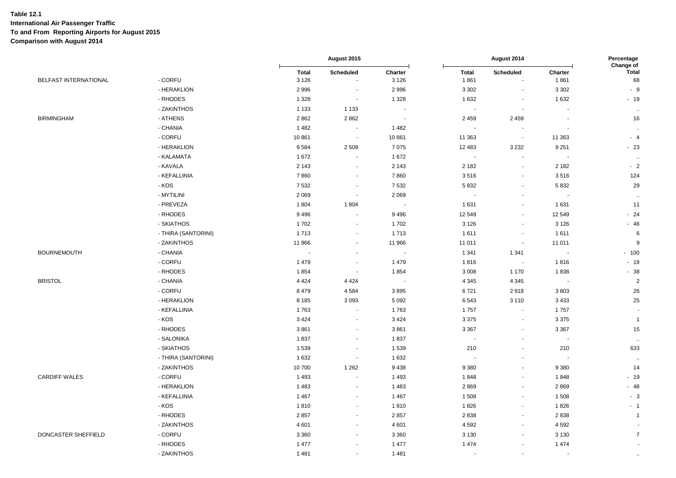|                              |                     |                         | August 2015                 |                          |                          | August 2014         |                          | Percentage<br>Change of |  |
|------------------------------|---------------------|-------------------------|-----------------------------|--------------------------|--------------------------|---------------------|--------------------------|-------------------------|--|
| <b>BELFAST INTERNATIONAL</b> | - CORFU             | <b>Total</b><br>3 1 2 6 | Scheduled<br>$\blacksquare$ | Charter<br>3 1 2 6       | <b>Total</b><br>1861     | Scheduled<br>$\sim$ | Charter<br>1861          | <b>Total</b><br>68      |  |
|                              | - HERAKLION         | 2 9 9 6                 | ÷,                          | 2 9 9 6                  | 3 3 0 2                  |                     | 3 3 0 2                  | $-9$                    |  |
|                              | - RHODES            | 1 3 2 8                 | $\sim$                      | 1 3 2 8                  | 1 6 3 2                  | $\sim$              | 1 6 3 2                  | $-19$                   |  |
|                              | - ZAKINTHOS         | 1 1 3 3                 | 1 1 3 3                     | $\blacksquare$           | $\overline{\phantom{a}}$ | $\blacksquare$      |                          | $\sim$                  |  |
| <b>BIRMINGHAM</b>            | - ATHENS            | 2862                    | 2862                        | $\overline{\phantom{a}}$ | 2 4 5 9                  | 2459                | $\blacksquare$           | 16                      |  |
|                              | - CHANIA            | 1 4 8 2                 | $\sim$                      | 1 4 8 2                  | $\blacksquare$           |                     |                          | $\sim$                  |  |
|                              | - CORFU             | 10861                   | $\sim$                      | 10861                    | 11 363                   | $\sim$              | 11 363                   | $-4$                    |  |
|                              | - HERAKLION         | 9584                    | 2 5 0 9                     | 7075                     | 12 483                   | 3 2 3 2             | 9 2 5 1                  | $-23$                   |  |
|                              | - KALAMATA          | 1672                    | $\blacksquare$              | 1672                     | $\blacksquare$           | $\sim$              | $\sim$                   | $\ddotsc$               |  |
|                              | - KAVALA            | 2 1 4 3                 | $\blacksquare$              | 2 1 4 3                  | 2 1 8 2                  | $\sim$              | 2 1 8 2                  | $-2$                    |  |
|                              | - KEFALLINIA        | 7860                    | $\blacksquare$              | 7860                     | 3516                     | $\sim$              | 3516                     | 124                     |  |
|                              | - KOS               | 7 5 3 2                 | $\sim$                      | 7532                     | 5832                     | $\sim$              | 5832                     | 29                      |  |
|                              | - MYTILINI          | 2 0 6 9                 | $\overline{\phantom{a}}$    | 2 0 6 9                  | $\blacksquare$           | $\sim$              | $\overline{\phantom{a}}$ | $\ddotsc$               |  |
|                              | - PREVEZA           | 1804                    | 1804                        | $\tilde{\phantom{a}}$    | 1 631                    | $\sim$              | 1 6 3 1                  | 11                      |  |
|                              | - RHODES            | 9 4 9 6                 | ÷.                          | 9 4 9 6                  | 12 549                   | $\sim$              | 12 549                   | $-24$                   |  |
|                              | - SKIATHOS          | 1702                    | $\sim$                      | 1702                     | 3 1 2 6                  | $\sim$              | 3 1 2 6                  | $-46$                   |  |
|                              | - THIRA (SANTORINI) | 1713                    | $\mathbf{u}$                | 1713                     | 1611                     | $\sim$              | 1611                     | 6                       |  |
|                              | - ZAKINTHOS         | 11 966                  | $\blacksquare$              | 11 966                   | 11 011                   | $\blacksquare$      | 11 011                   | 9                       |  |
| <b>BOURNEMOUTH</b>           | - CHANIA            |                         | $\overline{\phantom{a}}$    |                          | 1 3 4 1                  | 1 3 4 1             |                          | $-100$                  |  |
|                              | $-CORFU$            | 1 4 7 9                 | $\blacksquare$              | 1 4 7 9                  | 1816                     | $\sim$              | 1816                     | $-19$                   |  |
|                              | - RHODES            | 1854                    | $\sim$                      | 1854                     | 3 0 0 8                  | 1 1 7 0             | 1838                     | $-38$                   |  |
| <b>BRISTOL</b>               | - CHANIA            | 4 4 2 4                 | 4 4 2 4                     | $\tilde{\phantom{a}}$    | 4 3 4 5                  | 4 3 4 5             | $\sim$                   | $\overline{2}$          |  |
|                              | - CORFU             | 8 4 7 9                 | 4584                        | 3895                     | 6721                     | 2918                | 3803                     | 26                      |  |
|                              | - HERAKLION         | 8 1 8 5                 | 3093                        | 5 0 9 2                  | 6543                     | 3 1 1 0             | 3 4 3 3                  | 25                      |  |
|                              | - KEFALLINIA        | 1763                    | $\sim$                      | 1763                     | 1757                     | $\blacksquare$      | 1757                     | $\sim$                  |  |
|                              | - KOS               | 3 4 2 4                 | $\sim$                      | 3 4 2 4                  | 3 3 7 5                  | $\sim$              | 3 3 7 5                  | $\overline{1}$          |  |
|                              | - RHODES            | 3861                    | $\blacksquare$              | 3861                     | 3 3 6 7                  | $\blacksquare$      | 3 3 6 7                  | 15                      |  |
|                              | - SALONIKA          | 1837                    | $\blacksquare$              | 1837                     | $\sim$                   |                     | $\sim$                   | $\ddot{\phantom{a}}$    |  |
|                              | - SKIATHOS          | 1539                    | $\blacksquare$              | 1539                     | 210                      | $\blacksquare$      | 210                      | 633                     |  |
|                              | - THIRA (SANTORINI) | 1632                    | $\sim$                      | 1632                     | $\sim$                   | $\sim$              |                          | $\ddotsc$               |  |
|                              | - ZAKINTHOS         | 10700                   | 1 2 6 2                     | 9438                     | 9 3 8 0                  | $\sim$              | 9 3 8 0                  | 14                      |  |
| <b>CARDIFF WALES</b>         | - CORFU             | 1 4 9 3                 | $\overline{\phantom{a}}$    | 1 4 9 3                  | 1848                     | $\sim$              | 1848                     | $-19$                   |  |
|                              | - HERAKLION         | 1 4 8 3                 | $\blacksquare$              | 1 4 8 3                  | 2869                     | $\sim$              | 2869                     | $-48$                   |  |
|                              | - KEFALLINIA        | 1 4 6 7                 | $\sim$                      | 1 4 6 7                  | 1508                     | $\sim$              | 1508                     | $-3$                    |  |
|                              | - KOS               | 1810                    | $\blacksquare$              | 1810                     | 1826                     | $\sim$              | 1826                     | $-1$                    |  |
|                              | - RHODES            | 2857                    | $\blacksquare$              | 2857                     | 2838                     | $\sim$              | 2838                     | $\mathbf{1}$            |  |
|                              | - ZAKINTHOS         | 4 601                   | $\sim$                      | 4 601                    | 4 5 9 2                  | $\sim$              | 4 5 9 2                  |                         |  |
| DONCASTER SHEFFIELD          | - CORFU             | 3 3 6 0                 | $\blacksquare$              | 3 3 6 0                  | 3 1 3 0                  | $\sim$              | 3 1 3 0                  | $\overline{7}$          |  |
|                              | - RHODES            | 1 477                   | $\sim$                      | 1 477                    | 1 4 7 4                  | $\sim$              | 1 4 7 4                  | $\sim$                  |  |
|                              |                     |                         |                             |                          |                          |                     |                          |                         |  |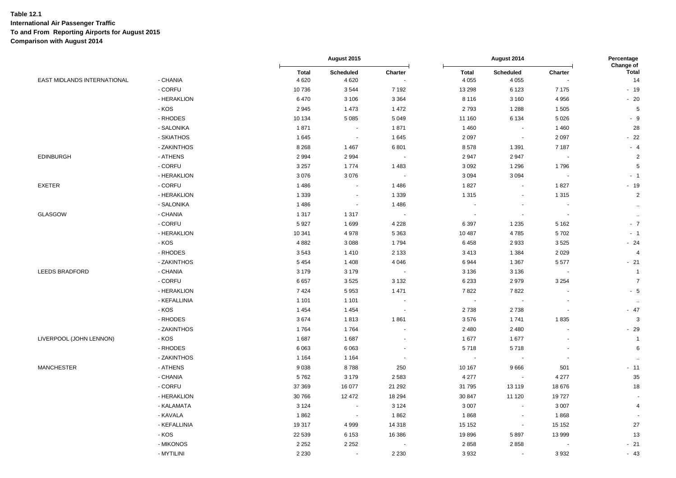|                             |              | August 2015            |                          |                          | Percentage<br>Change of |                          |         |                      |
|-----------------------------|--------------|------------------------|--------------------------|--------------------------|-------------------------|--------------------------|---------|----------------------|
| EAST MIDLANDS INTERNATIONAL | - CHANIA     | <b>Total</b><br>4 6 20 | Scheduled<br>4 6 20      | Charter                  | <b>Total</b><br>4 0 5 5 | Scheduled<br>4 0 5 5     | Charter | <b>Total</b><br>14   |
|                             | - CORFU      | 10736                  | 3544                     | 7 1 9 2                  | 13 298                  | 6 1 2 3                  | 7 1 7 5 | $-19$                |
|                             | - HERAKLION  | 6470                   | 3 1 0 6                  | 3 3 6 4                  | 8 1 1 6                 | 3 1 6 0                  | 4 9 5 6 | $-20$                |
|                             | - KOS        | 2945                   | 1 4 7 3                  | 1472                     | 2793                    | 1 2 8 8                  | 1505    | $\sqrt{5}$           |
|                             | - RHODES     | 10 134                 | 5 0 8 5                  | 5 0 4 9                  | 11 160                  | 6 1 3 4                  | 5 0 26  | $-9$                 |
|                             | - SALONIKA   | 1871                   | $\sim$                   | 1871                     | 1 4 6 0                 | $\blacksquare$           | 1460    | 28                   |
|                             | - SKIATHOS   | 1645                   | $\sim$                   | 1645                     | 2 0 9 7                 | $\sim$                   | 2 0 9 7 | $-22$                |
|                             | - ZAKINTHOS  | 8 2 6 8                | 1 4 6 7                  | 6801                     | 8578                    | 1 3 9 1                  | 7 1 8 7 | $-4$                 |
| <b>EDINBURGH</b>            | - ATHENS     | 2 9 9 4                | 2 9 9 4                  | $\sim$                   | 2 9 4 7                 | 2947                     | $\sim$  | $\sqrt{2}$           |
|                             | - CORFU      | 3 2 5 7                | 1774                     | 1483                     | 3 0 9 2                 | 1 2 9 6                  | 1796    | $\overline{5}$       |
|                             | - HERAKLION  | 3 0 7 6                | 3 0 7 6                  | $\sim$                   | 3 0 9 4                 | 3 0 9 4                  | $\sim$  | $-1$                 |
| <b>EXETER</b>               | - CORFU      | 1 4 8 6                | $\blacksquare$           | 1486                     | 1827                    | $\blacksquare$           | 1827    | $-19$                |
|                             | - HERAKLION  | 1 3 3 9                | $\tilde{\phantom{a}}$    | 1 3 3 9                  | 1 3 1 5                 | $\sim$                   | 1 3 1 5 | $\overline{c}$       |
|                             | - SALONIKA   | 1 4 8 6                | $\blacksquare$           | 1486                     | $\sim$                  | $\overline{\phantom{a}}$ | $\sim$  | $\alpha$             |
| <b>GLASGOW</b>              | - CHANIA     | 1 3 1 7                | 1 3 1 7                  |                          |                         |                          | $\sim$  | $\sim$               |
|                             | - CORFU      | 5927                   | 1699                     | 4 2 2 8                  | 6 3 9 7                 | 1 2 3 5                  | 5 1 6 2 | $-7$                 |
|                             | - HERAKLION  | 10 341                 | 4978                     | 5 3 6 3                  | 10 487                  | 4785                     | 5702    | $-1$                 |
|                             | - KOS        | 4 8 8 2                | 3 0 8 8                  | 1794                     | 6458                    | 2933                     | 3525    | $-24$                |
|                             | - RHODES     | 3543                   | 1410                     | 2 1 3 3                  | 3413                    | 1 3 8 4                  | 2029    | $\overline{4}$       |
|                             | - ZAKINTHOS  | 5 4 5 4                | 1 4 0 8                  | 4 0 4 6                  | 6944                    | 1 3 6 7                  | 5577    | $-21$                |
| <b>LEEDS BRADFORD</b>       | - CHANIA     | 3 1 7 9                | 3 1 7 9                  | $\overline{\phantom{a}}$ | 3 1 3 6                 | 3 1 3 6                  | $\sim$  | $\overline{1}$       |
|                             | - CORFU      | 6657                   | 3525                     | 3 1 3 2                  | 6 2 3 3                 | 2979                     | 3 2 5 4 | $\overline{7}$       |
|                             | - HERAKLION  | 7424                   | 5953                     | 1 4 7 1                  | 7822                    | 7822                     | $\sim$  | $-5$                 |
|                             | - KEFALLINIA | 1 1 0 1                | 1 1 0 1                  | ٠.                       | $\sim$                  |                          |         | $\ddot{\phantom{a}}$ |
|                             | - KOS        | 1454                   | 1 4 5 4                  | $\sim$                   | 2738                    | 2738                     | $\sim$  | $-47$                |
|                             | - RHODES     | 3674                   | 1813                     | 1861                     | 3576                    | 1741                     | 1835    | $\mathbf{3}$         |
|                             | - ZAKINTHOS  | 1764                   | 1764                     | $\overline{\phantom{a}}$ | 2 4 8 0                 | 2480                     | $\sim$  | $-29$                |
| LIVERPOOL (JOHN LENNON)     | - KOS        | 1687                   | 1687                     |                          | 1677                    | 1677                     |         | $\mathbf{1}$         |
|                             | - RHODES     | 6 0 63                 | 6 0 63                   | $\tilde{\phantom{a}}$    | 5718                    | 5718                     | $\sim$  | $\,6\,$              |
|                             | - ZAKINTHOS  | 1 1 6 4                | 1 1 6 4                  | $\sim$                   | $\blacksquare$          |                          | $\sim$  | $\ddot{\phantom{a}}$ |
| <b>MANCHESTER</b>           | - ATHENS     | 9038                   | 8788                     | 250                      | 10 167                  | 9666                     | 501     | $-11$                |
|                             | - CHANIA     | 5762                   | 3 1 7 9                  | 2 5 8 3                  | 4 2 7 7                 |                          | 4 2 7 7 | 35                   |
|                             | - CORFU      | 37 369                 | 16 077                   | 21 29 2                  | 31 795                  | 13 119                   | 18 676  | 18                   |
|                             | - HERAKLION  | 30 766                 | 12 472                   | 18 294                   | 30 847                  | 11 1 20                  | 19727   |                      |
|                             | - KALAMATA   | 3 1 2 4                | $\sim$                   | 3 1 2 4                  | 3 0 0 7                 | $\sim$                   | 3 0 0 7 | 4                    |
|                             | - KAVALA     | 1862                   | $\overline{\phantom{a}}$ | 1862                     | 1868                    | $\overline{\phantom{a}}$ | 1868    | $\sim$               |
|                             | - KEFALLINIA | 19317                  | 4 9 9 9                  | 14 3 18                  | 15 152                  | $\blacksquare$           | 15 152  | 27                   |
|                             | - KOS        | 22 539                 | 6 1 5 3                  | 16 386                   | 19896                   | 5897                     | 13 999  | 13                   |
|                             | - MIKONOS    | 2 2 5 2                | 2 2 5 2                  |                          | 2858                    | 2858                     |         | $-21$                |
|                             | - MYTILINI   | 2 2 3 0                | $\sim$                   | 2 2 3 0                  | 3932                    | $\sim$                   | 3932    | $-43$                |
|                             |              |                        |                          |                          |                         |                          |         |                      |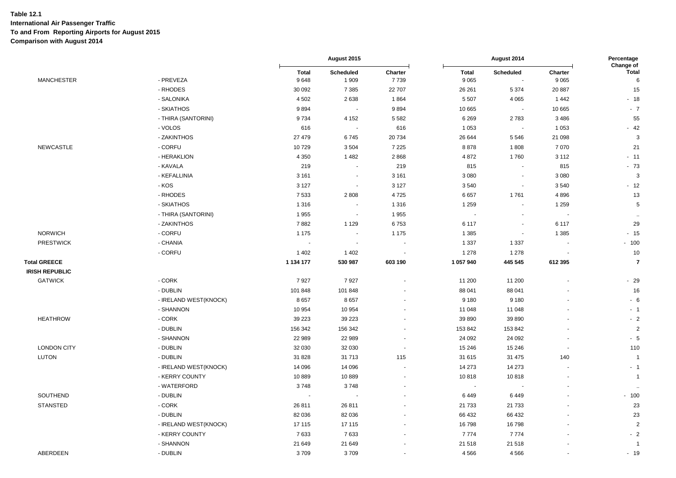|                                              |                       | August 2015              |                          |                 | August 2014             |                     |                          |                                |
|----------------------------------------------|-----------------------|--------------------------|--------------------------|-----------------|-------------------------|---------------------|--------------------------|--------------------------------|
| <b>MANCHESTER</b>                            | - PREVEZA             | <b>Total</b><br>9648     | Scheduled<br>1 9 0 9     | Charter<br>7739 | <b>Total</b><br>9 0 6 5 | Scheduled<br>$\sim$ | Charter<br>9 0 6 5       | Change of<br><b>Total</b><br>6 |
|                                              | - RHODES              | 30 092                   | 7 3 8 5                  | 22 707          | 26 261                  | 5 3 7 4             | 20 887                   | 15                             |
|                                              | - SALONIKA            | 4 5 0 2                  | 2638                     | 1864            | 5 5 0 7                 | 4 0 6 5             | 1442                     | $-18$                          |
|                                              | - SKIATHOS            | 9894                     | $\sim$                   | 9894            | 10 665                  | $\mathbb{Z}$        | 10 665                   | $-7$                           |
|                                              | - THIRA (SANTORINI)   | 9734                     | 4 1 5 2                  | 5 5 8 2         | 6 2 6 9                 | 2783                | 3 4 8 6                  | 55                             |
|                                              | - VOLOS               | 616                      | $\sim$                   | 616             | 1 0 5 3                 | $\blacksquare$      | 1 0 5 3                  | $-42$                          |
|                                              | - ZAKINTHOS           | 27 479                   | 6745                     | 20 734          | 26 644                  | 5546                | 21 098                   | 3                              |
| <b>NEWCASTLE</b>                             | - CORFU               | 10729                    | 3504                     | 7 2 2 5         | 8878                    | 1808                | 7 0 7 0                  | 21                             |
|                                              | - HERAKLION           | 4 3 5 0                  | 1482                     | 2868            | 4 8 7 2                 | 1760                | 3 1 1 2                  | $-11$                          |
|                                              | - KAVALA              | 219                      | $\blacksquare$           | 219             | 815                     | $\blacksquare$      | 815                      | $-73$                          |
|                                              | - KEFALLINIA          | 3 1 6 1                  | $\blacksquare$           | 3 1 6 1         | 3 0 8 0                 | $\blacksquare$      | 3 0 8 0                  | 3                              |
|                                              | - KOS                 | 3 1 2 7                  | $\blacksquare$           | 3 1 2 7         | 3540                    | $\blacksquare$      | 3540                     | $-12$                          |
|                                              | - RHODES              | 7533                     | 2808                     | 4725            | 6657                    | 1761                | 4896                     | 13                             |
|                                              | - SKIATHOS            | 1 3 1 6                  | $\overline{\phantom{a}}$ | 1 3 1 6         | 1 2 5 9                 | $\blacksquare$      | 1 2 5 9                  | $\sqrt{5}$                     |
|                                              | - THIRA (SANTORINI)   | 1955                     | $\sim$                   | 1955            | $\sim$                  | $\blacksquare$      |                          | $\ddot{\phantom{a}}$           |
|                                              | - ZAKINTHOS           | 7882                     | 1 1 2 9                  | 6753            | 6 1 1 7                 | $\blacksquare$      | 6 1 1 7                  | 29                             |
| <b>NORWICH</b>                               | - CORFU               | 1 1 7 5                  | $\sim$                   | 1 1 7 5         | 1 3 8 5                 | $\sim$              | 1 3 8 5                  | $-15$                          |
| <b>PRESTWICK</b>                             | - CHANIA              |                          | $\overline{\phantom{a}}$ |                 | 1 3 3 7                 | 1 3 3 7             |                          | $-100$                         |
|                                              | - CORFU               | 1 4 0 2                  | 1 4 0 2                  | $\blacksquare$  | 1 2 7 8                 | 1 2 7 8             |                          | 10                             |
| <b>Total GREECE</b><br><b>IRISH REPUBLIC</b> |                       | 1 134 177                | 530 987                  | 603 190         | 1 057 940               | 445 545             | 612 395                  | $\overline{7}$                 |
| <b>GATWICK</b>                               | - CORK                | 7927                     | 7927                     |                 | 11 200                  | 11 200              |                          | $-29$                          |
|                                              | - DUBLIN              | 101 848                  | 101 848                  |                 | 88 041                  | 88 041              |                          | 16                             |
|                                              | - IRELAND WEST(KNOCK) | 8657                     | 8657                     |                 | 9 1 8 0                 | 9 1 8 0             |                          | $-6$                           |
|                                              | - SHANNON             | 10 954                   | 10 954                   |                 | 11 048                  | 11 048              |                          | $-1$                           |
| <b>HEATHROW</b>                              | - CORK                | 39 223                   | 39 223                   |                 | 39 890                  | 39 890              |                          | $-2$                           |
|                                              | - DUBLIN              | 156 342                  | 156 342                  |                 | 153 842                 | 153 842             |                          | $\sqrt{2}$                     |
|                                              | - SHANNON             | 22 989                   | 22 989                   |                 | 24 092                  | 24 092              |                          | $-5$                           |
| <b>LONDON CITY</b>                           | - DUBLIN              | 32 030                   | 32 030                   | $\blacksquare$  | 15 24 6                 | 15 24 6             |                          | 110                            |
| <b>LUTON</b>                                 | - DUBLIN              | 31 828                   | 31 713                   | 115             | 31 615                  | 31 475              | 140                      | $\overline{1}$                 |
|                                              | - IRELAND WEST(KNOCK) | 14 096                   | 14 096                   |                 | 14 273                  | 14 273              | $\blacksquare$           | $-1$                           |
|                                              | - KERRY COUNTY        | 10889                    | 10889                    |                 | 10818                   | 10818               | $\overline{\phantom{a}}$ | $\overline{1}$                 |
|                                              | - WATERFORD           | 3748                     | 3748                     |                 |                         |                     |                          | $\mathbf{r}$                   |
| SOUTHEND                                     | - DUBLIN              | $\overline{\phantom{a}}$ |                          | $\blacksquare$  | 6449                    | 6449                |                          | $-100$                         |
| <b>STANSTED</b>                              | $-CORK$               | 26 811                   | 26 811                   |                 | 21 733                  | 21 7 3 3            |                          | 23                             |
|                                              | - DUBLIN              | 82 036                   | 82 036                   |                 | 66 432                  | 66 432              |                          | 23                             |
|                                              | - IRELAND WEST(KNOCK) | 17 115                   | 17 115                   |                 | 16798                   | 16798               |                          | $\overline{2}$                 |
|                                              | - KERRY COUNTY        | 7633                     | 7633                     |                 | 7774                    | 7774                |                          | $-2$                           |
|                                              | - SHANNON             | 21 649                   | 21 649                   |                 | 21 518                  | 21 518              |                          | $\overline{1}$                 |
| ABERDEEN                                     | - DUBLIN              | 3709                     | 3709                     |                 | 4566                    | 4566                |                          | $-19$                          |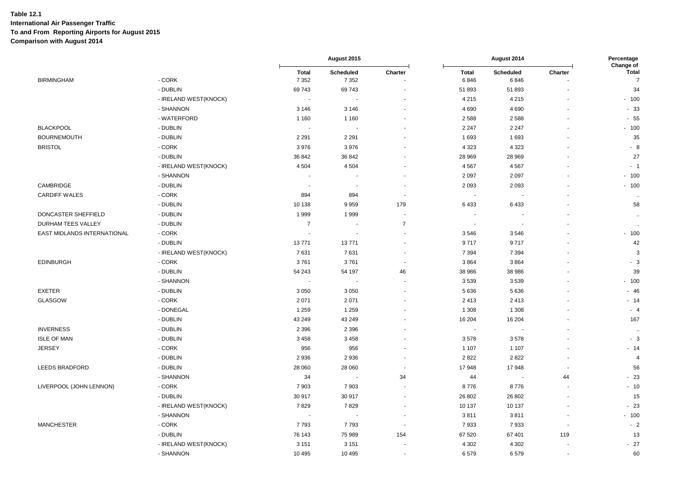|                             |                       |                          | August 2015                 |                |                      | August 2014              |         | Percentage                     |
|-----------------------------|-----------------------|--------------------------|-----------------------------|----------------|----------------------|--------------------------|---------|--------------------------------|
| <b>BIRMINGHAM</b>           | - CORK                | <b>Total</b><br>7 3 5 2  | <b>Scheduled</b><br>7 3 5 2 | Charter        | <b>Total</b><br>6846 | <b>Scheduled</b><br>6846 | Charter | Change of<br><b>Total</b><br>7 |
|                             | - DUBLIN              | 69743                    | 69743                       |                | 51 893               | 51 893                   |         | 34                             |
|                             | - IRELAND WEST(KNOCK) |                          |                             |                | 4 2 1 5              | 4 2 1 5                  |         | $-100$                         |
|                             | - SHANNON             | 3 1 4 6                  | 3 1 4 6                     |                | 4 6 9 0              | 4690                     |         | $-33$                          |
|                             | - WATERFORD           | 1 1 6 0                  | 1 1 6 0                     |                | 2588                 | 2588                     |         | $-55$                          |
| <b>BLACKPOOL</b>            | - DUBLIN              | $\sim$                   |                             |                | 2 2 4 7              | 2 2 4 7                  |         | $-100$                         |
| <b>BOURNEMOUTH</b>          | - DUBLIN              | 2 2 9 1                  | 2 2 9 1                     |                | 1693                 | 1693                     |         | 35                             |
| <b>BRISTOL</b>              | - CORK                | 3976                     | 3976                        |                | 4 3 2 3              | 4 3 2 3                  |         | - 8                            |
|                             | - DUBLIN              | 36 842                   | 36 842                      |                | 28 969               | 28 969                   |         | 27                             |
|                             | - IRELAND WEST(KNOCK) | 4 5 0 4                  | 4 5 0 4                     |                | 4567                 | 4567                     |         | $-1$                           |
|                             | - SHANNON             |                          |                             |                | 2097                 | 2 0 9 7                  |         | $-100$                         |
| CAMBRIDGE                   | - DUBLIN              | $\overline{\phantom{a}}$ |                             |                | 2 0 9 3              | 2093                     |         | $-100$                         |
| <b>CARDIFF WALES</b>        | - CORK                | 894                      | 894                         | $\overline{a}$ |                      |                          |         | $\ddotsc$                      |
|                             | - DUBLIN              | 10 138                   | 9959                        | 179            | 6433                 | 6433                     |         | 58                             |
| DONCASTER SHEFFIELD         | - DUBLIN              | 1999                     | 1999                        |                |                      |                          |         | $\sim$                         |
| <b>DURHAM TEES VALLEY</b>   | - DUBLIN              | $\overline{7}$           |                             | $\overline{7}$ |                      |                          |         | $\ddotsc$                      |
| EAST MIDLANDS INTERNATIONAL | - CORK                | $\sim$                   |                             |                | 3546                 | 3546                     |         | $-100$                         |
|                             | - DUBLIN              | 13771                    | 13771                       |                | 9717                 | 9717                     |         | 42                             |
|                             | - IRELAND WEST(KNOCK) | 7631                     | 7631                        |                | 7 3 9 4              | 7 3 9 4                  |         | 3                              |
| <b>EDINBURGH</b>            | $-CORK$               | 3761                     | 3761                        |                | 3864                 | 3864                     |         | - 3                            |
|                             | - DUBLIN              | 54 243                   | 54 197                      | 46             | 38 986               | 38 986                   |         | 39                             |
|                             | - SHANNON             |                          |                             |                | 3539                 | 3539                     |         | $-100$                         |
| <b>EXETER</b>               | - DUBLIN              | 3 0 5 0                  | 3 0 5 0                     |                | 5 6 3 6              | 5 6 3 6                  |         | $-46$                          |
| GLASGOW                     | - CORK                | 2 0 7 1                  | 2071                        |                | 2413                 | 2413                     |         | $-14$                          |
|                             | - DONEGAL             | 1 2 5 9                  | 1 2 5 9                     |                | 1 3 0 8              | 1 3 0 8                  |         | - 4                            |
|                             | - DUBLIN              | 43 249                   | 43 249                      |                | 16 204               | 16 204                   |         | 167                            |
| <b>INVERNESS</b>            | - DUBLIN              | 2 3 9 6                  | 2 3 9 6                     |                |                      |                          |         | $\cdot$                        |
| <b>ISLE OF MAN</b>          | - DUBLIN              | 3 4 5 8                  | 3458                        |                | 3578                 | 3578                     |         | $-3$                           |
| <b>JERSEY</b>               | - CORK                | 956                      | 956                         |                | 1 1 0 7              | 1 1 0 7                  |         | $-14$                          |
|                             | - DUBLIN              | 2936                     | 2936                        |                | 2822                 | 2822                     |         | $\overline{4}$                 |
| <b>LEEDS BRADFORD</b>       | - DUBLIN              | 28 060                   | 28 060                      |                | 17948                | 17948                    |         | 56                             |
|                             | - SHANNON             | 34                       |                             | 34             | 44                   |                          | 44      | $-23$                          |
| LIVERPOOL (JOHN LENNON)     | - CORK                | 7903                     | 7903                        |                | 8776                 | 8776                     |         | $-10$                          |
|                             | - DUBLIN              | 30 917                   | 30 917                      |                | 26 802               | 26 802                   |         | 15                             |
|                             | - IRELAND WEST(KNOCK) | 7829                     | 7829                        |                | 10 137               | 10 137                   |         | $-23$                          |
|                             | - SHANNON             | $\sim$                   |                             |                | 3811                 | 3811                     |         | $-100$                         |
| <b>MANCHESTER</b>           | - CORK                | 7793                     | 7793                        |                | 7933                 | 7933                     |         | $-2$                           |
|                             | - DUBLIN              | 76 143                   | 75 989                      | 154            | 67 520               | 67 401                   | 119     | 13                             |
|                             | - IRELAND WEST(KNOCK) | 3 1 5 1                  | 3 1 5 1                     |                | 4 3 0 2              | 4 3 0 2                  |         | $-27$                          |
|                             | - SHANNON             | 10 4 95                  | 10 4 95                     |                | 6579                 | 6579                     |         | 60                             |
|                             |                       |                          |                             |                |                      |                          |         |                                |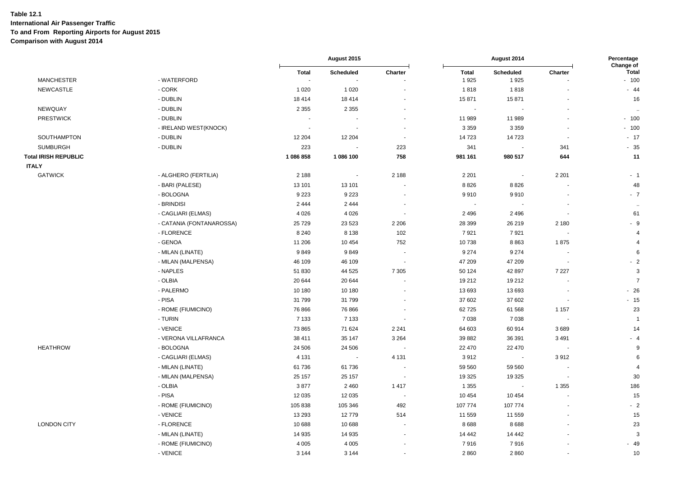|                             |                          |                                       | August 2015              |                          |                          | August 2014       |                          | Percentage<br>Change of |  |
|-----------------------------|--------------------------|---------------------------------------|--------------------------|--------------------------|--------------------------|-------------------|--------------------------|-------------------------|--|
| <b>MANCHESTER</b>           | - WATERFORD              | <b>Total</b><br>$\tilde{\phantom{a}}$ | Scheduled                | Charter                  | <b>Total</b><br>1925     | Scheduled<br>1925 | Charter                  | <b>Total</b><br>$-100$  |  |
| <b>NEWCASTLE</b>            | - CORK                   | 1 0 2 0                               | 1 0 2 0                  |                          | 1818                     | 1818              |                          | $-44$                   |  |
|                             | - DUBLIN                 |                                       |                          | ÷,                       | 15871                    | 15871             |                          | 16                      |  |
| NEWQUAY                     | - DUBLIN                 | 18 4 14<br>2 3 5 5                    | 18 4 14<br>2 3 5 5       | ÷,                       | $\overline{\phantom{a}}$ |                   |                          |                         |  |
| <b>PRESTWICK</b>            | - DUBLIN                 |                                       |                          |                          |                          |                   |                          |                         |  |
|                             |                          |                                       |                          |                          | 11 989                   | 11 989            |                          | $-100$<br>$-100$        |  |
|                             | - IRELAND WEST(KNOCK)    |                                       |                          | $\overline{\phantom{a}}$ | 3 3 5 9                  | 3 3 5 9           | ÷.                       |                         |  |
| SOUTHAMPTON                 | - DUBLIN<br>- DUBLIN     | 12 204                                | 12 204                   |                          | 14723                    | 14723             | 341                      | $-17$<br>$-35$          |  |
| <b>SUMBURGH</b>             |                          | 223                                   | $\blacksquare$           | 223                      | 341                      |                   |                          |                         |  |
| <b>Total IRISH REPUBLIC</b> |                          | 1 086 858                             | 1 086 100                | 758                      | 981 161                  | 980 517           | 644                      | 11                      |  |
| <b>ITALY</b>                |                          |                                       |                          |                          |                          |                   |                          |                         |  |
| <b>GATWICK</b>              | - ALGHERO (FERTILIA)     | 2 1 8 8                               | $\overline{a}$           | 2 1 8 8                  | 2 2 0 1                  | $\blacksquare$    | 2 2 0 1                  | $-1$                    |  |
|                             | - BARI (PALESE)          | 13 101                                | 13 101                   | ÷,                       | 8826                     | 8826              |                          | 48                      |  |
|                             | - BOLOGNA                | 9 2 2 3                               | 9 2 2 3                  | ÷,                       | 9910                     | 9910              |                          | $-7$                    |  |
|                             | - BRINDISI               | 2 4 4 4                               | 2 4 4 4                  | $\overline{\phantom{a}}$ |                          |                   | $\overline{\phantom{a}}$ | $\sim$                  |  |
|                             | - CAGLIARI (ELMAS)       | 4 0 2 6                               | 4 0 2 6                  |                          | 2 4 9 6                  | 2496              |                          | 61                      |  |
|                             | - CATANIA (FONTANAROSSA) | 25729                                 | 23 5 23                  | 2 2 0 6                  | 28 399                   | 26 219            | 2 1 8 0                  | $-9$                    |  |
|                             | - FLORENCE               | 8 2 4 0                               | 8 1 3 8                  | 102                      | 7921                     | 7921              | $\overline{\phantom{a}}$ | $\overline{4}$          |  |
|                             | - GENOA                  | 11 206                                | 10 4 54                  | 752                      | 10738                    | 8863              | 1875                     | $\overline{4}$          |  |
|                             | - MILAN (LINATE)         | 9849                                  | 9849                     |                          | 9 2 7 4                  | 9 2 7 4           | $\ddot{\phantom{0}}$     | 6                       |  |
|                             | - MILAN (MALPENSA)       | 46 109                                | 46 109                   | $\overline{\phantom{a}}$ | 47 209                   | 47 209            |                          | $-2$                    |  |
|                             | - NAPLES                 | 51 830                                | 44 525                   | 7 3 0 5                  | 50 124                   | 42 897            | 7 2 2 7                  | $\mathsf 3$             |  |
|                             | - OLBIA                  | 20 644                                | 20 644                   |                          | 19 21 2                  | 19 21 2           |                          | $\overline{7}$          |  |
|                             | - PALERMO                | 10 180                                | 10 180                   | $\overline{a}$           | 13 693                   | 13693             | $\overline{\phantom{a}}$ | $-26$                   |  |
|                             | - PISA                   | 31 799                                | 31799                    |                          | 37 602                   | 37 602            |                          | $-15$                   |  |
|                             | - ROME (FIUMICINO)       | 76 866                                | 76 866                   | $\ddot{\phantom{1}}$     | 62725                    | 61 568            | 1 1 5 7                  | 23                      |  |
|                             | - TURIN                  | 7 1 3 3                               | 7 1 3 3                  | $\overline{\phantom{a}}$ | 7 0 38                   | 7038              | $\sim$                   | $\overline{1}$          |  |
|                             | - VENICE                 | 73 865                                | 71 624                   | 2 2 4 1                  | 64 603                   | 60914             | 3689                     | 14                      |  |
|                             | - VERONA VILLAFRANCA     | 38 411                                | 35 147                   | 3 2 6 4                  | 39 882                   | 36 391            | 3 4 9 1                  | $-4$                    |  |
| <b>HEATHROW</b>             | - BOLOGNA                | 24 506                                | 24 50 6                  | ÷.                       | 22 470                   | 22 470            | $\overline{\phantom{a}}$ | 9                       |  |
|                             | - CAGLIARI (ELMAS)       | 4 1 3 1                               | $\overline{\phantom{a}}$ | 4 1 3 1                  | 3912                     | $\blacksquare$    | 3912                     | 6                       |  |
|                             | - MILAN (LINATE)         | 61 736                                | 61736                    | $\overline{\phantom{a}}$ | 59 560                   | 59 560            | ÷,                       | $\overline{4}$          |  |
|                             | - MILAN (MALPENSA)       | 25 157                                | 25 157                   | $\overline{\phantom{a}}$ | 19 3 25                  | 19 3 25           | $\overline{\phantom{a}}$ | 30                      |  |
|                             | - OLBIA                  | 3877                                  | 2 4 6 0                  | 1417                     | 1 3 5 5                  |                   | 1 3 5 5                  | 186                     |  |
|                             | - PISA                   | 12 0 35                               | 12 0 35                  | . .                      | 10 454                   | 10 4 54           |                          | 15                      |  |
|                             | - ROME (FIUMICINO)       | 105838                                | 105 346                  | 492                      | 107 774                  | 107 774           | ä,                       | $-2$                    |  |
|                             | - VENICE                 | 13 29 3                               | 12779                    | 514                      | 11 559                   | 11 559            |                          | 15                      |  |
| <b>LONDON CITY</b>          | - FLORENCE               | 10 688                                | 10 688                   |                          | 8688                     | 8688              |                          | 23                      |  |
|                             | - MILAN (LINATE)         | 14 9 35                               | 14 9 35                  |                          | 14 442                   | 14 442            |                          | $\mathbf{3}$            |  |
|                             | - ROME (FIUMICINO)       | 4 0 0 5                               | 4 0 0 5                  |                          | 7916                     | 7916              |                          | $-49$                   |  |
|                             | - VENICE                 | 3 1 4 4                               | 3 1 4 4                  |                          | 2860                     | 2860              | ä,                       | 10                      |  |
|                             |                          |                                       |                          |                          |                          |                   |                          |                         |  |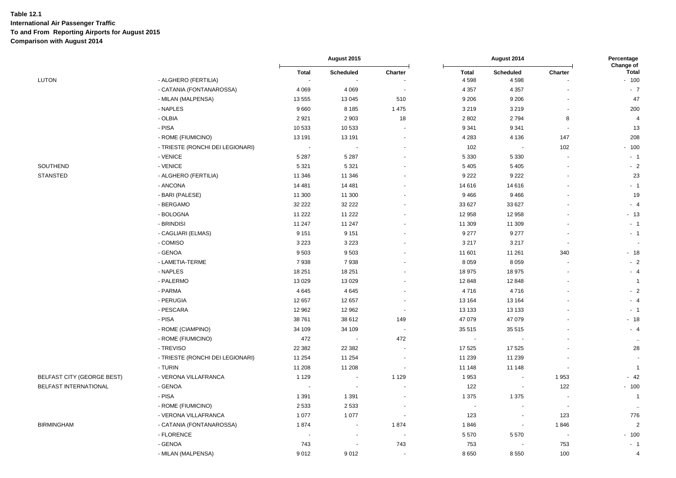|                              |                                  | August 2015  |                          |         | August 2014  |                          | Percentage<br>Change of  |                |
|------------------------------|----------------------------------|--------------|--------------------------|---------|--------------|--------------------------|--------------------------|----------------|
|                              |                                  | <b>Total</b> | Scheduled                | Charter | <b>Total</b> | <b>Scheduled</b>         | Charter                  | <b>Total</b>   |
| LUTON                        | - ALGHERO (FERTILIA)             | $\sim$       |                          |         | 4598         | 4598                     |                          | $-100$         |
|                              | - CATANIA (FONTANAROSSA)         | 4 0 6 9      | 4 0 6 9                  |         | 4 3 5 7      | 4 3 5 7                  | $\sim$                   | $-7$           |
|                              | - MILAN (MALPENSA)               | 13 555       | 13 045                   | 510     | 9 2 0 6      | 9 2 0 6                  |                          | 47             |
|                              | - NAPLES                         | 9660         | 8 1 8 5                  | 1 4 7 5 | 3 2 1 9      | 3219                     |                          | 200            |
|                              | - OLBIA                          | 2921         | 2 9 0 3                  | 18      | 2 8 0 2      | 2794                     | 8                        | $\overline{a}$ |
|                              | - PISA                           | 10 533       | 10 533                   |         | 9 3 4 1      | 9 3 4 1                  | $\overline{a}$           | 13             |
|                              | - ROME (FIUMICINO)               | 13 191       | 13 191                   |         | 4 2 8 3      | 4 1 3 6                  | 147                      | 208            |
|                              | - TRIESTE (RONCHI DEI LEGIONARI) |              |                          |         | 102          |                          | 102                      | $-100$         |
|                              | - VENICE                         | 5 2 8 7      | 5 2 8 7                  |         | 5 3 3 0      | 5 3 3 0                  |                          | $-1$           |
| SOUTHEND                     | - VENICE                         | 5 3 2 1      | 5 3 2 1                  |         | 5 4 0 5      | 5 4 0 5                  |                          | $-2$           |
| <b>STANSTED</b>              | - ALGHERO (FERTILIA)             | 11 346       | 11 346                   |         | 9 2 2 2      | 9 2 2 2                  |                          | 23             |
|                              | - ANCONA                         | 14 4 81      | 14 4 81                  |         | 14 616       | 14 616                   |                          | $-1$           |
|                              | - BARI (PALESE)                  | 11 300       | 11 300                   |         | 9466         | 9466                     |                          | 19             |
|                              | - BERGAMO                        | 32 222       | 32 222                   |         | 33 627       | 33 627                   |                          | $-4$           |
|                              | - BOLOGNA                        | 11 222       | 11 2 22                  |         | 12 958       | 12 958                   |                          | $-13$          |
|                              | - BRINDISI                       | 11 247       | 11 247                   |         | 11 309       | 11 309                   |                          | $-1$           |
|                              | - CAGLIARI (ELMAS)               | 9 1 5 1      | 9 1 5 1                  |         | 9 2 7 7      | 9 2 7 7                  |                          | $-1$           |
|                              | - COMISO                         | 3 2 2 3      | 3 2 2 3                  |         | 3 2 1 7      | 3 2 1 7                  | $\overline{\phantom{a}}$ |                |
|                              | - GENOA                          | 9 5 0 3      | 9503                     |         | 11 601       | 11 261                   | 340                      | - 18           |
|                              | - LAMETIA-TERME                  | 7938         | 7938                     |         | 8 0 5 9      | 8 0 5 9                  |                          | $-2$           |
|                              | - NAPLES                         | 18 251       | 18 251                   |         | 18 975       | 18 975                   |                          | $-4$           |
|                              | - PALERMO                        | 13 0 29      | 13 0 29                  |         | 12 848       | 12848                    |                          | $\overline{1}$ |
|                              | - PARMA                          | 4 6 4 5      | 4645                     |         | 4716         | 4716                     |                          | $-2$           |
|                              | - PERUGIA                        | 12 657       | 12 657                   |         | 13 164       | 13 164                   |                          | $-4$           |
|                              | - PESCARA                        | 12 962       | 12 962                   |         | 13 133       | 13 133                   |                          | $-1$           |
|                              | - PISA                           | 38 761       | 38 612                   | 149     | 47 079       | 47 079                   |                          | $-18$          |
|                              | - ROME (CIAMPINO)                | 34 109       | 34 109                   |         | 35 515       | 35 515                   |                          | $-4$           |
|                              | - ROME (FIUMICINO)               | 472          |                          | 472     |              |                          |                          |                |
|                              | - TREVISO                        | 22 3 82      | 22 3 8 2                 |         | 17 525       | 17525                    |                          | 28             |
|                              | - TRIESTE (RONCHI DEI LEGIONARI) | 11 254       | 11 254                   |         | 11 239       | 11 239                   |                          |                |
|                              | - TURIN                          | 11 208       | 11 208                   |         | 11 148       | 11 148                   | $\blacksquare$           | $\overline{1}$ |
| BELFAST CITY (GEORGE BEST)   | - VERONA VILLAFRANCA             | 1 1 2 9      | $\blacksquare$           | 1 1 2 9 | 1953         | $\overline{\phantom{a}}$ | 1953                     | $-42$          |
| <b>BELFAST INTERNATIONAL</b> | - GENOA                          |              | $\overline{\phantom{a}}$ |         | 122          | $\overline{\phantom{a}}$ | 122                      | $-100$         |
|                              | - PISA                           | 1 3 9 1      | 1 3 9 1                  |         | 1 3 7 5      | 1 3 7 5                  |                          | $\overline{1}$ |
|                              | - ROME (FIUMICINO)               | 2533         | 2 5 3 3                  |         | ÷,           |                          | $\overline{\phantom{a}}$ |                |
|                              | - VERONA VILLAFRANCA             | 1 0 7 7      | 1 0 7 7                  |         | 123          | $\blacksquare$           | 123                      | 776            |
| <b>BIRMINGHAM</b>            | - CATANIA (FONTANAROSSA)         | 1874         | $\blacksquare$           | 1874    | 1846         | $\overline{\phantom{a}}$ | 1846                     | $\overline{2}$ |
|                              | - FLORENCE                       |              | ÷,                       |         | 5570         | 5570                     |                          | $-100$         |
|                              | - GENOA                          | 743          |                          | 743     | 753          |                          | 753                      | $-1$           |
|                              | - MILAN (MALPENSA)               | 9012         | 9012                     |         | 8650         | 8550                     | 100                      | $\overline{a}$ |
|                              |                                  |              |                          |         |              |                          |                          |                |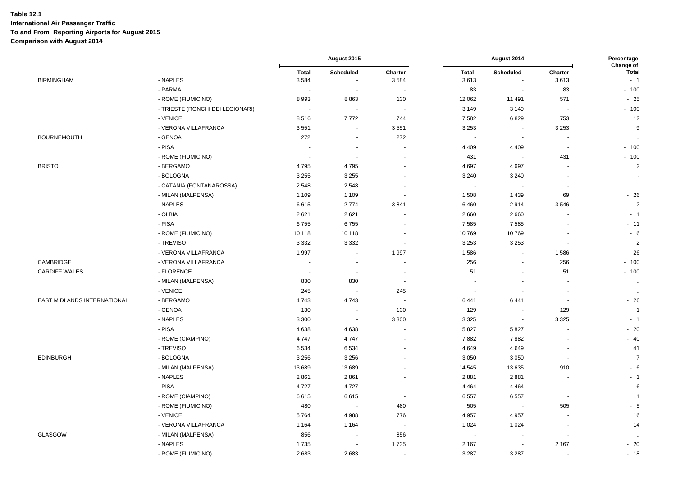|                             |                                  | August 2015<br>August 2014 |                          | Percentage<br>Change of  |                      |                                    |                          |                      |
|-----------------------------|----------------------------------|----------------------------|--------------------------|--------------------------|----------------------|------------------------------------|--------------------------|----------------------|
| <b>BIRMINGHAM</b>           | - NAPLES                         | <b>Total</b><br>3584       | Scheduled                | Charter<br>3584          | <b>Total</b><br>3613 | <b>Scheduled</b><br>$\blacksquare$ | Charter<br>3613          | <b>Total</b><br>$-1$ |
|                             | - PARMA                          | $\overline{\phantom{a}}$   | ÷,                       |                          | 83                   | $\overline{a}$                     | 83                       | $-100$               |
|                             | - ROME (FIUMICINO)               | 8993                       | 8863                     | 130                      | 12 062               | 11 491                             | 571                      | $-25$                |
|                             | - TRIESTE (RONCHI DEI LEGIONARI) | $\overline{\phantom{a}}$   | $\blacksquare$           | $\overline{\phantom{a}}$ | 3 1 4 9              | 3 1 4 9                            | ۰.                       | $-100$               |
|                             | - VENICE                         | 8516                       | 7772                     | 744                      | 7582                 | 6829                               | 753                      | 12                   |
|                             | - VERONA VILLAFRANCA             | 3551                       | $\overline{\phantom{a}}$ | 3551                     | 3 2 5 3              | $\overline{\phantom{a}}$           | 3 2 5 3                  | 9                    |
| <b>BOURNEMOUTH</b>          | - GENOA                          | 272                        | ÷.                       | 272                      | $\sim$               | $\sim$                             | ۰.                       | $\ddotsc$            |
|                             | - PISA                           | $\overline{\phantom{a}}$   | ÷,                       |                          | 4 4 0 9              | 4 4 0 9                            | $\overline{\phantom{a}}$ | $-100$               |
|                             | - ROME (FIUMICINO)               | $\overline{\phantom{a}}$   |                          |                          | 431                  | $\overline{\phantom{a}}$           | 431                      | $-100$               |
| <b>BRISTOL</b>              | - BERGAMO                        | 4795                       | 4795                     |                          | 4697                 | 4697                               |                          | $\sqrt{2}$           |
|                             | - BOLOGNA                        | 3 2 5 5                    | 3 2 5 5                  |                          | 3 2 4 0              | 3 2 4 0                            |                          |                      |
|                             | - CATANIA (FONTANAROSSA)         | 2548                       | 2548                     | $\overline{\phantom{a}}$ | $\sim$               | $\overline{\phantom{a}}$           | ÷,                       | $\ddotsc$            |
|                             | - MILAN (MALPENSA)               | 1 1 0 9                    | 1 1 0 9                  |                          | 1508                 | 1439                               | 69                       | $-26$                |
|                             | - NAPLES                         | 6615                       | 2774                     | 3841                     | 6460                 | 2914                               | 3546                     | $\overline{2}$       |
|                             | - OLBIA                          | 2621                       | 2621                     |                          | 2660                 | 2660                               |                          | $-1$                 |
|                             | - PISA                           | 6755                       | 6755                     |                          | 7585                 | 7585                               | $\ddot{\phantom{1}}$     | $-11$                |
|                             | - ROME (FIUMICINO)               | 10 118                     | 10 118                   |                          | 10769                | 10769                              | $\blacksquare$           | $-6$                 |
|                             | - TREVISO                        | 3 3 3 2                    | 3 3 3 2                  | $\sim$                   | 3 2 5 3              | 3 2 5 3                            | $\overline{\phantom{a}}$ | $\overline{2}$       |
|                             | - VERONA VILLAFRANCA             | 1997                       | $\overline{\phantom{a}}$ | 1997                     | 1586                 | $\overline{a}$                     | 1586                     | 26                   |
| CAMBRIDGE                   | - VERONA VILLAFRANCA             |                            | ÷.                       |                          | 256                  | ä,                                 | 256                      | $-100$               |
| <b>CARDIFF WALES</b>        | - FLORENCE                       | $\sim$                     | ÷,                       | $\blacksquare$           | 51                   | $\blacksquare$                     | 51                       | $-100$               |
|                             | - MILAN (MALPENSA)               | 830                        | 830                      | ٠.                       |                      |                                    |                          | $\ddot{\phantom{a}}$ |
|                             | - VENICE                         | 245                        |                          | 245                      |                      |                                    | $\blacksquare$           | $\ddot{\phantom{a}}$ |
| EAST MIDLANDS INTERNATIONAL | - BERGAMO                        | 4743                       | 4743                     |                          | 6441                 | 6441                               |                          | $-26$                |
|                             | - GENOA                          | 130                        |                          | 130                      | 129                  | $\overline{\phantom{a}}$           | 129                      | $\overline{1}$       |
|                             | - NAPLES                         | 3 3 0 0                    | $\overline{\phantom{a}}$ | 3 3 0 0                  | 3 3 2 5              | $\blacksquare$                     | 3 3 2 5                  | $-1$                 |
|                             | - PISA                           | 4638                       | 4638                     | $\overline{\phantom{a}}$ | 5827                 | 5827                               | ÷,                       | $-20$                |
|                             | - ROME (CIAMPINO)                | 4747                       | 4747                     |                          | 7882                 | 7882                               |                          | $-40$                |
|                             | - TREVISO                        | 6534                       | 6534                     |                          | 4649                 | 4649                               | ÷.                       | 41                   |
| <b>EDINBURGH</b>            | - BOLOGNA                        | 3 2 5 6                    | 3 2 5 6                  |                          | 3 0 5 0              | 3 0 5 0                            | $\sim$                   | $\overline{7}$       |
|                             | - MILAN (MALPENSA)               | 13 689                     | 13 689                   |                          | 14 545               | 13 6 35                            | 910                      | $-6$                 |
|                             | - NAPLES                         | 2861                       | 2861                     |                          | 2881                 | 2881                               | ۰.                       | $-1$                 |
|                             | - PISA                           | 4727                       | 4727                     |                          | 4 4 6 4              | 4 4 6 4                            | $\overline{\phantom{a}}$ | 6                    |
|                             | - ROME (CIAMPINO)                | 6615                       | 6615                     | $\blacksquare$           | 6557                 | 6557                               | $\sim$                   | $\overline{1}$       |
|                             | - ROME (FIUMICINO)               | 480                        | $\overline{\phantom{a}}$ | 480                      | 505                  | $\overline{\phantom{a}}$           | 505                      | $-5$                 |
|                             | - VENICE                         | 5764                       | 4988                     | 776                      | 4 9 5 7              | 4 9 5 7                            |                          | 16                   |
|                             | - VERONA VILLAFRANCA             | 1 1 6 4                    | 1 1 6 4                  |                          | 1 0 2 4              | 1 0 2 4                            |                          | 14                   |
| GLASGOW                     | - MILAN (MALPENSA)               | 856                        |                          | 856                      | $\sim$               |                                    | $\overline{\phantom{a}}$ | $\ddotsc$            |
|                             | - NAPLES                         | 1735                       | $\overline{\phantom{a}}$ | 1735                     | 2 1 6 7              | $\overline{a}$                     | 2 1 6 7                  | $-20$                |
|                             | - ROME (FIUMICINO)               | 2683                       | 2683                     | $\blacksquare$           | 3 2 8 7              | 3 2 8 7                            | $\overline{\phantom{a}}$ | $-18$                |
|                             |                                  |                            |                          |                          |                      |                                    |                          |                      |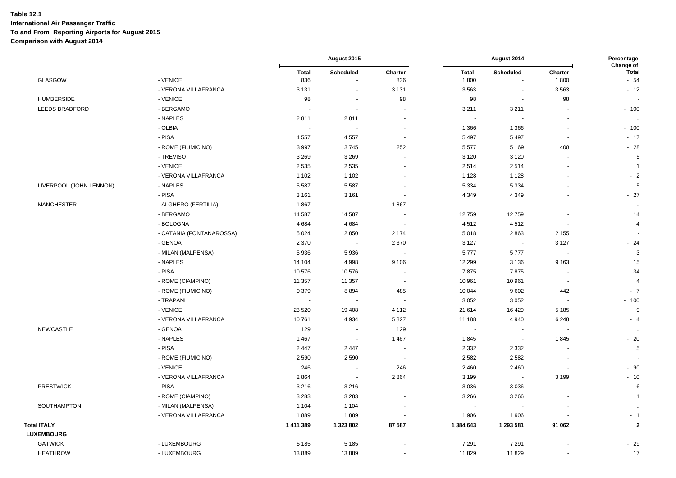|                                         |                          |                     | August 2015              |                          | August 2014              |                          | Percentage<br>Change of  |                       |
|-----------------------------------------|--------------------------|---------------------|--------------------------|--------------------------|--------------------------|--------------------------|--------------------------|-----------------------|
| <b>GLASGOW</b>                          | - VENICE                 | <b>Total</b><br>836 | Scheduled<br>$\sim$      | Charter<br>836           | <b>Total</b><br>1800     | Scheduled<br>$\sim$      | Charter<br>1800          | <b>Total</b><br>$-54$ |
|                                         | - VERONA VILLAFRANCA     | 3 1 3 1             | $\blacksquare$           | 3 1 3 1                  | 3563                     | $\blacksquare$           | 3563                     | $-12$                 |
| <b>HUMBERSIDE</b>                       | - VENICE                 | 98                  |                          | 98                       | 98                       | $\blacksquare$           | 98                       |                       |
| LEEDS BRADFORD                          | - BERGAMO                |                     | $\blacksquare$           |                          | 3 2 1 1                  | 3 2 1 1                  |                          | $-100$                |
|                                         | - NAPLES                 | 2811                | 2811                     |                          | $\overline{\phantom{a}}$ |                          |                          |                       |
|                                         | - OLBIA                  |                     |                          | $\blacksquare$           | 1 3 6 6                  | 1 3 6 6                  | $\sim$                   | $-100$                |
|                                         | - PISA                   | 4 5 5 7             | 4557                     | $\overline{\phantom{a}}$ | 5 4 9 7                  | 5 4 9 7                  |                          | $-17$                 |
|                                         | - ROME (FIUMICINO)       | 3997                | 3745                     | 252                      | 5577                     | 5 1 6 9                  | 408                      | $-28$                 |
|                                         | - TREVISO                | 3 2 6 9             | 3 2 6 9                  | $\blacksquare$           | 3 1 2 0                  | 3 1 2 0                  | $\overline{\phantom{a}}$ | 5                     |
|                                         | - VENICE                 | 2 5 3 5             | 2 5 3 5                  |                          | 2514                     | 2514                     |                          | -1                    |
|                                         | - VERONA VILLAFRANCA     | 1 1 0 2             | 1 1 0 2                  |                          | 1 1 2 8                  | 1 1 2 8                  |                          | $-2$                  |
| LIVERPOOL (JOHN LENNON)                 | - NAPLES                 | 5 5 8 7             | 5 5 8 7                  |                          | 5 3 3 4                  | 5 3 3 4                  |                          | 5                     |
|                                         | - PISA                   | 3 1 6 1             | 3 1 6 1                  | $\overline{\phantom{a}}$ | 4 3 4 9                  | 4 3 4 9                  | ٠                        | $-27$                 |
| <b>MANCHESTER</b>                       | - ALGHERO (FERTILIA)     | 1867                |                          | 1867                     | $\overline{\phantom{a}}$ |                          |                          | $\ldots$              |
|                                         | - BERGAMO                | 14 587              | 14 587                   | $\overline{\phantom{a}}$ | 12759                    | 12759                    |                          | 14                    |
|                                         | - BOLOGNA                | 4 6 8 4             | 4684                     |                          | 4512                     | 4512                     |                          | $\overline{4}$        |
|                                         | - CATANIA (FONTANAROSSA) | 5 0 24              | 2850                     | 2 1 7 4                  | 5018                     | 2863                     | 2 1 5 5                  |                       |
|                                         | - GENOA                  | 2 3 7 0             |                          | 2 3 7 0                  | 3 1 2 7                  | $\blacksquare$           | 3 1 2 7                  | $-24$                 |
|                                         | - MILAN (MALPENSA)       | 5936                | 5936                     | $\sim$                   | 5777                     | 5777                     |                          | 3                     |
|                                         | - NAPLES                 | 14 104              | 4998                     | 9 1 0 6                  | 12 299                   | 3 1 3 6                  | 9 1 6 3                  | 15                    |
|                                         | - PISA                   | 10 576              | 10 576                   | $\overline{a}$           | 7875                     | 7875                     |                          | 34                    |
|                                         | - ROME (CIAMPINO)        | 11 357              | 11 357                   | $\overline{\phantom{a}}$ | 10 961                   | 10 961                   | $\overline{\phantom{a}}$ | $\overline{4}$        |
|                                         | - ROME (FIUMICINO)       | 9379                | 8894                     | 485                      | 10 044                   | 9602                     | 442                      | $-7$                  |
|                                         | - TRAPANI                |                     |                          |                          | 3 0 5 2                  | 3 0 5 2                  |                          | $-100$                |
|                                         | - VENICE                 | 23 5 20             | 19 408                   | 4 1 1 2                  | 21 614                   | 16 4 29                  | 5 1 8 5                  | 9                     |
|                                         | - VERONA VILLAFRANCA     | 10761               | 4 9 3 4                  | 5827                     | 11 188                   | 4 9 4 0                  | 6 2 4 8                  | $-4$                  |
| <b>NEWCASTLE</b>                        | - GENOA                  | 129                 | $\overline{\phantom{a}}$ | 129                      | $\overline{\phantom{a}}$ | $\overline{a}$           |                          | $\ddotsc$             |
|                                         | - NAPLES                 | 1 4 6 7             | $\sim$                   | 1 4 6 7                  | 1845                     | $\blacksquare$           | 1845                     | $-20$                 |
|                                         | - PISA                   | 2 4 4 7             | 2 4 4 7                  |                          | 2 3 3 2                  | 2 3 3 2                  |                          | 5                     |
|                                         | - ROME (FIUMICINO)       | 2590                | 2 5 9 0                  | $\overline{\phantom{a}}$ | 2 5 8 2                  | 2582                     |                          |                       |
|                                         | - VENICE                 | 246                 | $\overline{\phantom{a}}$ | 246                      | 2 4 6 0                  | 2 4 6 0                  | $\sim$                   | $-90$                 |
|                                         | - VERONA VILLAFRANCA     | 2864                | $\sim$                   | 2 8 6 4                  | 3 1 9 9                  | $\overline{\phantom{a}}$ | 3 1 9 9                  | $-10$                 |
| <b>PRESTWICK</b>                        | - PISA                   | 3 2 1 6             | 3 2 1 6                  |                          | 3 0 3 6                  | 3036                     |                          | 6                     |
|                                         | - ROME (CIAMPINO)        | 3 2 8 3             | 3 2 8 3                  |                          | 3 2 6 6                  | 3 2 6 6                  |                          | $\overline{1}$        |
| SOUTHAMPTON                             | - MILAN (MALPENSA)       | 1 1 0 4             | 1 1 0 4                  |                          | $\sim$                   | $\overline{a}$           |                          |                       |
|                                         | - VERONA VILLAFRANCA     | 1889                | 1889                     |                          | 1906                     | 1906                     |                          | $-1$                  |
| <b>Total ITALY</b><br><b>LUXEMBOURG</b> |                          | 1 411 389           | 1 323 802                | 87 587                   | 1 384 643                | 1 293 581                | 91 062                   | $\overline{2}$        |
| <b>GATWICK</b>                          | - LUXEMBOURG             | 5 1 8 5             | 5 1 8 5                  |                          | 7 2 9 1                  | 7 2 9 1                  |                          | $-29$                 |
| <b>HEATHROW</b>                         | - LUXEMBOURG             | 13889               | 13889                    |                          | 11829                    | 11829                    |                          | 17                    |
|                                         |                          |                     |                          |                          |                          |                          |                          |                       |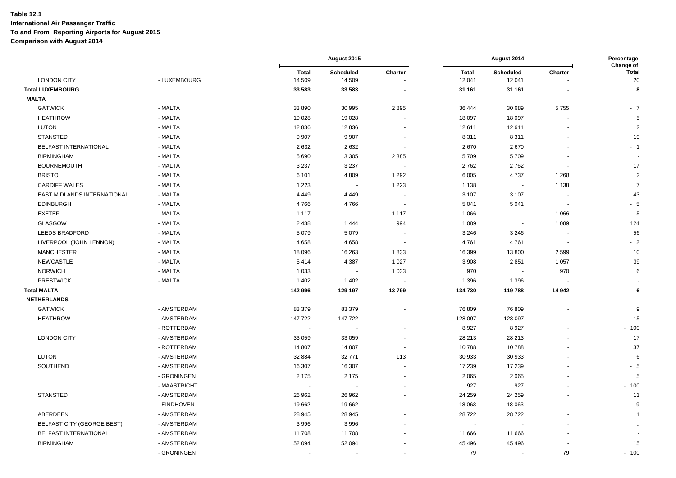|                                   |              |                        | August 2015              |                          | August 2014            |                            | Percentage<br>Change of |                    |
|-----------------------------------|--------------|------------------------|--------------------------|--------------------------|------------------------|----------------------------|-------------------------|--------------------|
| <b>LONDON CITY</b>                | - LUXEMBOURG | <b>Total</b><br>14 509 | Scheduled<br>14 509      | Charter                  | <b>Total</b><br>12 041 | <b>Scheduled</b><br>12 041 | Charter                 | <b>Total</b><br>20 |
| <b>Total LUXEMBOURG</b>           |              | 33 583                 | 33 583                   |                          | 31 161                 | 31 161                     |                         | 8                  |
| <b>MALTA</b>                      |              |                        |                          |                          |                        |                            |                         |                    |
| <b>GATWICK</b>                    | - MALTA      | 33 890                 | 30 995                   | 2895                     | 36 444                 | 30 689                     | 5755                    | $-7$               |
| <b>HEATHROW</b>                   | - MALTA      | 19 0 28                | 19 0 28                  |                          | 18 097                 | 18 097                     |                         | 5                  |
| <b>LUTON</b>                      | - MALTA      | 12 8 36                | 12836                    |                          | 12 611                 | 12611                      |                         | $\overline{2}$     |
| <b>STANSTED</b>                   | - MALTA      | 9 9 0 7                | 9 9 0 7                  |                          | 8 3 1 1                | 8 3 1 1                    |                         | 19                 |
| BELFAST INTERNATIONAL             | - MALTA      | 2632                   | 2632                     | $\overline{\phantom{a}}$ | 2670                   | 2670                       |                         | $-1$               |
| <b>BIRMINGHAM</b>                 | - MALTA      | 5 6 9 0                | 3 3 0 5                  | 2 3 8 5                  | 5709                   | 5709                       |                         |                    |
| <b>BOURNEMOUTH</b>                | - MALTA      | 3 2 3 7                | 3 2 3 7                  |                          | 2762                   | 2762                       |                         | 17                 |
| <b>BRISTOL</b>                    | - MALTA      | 6 1 0 1                | 4 8 0 9                  | 1 2 9 2                  | 6 0 0 5                | 4737                       | 1 2 6 8                 | 2                  |
| <b>CARDIFF WALES</b>              | - MALTA      | 1 2 2 3                | $\sim$                   | 1 2 2 3                  | 1 1 3 8                | $\overline{\phantom{a}}$   | 1 1 3 8                 | $\overline{7}$     |
| EAST MIDLANDS INTERNATIONAL       | - MALTA      | 4 4 4 9                | 4 4 4 9                  |                          | 3 1 0 7                | 3 1 0 7                    |                         | 43                 |
| <b>EDINBURGH</b>                  | - MALTA      | 4766                   | 4766                     | $\overline{\phantom{a}}$ | 5 0 4 1                | 5 0 4 1                    | ÷,                      | $-5$               |
| <b>EXETER</b>                     | - MALTA      | 1 1 1 7                | $\overline{\phantom{a}}$ | 1 1 1 7                  | 1 0 6 6                | $\blacksquare$             | 1 0 6 6                 | 5                  |
| <b>GLASGOW</b>                    | - MALTA      | 2 4 3 8                | 1444                     | 994                      | 1 0 8 9                | $\blacksquare$             | 1 0 8 9                 | 124                |
| LEEDS BRADFORD                    | - MALTA      | 5 0 7 9                | 5 0 7 9                  |                          | 3 2 4 6                | 3 2 4 6                    |                         | 56                 |
| LIVERPOOL (JOHN LENNON)           | - MALTA      | 4658                   | 4 6 5 8                  |                          | 4761                   | 4761                       |                         | $-2$               |
| <b>MANCHESTER</b>                 | - MALTA      | 18 0 96                | 16 263                   | 1833                     | 16 399                 | 13 800                     | 2599                    | 10                 |
| NEWCASTLE                         | - MALTA      | 5414                   | 4 3 8 7                  | 1 0 2 7                  | 3 9 0 8                | 2851                       | 1 0 5 7                 | 39                 |
| <b>NORWICH</b>                    | - MALTA      | 1 0 3 3                | $\sim$                   | 1 0 3 3                  | 970                    | $\overline{\phantom{a}}$   | 970                     | 6                  |
| <b>PRESTWICK</b>                  | - MALTA      | 1 4 0 2                | 1 4 0 2                  |                          | 1 3 9 6                | 1 3 9 6                    |                         |                    |
| <b>Total MALTA</b>                |              | 142 996                | 129 197                  | 13799                    | 134 730                | 119788                     | 14 942                  | 6                  |
| <b>NETHERLANDS</b>                |              |                        |                          |                          |                        |                            |                         |                    |
| <b>GATWICK</b>                    | - AMSTERDAM  | 83 379                 | 83 379                   |                          | 76 809                 | 76809                      |                         | 9                  |
| <b>HEATHROW</b>                   | - AMSTERDAM  | 147 722                | 147 722                  |                          | 128 097                | 128 097                    |                         | 15                 |
|                                   | - ROTTERDAM  |                        |                          |                          | 8927                   | 8927                       |                         | $-100$             |
| <b>LONDON CITY</b>                | - AMSTERDAM  | 33 059                 | 33 059                   |                          | 28 213                 | 28 213                     |                         | 17                 |
|                                   | - ROTTERDAM  | 14 807                 | 14 807                   |                          | 10788                  | 10788                      |                         | 37                 |
| <b>LUTON</b>                      | - AMSTERDAM  | 32 884                 | 32 771                   | 113                      | 30 933                 | 30 933                     |                         | 6                  |
| SOUTHEND                          | - AMSTERDAM  | 16 307                 | 16 307                   |                          | 17 239                 | 17 239                     |                         | - 5                |
|                                   | - GRONINGEN  | 2 1 7 5                | 2 1 7 5                  |                          | 2 0 6 5                | 2 0 6 5                    |                         | 5                  |
|                                   | - MAASTRICHT |                        |                          |                          | 927                    | 927                        |                         | $-100$             |
| <b>STANSTED</b>                   | - AMSTERDAM  | 26 962                 | 26 962                   |                          | 24 25 9                | 24 25 9                    |                         | 11                 |
|                                   | - EINDHOVEN  | 19662                  | 19662                    |                          | 18 063                 | 18 063                     |                         | 9                  |
| ABERDEEN                          | - AMSTERDAM  | 28 945                 | 28 945                   |                          | 28722                  | 28722                      |                         | $\mathbf{1}$       |
| <b>BELFAST CITY (GEORGE BEST)</b> | - AMSTERDAM  | 3996                   | 3996                     |                          |                        |                            |                         |                    |
| BELFAST INTERNATIONAL             | - AMSTERDAM  | 11 708                 | 11708                    |                          | 11 666                 | 11 666                     |                         |                    |
| <b>BIRMINGHAM</b>                 | - AMSTERDAM  | 52 094                 | 52 094                   |                          | 45 496                 | 45 4 96                    |                         | 15                 |
|                                   | - GRONINGEN  |                        |                          |                          | 79                     | ä,                         | 79                      | $-100$             |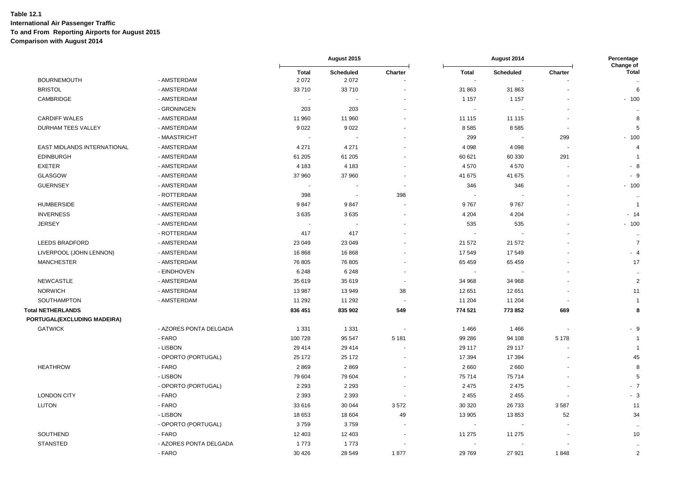|                             |                        |                      | August 2015       |                |                                | August 2014      |         | Percentage<br>Change of   |  |
|-----------------------------|------------------------|----------------------|-------------------|----------------|--------------------------------|------------------|---------|---------------------------|--|
| <b>BOURNEMOUTH</b>          | - AMSTERDAM            | <b>Total</b><br>2072 | Scheduled<br>2072 | Charter        | <b>Total</b><br>$\blacksquare$ | <b>Scheduled</b> | Charter | <b>Total</b><br>$\ddotsc$ |  |
| <b>BRISTOL</b>              | - AMSTERDAM            | 33 710               | 33 710            |                | 31 863                         | 31 863           |         | 6                         |  |
| CAMBRIDGE                   | - AMSTERDAM            | $\overline{a}$       |                   |                | 1 1 5 7                        | 1 1 5 7          |         | $-100$                    |  |
|                             | - GRONINGEN            | 203                  | 203               |                | $\blacksquare$                 |                  |         | $\ddotsc$                 |  |
| <b>CARDIFF WALES</b>        | - AMSTERDAM            | 11 960               | 11 960            |                | 11 115                         | 11 115           |         | 8                         |  |
| <b>DURHAM TEES VALLEY</b>   | - AMSTERDAM            | 9022                 | 9022              |                | 8585                           | 8585             |         | 5                         |  |
|                             | - MAASTRICHT           |                      |                   |                | 299                            |                  | 299     | $-100$                    |  |
| EAST MIDLANDS INTERNATIONAL | - AMSTERDAM            | 4 2 7 1              | 4 2 7 1           |                | 4 0 9 8                        | 4 0 9 8          |         | $\overline{4}$            |  |
| <b>EDINBURGH</b>            | - AMSTERDAM            | 61 205               | 61 205            |                | 60 621                         | 60 330           | 291     | -1                        |  |
| <b>EXETER</b>               | - AMSTERDAM            | 4 1 8 3              | 4 1 8 3           |                | 4570                           | 4570             |         | - 8                       |  |
| GLASGOW                     | - AMSTERDAM            | 37 960               | 37 960            |                | 41 675                         | 41 675           |         | - 9                       |  |
| <b>GUERNSEY</b>             | - AMSTERDAM            |                      |                   |                | 346                            | 346              |         | $-100$                    |  |
|                             | - ROTTERDAM            | 398                  |                   | 398            |                                |                  |         | $\ddot{\phantom{a}}$      |  |
| <b>HUMBERSIDE</b>           | - AMSTERDAM            | 9847                 | 9847              |                | 9767                           | 9767             |         | -1                        |  |
| <b>INVERNESS</b>            | - AMSTERDAM            | 3635                 | 3635              |                | 4 2 0 4                        | 4 2 0 4          |         | $-14$                     |  |
| <b>JERSEY</b>               | - AMSTERDAM            |                      |                   |                | 535                            | 535              |         | $-100$                    |  |
|                             | - ROTTERDAM            | 417                  | 417               |                | $\overline{\phantom{a}}$       |                  |         | $\ddot{\phantom{a}}$      |  |
| <b>LEEDS BRADFORD</b>       | - AMSTERDAM            | 23 049               | 23 049            |                | 21 572                         | 21 572           |         | $\overline{7}$            |  |
| LIVERPOOL (JOHN LENNON)     | - AMSTERDAM            | 16868                | 16868             |                | 17549                          | 17549            |         | $-4$                      |  |
| <b>MANCHESTER</b>           | - AMSTERDAM            | 76 805               | 76 805            |                | 65 459                         | 65 459           |         | 17                        |  |
|                             | - EINDHOVEN            | 6 2 4 8              | 6 2 4 8           |                | $\overline{\phantom{a}}$       |                  |         | $\ddotsc$                 |  |
| <b>NEWCASTLE</b>            | - AMSTERDAM            | 35 619               | 35 619            | $\blacksquare$ | 34 968                         | 34 968           |         | $\overline{c}$            |  |
| <b>NORWICH</b>              | - AMSTERDAM            | 13 987               | 13 949            | 38             | 12 651                         | 12 651           |         | 11                        |  |
| SOUTHAMPTON                 | - AMSTERDAM            | 11 292               | 11 292            |                | 11 204                         | 11 204           |         | -1                        |  |
| <b>Total NETHERLANDS</b>    |                        | 836 451              | 835 902           | 549            | 774 521                        | 773 852          | 669     | 8                         |  |
| PORTUGAL(EXCLUDING MADEIRA) |                        |                      |                   |                |                                |                  |         |                           |  |
| <b>GATWICK</b>              | - AZORES PONTA DELGADA | 1 3 3 1              | 1 3 3 1           |                | 1 4 6 6                        | 1466             |         | - 9                       |  |
|                             | - FARO                 | 100 728              | 95 547            | 5 1 8 1        | 99 286                         | 94 108           | 5 1 7 8 | $\overline{1}$            |  |
|                             | - LISBON               | 29 4 14              | 29 4 14           |                | 29 117                         | 29 117           |         | $\overline{1}$            |  |
|                             | - OPORTO (PORTUGAL)    | 25 172               | 25 172            |                | 17 394                         | 17 394           |         | 45                        |  |
| <b>HEATHROW</b>             | - FARO                 | 2869                 | 2869              |                | 2660                           | 2660             |         | 8                         |  |
|                             | - LISBON               | 79 604               | 79 604            |                | 75 714                         | 75714            |         | 5                         |  |
|                             | - OPORTO (PORTUGAL)    | 2 2 9 3              | 2 2 9 3           |                | 2 4 7 5                        | 2475             |         | $-7$                      |  |
| <b>LONDON CITY</b>          | - FARO                 | 2 3 9 3              | 2 3 9 3           |                | 2 4 5 5                        | 2 4 5 5          |         | $-3$                      |  |
| <b>LUTON</b>                | - FARO                 | 33 616               | 30 044            | 3572           | 30 320                         | 26733            | 3587    | 11                        |  |
|                             | - LISBON               | 18 653               | 18 604            | 49             | 13 905                         | 13853            | 52      | 34                        |  |
|                             | - OPORTO (PORTUGAL)    | 3759                 | 3759              |                | $\overline{\phantom{a}}$       |                  |         | $\ddot{\phantom{a}}$      |  |
| SOUTHEND                    | - FARO                 | 12 403               | 12 403            |                | 11 275                         | 11 275           |         | 10                        |  |
| <b>STANSTED</b>             | - AZORES PONTA DELGADA | 1773                 | 1773              |                |                                |                  |         |                           |  |
|                             | - FARO                 | 30 4 26              | 28 549            | 1877           | 29 769                         | 27 921           | 1848    | $\sqrt{2}$                |  |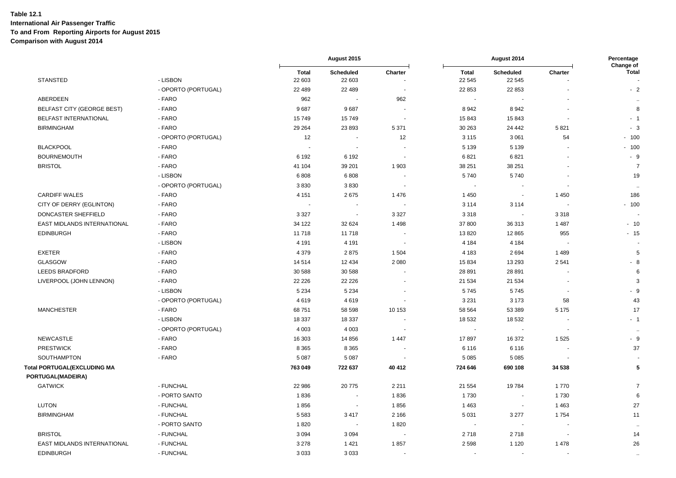|                              |                     | August 2015<br>August 2014 |                     | Percentage<br>Change of |                        |                            |         |                      |
|------------------------------|---------------------|----------------------------|---------------------|-------------------------|------------------------|----------------------------|---------|----------------------|
| <b>STANSTED</b>              | - LISBON            | <b>Total</b><br>22 603     | Scheduled<br>22 603 | Charter                 | <b>Total</b><br>22 545 | <b>Scheduled</b><br>22 545 | Charter | <b>Total</b>         |
|                              | - OPORTO (PORTUGAL) | 22 489                     | 22 489              | $\overline{a}$          | 22 853                 | 22 853                     |         | $-2$                 |
| ABERDEEN                     | - FARO              | 962                        |                     | 962                     | $\blacksquare$         |                            |         | $\ddotsc$            |
| BELFAST CITY (GEORGE BEST)   | - FARO              | 9687                       | 9687                | ÷,                      | 8942                   | 8942                       |         | 8                    |
| <b>BELFAST INTERNATIONAL</b> | - FARO              | 15749                      | 15749               |                         | 15843                  | 15843                      |         | $-1$                 |
| <b>BIRMINGHAM</b>            | - FARO              | 29 264                     | 23 893              | 5 3 7 1                 | 30 263                 | 24 4 42                    | 5821    | - 3                  |
|                              | - OPORTO (PORTUGAL) | 12                         |                     | 12                      | 3 1 1 5                | 3 0 6 1                    | 54      | $-100$               |
| <b>BLACKPOOL</b>             | - FARO              |                            | $\sim$              |                         | 5 1 3 9                | 5 1 3 9                    |         | $-100$               |
| <b>BOURNEMOUTH</b>           | - FARO              | 6 1 9 2                    | 6 1 9 2             | ٠                       | 6821                   | 6821                       |         | $-9$                 |
| <b>BRISTOL</b>               | - FARO              | 41 104                     | 39 201              | 1 903                   | 38 251                 | 38 251                     |         | $\overline{7}$       |
|                              | - LISBON            | 6808                       | 6808                |                         | 5740                   | 5740                       |         | 19                   |
|                              | - OPORTO (PORTUGAL) | 3830                       | 3830                | $\ddot{\phantom{1}}$    | $\sim$                 |                            |         | $\ddotsc$            |
| <b>CARDIFF WALES</b>         | - FARO              | 4 1 5 1                    | 2675                | 1 4 7 6                 | 1 4 5 0                |                            | 1 4 5 0 | 186                  |
| CITY OF DERRY (EGLINTON)     | - FARO              |                            |                     |                         | 3 1 1 4                | 3 1 1 4                    |         | $-100$               |
| DONCASTER SHEFFIELD          | - FARO              | 3 3 2 7                    | $\sim$              | 3 3 2 7                 | 3 3 1 8                | $\sim$                     | 3318    |                      |
| EAST MIDLANDS INTERNATIONAL  | - FARO              | 34 122                     | 32 624              | 1498                    | 37 800                 | 36 313                     | 1 4 8 7 | $-10$                |
| <b>EDINBURGH</b>             | - FARO              | 11718                      | 11718               |                         | 13 8 20                | 12 8 65                    | 955     | $-15$                |
|                              | - LISBON            | 4 1 9 1                    | 4 1 9 1             | $\blacksquare$          | 4 1 8 4                | 4 1 8 4                    |         |                      |
| <b>EXETER</b>                | - FARO              | 4 3 7 9                    | 2875                | 1 5 0 4                 | 4 1 8 3                | 2694                       | 1489    | 5                    |
| GLASGOW                      | - FARO              | 14 5 14                    | 12 4 34             | 2 0 8 0                 | 15 834                 | 13 2 9 3                   | 2541    | $-8$                 |
| <b>LEEDS BRADFORD</b>        | - FARO              | 30 588                     | 30 588              |                         | 28 891                 | 28 891                     |         | 6                    |
| LIVERPOOL (JOHN LENNON)      | - FARO              | 22 2 2 6                   | 22 2 2 6            |                         | 21 534                 | 21 534                     |         | 3                    |
|                              | - LISBON            | 5 2 3 4                    | 5 2 3 4             |                         | 5745                   | 5745                       |         | $-9$                 |
|                              | - OPORTO (PORTUGAL) | 4619                       | 4619                |                         | 3 2 3 1                | 3 1 7 3                    | 58      | 43                   |
| <b>MANCHESTER</b>            | - FARO              | 68 751                     | 58 598              | 10 153                  | 58 564                 | 53 389                     | 5 1 7 5 | 17                   |
|                              | - LISBON            | 18 337                     | 18 3 37             |                         | 18 532                 | 18 532                     |         | $-1$                 |
|                              | - OPORTO (PORTUGAL) | 4 0 0 3                    | 4 0 0 3             |                         | $\blacksquare$         |                            |         | $\ddot{\phantom{a}}$ |
| <b>NEWCASTLE</b>             | - FARO              | 16 303                     | 14 8 56             | 1 4 4 7                 | 17897                  | 16 372                     | 1525    | $-9$                 |
| <b>PRESTWICK</b>             | - FARO              | 8 3 6 5                    | 8 3 6 5             |                         | 6 1 1 6                | 6 1 1 6                    |         | 37                   |
| SOUTHAMPTON                  | - FARO              | 5 0 8 7                    | 5 0 8 7             |                         | 5 0 8 5                | 5 0 8 5                    |         |                      |
| Total PORTUGAL(EXCLUDING MA  |                     | 763 049                    | 722 637             | 40 412                  | 724 646                | 690 108                    | 34 538  | 5                    |
| PORTUGAL(MADEIRA)            |                     |                            |                     |                         |                        |                            |         |                      |
| <b>GATWICK</b>               | - FUNCHAL           | 22 986                     | 20775               | 2 2 1 1                 | 21 554                 | 19784                      | 1770    | $\overline{7}$       |
|                              | - PORTO SANTO       | 1836                       |                     | 1836                    | 1730                   | $\overline{\phantom{a}}$   | 1730    | 6                    |
| <b>LUTON</b>                 | - FUNCHAL           | 1856                       |                     | 1856                    | 1463                   | $\sim$                     | 1 4 6 3 | 27                   |
| <b>BIRMINGHAM</b>            | - FUNCHAL           | 5583                       | 3 4 1 7             | 2 1 6 6                 | 5 0 31                 | 3 2 7 7                    | 1754    | 11                   |
|                              | - PORTO SANTO       | 1820                       |                     | 1820                    | $\blacksquare$         |                            |         | $\ddot{\phantom{a}}$ |
| <b>BRISTOL</b>               | - FUNCHAL           | 3094                       | 3 0 9 4             |                         | 2718                   | 2718                       |         | 14                   |
| EAST MIDLANDS INTERNATIONAL  | - FUNCHAL           | 3 2 7 8                    | 1421                | 1857                    | 2 5 9 8                | 1 1 2 0                    | 1478    | 26                   |
| <b>EDINBURGH</b>             | - FUNCHAL           | 3033                       | 3 0 3 3             |                         | $\blacksquare$         |                            |         | $\ddotsc$            |
|                              |                     |                            |                     |                         |                        |                            |         |                      |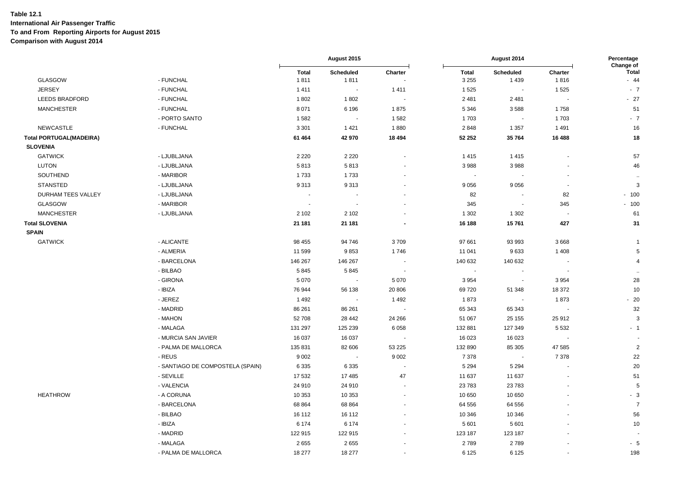|                                |                                  |                      | August 2015              |                          | August 2014              |                          | Percentage<br>Change of  |                       |
|--------------------------------|----------------------------------|----------------------|--------------------------|--------------------------|--------------------------|--------------------------|--------------------------|-----------------------|
| GLASGOW                        | - FUNCHAL                        | <b>Total</b><br>1811 | Scheduled<br>1811        | Charter                  | <b>Total</b><br>3 2 5 5  | Scheduled<br>1 4 3 9     | Charter<br>1816          | <b>Total</b><br>$-44$ |
| <b>JERSEY</b>                  | - FUNCHAL                        | 1411                 | $\overline{\phantom{a}}$ | 1411                     | 1525                     |                          | 1525                     | $-7$                  |
| <b>LEEDS BRADFORD</b>          | - FUNCHAL                        | 1802                 | 1802                     | $\overline{\phantom{a}}$ | 2 4 8 1                  | 2481                     | $\sim$                   | $-27$                 |
| <b>MANCHESTER</b>              | - FUNCHAL                        | 8 0 7 1              | 6 1 9 6                  | 1875                     | 5 3 4 6                  | 3588                     | 1758                     | 51                    |
|                                | - PORTO SANTO                    | 1582                 | $\blacksquare$           | 1582                     | 1703                     |                          | 1703                     | $-7$                  |
| <b>NEWCASTLE</b>               | - FUNCHAL                        | 3 3 0 1              | 1 4 2 1                  | 1880                     | 2848                     | 1 3 5 7                  | 1491                     | 16                    |
| <b>Total PORTUGAL(MADEIRA)</b> |                                  | 61 4 64              | 42 970                   | 18 4 94                  | 52 252                   | 35 764                   | 16 488                   | 18                    |
| <b>SLOVENIA</b>                |                                  |                      |                          |                          |                          |                          |                          |                       |
| <b>GATWICK</b>                 | - LJUBLJANA                      | 2 2 2 0              | 2 2 2 0                  | $\blacksquare$           | 1415                     | 1415                     | ÷,                       | 57                    |
| <b>LUTON</b>                   | - LJUBLJANA                      | 5813                 | 5813                     |                          | 3988                     | 3988                     |                          | 46                    |
| SOUTHEND                       | - MARIBOR                        | 1733                 | 1733                     |                          | $\overline{\phantom{a}}$ |                          |                          | $\ddot{\phantom{a}}$  |
| <b>STANSTED</b>                | - LJUBLJANA                      | 9313                 | 9313                     |                          | 9 0 5 6                  | 9056                     | $\overline{a}$           | 3                     |
| DURHAM TEES VALLEY             | - LJUBLJANA                      | $\blacksquare$       |                          | $\sim$                   | 82                       | $\sim$                   | 82                       | $-100$                |
| <b>GLASGOW</b>                 | - MARIBOR                        |                      | $\overline{\phantom{a}}$ |                          | 345                      | $\blacksquare$           | 345                      | $-100$                |
| <b>MANCHESTER</b>              | - LJUBLJANA                      | 2 1 0 2              | 2 1 0 2                  |                          | 1 3 0 2                  | 1 3 0 2                  | $\overline{\phantom{a}}$ | 61                    |
| <b>Total SLOVENIA</b>          |                                  | 21 181               | 21 181                   |                          | 16 188                   | 15761                    | 427                      | 31                    |
| <b>SPAIN</b>                   |                                  |                      |                          |                          |                          |                          |                          |                       |
| <b>GATWICK</b>                 | - ALICANTE                       | 98 455               | 94 746                   | 3709                     | 97 661                   | 93 993                   | 3668                     | $\overline{1}$        |
|                                | - ALMERIA                        | 11 599               | 9853                     | 1746                     | 11 041                   | 9633                     | 1 4 0 8                  | 5                     |
|                                | - BARCELONA                      | 146 267              | 146 267                  |                          | 140 632                  | 140 632                  |                          | $\overline{4}$        |
|                                | - BILBAO                         | 5845                 | 5845                     | $\sim$                   | $\sim$                   |                          | $\sim$                   | $\sim$                |
|                                | - GIRONA                         | 5 0 7 0              | $\overline{\phantom{a}}$ | 5 0 7 0                  | 3 9 5 4                  | $\overline{\phantom{a}}$ | 3 9 5 4                  | 28                    |
|                                | - IBIZA                          | 76 944               | 56 138                   | 20 806                   | 69720                    | 51 348                   | 18 372                   | 10                    |
|                                | - JEREZ                          | 1492                 |                          | 1492                     | 1873                     |                          | 1873                     | $-20$                 |
|                                | - MADRID                         | 86 261               | 86 261                   |                          | 65 343                   | 65 343                   |                          | 32                    |
|                                | - MAHON                          | 52 708               | 28 4 42                  | 24 26 6                  | 51 067                   | 25 155                   | 25 912                   | $\mathbf{3}$          |
|                                | - MALAGA                         | 131 297              | 125 239                  | 6058                     | 132 881                  | 127 349                  | 5 5 3 2                  | $-1$                  |
|                                | - MURCIA SAN JAVIER              | 16 037               | 16 037                   | $\overline{\phantom{a}}$ | 16 023                   | 16 023                   | $\sim$                   |                       |
|                                | - PALMA DE MALLORCA              | 135 831              | 82 606                   | 53 2 2 5                 | 132 890                  | 85 305                   | 47 585                   | $\overline{2}$        |
|                                | - REUS                           | 9 0 0 2              | $\blacksquare$           | 9 0 0 2                  | 7 3 7 8                  | $\blacksquare$           | 7 3 7 8                  | 22                    |
|                                | - SANTIAGO DE COMPOSTELA (SPAIN) | 6 3 3 5              | 6 3 3 5                  | $\blacksquare$           | 5 2 9 4                  | 5 2 9 4                  |                          | 20                    |
|                                | - SEVILLE                        | 17 532               | 17 485                   | 47                       | 11 637                   | 11 637                   |                          | 51                    |
|                                | - VALENCIA                       | 24 910               | 24 910                   | $\sim$                   | 23 783                   | 23783                    |                          | 5                     |
| <b>HEATHROW</b>                | - A CORUNA                       | 10 353               | 10 353                   |                          | 10 650                   | 10 650                   |                          | $-3$                  |
|                                | - BARCELONA                      | 68 864               | 68 864                   | $\overline{a}$           | 64 556                   | 64 556                   |                          | $\overline{7}$        |
|                                | - BILBAO                         | 16 112               | 16 112                   |                          | 10 346                   | 10 346                   |                          | 56                    |
|                                | - IBIZA                          | 6 1 7 4              | 6 1 7 4                  |                          | 5 6 0 1                  | 5601                     |                          | 10                    |
|                                | - MADRID                         | 122 915              | 122 915                  |                          | 123 187                  | 123 187                  |                          |                       |
|                                | - MALAGA                         | 2655                 | 2655                     |                          | 2789                     | 2789                     |                          | $-5$                  |
|                                | - PALMA DE MALLORCA              | 18 277               | 18 277                   | $\sim$                   | 6 1 2 5                  | 6 1 2 5                  | ÷.                       | 198                   |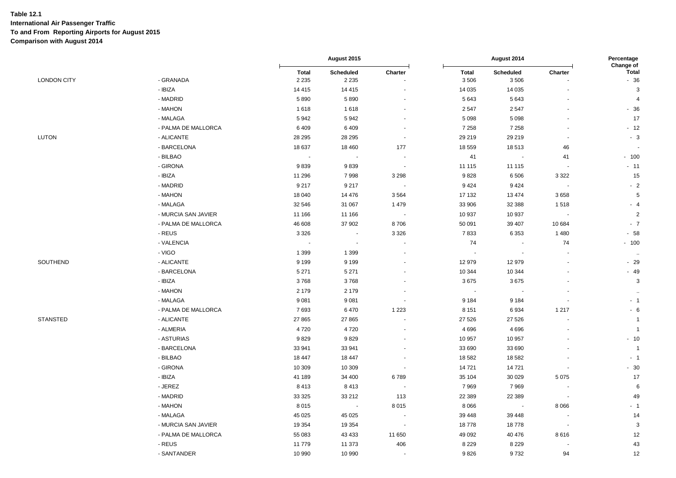|                    |                     |                          | August 2015          |                          | August 2014          |                          |                          | Percentage<br>Change of |
|--------------------|---------------------|--------------------------|----------------------|--------------------------|----------------------|--------------------------|--------------------------|-------------------------|
| <b>LONDON CITY</b> | - GRANADA           | <b>Total</b><br>2 2 3 5  | Scheduled<br>2 2 3 5 | Charter                  | <b>Total</b><br>3506 | <b>Scheduled</b><br>3506 | Charter                  | <b>Total</b><br>$-36$   |
|                    | - IBIZA             | 14 4 15                  | 14 4 15              |                          | 14 0 35              | 14 0 35                  |                          | $\mathbf{3}$            |
|                    | - MADRID            | 5890                     | 5890                 |                          | 5 6 4 3              | 5643                     |                          | $\overline{4}$          |
|                    | - MAHON             | 1618                     | 1618                 |                          | 2547                 | 2547                     |                          | $-36$                   |
|                    | - MALAGA            | 5942                     | 5942                 | $\blacksquare$           | 5 0 9 8              | 5 0 9 8                  | $\overline{\phantom{a}}$ | 17                      |
|                    | - PALMA DE MALLORCA | 6409                     | 6409                 |                          | 7 2 5 8              | 7 2 5 8                  |                          | $-12$                   |
| <b>LUTON</b>       | - ALICANTE          | 28 29 5                  | 28 29 5              | $\blacksquare$           | 29 21 9              | 29 219                   |                          | $-3$                    |
|                    | - BARCELONA         | 18 637                   | 18 4 60              | 177                      | 18 559               | 18513                    | 46                       |                         |
|                    | - BILBAO            | $\sim$                   | $\sim$               | ÷,                       | 41                   | $\sim$                   | 41                       | $-100$                  |
|                    | - GIRONA            | 9839                     | 9839                 | $\overline{\phantom{a}}$ | 11 115               | 11 115                   | $\overline{\phantom{a}}$ | $-11$                   |
|                    | - IBIZA             | 11 296                   | 7998                 | 3 2 9 8                  | 9828                 | 6506                     | 3 3 2 2                  | 15                      |
|                    | - MADRID            | 9 2 1 7                  | 9 2 1 7              | $\sim$                   | 9424                 | 9424                     | $\sim$                   | $-2$                    |
|                    | - MAHON             | 18 040                   | 14 4 7 6             | 3564                     | 17 132               | 13 4 74                  | 3658                     | $\sqrt{5}$              |
|                    | - MALAGA            | 32 546                   | 31 067               | 1479                     | 33 906               | 32 388                   | 1518                     | $-4$                    |
|                    | - MURCIA SAN JAVIER | 11 166                   | 11 166               | $\overline{\phantom{a}}$ | 10 937               | 10 937                   |                          | $\overline{c}$          |
|                    | - PALMA DE MALLORCA | 46 608                   | 37 902               | 8706                     | 50 091               | 39 407                   | 10 684                   | $-7$                    |
|                    | - REUS              | 3 3 2 6                  | $\sim$               | 3 3 2 6                  | 7833                 | 6353                     | 1480                     | $-58$                   |
|                    | - VALENCIA          | $\overline{\phantom{a}}$ | $\sim$               |                          | 74                   |                          | 74                       | $-100$                  |
|                    | - VIGO              | 1 3 9 9                  | 1 3 9 9              |                          |                      | $\overline{\phantom{a}}$ |                          | $\sim$                  |
| SOUTHEND           | - ALICANTE          | 9 1 9 9                  | 9 1 9 9              |                          | 12979                | 12 979                   |                          | $-29$                   |
|                    | - BARCELONA         | 5 2 7 1                  | 5 2 7 1              |                          | 10 344               | 10 344                   |                          | $-49$                   |
|                    | - IBIZA             | 3768                     | 3768                 |                          | 3675                 | 3675                     |                          | $\mathsf 3$             |
|                    | - MAHON             | 2 1 7 9                  | 2 1 7 9              |                          |                      |                          |                          | $\ddot{\phantom{1}}$    |
|                    | - MALAGA            | 9081                     | 9081                 | $\blacksquare$           | 9 1 8 4              | 9 1 8 4                  |                          | $-1$                    |
|                    | - PALMA DE MALLORCA | 7693                     | 6470                 | 1 2 2 3                  | 8 1 5 1              | 6934                     | 1 2 1 7                  | $-6$                    |
| <b>STANSTED</b>    | - ALICANTE          | 27 865                   | 27 865               |                          | 27 5 26              | 27 5 26                  |                          | $\overline{1}$          |
|                    | - ALMERIA           | 4720                     | 4720                 |                          | 4696                 | 4696                     |                          | $\overline{1}$          |
|                    | - ASTURIAS          | 9829                     | 9829                 |                          | 10 957               | 10 957                   |                          | $-10$                   |
|                    | - BARCELONA         | 33 941                   | 33 941               |                          | 33 690               | 33 690                   |                          | $\overline{1}$          |
|                    | - BILBAO            | 18 447                   | 18 447               |                          | 18 582               | 18582                    |                          | $-1$                    |
|                    | - GIRONA            | 10 309                   | 10 309               | $\sim$                   | 14721                | 14721                    | $\blacksquare$           | $-30$                   |
|                    | - IBIZA             | 41 189                   | 34 400               | 6789                     | 35 104               | 30 0 29                  | 5 0 7 5                  | 17                      |
|                    | - JEREZ             | 8413                     | 8413                 | $\blacksquare$           | 7969                 | 7969                     | $\overline{\phantom{a}}$ | 6                       |
|                    | - MADRID            | 33 325                   | 33 212               | 113                      | 22 389               | 22 389                   |                          | 49                      |
|                    | - MAHON             | 8015                     | $\sim$               | 8015                     | 8 0 6 6              | $\sim$                   | 8 0 6 6                  | $-1$                    |
|                    | - MALAGA            | 45 0 25                  | 45 0 25              | $\sim$                   | 39 448               | 39 4 48                  | $\sim$                   | 14                      |
|                    | - MURCIA SAN JAVIER | 19 3 54                  | 19 3 54              | $\sim$                   | 18778                | 18778                    | $\overline{\phantom{a}}$ | $\mathbf{3}$            |
|                    | - PALMA DE MALLORCA | 55 083                   | 43 4 33              | 11 650                   | 49 0 92              | 40 476                   | 8616                     | 12                      |
|                    | - REUS              | 11779                    | 11 373               | 406                      | 8 2 2 9              | 8 2 2 9                  |                          | 43                      |
|                    | - SANTANDER         | 10 990                   | 10 990               | $\overline{\phantom{a}}$ | 9826                 | 9732                     | 94                       | 12                      |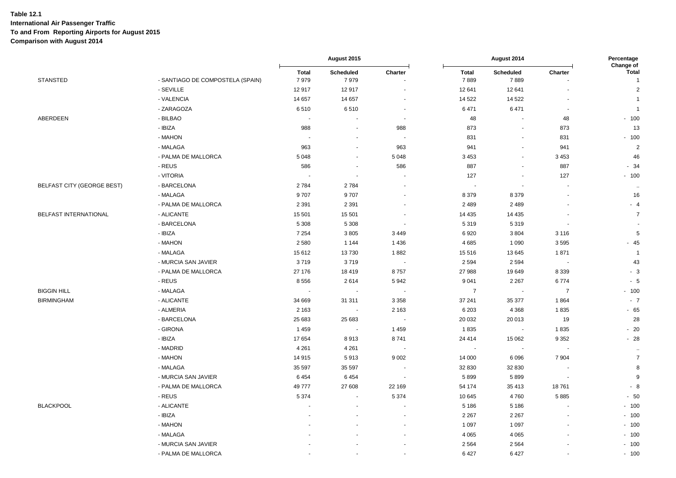|                            |                                  | August 2015              |                          |                          | August 2014              |                   |                          |                                      |
|----------------------------|----------------------------------|--------------------------|--------------------------|--------------------------|--------------------------|-------------------|--------------------------|--------------------------------------|
| <b>STANSTED</b>            | - SANTIAGO DE COMPOSTELA (SPAIN) | <b>Total</b><br>7979     | Scheduled<br>7979        | Charter                  | <b>Total</b><br>7889     | Scheduled<br>7889 | Charter                  | Change of<br>Total<br>$\overline{1}$ |
|                            | - SEVILLE                        | 12917                    | 12917                    |                          | 12 641                   | 12 641            |                          | $\overline{2}$                       |
|                            | - VALENCIA                       | 14 657                   | 14 657                   | $\blacksquare$           | 14 5 22                  | 14 5 22           | $\blacksquare$           | $\mathbf 1$                          |
|                            | - ZARAGOZA                       | 6510                     | 6510                     | $\sim$                   | 6471                     | 6471              | $\sim$                   | $\overline{1}$                       |
| ABERDEEN                   | - BILBAO                         | $\sim$                   | $\overline{\phantom{a}}$ | $\blacksquare$           | 48                       |                   | 48                       | $-100$                               |
|                            | - IBIZA                          | 988                      | $\sim$                   | 988                      | 873                      |                   | 873                      | 13                                   |
|                            | - MAHON                          | $\overline{\phantom{a}}$ | $\overline{\phantom{a}}$ | $\sim$                   | 831                      |                   | 831                      | $-100$                               |
|                            | - MALAGA                         | 963                      | $\blacksquare$           | 963                      | 941                      |                   | 941                      | $\overline{2}$                       |
|                            | - PALMA DE MALLORCA              | 5 0 4 8                  |                          | 5 0 4 8                  | 3 4 5 3                  |                   | 3 4 5 3                  | 46                                   |
|                            | - REUS                           | 586                      |                          | 586                      | 887                      |                   | 887                      | $-34$                                |
|                            | - VITORIA                        | $\overline{\phantom{a}}$ | $\overline{\phantom{a}}$ |                          | 127                      |                   | 127                      | $-100$                               |
| BELFAST CITY (GEORGE BEST) | - BARCELONA                      | 2784                     | 2784                     | $\overline{\phantom{a}}$ |                          |                   | $\overline{\phantom{a}}$ | $\ddot{\phantom{1}}$                 |
|                            | - MALAGA                         | 9707                     | 9707                     |                          | 8 3 7 9                  | 8379              | ٠                        | 16                                   |
|                            | - PALMA DE MALLORCA              | 2 3 9 1                  | 2 3 9 1                  |                          | 2 4 8 9                  | 2489              |                          | $-4$                                 |
| BELFAST INTERNATIONAL      | - ALICANTE                       | 15 501                   | 15 501                   |                          | 14 4 35                  | 14 4 35           |                          | $\overline{7}$                       |
|                            | - BARCELONA                      | 5 3 0 8                  | 5 3 0 8                  | $\blacksquare$           | 5 3 1 9                  | 5319              | $\sim$                   |                                      |
|                            | - IBIZA                          | 7 2 5 4                  | 3805                     | 3 4 4 9                  | 6920                     | 3804              | 3 1 1 6                  | $5\phantom{.0}$                      |
|                            | - MAHON                          | 2 5 8 0                  | 1 1 4 4                  | 1436                     | 4685                     | 1 0 9 0           | 3595                     | $-45$                                |
|                            | - MALAGA                         | 15 612                   | 13730                    | 1882                     | 15 5 16                  | 13645             | 1871                     | $\overline{1}$                       |
|                            | - MURCIA SAN JAVIER              | 3719                     | 3719                     | $\sim$                   | 2 5 9 4                  | 2 5 9 4           | $\overline{\phantom{a}}$ | 43                                   |
|                            | - PALMA DE MALLORCA              | 27 176                   | 18 4 19                  | 8757                     | 27 988                   | 19649             | 8 3 3 9                  | $-3$                                 |
|                            | - REUS                           | 8 5 5 6                  | 2614                     | 5942                     | 9 0 4 1                  | 2 2 6 7           | 6774                     | $-5$                                 |
| <b>BIGGIN HILL</b>         | - MALAGA                         |                          |                          |                          | $\overline{7}$           |                   | $\overline{7}$           | $-100$                               |
| <b>BIRMINGHAM</b>          | - ALICANTE                       | 34 669                   | 31 311                   | 3 3 5 8                  | 37 241                   | 35 377            | 1864                     | $-7$                                 |
|                            | - ALMERIA                        | 2 1 6 3                  | $\sim$                   | 2 1 6 3                  | 6 2 0 3                  | 4 3 6 8           | 1835                     | $-65$                                |
|                            | - BARCELONA                      | 25 683                   | 25 683                   | $\overline{\phantom{a}}$ | 20 032                   | 20 013            | 19                       | 28                                   |
|                            | - GIRONA                         | 1459                     | $\overline{\phantom{a}}$ | 1 4 5 9                  | 1835                     |                   | 1835                     | $-20$                                |
|                            | - IBIZA                          | 17 654                   | 8913                     | 8741                     | 24 4 14                  | 15 062            | 9 3 5 2                  | $-28$                                |
|                            | - MADRID                         | 4 2 6 1                  | 4 2 6 1                  | $\blacksquare$           | $\overline{\phantom{a}}$ | $\sim$            | $\overline{\phantom{a}}$ | $\cdot$                              |
|                            | - MAHON                          | 14 915                   | 5913                     | 9 0 0 2                  | 14 000                   | 6096              | 7 9 0 4                  | $\overline{7}$                       |
|                            | - MALAGA                         | 35 597                   | 35 5 97                  | $\sim$                   | 32 830                   | 32 830            | $\blacksquare$           | 8                                    |
|                            | - MURCIA SAN JAVIER              | 6454                     | 6454                     |                          | 5899                     | 5899              |                          | 9                                    |
|                            | - PALMA DE MALLORCA              | 49777                    | 27 608                   | 22 169                   | 54 174                   | 35 413            | 18761                    | $-8$                                 |
|                            | - REUS                           | 5 3 7 4                  | $\blacksquare$           | 5 3 7 4                  | 10 645                   | 4760              | 5885                     | $-50$                                |
| <b>BLACKPOOL</b>           | - ALICANTE                       |                          |                          | $\sim$                   | 5 1 8 6                  | 5 1 8 6           |                          | $-100$                               |
|                            | - IBIZA                          |                          |                          | $\blacksquare$           | 2 2 6 7                  | 2 2 6 7           |                          | $-100$                               |
|                            | - MAHON                          |                          |                          |                          | 1 0 9 7                  | 1 0 9 7           |                          | $-100$                               |
|                            | - MALAGA                         |                          |                          | $\blacksquare$           | 4 0 6 5                  | 4 0 6 5           | ä,                       | $-100$                               |
|                            | - MURCIA SAN JAVIER              |                          |                          |                          | 2564                     | 2 5 6 4           |                          | $-100$                               |
|                            | - PALMA DE MALLORCA              |                          |                          | $\blacksquare$           | 6427                     | 6427              | ä,                       | $-100$                               |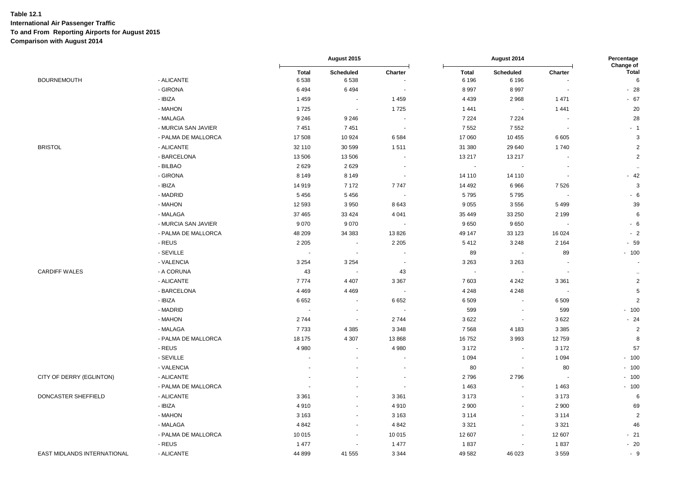|                             |                     | August 2015              |                          |                          | August 2014             |                          |                          |                                |
|-----------------------------|---------------------|--------------------------|--------------------------|--------------------------|-------------------------|--------------------------|--------------------------|--------------------------------|
| <b>BOURNEMOUTH</b>          | - ALICANTE          | <b>Total</b><br>6538     | Scheduled<br>6538        | Charter                  | <b>Total</b><br>6 1 9 6 | Scheduled<br>6 1 9 6     | Charter                  | Change of<br><b>Total</b><br>6 |
|                             | - GIRONA            | 6494                     | 6494                     |                          | 8997                    | 8997                     |                          | $-28$                          |
|                             | - IBIZA             | 1 4 5 9                  |                          | 1 4 5 9                  | 4 4 3 9                 | 2968                     | 1 4 7 1                  | $-67$                          |
|                             | - MAHON             | 1725                     | $\sim$                   | 1725                     | 1 4 4 1                 | $\sim$                   | 1441                     | 20                             |
|                             | - MALAGA            | 9 2 4 6                  | 9 2 4 6                  | $\overline{\phantom{a}}$ | 7 2 2 4                 | 7 2 2 4                  | $\overline{\phantom{a}}$ | 28                             |
|                             | - MURCIA SAN JAVIER | 7451                     | 7451                     | $\overline{\phantom{a}}$ | 7552                    | 7552                     |                          | $-1$                           |
|                             | - PALMA DE MALLORCA | 17 508                   | 10 924                   | 6584                     | 17 060                  | 10 455                   | 6 6 0 5                  | 3                              |
| <b>BRISTOL</b>              | - ALICANTE          | 32 110                   | 30 599                   | 1511                     | 31 380                  | 29 640                   | 1740                     | $\sqrt{2}$                     |
|                             | - BARCELONA         | 13 506                   | 13 506                   | $\overline{\phantom{a}}$ | 13 217                  | 13 217                   |                          | $\overline{2}$                 |
|                             | - BILBAO            | 2629                     | 2629                     | $\overline{\phantom{a}}$ | $\sim$                  | $\blacksquare$           | $\overline{\phantom{a}}$ | $\ddot{\phantom{1}}$           |
|                             | - GIRONA            | 8 1 4 9                  | 8 1 4 9                  | $\blacksquare$           | 14 110                  | 14 110                   |                          | $-42$                          |
|                             | - IBIZA             | 14 919                   | 7 1 7 2                  | 7747                     | 14 4 9 2                | 6966                     | 7526                     | $\mathsf 3$                    |
|                             | - MADRID            | 5456                     | 5456                     | $\overline{\phantom{a}}$ | 5795                    | 5795                     |                          | $-6$                           |
|                             | - MAHON             | 12 593                   | 3 9 5 0                  | 8643                     | 9 0 5 5                 | 3556                     | 5499                     | 39                             |
|                             | - MALAGA            | 37 465                   | 33 4 24                  | 4 0 4 1                  | 35 449                  | 33 250                   | 2 1 9 9                  | 6                              |
|                             | - MURCIA SAN JAVIER | 9070                     | 9 0 7 0                  |                          | 9650                    | 9650                     |                          | $-6$                           |
|                             | - PALMA DE MALLORCA | 48 209                   | 34 383                   | 13826                    | 49 147                  | 33 1 23                  | 16 0 24                  | $-2$                           |
|                             | - REUS              | 2 2 0 5                  | $\overline{\phantom{a}}$ | 2 2 0 5                  | 5412                    | 3 2 4 8                  | 2 1 6 4                  | $-59$                          |
|                             | - SEVILLE           |                          |                          | $\blacksquare$           | 89                      | $\sim$                   | 89                       | $-100$                         |
|                             | - VALENCIA          | 3 2 5 4                  | 3 2 5 4                  |                          | 3 2 6 3                 | 3 2 6 3                  |                          |                                |
| <b>CARDIFF WALES</b>        | - A CORUNA          | 43                       | $\overline{\phantom{a}}$ | 43                       | $\sim$                  | $\blacksquare$           | $\blacksquare$           | $\ddot{\phantom{1}}$ .         |
|                             | - ALICANTE          | 7774                     | 4 4 0 7                  | 3 3 6 7                  | 7603                    | 4 2 4 2                  | 3 3 6 1                  | $\overline{c}$                 |
|                             | - BARCELONA         | 4 4 6 9                  | 4 4 6 9                  |                          | 4 2 4 8                 | 4 2 4 8                  | $\sim$                   | $5\phantom{.0}$                |
|                             | - IBIZA             | 6652                     |                          | 6652                     | 6509                    | $\sim$                   | 6509                     | 2                              |
|                             | - MADRID            | $\overline{\phantom{a}}$ |                          | $\overline{\phantom{a}}$ | 599                     | $\overline{\phantom{a}}$ | 599                      | $-100$                         |
|                             | - MAHON             | 2 7 4 4                  | $\sim$                   | 2744                     | 3 6 2 2                 | $\sim$                   | 3622                     | $-24$                          |
|                             | - MALAGA            | 7733                     | 4 3 8 5                  | 3 3 4 8                  | 7568                    | 4 1 8 3                  | 3 3 8 5                  | $\overline{2}$                 |
|                             | - PALMA DE MALLORCA | 18 175                   | 4 3 0 7                  | 13 868                   | 16752                   | 3993                     | 12759                    | 8                              |
|                             | - REUS              | 4 9 8 0                  |                          | 4 9 8 0                  | 3 1 7 2                 |                          | 3 1 7 2                  | 57                             |
|                             | - SEVILLE           |                          |                          | $\sim$                   | 1 0 9 4                 | $\sim$                   | 1 0 9 4                  | $-100$                         |
|                             | - VALENCIA          |                          |                          |                          | 80                      | $\sim$                   | 80                       | $-100$                         |
| CITY OF DERRY (EGLINTON)    | - ALICANTE          |                          |                          | $\blacksquare$           | 2796                    | 2796                     | $\overline{\phantom{a}}$ | $-100$                         |
|                             | - PALMA DE MALLORCA |                          |                          |                          | 1 4 6 3                 | $\sim$                   | 1463                     | $-100$                         |
| DONCASTER SHEFFIELD         | - ALICANTE          | 3 3 6 1                  |                          | 3 3 6 1                  | 3 1 7 3                 | $\blacksquare$           | 3 1 7 3                  | 6                              |
|                             | - IBIZA             | 4910                     |                          | 4910                     | 2 9 0 0                 | $\sim$                   | 2 9 0 0                  | 69                             |
|                             | - MAHON             | 3 1 6 3                  | $\sim$                   | 3 1 6 3                  | 3 1 1 4                 | $\blacksquare$           | 3 1 1 4                  | $\overline{2}$                 |
|                             | - MALAGA            | 4 8 4 2                  | $\blacksquare$           | 4 8 4 2                  | 3 3 2 1                 | $\blacksquare$           | 3 3 2 1                  | 46                             |
|                             | - PALMA DE MALLORCA | 10 015                   |                          | 10 015                   | 12 607                  | $\blacksquare$           | 12 607                   | $-21$                          |
|                             | - REUS              | 1 477                    |                          | 1 477                    | 1837                    | $\blacksquare$           | 1837                     | $-20$                          |
| EAST MIDLANDS INTERNATIONAL | - ALICANTE          | 44 899                   | 41 555                   | 3 3 4 4                  | 49 582                  | 46 023                   | 3559                     | $-9$                           |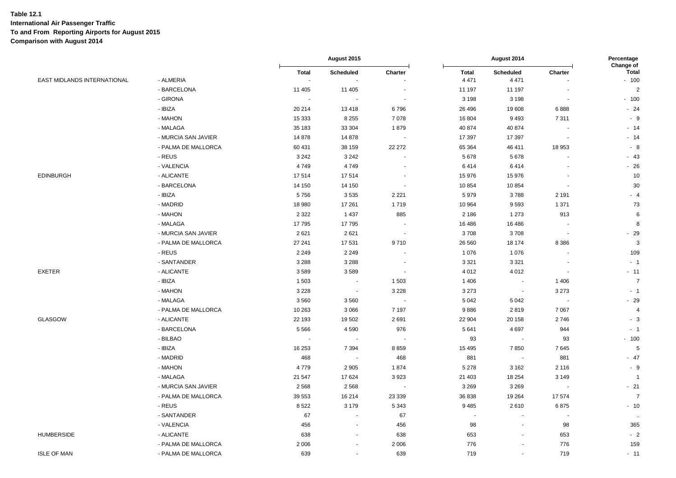|                             |                     | August 2015  |                          |                          | August 2014             |                      |         |                                     |
|-----------------------------|---------------------|--------------|--------------------------|--------------------------|-------------------------|----------------------|---------|-------------------------------------|
| EAST MIDLANDS INTERNATIONAL | - ALMERIA           | <b>Total</b> | Scheduled<br>$\sim$      | Charter                  | <b>Total</b><br>4 4 7 1 | Scheduled<br>4 4 7 1 | Charter | Change of<br><b>Total</b><br>$-100$ |
|                             | - BARCELONA         | 11 405       | 11 405                   |                          | 11 197                  | 11 197               |         | $\overline{2}$                      |
|                             | - GIRONA            | ÷.           | $\sim$                   | $\overline{a}$           | 3 1 9 8                 | 3 1 9 8              |         | $-100$                              |
|                             | - IBIZA             | 20 214       | 13418                    | 6796                     | 26 4 96                 | 19608                | 6888    | $-24$                               |
|                             | - MAHON             | 15 3 33      | 8 2 5 5                  | 7078                     | 16 804                  | 9493                 | 7311    | - 9                                 |
|                             | - MALAGA            | 35 183       | 33 304                   | 1879                     | 40 874                  | 40 874               |         | $-14$                               |
|                             | - MURCIA SAN JAVIER | 14878        | 14 878                   |                          | 17 397                  | 17 397               |         | $-14$                               |
|                             | - PALMA DE MALLORCA | 60 431       | 38 159                   | 22 27 2                  | 65 3 64                 | 46 411               | 18 953  | $-8$                                |
|                             | - REUS              | 3 2 4 2      | 3 2 4 2                  |                          | 5678                    | 5678                 |         | $-43$                               |
|                             | - VALENCIA          | 4749         | 4749                     |                          | 6414                    | 6414                 |         | $-26$                               |
| <b>EDINBURGH</b>            | - ALICANTE          | 17514        | 17514                    |                          | 15 976                  | 15976                |         | 10                                  |
|                             | - BARCELONA         | 14 150       | 14 150                   | $\overline{\phantom{a}}$ | 10 854                  | 10854                |         | 30                                  |
|                             | - IBIZA             | 5756         | 3535                     | 2 2 2 1                  | 5979                    | 3788                 | 2 1 9 1 | $-4$                                |
|                             | - MADRID            | 18 980       | 17 261                   | 1719                     | 10 964                  | 9593                 | 1 3 7 1 | 73                                  |
|                             | - MAHON             | 2 3 2 2      | 1 4 3 7                  | 885                      | 2 1 8 6                 | 1 2 7 3              | 913     | 6                                   |
|                             | - MALAGA            | 17795        | 17795                    |                          | 16 48 6                 | 16 4 8 6             |         | 8                                   |
|                             | - MURCIA SAN JAVIER | 2621         | 2621                     | $\blacksquare$           | 3708                    | 3708                 | $\sim$  | $-29$                               |
|                             | - PALMA DE MALLORCA | 27 241       | 17 531                   | 9710                     | 26 560                  | 18 174               | 8 3 8 6 | 3                                   |
|                             | - REUS              | 2 2 4 9      | 2 2 4 9                  |                          | 1 0 7 6                 | 1076                 |         | 109                                 |
|                             | - SANTANDER         | 3 2 8 8      | 3 2 8 8                  |                          | 3 3 2 1                 | 3 3 2 1              |         | $-1$                                |
| <b>EXETER</b>               | - ALICANTE          | 3589         | 3589                     |                          | 4 0 1 2                 | 4 0 1 2              |         | $-11$                               |
|                             | - IBIZA             | 1 503        | $\sim$                   | 1503                     | 1 4 0 6                 | $\blacksquare$       | 1 4 0 6 | $\overline{7}$                      |
|                             | - MAHON             | 3 2 2 8      | $\sim$                   | 3 2 2 8                  | 3 2 7 3                 | $\blacksquare$       | 3 2 7 3 | $-1$                                |
|                             | - MALAGA            | 3560         | 3560                     |                          | 5 0 4 2                 | 5 0 4 2              |         | $-29$                               |
|                             | - PALMA DE MALLORCA | 10 263       | 3 0 6 6                  | 7 1 9 7                  | 9886                    | 2819                 | 7 0 6 7 | $\overline{4}$                      |
| GLASGOW                     | - ALICANTE          | 22 193       | 19 502                   | 2691                     | 22 904                  | 20 158               | 2746    | $-3$                                |
|                             | - BARCELONA         | 5566         | 4 5 9 0                  | 976                      | 5 6 4 1                 | 4697                 | 944     | $-1$                                |
|                             | - BILBAO            |              |                          |                          | 93                      | $\blacksquare$       | 93      | $-100$                              |
|                             | - IBIZA             | 16 253       | 7 3 9 4                  | 8859                     | 15 4 95                 | 7850                 | 7645    | 5                                   |
|                             | - MADRID            | 468          | $\blacksquare$           | 468                      | 881                     | $\blacksquare$       | 881     | $-47$                               |
|                             | - MAHON             | 4779         | 2 9 0 5                  | 1874                     | 5 2 7 8                 | 3 1 6 2              | 2 1 1 6 | $-9$                                |
|                             | - MALAGA            | 21 547       | 17624                    | 3923                     | 21 403                  | 18 254               | 3 1 4 9 | -1                                  |
|                             | - MURCIA SAN JAVIER | 2568         | 2 5 6 8                  |                          | 3 2 6 9                 | 3 2 6 9              |         | $-21$                               |
|                             | - PALMA DE MALLORCA | 39 553       | 16 214                   | 23 339                   | 36 838                  | 19 2 64              | 17574   | $\overline{7}$                      |
|                             | - REUS              | 8522         | 3 1 7 9                  | 5 3 4 3                  | 9485                    | 2610                 | 6875    | $-10$                               |
|                             | - SANTANDER         | 67           | $\sim$                   | 67                       | $\sim$                  | $\blacksquare$       |         | $\sim$                              |
|                             | - VALENCIA          | 456          |                          | 456                      | 98                      | $\blacksquare$       | 98      | 365                                 |
| <b>HUMBERSIDE</b>           | - ALICANTE          | 638          | $\blacksquare$           | 638                      | 653                     | $\mathbf{r}$         | 653     | $-2$                                |
|                             | - PALMA DE MALLORCA | 2 0 0 6      | $\overline{\phantom{a}}$ | 2 0 0 6                  | 776                     | $\blacksquare$       | 776     | 159                                 |
| <b>ISLE OF MAN</b>          | - PALMA DE MALLORCA | 639          | $\overline{\phantom{a}}$ | 639                      | 719                     | $\blacksquare$       | 719     | $-11$                               |
|                             |                     |              |                          |                          |                         |                      |         |                                     |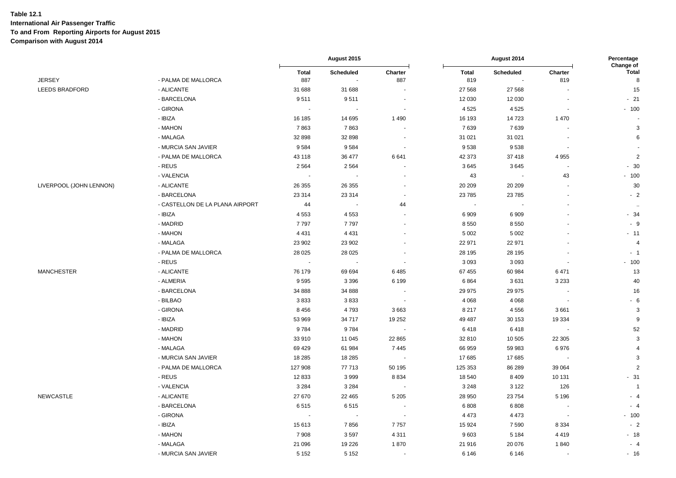|                         |                                 | August 2015  |                          | August 2014              |              |           | Percentage<br>Change of  |                |
|-------------------------|---------------------------------|--------------|--------------------------|--------------------------|--------------|-----------|--------------------------|----------------|
|                         |                                 | <b>Total</b> | Scheduled                | Charter                  | <b>Total</b> | Scheduled | Charter                  | <b>Total</b>   |
| <b>JERSEY</b>           | - PALMA DE MALLORCA             | 887          | $\blacksquare$           | 887                      | 819          |           | 819                      | 8              |
| LEEDS BRADFORD          | - ALICANTE                      | 31 688       | 31 688                   | $\sim$                   | 27 5 68      | 27 5 68   | $\sim$                   | 15             |
|                         | - BARCELONA                     | 9511         | 9511                     | $\blacksquare$           | 12 030       | 12 030    | $\sim$                   | $-21$          |
|                         | - GIRONA                        | $\sim$       | $\overline{\phantom{a}}$ | $\sim$                   | 4 5 2 5      | 4525      | $\sim$                   | $-100$         |
|                         | - IBIZA                         | 16 185       | 14 695                   | 1 4 9 0                  | 16 193       | 14723     | 1 4 7 0                  |                |
|                         | - MAHON                         | 7863         | 7863                     |                          | 7639         | 7639      |                          | $\mathbf{3}$   |
|                         | - MALAGA                        | 32 898       | 32 898                   | $\overline{\phantom{a}}$ | 31 021       | 31 0 21   |                          | 6              |
|                         | - MURCIA SAN JAVIER             | 9584         | 9584                     | $\sim$                   | 9538         | 9538      | $\sim$                   |                |
|                         | - PALMA DE MALLORCA             | 43 118       | 36 477                   | 6641                     | 42 373       | 37418     | 4 9 5 5                  | $\overline{2}$ |
|                         | - REUS                          | 2 5 6 4      | 2564                     |                          | 3645         | 3645      | $\blacksquare$           | $-30$          |
|                         | - VALENCIA                      | $\sim$       | $\sim$                   |                          | 43           | $\sim$    | 43                       | $-100$         |
| LIVERPOOL (JOHN LENNON) | - ALICANTE                      | 26 355       | 26 355                   |                          | 20 20 9      | 20 20 9   | $\blacksquare$           | 30             |
|                         | - BARCELONA                     | 23 314       | 23 314                   | $\blacksquare$           | 23 7 85      | 23785     | $\sim$                   | $-2$           |
|                         | - CASTELLON DE LA PLANA AIRPORT | 44           | $\overline{\phantom{a}}$ | 44                       |              |           |                          | $\sim$         |
|                         | - IBIZA                         | 4 5 5 3      | 4 5 5 3                  |                          | 6909         | 6909      |                          | $-34$          |
|                         | - MADRID                        | 7797         | 7797                     | $\sim$                   | 8550         | 8550      |                          | $-9$           |
|                         | - MAHON                         | 4 4 3 1      | 4 4 3 1                  |                          | 5 0 0 2      | 5 0 0 2   |                          | $-11$          |
|                         | - MALAGA                        | 23 902       | 23 902                   |                          | 22 971       | 22 971    |                          | $\overline{4}$ |
|                         | - PALMA DE MALLORCA             | 28 0 25      | 28 0 25                  |                          | 28 195       | 28 195    |                          | $-1$           |
|                         | - REUS                          | $\sim$       | $\sim$                   | $\blacksquare$           | 3 0 9 3      | 3 0 9 3   | $\sim$                   | $-100$         |
| <b>MANCHESTER</b>       | - ALICANTE                      | 76 179       | 69 694                   | 6485                     | 67 455       | 60 984    | 6471                     | 13             |
|                         | - ALMERIA                       | 9595         | 3 3 9 6                  | 6 1 9 9                  | 6864         | 3631      | 3 2 3 3                  | 40             |
|                         | - BARCELONA                     | 34 888       | 34 888                   | $\sim$                   | 29 975       | 29 975    | $\sim$                   | 16             |
|                         | - BILBAO                        | 3833         | 3833                     | $\overline{\phantom{a}}$ | 4 0 68       | 4 0 6 8   | $\sim$                   | $-6$           |
|                         | - GIRONA                        | 8 4 5 6      | 4793                     | 3663                     | 8 2 1 7      | 4556      | 3661                     | $\mathbf{3}$   |
|                         | - IBIZA                         | 53 969       | 34 717                   | 19 252                   | 49 487       | 30 153    | 19 3 34                  | 9              |
|                         | - MADRID                        | 9784         | 9784                     | $\sim$ 10 $\pm$          | 6418         | 6418      | $\overline{\phantom{a}}$ | 52             |
|                         | - MAHON                         | 33 910       | 11 045                   | 22 865                   | 32 810       | 10 505    | 22 30 5                  | $\mathbf{3}$   |
|                         | - MALAGA                        | 69 4 29      | 61 984                   | 7445                     | 66 959       | 59 983    | 6976                     | $\overline{a}$ |
|                         | - MURCIA SAN JAVIER             | 18 2 8 5     | 18 28 5                  | $\sim$                   | 17685        | 17685     | $\sim$                   | $\mathsf 3$    |
|                         | - PALMA DE MALLORCA             | 127 908      | 77 713                   | 50 195                   | 125 353      | 86 289    | 39 064                   | $\overline{2}$ |
|                         | - REUS                          | 12 833       | 3999                     | 8834                     | 18 540       | 8 4 0 9   | 10 131                   | $-31$          |
|                         | - VALENCIA                      | 3 2 8 4      | 3 2 8 4                  |                          | 3 2 4 8      | 3 1 2 2   | 126                      | $\overline{1}$ |
| NEWCASTLE               | - ALICANTE                      | 27 670       | 22 4 65                  | 5 2 0 5                  | 28 950       | 23754     | 5 1 9 6                  | $-4$           |
|                         | - BARCELONA                     | 6515         | 6515                     | $\overline{\phantom{a}}$ | 6808         | 6808      | $\sim$                   | $-4$           |
|                         | - GIRONA                        | $\sim$       | $\sim$                   | $\sim$                   | 4 4 7 3      | 4 4 7 3   | $\sim$                   | $-100$         |
|                         | - IBIZA                         | 15 613       | 7856                     | 7757                     | 15 9 24      | 7590      | 8 3 3 4                  | $-2$           |
|                         | - MAHON                         | 7908         | 3597                     | 4 3 1 1                  | 9603         | 5 1 8 4   | 4 4 1 9                  | $-18$          |
|                         | - MALAGA                        | 21 096       | 19 2 26                  | 1870                     | 21 916       | 20 076    | 1840                     | $-4$           |
|                         | - MURCIA SAN JAVIER             | 5 1 5 2      | 5 1 5 2                  |                          | 6 1 4 6      | 6 1 4 6   |                          | $-16$          |
|                         |                                 |              |                          |                          |              |           |                          |                |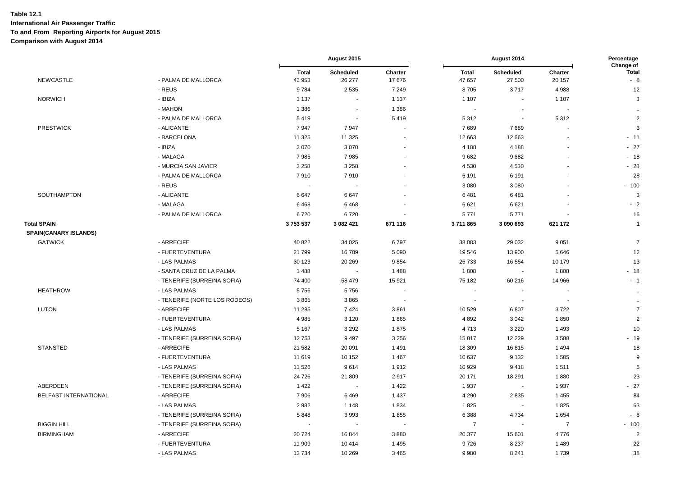|                       |                               |                        | August 2015                |                  |                          | August 2014                |                   | Percentage                        |
|-----------------------|-------------------------------|------------------------|----------------------------|------------------|--------------------------|----------------------------|-------------------|-----------------------------------|
| <b>NEWCASTLE</b>      | - PALMA DE MALLORCA           | <b>Total</b><br>43 953 | <b>Scheduled</b><br>26 277 | Charter<br>17676 | <b>Total</b><br>47 657   | <b>Scheduled</b><br>27 500 | Charter<br>20 157 | Change of<br><b>Total</b><br>$-8$ |
|                       | - REUS                        | 9784                   | 2 5 3 5                    | 7 2 4 9          | 8705                     | 3717                       | 4988              | 12                                |
| <b>NORWICH</b>        | - IBIZA                       | 1 1 3 7                |                            | 1 1 3 7          | 1 107                    |                            | 1 1 0 7           | 3                                 |
|                       | - MAHON                       | 1 3 8 6                |                            | 1 3 8 6          |                          |                            |                   |                                   |
|                       | - PALMA DE MALLORCA           | 5419                   | $\sim$                     | 5419             | 5 3 1 2                  | $\sim$                     | 5312              | $\sqrt{2}$                        |
| <b>PRESTWICK</b>      | - ALICANTE                    | 7947                   | 7947                       |                  | 7689                     | 7689                       |                   | 3                                 |
|                       | - BARCELONA                   | 11 3 25                | 11 3 25                    |                  | 12 663                   | 12 663                     |                   | $-11$                             |
|                       | - IBIZA                       | 3 0 7 0                | 3 0 7 0                    |                  | 4 1 8 8                  | 4 1 8 8                    |                   | $-27$                             |
|                       | - MALAGA                      | 7985                   | 7985                       |                  | 9682                     | 9682                       |                   | $-18$                             |
|                       | - MURCIA SAN JAVIER           | 3 2 5 8                | 3 2 5 8                    |                  | 4530                     | 4530                       |                   | $-28$                             |
|                       | - PALMA DE MALLORCA           | 7910                   | 7910                       |                  | 6 1 9 1                  | 6 1 9 1                    |                   | 28                                |
|                       | - REUS                        |                        |                            |                  | 3 0 8 0                  | 3 0 8 0                    |                   | $-100$                            |
| SOUTHAMPTON           | - ALICANTE                    | 6647                   | 6647                       |                  | 6481                     | 6481                       |                   | 3                                 |
|                       | - MALAGA                      | 6468                   | 6468                       |                  | 6 6 21                   | 6621                       |                   | $-2$                              |
|                       | - PALMA DE MALLORCA           | 6720                   | 6720                       |                  | 5771                     | 5771                       |                   | 16                                |
| <b>Total SPAIN</b>    |                               | 3753537                | 3 082 421                  | 671 116          | 3711865                  | 3 090 693                  | 621 172           | $\mathbf{1}$                      |
| SPAIN(CANARY ISLANDS) |                               |                        |                            |                  |                          |                            |                   |                                   |
| <b>GATWICK</b>        | - ARRECIFE                    | 40 822                 | 34 0 25                    | 6797             | 38 083                   | 29 0 32                    | 9 0 5 1           | $\overline{7}$                    |
|                       | - FUERTEVENTURA               | 21 799                 | 16709                      | 5 0 9 0          | 19 546                   | 13 900                     | 5646              | 12                                |
|                       | - LAS PALMAS                  | 30 123                 | 20 26 9                    | 9854             | 26 733                   | 16 5 54                    | 10 179            | 13                                |
|                       | - SANTA CRUZ DE LA PALMA      | 1488                   | $\sim$                     | 1488             | 1808                     | $\sim$                     | 1808              | $-18$                             |
|                       | - TENERIFE (SURREINA SOFIA)   | 74 400                 | 58 479                     | 15 9 21          | 75 182                   | 60 216                     | 14 966            | $-1$                              |
| <b>HEATHROW</b>       | - LAS PALMAS                  | 5756                   | 5756                       |                  | $\overline{\phantom{a}}$ | $\blacksquare$             |                   | $\sim$                            |
|                       | - TENERIFE (NORTE LOS RODEOS) | 3865                   | 3865                       |                  |                          |                            |                   | $\bullet\bullet$                  |
| <b>LUTON</b>          | - ARRECIFE                    | 11 285                 | 7424                       | 3861             | 10 529                   | 6807                       | 3722              | $\overline{7}$                    |
|                       | - FUERTEVENTURA               | 4 9 8 5                | 3 1 2 0                    | 1865             | 4 8 9 2                  | 3042                       | 1850              | $\overline{2}$                    |
|                       | - LAS PALMAS                  | 5 1 6 7                | 3 2 9 2                    | 1875             | 4713                     | 3 2 2 0                    | 1 4 9 3           | 10                                |
|                       | - TENERIFE (SURREINA SOFIA)   | 12753                  | 9 4 9 7                    | 3 2 5 6          | 15817                    | 12 2 2 9                   | 3588              | $-19$                             |
| <b>STANSTED</b>       | - ARRECIFE                    | 21 582                 | 20 091                     | 1491             | 18 309                   | 16815                      | 1 4 9 4           | 18                                |
|                       | - FUERTEVENTURA               | 11 619                 | 10 152                     | 1 4 6 7          | 10 637                   | 9 1 3 2                    | 1505              | 9                                 |
|                       | - LAS PALMAS                  | 11 526                 | 9614                       | 1912             | 10 929                   | 9418                       | 1511              | 5                                 |
|                       | - TENERIFE (SURREINA SOFIA)   | 24 7 26                | 21 809                     | 2917             | 20 171                   | 18 291                     | 1880              | 23                                |
| ABERDEEN              | - TENERIFE (SURREINA SOFIA)   | 1422                   |                            | 1422             | 1937                     |                            | 1937              | $-27$                             |
| BELFAST INTERNATIONAL | - ARRECIFE                    | 7906                   | 6469                       | 1 4 3 7          | 4 2 9 0                  | 2835                       | 1 4 5 5           | 84                                |
|                       | - LAS PALMAS                  | 2982                   | 1 1 4 8                    | 1834             | 1825                     | $\sim$                     | 1825              | 63                                |
|                       | - TENERIFE (SURREINA SOFIA)   | 5848                   | 3993                       | 1855             | 6 3 8 8                  | 4 7 3 4                    | 1654              | $-8$                              |
| <b>BIGGIN HILL</b>    | - TENERIFE (SURREINA SOFIA)   |                        |                            |                  | $\overline{7}$           | $\blacksquare$             | $\overline{7}$    | $-100$                            |
| <b>BIRMINGHAM</b>     | - ARRECIFE                    | 20 7 24                | 16 844                     | 3880             | 20 377                   | 15 601                     | 4776              | $\overline{2}$                    |
|                       | - FUERTEVENTURA               | 11 909                 | 10414                      | 1 4 9 5          | 9726                     | 8 2 3 7                    | 1489              | 22                                |
|                       | - LAS PALMAS                  | 13734                  | 10 269                     | 3 4 6 5          | 9 9 8 0                  | 8 2 4 1                    | 1739              | 38                                |
|                       |                               |                        |                            |                  |                          |                            |                   |                                   |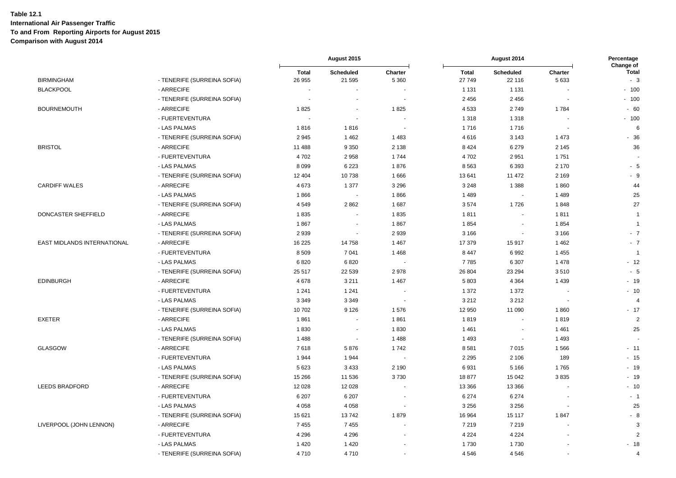|                                    |                             |                        | August 2015              |                    |                        | August 2014                                |                 | Percentage                        |  |
|------------------------------------|-----------------------------|------------------------|--------------------------|--------------------|------------------------|--------------------------------------------|-----------------|-----------------------------------|--|
| <b>BIRMINGHAM</b>                  | - TENERIFE (SURREINA SOFIA) | <b>Total</b><br>26 955 | Scheduled<br>21 595      | Charter<br>5 3 6 0 | <b>Total</b><br>27 749 | <b>Scheduled</b><br>22 116                 | Charter<br>5633 | Change of<br><b>Total</b><br>$-3$ |  |
| <b>BLACKPOOL</b>                   | - ARRECIFE                  |                        |                          |                    | 1 1 3 1                | 1 1 3 1                                    |                 | $-100$                            |  |
|                                    | - TENERIFE (SURREINA SOFIA) |                        |                          |                    | 2 4 5 6                | 2 4 5 6                                    |                 | $-100$                            |  |
| <b>BOURNEMOUTH</b>                 | - ARRECIFE                  | 1825                   |                          | 1825               | 4533                   | 2749                                       | 1784            | $-60$                             |  |
|                                    | - FUERTEVENTURA             |                        |                          |                    | 1 3 1 8                | 1 3 1 8                                    |                 | $-100$                            |  |
|                                    | - LAS PALMAS                | 1816                   | 1816                     |                    | 1716                   | 1716                                       |                 | 6                                 |  |
|                                    | - TENERIFE (SURREINA SOFIA) | 2945                   | 1462                     | 1483               | 4616                   | 3 1 4 3                                    | 1 4 7 3         | $-36$                             |  |
| <b>BRISTOL</b>                     | - ARRECIFE                  | 11 488                 | 9 3 5 0                  | 2 1 3 8            | 8 4 2 4                | 6 2 7 9                                    | 2 1 4 5         | 36                                |  |
|                                    | - FUERTEVENTURA             | 4702                   | 2958                     | 1744               | 4702                   | 2951                                       | 1751            |                                   |  |
|                                    | - LAS PALMAS                | 8 0 9 9                | 6 2 2 3                  | 1876               | 8563                   | 6393                                       | 2 170           | $-5$                              |  |
|                                    | - TENERIFE (SURREINA SOFIA) | 12 404                 | 10738                    | 1666               | 13641                  | 11 472                                     | 2 1 6 9         | - 9                               |  |
| <b>CARDIFF WALES</b>               | - ARRECIFE                  | 4673                   | 1 377                    | 3 2 9 6            | 3 2 4 8                | 1 3 8 8                                    | 1860            | 44                                |  |
|                                    | - LAS PALMAS                | 1866                   |                          | 1866               | 1 4 8 9                | $\blacksquare$                             | 1 4 8 9         | 25                                |  |
|                                    | - TENERIFE (SURREINA SOFIA) | 4549                   | 2 8 6 2                  | 1687               | 3574                   | 1726                                       | 1848            | 27                                |  |
| DONCASTER SHEFFIELD                | - ARRECIFE                  | 1835                   |                          | 1835               | 1811                   | $\blacksquare$                             | 1811            | $\overline{1}$                    |  |
|                                    | - LAS PALMAS                | 1867                   |                          | 1867               | 1854                   |                                            | 1854            | $\overline{1}$                    |  |
|                                    | - TENERIFE (SURREINA SOFIA) | 2939                   |                          | 2 9 3 9            | 3 1 6 6                | $\overline{\phantom{a}}$                   | 3 1 6 6         | $-7$                              |  |
| <b>EAST MIDLANDS INTERNATIONAL</b> | - ARRECIFE                  | 16 2 25                | 14758                    | 1 4 6 7            | 17 379                 | 15917                                      | 1 4 6 2         | $-7$                              |  |
|                                    | - FUERTEVENTURA             | 8 5 0 9                | 7 0 4 1                  | 1468               | 8 4 4 7                | 6992                                       | 1 4 5 5         | $\overline{1}$                    |  |
|                                    | - LAS PALMAS                | 6820                   | 6820                     |                    | 7785                   | 6 3 0 7                                    | 1 4 7 8         | $-12$                             |  |
|                                    | - TENERIFE (SURREINA SOFIA) | 25 517                 | 22 539                   | 2978               | 26 804                 | 23 294                                     | 3510            | $-5$                              |  |
| <b>EDINBURGH</b>                   | - ARRECIFE                  | 4678                   | 3 2 1 1                  | 1 4 6 7            | 5803                   | 4 3 6 4                                    | 1 4 3 9         | $-19$                             |  |
|                                    | - FUERTEVENTURA             | 1 2 4 1                | 1 2 4 1                  |                    | 1 3 7 2                | 1 3 7 2                                    |                 | $-10$                             |  |
|                                    | - LAS PALMAS                | 3 3 4 9                | 3 3 4 9                  |                    | 3 2 1 2                | 3 2 1 2                                    |                 | $\overline{4}$                    |  |
|                                    | - TENERIFE (SURREINA SOFIA) | 10702                  | 9 1 2 6                  | 1576               | 12 950                 | 11 090                                     | 1860            | $-17$                             |  |
| <b>EXETER</b>                      | - ARRECIFE                  | 1861                   |                          | 1861               | 1819                   | $\blacksquare$                             | 1819            | $\sqrt{2}$                        |  |
|                                    | - LAS PALMAS                | 1830                   |                          | 1830               | 1461                   |                                            | 1461            | 25                                |  |
|                                    |                             | 1488                   | $\overline{\phantom{a}}$ | 1488               | 1 4 9 3                | $\overline{\phantom{a}}$<br>$\blacksquare$ | 1 4 9 3         |                                   |  |
| <b>GLASGOW</b>                     | - TENERIFE (SURREINA SOFIA) |                        |                          |                    |                        |                                            |                 |                                   |  |
|                                    | - ARRECIFE                  | 7618                   | 5876                     | 1742               | 8581                   | 7015                                       | 1566            | $-11$                             |  |
|                                    | - FUERTEVENTURA             | 1944                   | 1944                     |                    | 2 2 9 5                | 2 1 0 6                                    | 189             | $-15$                             |  |
|                                    | - LAS PALMAS                | 5 6 23                 | 3 4 3 3                  | 2 1 9 0            | 6931                   | 5 1 6 6                                    | 1765            | $-19$                             |  |
|                                    | - TENERIFE (SURREINA SOFIA) | 15 26 6                | 11 536                   | 3730               | 18877                  | 15 042                                     | 3835            | $-19$                             |  |
| <b>LEEDS BRADFORD</b>              | - ARRECIFE                  | 12 0 28                | 12 0 28                  |                    | 13 3 66                | 13 3 66                                    |                 | $-10$                             |  |
|                                    | - FUERTEVENTURA             | 6 207                  | 6 207                    |                    | 6 2 7 4                | 6 2 7 4                                    |                 | $-1$                              |  |
|                                    | - LAS PALMAS                | 4 0 5 8                | 4 0 5 8                  |                    | 3 2 5 6                | 3 2 5 6                                    |                 | 25                                |  |
|                                    | - TENERIFE (SURREINA SOFIA) | 15 621                 | 13742                    | 1879               | 16 964                 | 15 117                                     | 1847            | $-8$                              |  |
| LIVERPOOL (JOHN LENNON)            | - ARRECIFE                  | 7455                   | 7455                     |                    | 7 2 1 9                | 7 2 1 9                                    |                 | 3                                 |  |
|                                    | - FUERTEVENTURA             | 4 2 9 6                | 4 2 9 6                  |                    | 4 2 2 4                | 4 2 2 4                                    |                 | 2                                 |  |
|                                    | - LAS PALMAS                | 1 4 2 0                | 1420                     |                    | 1730                   | 1730                                       |                 | $-18$                             |  |
|                                    | - TENERIFE (SURREINA SOFIA) | 4710                   | 4710                     |                    | 4546                   | 4546                                       |                 | 4                                 |  |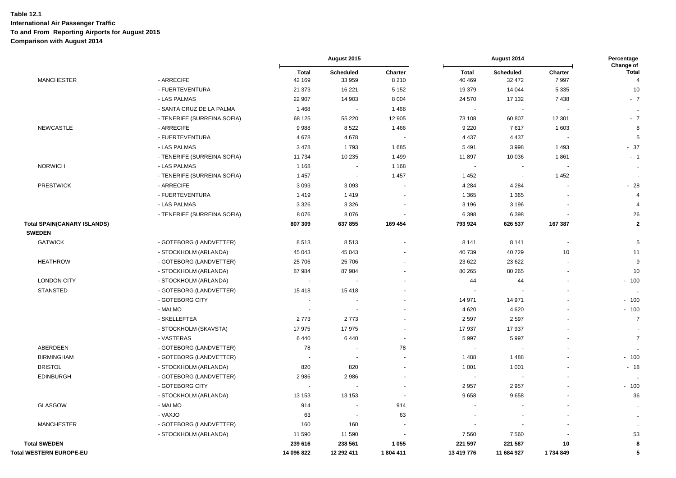|                                    |                             | August 2015              |                          | August 2014              |                        |                            | Percentage<br>Change of |                                |
|------------------------------------|-----------------------------|--------------------------|--------------------------|--------------------------|------------------------|----------------------------|-------------------------|--------------------------------|
| <b>MANCHESTER</b>                  | - ARRECIFE                  | <b>Total</b><br>42 169   | Scheduled<br>33 959      | Charter<br>8 2 1 0       | <b>Total</b><br>40 469 | <b>Scheduled</b><br>32 472 | Charter<br>7997         | <b>Total</b><br>$\overline{4}$ |
|                                    | - FUERTEVENTURA             | 21 373                   | 16 221                   | 5 1 5 2                  | 19 379                 | 14 044                     | 5 3 3 5                 | 10                             |
|                                    | - LAS PALMAS                | 22 907                   | 14 903                   | 8 0 0 4                  | 24 570                 | 17 132                     | 7438                    | $-7$                           |
|                                    | - SANTA CRUZ DE LA PALMA    | 1468                     | $\sim$                   | 1468                     | ÷,                     | $\blacksquare$             |                         | $\ddotsc$                      |
|                                    | - TENERIFE (SURREINA SOFIA) | 68 125                   | 55 220                   | 12 905                   | 73 108                 | 60 807                     | 12 301                  | $-7$                           |
| NEWCASTLE                          | - ARRECIFE                  | 9988                     | 8522                     | 1466                     | 9 2 2 0                | 7617                       | 1 603                   | 8                              |
|                                    | - FUERTEVENTURA             | 4678                     | 4678                     |                          | 4 4 3 7                | 4 4 3 7                    |                         | 5                              |
|                                    | - LAS PALMAS                | 3478                     | 1793                     | 1685                     | 5491                   | 3998                       | 1493                    | $-37$                          |
|                                    | - TENERIFE (SURREINA SOFIA) | 11734                    | 10 235                   | 1499                     | 11897                  | 10 036                     | 1861                    | $-1$                           |
| <b>NORWICH</b>                     | - LAS PALMAS                | 1 1 6 8                  | $\overline{\phantom{a}}$ | 1 1 6 8                  | $\blacksquare$         | $\blacksquare$             |                         | $\sim$                         |
|                                    | - TENERIFE (SURREINA SOFIA) | 1457                     | $\blacksquare$           | 1 4 5 7                  | 1 4 5 2                | $\blacksquare$             | 1 4 5 2                 |                                |
| <b>PRESTWICK</b>                   | - ARRECIFE                  | 3 0 9 3                  | 3 0 9 3                  |                          | 4 2 8 4                | 4 2 8 4                    |                         | $-28$                          |
|                                    | - FUERTEVENTURA             | 1419                     | 1419                     |                          | 1 3 6 5                | 1 3 6 5                    |                         | $\overline{4}$                 |
|                                    | - LAS PALMAS                | 3 3 2 6                  | 3 3 2 6                  |                          | 3 1 9 6                | 3 1 9 6                    |                         | $\overline{4}$                 |
|                                    | - TENERIFE (SURREINA SOFIA) | 8076                     | 8076                     |                          | 6 3 9 8                | 6 3 9 8                    |                         | 26                             |
| <b>Total SPAIN(CANARY ISLANDS)</b> |                             | 807 309                  | 637 855                  | 169 454                  | 793 924                | 626 537                    | 167 387                 | $\mathbf{2}$                   |
| <b>SWEDEN</b>                      |                             |                          |                          |                          |                        |                            |                         |                                |
| <b>GATWICK</b>                     | - GOTEBORG (LANDVETTER)     | 8513                     | 8513                     |                          | 8 1 4 1                | 8 1 4 1                    | ä,                      | $\sqrt{5}$                     |
|                                    | - STOCKHOLM (ARLANDA)       | 45 043                   | 45 043                   |                          | 40739                  | 40729                      | 10                      | 11                             |
| <b>HEATHROW</b>                    | - GOTEBORG (LANDVETTER)     | 25 706                   | 25 706                   |                          | 23 622                 | 23 6 22                    |                         | 9                              |
|                                    | - STOCKHOLM (ARLANDA)       | 87 984                   | 87 984                   |                          | 80 265                 | 80 265                     |                         | 10                             |
| <b>LONDON CITY</b>                 | - STOCKHOLM (ARLANDA)       | $\sim$                   |                          |                          | 44                     | 44                         |                         | $-100$                         |
| <b>STANSTED</b>                    | - GOTEBORG (LANDVETTER)     | 15418                    | 15418                    |                          |                        |                            |                         | $\ddotsc$                      |
|                                    | - GOTEBORG CITY             |                          |                          |                          | 14 971                 | 14 971                     |                         | $-100$                         |
|                                    | - MALMO                     | $\sim$                   | ÷.                       |                          | 4 6 20                 | 4 6 20                     |                         | $-100$                         |
|                                    | - SKELLEFTEA                | 2773                     | 2773                     |                          | 2 5 9 7                | 2597                       |                         | $\overline{7}$                 |
|                                    | - STOCKHOLM (SKAVSTA)       | 17975                    | 17975                    |                          | 17937                  | 17937                      |                         | $\sim$                         |
|                                    | - VASTERAS                  | 6440                     | 6440                     |                          | 5997                   | 5997                       |                         | $\overline{7}$                 |
| ABERDEEN                           | - GOTEBORG (LANDVETTER)     | 78                       |                          | 78                       |                        |                            |                         | $\sim$                         |
| <b>BIRMINGHAM</b>                  | - GOTEBORG (LANDVETTER)     | $\overline{\phantom{a}}$ | $\blacksquare$           |                          | 1 4 8 8                | 1488                       |                         | $-100$                         |
| <b>BRISTOL</b>                     | - STOCKHOLM (ARLANDA)       | 820                      | 820                      |                          | 1 0 0 1                | 1 0 0 1                    |                         | $-18$                          |
| <b>EDINBURGH</b>                   | - GOTEBORG (LANDVETTER)     | 2986                     | 2986                     |                          |                        |                            |                         | $\ddotsc$                      |
|                                    | - GOTEBORG CITY             |                          |                          |                          | 2 9 5 7                | 2957                       |                         | $-100$                         |
|                                    | - STOCKHOLM (ARLANDA)       | 13 153                   | 13 153                   |                          | 9658                   | 9658                       |                         | 36                             |
| <b>GLASGOW</b>                     | - MALMO                     | 914                      | $\overline{\phantom{a}}$ | 914                      |                        |                            |                         | $\ddot{\phantom{a}}$           |
|                                    | - VAXJO                     | 63                       | ÷,                       | 63                       |                        |                            |                         | $\ddotsc$                      |
| <b>MANCHESTER</b>                  | - GOTEBORG (LANDVETTER)     | 160                      | 160                      | $\overline{\phantom{a}}$ |                        |                            |                         | $\bullet\bullet$               |
|                                    | - STOCKHOLM (ARLANDA)       | 11 590                   | 11 590                   |                          | 7 5 6 0                | 7560                       |                         | 53                             |
| <b>Total SWEDEN</b>                |                             | 239 616                  | 238 561                  | 1 0 5 5                  | 221 597                | 221 587                    | 10                      | 8                              |
| <b>Total WESTERN EUROPE-EU</b>     |                             | 14 096 822               | 12 292 411               | 1804 411                 | 13 419 776             | 11 684 927                 | 1734849                 | 5                              |
|                                    |                             |                          |                          |                          |                        |                            |                         |                                |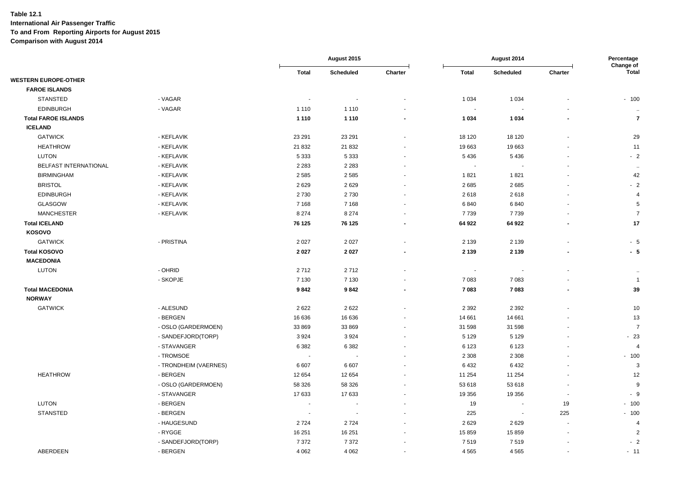|                             |                       |                          | August 2015              |                          | August 2014    |                  |                          | Percentage<br>Change of |
|-----------------------------|-----------------------|--------------------------|--------------------------|--------------------------|----------------|------------------|--------------------------|-------------------------|
|                             |                       | <b>Total</b>             | <b>Scheduled</b>         | Charter                  | <b>Total</b>   | <b>Scheduled</b> | Charter                  | Total                   |
| <b>WESTERN EUROPE-OTHER</b> |                       |                          |                          |                          |                |                  |                          |                         |
| <b>FAROE ISLANDS</b>        |                       |                          |                          |                          |                |                  |                          |                         |
| <b>STANSTED</b>             | - VAGAR               | $\overline{\phantom{a}}$ |                          |                          | 1 0 3 4        | 1 0 3 4          |                          | $-100$                  |
| <b>EDINBURGH</b>            | - VAGAR               | 1 1 1 0                  | 1 1 1 0                  | $\sim$                   | $\blacksquare$ |                  |                          | $\ddotsc$               |
| <b>Total FAROE ISLANDS</b>  |                       | 1 1 1 0                  | 1 1 1 0                  | $\overline{\phantom{a}}$ | 1 0 3 4        | 1 0 3 4          | $\overline{\phantom{a}}$ | $\overline{7}$          |
| <b>ICELAND</b>              |                       |                          |                          |                          |                |                  |                          |                         |
| <b>GATWICK</b>              | - KEFLAVIK            | 23 291                   | 23 291                   |                          | 18 120         | 18 120           |                          | 29                      |
| <b>HEATHROW</b>             | - KEFLAVIK            | 21 832                   | 21 832                   | ä,                       | 19 663         | 19663            |                          | 11                      |
| <b>LUTON</b>                | - KEFLAVIK            | 5 3 3 3                  | 5 3 3 3                  |                          | 5 4 3 6        | 5436             |                          | $-2$                    |
| BELFAST INTERNATIONAL       | - KEFLAVIK            | 2 2 8 3                  | 2 2 8 3                  | $\blacksquare$           | $\sim$         | $\sim$           |                          | $\ddotsc$               |
| <b>BIRMINGHAM</b>           | - KEFLAVIK            | 2585                     | 2 5 8 5                  |                          | 1821           | 1821             |                          | 42                      |
| <b>BRISTOL</b>              | - KEFLAVIK            | 2629                     | 2629                     | $\blacksquare$           | 2685           | 2685             |                          | $-2$                    |
| <b>EDINBURGH</b>            | - KEFLAVIK            | 2730                     | 2730                     | $\blacksquare$           | 2618           | 2618             |                          | $\overline{4}$          |
| <b>GLASGOW</b>              | - KEFLAVIK            | 7 1 6 8                  | 7 1 6 8                  | $\sim$                   | 6840           | 6840             |                          | 5                       |
| <b>MANCHESTER</b>           | - KEFLAVIK            | 8 2 7 4                  | 8 2 7 4                  | $\overline{\phantom{a}}$ | 7739           | 7739             |                          | $\overline{7}$          |
| <b>Total ICELAND</b>        |                       | 76 125                   | 76 125                   |                          | 64 922         | 64 922           |                          | 17                      |
| KOSOVO                      |                       |                          |                          |                          |                |                  |                          |                         |
| <b>GATWICK</b>              | - PRISTINA            | 2 0 2 7                  | 2 0 2 7                  | $\overline{a}$           | 2 1 3 9        | 2 1 3 9          |                          | $-5$                    |
| <b>Total KOSOVO</b>         |                       | 2027                     | 2027                     | $\blacksquare$           | 2 1 3 9        | 2 1 3 9          |                          | $-5$                    |
| <b>MACEDONIA</b>            |                       |                          |                          |                          |                |                  |                          |                         |
| <b>LUTON</b>                | - OHRID               | 2712                     | 2712                     |                          | $\blacksquare$ | $\sim$           |                          | $\ddotsc$               |
|                             | - SKOPJE              | 7 1 3 0                  | 7 1 3 0                  | $\sim$                   | 7083           | 7083             |                          | $\overline{1}$          |
| <b>Total MACEDONIA</b>      |                       | 9842                     | 9842                     | $\blacksquare$           | 7 0 8 3        | 7083             | $\blacksquare$           | 39                      |
| <b>NORWAY</b>               |                       |                          |                          |                          |                |                  |                          |                         |
| <b>GATWICK</b>              | - ALESUND             | 2622                     | 2622                     |                          | 2 3 9 2        | 2 3 9 2          |                          | 10                      |
|                             | - BERGEN              | 16 636                   | 16 636                   |                          | 14 661         | 14 661           |                          | 13                      |
|                             | - OSLO (GARDERMOEN)   | 33 869                   | 33 869                   | $\overline{\phantom{a}}$ | 31 598         | 31 598           |                          | $\overline{7}$          |
|                             | - SANDEFJORD(TORP)    | 3924                     | 3 9 2 4                  |                          | 5 1 2 9        | 5 1 2 9          |                          | $-23$                   |
|                             | - STAVANGER           | 6 3 8 2                  | 6 3 8 2                  | $\blacksquare$           | 6 1 2 3        | 6 1 2 3          |                          | $\overline{4}$          |
|                             | - TROMSOE             | $\overline{\phantom{a}}$ | $\overline{\phantom{a}}$ | $\overline{a}$           | 2 3 0 8        | 2 3 0 8          |                          | $-100$                  |
|                             | - TRONDHEIM (VAERNES) | 6 607                    | 6607                     |                          | 6432           | 6432             |                          | $\mathbf{3}$            |
| <b>HEATHROW</b>             | - BERGEN              | 12 654                   | 12 654                   | $\overline{a}$           | 11 254         | 11 254           |                          | 12                      |
|                             | - OSLO (GARDERMOEN)   | 58 326                   | 58 326                   |                          | 53 618         | 53 618           |                          | 9                       |
|                             | - STAVANGER           | 17 633                   | 17 633                   | $\blacksquare$           | 19 356         | 19 356           | $\overline{\phantom{a}}$ | $-9$                    |
| LUTON                       | - BERGEN              | $\sim$                   |                          |                          | 19             | $\sim$           | 19                       | $-100$                  |
| <b>STANSTED</b>             | - BERGEN              | $\overline{\phantom{a}}$ | $\overline{\phantom{a}}$ | $\blacksquare$           | 225            | $\sim$           | 225                      | $-100$                  |
|                             | - HAUGESUND           | 2724                     | 2724                     |                          | 2629           | 2629             |                          | $\overline{4}$          |
|                             | - RYGGE               | 16 251                   | 16 251                   | $\overline{a}$           | 15 859         | 15 859           |                          | $\overline{2}$          |
|                             | - SANDEFJORD(TORP)    | 7 3 7 2                  | 7 3 7 2                  | ä,                       | 7519           | 7519             |                          | $-2$                    |
| ABERDEEN                    | - BERGEN              | 4 0 6 2                  | 4 0 6 2                  | $\blacksquare$           | 4 5 6 5        | 4565             |                          | $-11$                   |
|                             |                       |                          |                          |                          |                |                  |                          |                         |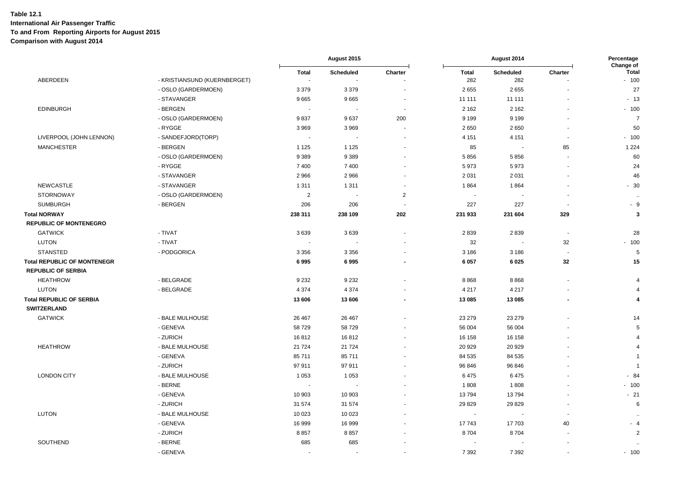|                                    |                              |                     | August 2015      |                | August 2014         |                          | Percentage<br>Change of  |                          |
|------------------------------------|------------------------------|---------------------|------------------|----------------|---------------------|--------------------------|--------------------------|--------------------------|
| ABERDEEN                           | - KRISTIANSUND (KUERNBERGET) | <b>Total</b><br>i a | <b>Scheduled</b> | Charter        | <b>Total</b><br>282 | Scheduled<br>282         | Charter                  | <b>Total</b><br>$-100$   |
|                                    | - OSLO (GARDERMOEN)          | 3 3 7 9             | 3 3 7 9          | $\blacksquare$ | 2655                | 2655                     |                          | 27                       |
|                                    | - STAVANGER                  | 9665                | 9665             |                | 11 111              | 11 111                   |                          | $-13$                    |
| <b>EDINBURGH</b>                   | - BERGEN                     | $\sim$              | $\sim$           | $\blacksquare$ | 2 1 6 2             | 2 1 6 2                  |                          | $-100$                   |
|                                    | - OSLO (GARDERMOEN)          | 9837                | 9637             | 200            | 9 1 9 9             | 9 1 9 9                  |                          | $\overline{7}$           |
|                                    | - RYGGE                      | 3969                | 3969             | $\sim$         | 2650                | 2650                     | $\ddot{\phantom{1}}$     | 50                       |
| LIVERPOOL (JOHN LENNON)            | - SANDEFJORD(TORP)           |                     |                  |                | 4 1 5 1             | 4 1 5 1                  |                          | $-100$                   |
| <b>MANCHESTER</b>                  | - BERGEN                     | 1 1 2 5             | 1 1 2 5          |                | 85                  | $\overline{\phantom{a}}$ | 85                       | 1 2 2 4                  |
|                                    | - OSLO (GARDERMOEN)          | 9389                | 9 3 8 9          | $\overline{a}$ | 5856                | 5856                     | ä,                       | 60                       |
|                                    | - RYGGE                      | 7 4 0 0             | 7 4 0 0          |                | 5973                | 5973                     |                          | 24                       |
|                                    | - STAVANGER                  | 2 9 6 6             | 2966             | $\blacksquare$ | 2 0 3 1             | 2 0 3 1                  |                          | 46                       |
| <b>NEWCASTLE</b>                   | - STAVANGER                  | 1 3 1 1             | 1 3 1 1          |                | 1864                | 1864                     |                          | $-30$                    |
| <b>STORNOWAY</b>                   | - OSLO (GARDERMOEN)          | $\overline{2}$      | $\sim$           | $\overline{2}$ | $\sim$              | $\blacksquare$           | $\blacksquare$           | $\sim$                   |
| <b>SUMBURGH</b>                    | - BERGEN                     | 206                 | 206              | $\sim$         | 227                 | 227                      | $\sim$                   | $-9$                     |
| <b>Total NORWAY</b>                |                              | 238 311             | 238 109          | 202            | 231 933             | 231 604                  | 329                      | 3                        |
| <b>REPUBLIC OF MONTENEGRO</b>      |                              |                     |                  |                |                     |                          |                          |                          |
| <b>GATWICK</b>                     | - TIVAT                      | 3639                | 3639             | $\blacksquare$ | 2839                | 2839                     | $\overline{\phantom{a}}$ | 28                       |
| <b>LUTON</b>                       | - TIVAT                      |                     |                  | $\sim$         | 32                  | $\blacksquare$           | 32                       | $-100$                   |
| <b>STANSTED</b>                    | - PODGORICA                  | 3 3 5 6             | 3 3 5 6          |                | 3 1 8 6             | 3 1 8 6                  |                          | $\overline{5}$           |
| <b>Total REPUBLIC OF MONTENEGR</b> |                              | 6995                | 6995             |                | 6 0 5 7             | 6025                     | 32                       | 15                       |
| <b>REPUBLIC OF SERBIA</b>          |                              |                     |                  |                |                     |                          |                          |                          |
| <b>HEATHROW</b>                    | - BELGRADE                   | 9 2 3 2             | 9 2 3 2          |                | 8868                | 8868                     | $\blacksquare$           | $\overline{4}$           |
| <b>LUTON</b>                       | - BELGRADE                   | 4 3 7 4             | 4 3 7 4          | $\sim$         | 4 2 1 7             | 4 2 1 7                  | $\overline{\phantom{a}}$ | $\overline{4}$           |
| <b>Total REPUBLIC OF SERBIA</b>    |                              | 13 606              | 13 606           | $\blacksquare$ | 13 085              | 13 085                   | $\blacksquare$           | 4                        |
| <b>SWITZERLAND</b>                 |                              |                     |                  |                |                     |                          |                          |                          |
| <b>GATWICK</b>                     | - BALE MULHOUSE              | 26 467              | 26 4 67          |                | 23 279              | 23 279                   |                          | 14                       |
|                                    | - GENEVA                     | 58729               | 58729            |                | 56 004              | 56 004                   |                          | 5                        |
|                                    | - ZURICH                     | 16812               | 16812            |                | 16 158              | 16 158                   |                          | $\overline{4}$           |
| <b>HEATHROW</b>                    | - BALE MULHOUSE              | 21 7 24             | 21 7 24          |                | 20 9 29             | 20 9 29                  |                          | $\boldsymbol{\varDelta}$ |
|                                    | - GENEVA                     | 85 711              | 85 711           | $\blacksquare$ | 84 535              | 84 535                   |                          | -1                       |
|                                    | - ZURICH                     | 97 911              | 97 911           |                | 96 846              | 96 846                   |                          | $\overline{1}$           |
| <b>LONDON CITY</b>                 | - BALE MULHOUSE              | 1 0 5 3             | 1 0 5 3          |                | 6475                | 6475                     |                          | $-84$                    |
|                                    | - BERNE                      |                     |                  |                | 1808                | 1808                     |                          | $-100$                   |
|                                    | - GENEVA                     | 10 903              | 10 903           |                | 13794               | 13794                    |                          | $-21$                    |
|                                    | - ZURICH                     | 31 574              | 31 574           |                | 29 8 29             | 29829                    |                          | 6                        |
| <b>LUTON</b>                       | - BALE MULHOUSE              | 10 0 23             | 10 0 23          |                | $\blacksquare$      |                          | ä,                       | $\ldots$                 |
|                                    | - GENEVA                     | 16 999              | 16 999           |                | 17743               | 17703                    | 40                       | $-4$                     |
|                                    | - ZURICH                     | 8857                | 8857             |                | 8704                | 8704                     |                          | $\overline{2}$           |
| SOUTHEND                           | - BERNE                      | 685                 | 685              |                |                     |                          |                          |                          |
|                                    | - GENEVA                     | $\sim$              |                  | $\sim$         | 7 3 9 2             | 7 3 9 2                  | $\ddot{\phantom{1}}$     | $-100$                   |
|                                    |                              |                     |                  |                |                     |                          |                          |                          |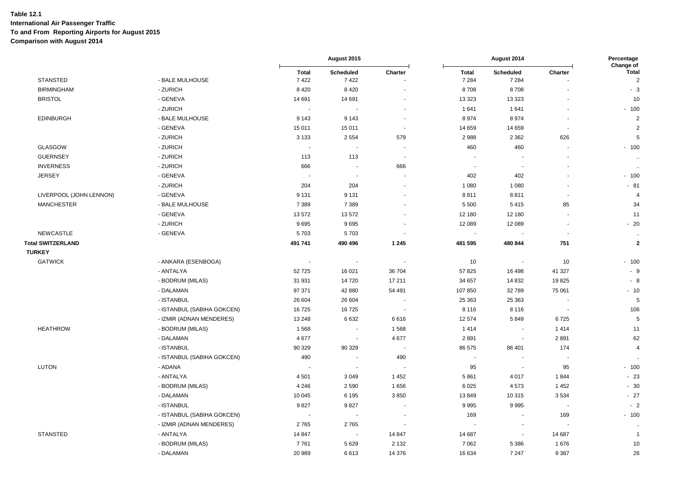|                          |                            |                          | August 2015              |                          | August 2014             |                      | Percentage<br>Change of  |                                |
|--------------------------|----------------------------|--------------------------|--------------------------|--------------------------|-------------------------|----------------------|--------------------------|--------------------------------|
| <b>STANSTED</b>          | - BALE MULHOUSE            | <b>Total</b><br>7422     | Scheduled<br>7422        | Charter                  | <b>Total</b><br>7 2 8 4 | Scheduled<br>7 2 8 4 | Charter                  | <b>Total</b><br>$\overline{c}$ |
| <b>BIRMINGHAM</b>        | - ZURICH                   | 8 4 2 0                  | 8 4 2 0                  |                          | 8708                    | 8708                 |                          | $-3$                           |
| <b>BRISTOL</b>           | - GENEVA                   | 14 691                   | 14 691                   |                          | 13 3 23                 | 13 3 23              | $\ddot{\phantom{1}}$     | 10                             |
|                          | - ZURICH                   | $\sim$                   |                          | $\blacksquare$           | 1 641                   | 1641                 | $\blacksquare$           | $-100$                         |
| <b>EDINBURGH</b>         | - BALE MULHOUSE            | 9 1 4 3                  | 9 1 4 3                  | ÷.                       | 8974                    | 8974                 | ÷.                       | $\overline{2}$                 |
|                          | - GENEVA                   | 15 011                   | 15 011                   | $\overline{\phantom{a}}$ | 14 659                  | 14 659               | $\blacksquare$           | $\overline{2}$                 |
|                          | - ZURICH                   | 3 1 3 3                  | 2 5 5 4                  | 579                      | 2988                    | 2 3 6 2              | 626                      | $\overline{5}$                 |
| GLASGOW                  | - ZURICH                   | $\sim$                   | ÷,                       | $\sim$                   | 460                     | 460                  | ä,                       | $-100$                         |
| <b>GUERNSEY</b>          | - ZURICH                   | 113                      | 113                      | ÷,                       | ÷,                      |                      |                          | $\ddot{\phantom{a}}$           |
| <b>INVERNESS</b>         | - ZURICH                   | 666                      | $\overline{\phantom{a}}$ | 666                      | $\tilde{\phantom{a}}$   | $\sim$               |                          | $\ddot{\phantom{a}}$           |
| <b>JERSEY</b>            | - GENEVA                   |                          |                          |                          | 402                     | 402                  |                          | $-100$                         |
|                          | - ZURICH                   | 204                      | 204                      |                          | 1 0 8 0                 | 1 0 8 0              | L.                       | $-81$                          |
| LIVERPOOL (JOHN LENNON)  | - GENEVA                   | 9 1 3 1                  | 9 1 3 1                  |                          | 8811                    | 8811                 | $\overline{\phantom{a}}$ | $\overline{4}$                 |
| <b>MANCHESTER</b>        | - BALE MULHOUSE            | 7 3 8 9                  | 7 3 8 9                  |                          | 5 5 0 0                 | 5415                 | 85                       | 34                             |
|                          | - GENEVA                   | 13572                    | 13572                    |                          | 12 180                  | 12 180               |                          | 11                             |
|                          | - ZURICH                   | 9695                     | 9695                     |                          | 12 089                  | 12 089               | $\overline{a}$           | $-20$                          |
| <b>NEWCASTLE</b>         | - GENEVA                   | 5703                     | 5703                     | $\sim$                   | $\tilde{\phantom{a}}$   | ÷,                   | $\sim$                   | $\ddot{\phantom{1}}$           |
| <b>Total SWITZERLAND</b> |                            | 491 741                  | 490 496                  | 1 2 4 5                  | 481 595                 | 480 844              | 751                      | $\bf{2}$                       |
| <b>TURKEY</b>            |                            |                          |                          |                          |                         |                      |                          |                                |
| <b>GATWICK</b>           | - ANKARA (ESENBOGA)        | $\ddot{\phantom{1}}$     | $\blacksquare$           |                          | 10                      | ÷,                   | 10                       | $-100$                         |
|                          | - ANTALYA                  | 52725                    | 16 0 21                  | 36 704                   | 57 825                  | 16 4 98              | 41 327                   | $-9$                           |
|                          | - BODRUM (MILAS)           | 31 931                   | 14720                    | 17 211                   | 34 657                  | 14 8 32              | 19825                    | $-8$                           |
|                          | - DALAMAN                  | 97 371                   | 42 880                   | 54 491                   | 107 850                 | 32789                | 75 061                   | $-10$                          |
|                          | - ISTANBUL                 | 26 604                   | 26 604                   |                          | 25 36 3                 | 25 363               |                          | 5                              |
|                          | - ISTANBUL (SABIHA GOKCEN) | 16725                    | 16725                    | $\overline{\phantom{a}}$ | 8 1 1 6                 | 8 1 1 6              | ÷.                       | 106                            |
|                          | - IZMIR (ADNAN MENDERES)   | 13 248                   | 6632                     | 6616                     | 12 574                  | 5849                 | 6725                     | $\sqrt{5}$                     |
| <b>HEATHROW</b>          | - BODRUM (MILAS)           | 1568                     | $\blacksquare$           | 1568                     | 1414                    | $\sim$               | 1414                     | 11                             |
|                          | - DALAMAN                  | 4677                     |                          | 4677                     | 2891                    |                      | 2891                     | 62                             |
|                          | - ISTANBUL                 | 90 329                   | 90 329                   |                          | 86 575                  | 86 401               | 174                      | $\sqrt{4}$                     |
|                          | - ISTANBUL (SABIHA GOKCEN) | 490                      |                          | 490                      | $\blacksquare$          |                      |                          | $\sim$                         |
| <b>LUTON</b>             | - ADANA                    |                          |                          |                          | 95                      | $\sim$               | 95                       | $-100$                         |
|                          | - ANTALYA                  | 4 5 0 1                  | 3 0 4 9                  | 1 4 5 2                  | 5861                    | 4017                 | 1844                     | $-23$                          |
|                          | - BODRUM (MILAS)           | 4 2 4 6                  | 2 5 9 0                  | 1656                     | 6 0 25                  | 4573                 | 1 4 5 2                  | $-30$                          |
|                          | - DALAMAN                  | 10 045                   | 6 1 9 5                  | 3850                     | 13849                   | 10 315               | 3534                     | $-27$                          |
|                          | - ISTANBUL                 | 9827                     | 9827                     | ÷.                       | 9995                    | 9995                 | . —                      | $-2$                           |
|                          | - ISTANBUL (SABIHA GOKCEN) | $\overline{\phantom{a}}$ |                          |                          | 169                     | $\overline{a}$       | 169                      | $-100$                         |
|                          | - IZMIR (ADNAN MENDERES)   | 2765                     | 2765                     | $\sim$                   | ÷.                      | ä,                   | $\sim$                   | $\ddotsc$                      |
| <b>STANSTED</b>          | - ANTALYA                  | 14 847                   | $\blacksquare$           | 14 847                   | 14 687                  | $\blacksquare$       | 14 687                   | $\mathbf{1}$                   |
|                          | - BODRUM (MILAS)           | 7761                     | 5629                     | 2 1 3 2                  | 7 0 6 2                 | 5 3 8 6              | 1676                     | 10                             |
|                          | - DALAMAN                  | 20 989                   | 6613                     | 14 376                   | 16 634                  | 7 2 4 7              | 9 3 8 7                  | 26                             |
|                          |                            |                          |                          |                          |                         |                      |                          |                                |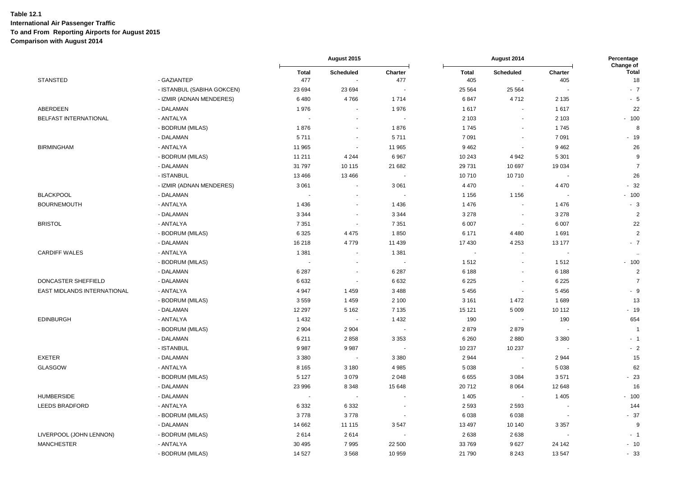|                             |                            | August 2015         |                                    |                          | Percentage<br>Change of  |                                    |                |                    |
|-----------------------------|----------------------------|---------------------|------------------------------------|--------------------------|--------------------------|------------------------------------|----------------|--------------------|
| <b>STANSTED</b>             | - GAZIANTEP                | <b>Total</b><br>477 | <b>Scheduled</b><br>$\blacksquare$ | Charter<br>477           | <b>Total</b><br>405      | <b>Scheduled</b><br>$\blacksquare$ | Charter<br>405 | <b>Total</b><br>18 |
|                             | - ISTANBUL (SABIHA GOKCEN) | 23 6 94             | 23 694                             |                          | 25 5 64                  | 25 5 64                            |                | $-7$               |
|                             | - IZMIR (ADNAN MENDERES)   | 6480                | 4766                               | 1714                     | 6847                     | 4712                               | 2 1 3 5        | $-5$               |
| ABERDEEN                    | - DALAMAN                  | 1976                |                                    | 1976                     | 1617                     | $\sim$                             | 1617           | 22                 |
| BELFAST INTERNATIONAL       | - ANTALYA                  |                     | $\ddot{\phantom{1}}$               | $\overline{\phantom{a}}$ | 2 1 0 3                  | $\sim$                             | 2 1 0 3        | $-100$             |
|                             | - BODRUM (MILAS)           | 1876                | $\overline{\phantom{a}}$           | 1876                     | 1745                     | $\overline{\phantom{a}}$           | 1745           | 8                  |
|                             | - DALAMAN                  | 5711                | $\blacksquare$                     | 5711                     | 7 0 9 1                  | $\blacksquare$                     | 7 0 9 1        | $-19$              |
| <b>BIRMINGHAM</b>           | - ANTALYA                  | 11 965              | $\sim$                             | 11 965                   | 9462                     | $\blacksquare$                     | 9 4 6 2        | 26                 |
|                             | - BODRUM (MILAS)           | 11 211              | 4 2 4 4                            | 6967                     | 10 243                   | 4942                               | 5 3 0 1        | 9                  |
|                             | - DALAMAN                  | 31 797              | 10 115                             | 21 682                   | 29 731                   | 10 697                             | 19 0 34        | $\overline{7}$     |
|                             | - ISTANBUL                 | 13466               | 13 4 66                            |                          | 10710                    | 10710                              |                | 26                 |
|                             | - IZMIR (ADNAN MENDERES)   | 3 0 6 1             | $\blacksquare$                     | 3 0 6 1                  | 4 4 7 0                  | $\sim$                             | 4 4 7 0        | $-32$              |
| <b>BLACKPOOL</b>            | - DALAMAN                  |                     |                                    | $\overline{\phantom{a}}$ | 1 1 5 6                  | 1 1 5 6                            |                | $-100$             |
| <b>BOURNEMOUTH</b>          | - ANTALYA                  | 1436                | $\sim$                             | 1 4 3 6                  | 1 4 7 6                  | $\sim$                             | 1476           | $-3$               |
|                             | - DALAMAN                  | 3 3 4 4             | $\blacksquare$                     | 3 3 4 4                  | 3 2 7 8                  | $\overline{\phantom{a}}$           | 3 2 7 8        | $\overline{2}$     |
| <b>BRISTOL</b>              | - ANTALYA                  | 7 3 5 1             | $\overline{\phantom{a}}$           | 7 3 5 1                  | 6 0 0 7                  | $\overline{\phantom{a}}$           | 6 0 0 7        | 22                 |
|                             | - BODRUM (MILAS)           | 6 3 2 5             | 4 4 7 5                            | 1850                     | 6 1 7 1                  | 4 4 8 0                            | 1691           | $\sqrt{2}$         |
|                             | - DALAMAN                  | 16 218              | 4779                               | 11 439                   | 17 430                   | 4 2 5 3                            | 13 177         | $-7$               |
| <b>CARDIFF WALES</b>        | - ANTALYA                  | 1 3 8 1             | $\blacksquare$                     | 1 3 8 1                  | $\overline{\phantom{a}}$ | $\blacksquare$                     |                | $\ddotsc$          |
|                             | - BODRUM (MILAS)           |                     |                                    |                          | 1512                     |                                    | 1512           | $-100$             |
|                             | - DALAMAN                  | 6 2 8 7             | $\overline{\phantom{a}}$           | 6 2 8 7                  | 6 188                    | $\sim$                             | 6 188          | $\overline{2}$     |
| DONCASTER SHEFFIELD         | - DALAMAN                  | 6632                | $\tilde{\phantom{a}}$              | 6632                     | 6 2 2 5                  | $\overline{\phantom{a}}$           | 6 2 2 5        | $\overline{7}$     |
| EAST MIDLANDS INTERNATIONAL | - ANTALYA                  | 4 9 4 7             | 1459                               | 3 4 8 8                  | 5 4 5 6                  | $\blacksquare$                     | 5456           | - 9                |
|                             | - BODRUM (MILAS)           | 3559                | 1 4 5 9                            | 2 100                    | 3 1 6 1                  | 1472                               | 1689           | 13                 |
|                             | - DALAMAN                  | 12 297              | 5 1 6 2                            | 7 1 3 5                  | 15 121                   | 5 0 0 9                            | 10 112         | $-19$              |
| <b>EDINBURGH</b>            | - ANTALYA                  | 1 4 3 2             | $\overline{\phantom{a}}$           | 1 4 3 2                  | 190                      | $\blacksquare$                     | 190            | 654                |
|                             | - BODRUM (MILAS)           | 2 9 0 4             | 2 9 0 4                            | $\overline{\phantom{a}}$ | 2879                     | 2879                               |                | $\overline{1}$     |
|                             | - DALAMAN                  | 6 2 1 1             | 2858                               | 3 3 5 3                  | 6 2 6 0                  | 2880                               | 3 3 8 0        | $-1$               |
|                             | - ISTANBUL                 | 9987                | 9987                               |                          | 10 237                   | 10 237                             |                | $-2$               |
| <b>EXETER</b>               | - DALAMAN                  | 3 3 8 0             | $\sim$                             | 3 3 8 0                  | 2 9 4 4                  | $\overline{\phantom{a}}$           | 2944           | 15                 |
| <b>GLASGOW</b>              | - ANTALYA                  | 8 1 6 5             | 3 1 8 0                            | 4 9 8 5                  | 5 0 38                   | $\blacksquare$                     | 5 0 38         | 62                 |
|                             | - BODRUM (MILAS)           | 5 1 2 7             | 3079                               | 2 0 4 8                  | 6655                     | 3 0 8 4                            | 3571           | $-23$              |
|                             | - DALAMAN                  | 23 996              | 8 3 4 8                            | 15 648                   | 20712                    | 8064                               | 12 648         | 16                 |
| <b>HUMBERSIDE</b>           | - DALAMAN                  |                     | $\sim$                             |                          | 1 4 0 5                  | $\sim$                             | 1 4 0 5        | $-100$             |
| <b>LEEDS BRADFORD</b>       | - ANTALYA                  | 6 3 3 2             | 6 3 3 2                            | $\overline{a}$           | 2 5 9 3                  | 2 5 9 3                            |                | 144                |
|                             | - BODRUM (MILAS)           | 3778                | 3778                               | ÷,                       | 6 0 38                   | 6038                               | и,             | $-37$              |
|                             | - DALAMAN                  | 14 662              | 11 115                             | 3547                     | 13 4 9 7                 | 10 140                             | 3 3 5 7        | 9                  |
| LIVERPOOL (JOHN LENNON)     | - BODRUM (MILAS)           | 2614                | 2614                               |                          | 2 6 3 8                  | 2638                               |                | $-1$               |
| <b>MANCHESTER</b>           | - ANTALYA                  | 30 4 95             | 7995                               | 22 500                   | 33769                    | 9627                               | 24 142         | $-10$              |
|                             | - BODRUM (MILAS)           | 14 5 27             | 3568                               | 10 959                   | 21 790                   | 8 2 4 3                            | 13547          | $-33$              |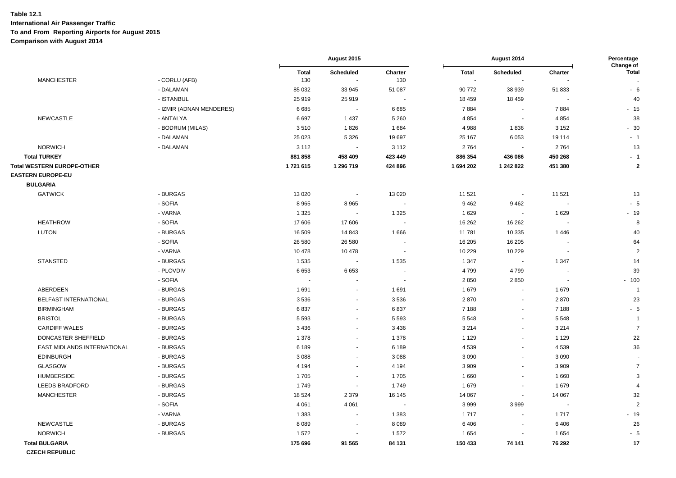|                             |                          | August 2015         |                          |                          | Percentage<br>Change of |                          |         |                        |
|-----------------------------|--------------------------|---------------------|--------------------------|--------------------------|-------------------------|--------------------------|---------|------------------------|
| <b>MANCHESTER</b>           | - CORLU (AFB)            | <b>Total</b><br>130 | Scheduled<br>$\sim$      | Charter<br>130           | <b>Total</b>            | Scheduled                | Charter | <b>Total</b><br>$\sim$ |
|                             | - DALAMAN                | 85 032              | 33 945                   | 51 087                   | 90 772                  | 38 939                   | 51 833  | $-6$                   |
|                             | - ISTANBUL               | 25 919              | 25 919                   |                          | 18 459                  | 18 4 5 9                 |         | 40                     |
|                             | - IZMIR (ADNAN MENDERES) | 6685                | $\sim$                   | 6685                     | 7884                    | $\blacksquare$           | 7884    | $-15$                  |
| NEWCASTLE                   | - ANTALYA                | 6697                | 1 4 3 7                  | 5 2 6 0                  | 4 8 5 4                 | $\blacksquare$           | 4 8 5 4 | 38                     |
|                             | - BODRUM (MILAS)         | 3510                | 1826                     | 1684                     | 4988                    | 1836                     | 3 1 5 2 | $-30$                  |
|                             | - DALAMAN                | 25 0 23             | 5 3 2 6                  | 19 697                   | 25 167                  | 6053                     | 19 114  | $-1$                   |
| <b>NORWICH</b>              | - DALAMAN                | 3 1 1 2             |                          | 3 1 1 2                  | 2764                    |                          | 2764    | 13                     |
| <b>Total TURKEY</b>         |                          | 881 858             | 458 409                  | 423 449                  | 886 354                 | 436 086                  | 450 268 | $-1$                   |
| Total WESTERN EUROPE-OTHER  |                          | 1721615             | 1 296 719                | 424 896                  | 1694 202                | 1 242 822                | 451 380 | $\bf{2}$               |
| <b>EASTERN EUROPE-EU</b>    |                          |                     |                          |                          |                         |                          |         |                        |
| <b>BULGARIA</b>             |                          |                     |                          |                          |                         |                          |         |                        |
| <b>GATWICK</b>              | - BURGAS                 | 13 0 20             | $\sim$                   | 13 0 20                  | 11 521                  | $\overline{\phantom{a}}$ | 11 521  | 13                     |
|                             | - SOFIA                  | 8 9 6 5             | 8965                     | $\blacksquare$           | 9 4 6 2                 | 9462                     |         | $-5$                   |
|                             | - VARNA                  | 1 3 2 5             |                          | 1 3 2 5                  | 1629                    | $\sim$                   | 1629    | $-19$                  |
| <b>HEATHROW</b>             | - SOFIA                  | 17 606              | 17 606                   |                          | 16 26 2                 | 16 26 2                  |         | 8                      |
| <b>LUTON</b>                | - BURGAS                 | 16 509              | 14 843                   | 1666                     | 11781                   | 10 335                   | 1446    | 40                     |
|                             | - SOFIA                  | 26 580              | 26 580                   |                          | 16 205                  | 16 205                   |         | 64                     |
|                             | - VARNA                  | 10 478              | 10 478                   | $\overline{\phantom{a}}$ | 10 229                  | 10 229                   |         | $\overline{2}$         |
| <b>STANSTED</b>             | - BURGAS                 | 1 5 3 5             | $\sim$                   | 1535                     | 1 3 4 7                 | $\ddot{\phantom{a}}$     | 1 3 4 7 | 14                     |
|                             | - PLOVDIV                | 6653                | 6653                     |                          | 4799                    | 4799                     |         | 39                     |
|                             | - SOFIA                  |                     |                          |                          | 2850                    | 2850                     |         | $-100$                 |
| ABERDEEN                    | - BURGAS                 | 1691                | $\sim$                   | 1691                     | 1679                    | $\blacksquare$           | 1679    | $\overline{1}$         |
| BELFAST INTERNATIONAL       | - BURGAS                 | 3536                | $\sim$                   | 3536                     | 2870                    | $\mathbf{r}$             | 2870    | 23                     |
| <b>BIRMINGHAM</b>           | - BURGAS                 | 6837                | $\overline{\phantom{a}}$ | 6837                     | 7 1 8 8                 | $\blacksquare$           | 7 1 8 8 | $-5$                   |
| <b>BRISTOL</b>              | - BURGAS                 | 5 5 9 3             | $\sim$                   | 5 5 9 3                  | 5 5 4 8                 | $\blacksquare$           | 5 5 4 8 | $\overline{1}$         |
| <b>CARDIFF WALES</b>        | - BURGAS                 | 3 4 3 6             | $\overline{\phantom{a}}$ | 3 4 3 6                  | 3 2 1 4                 | $\blacksquare$           | 3 2 1 4 | $\overline{7}$         |
| DONCASTER SHEFFIELD         | - BURGAS                 | 1 3 7 8             | $\overline{\phantom{a}}$ | 1 3 7 8                  | 1 1 2 9                 | $\blacksquare$           | 1 1 2 9 | 22                     |
| EAST MIDLANDS INTERNATIONAL | - BURGAS                 | 6 189               | $\blacksquare$           | 6 189                    | 4 5 3 9                 | $\blacksquare$           | 4539    | 36                     |
| <b>EDINBURGH</b>            | - BURGAS                 | 3 0 8 8             | $\overline{\phantom{a}}$ | 3 0 8 8                  | 3 0 9 0                 | $\blacksquare$           | 3 0 9 0 |                        |
| GLASGOW                     | - BURGAS                 | 4 1 9 4             | $\sim$                   | 4 1 9 4                  | 3 9 0 9                 | $\blacksquare$           | 3 9 0 9 | $\overline{7}$         |
| <b>HUMBERSIDE</b>           | - BURGAS                 | 1705                | $\overline{\phantom{a}}$ | 1705                     | 1660                    | $\overline{\phantom{a}}$ | 1660    | $\mathbf{3}$           |
| LEEDS BRADFORD              | - BURGAS                 | 1749                | $\overline{\phantom{a}}$ | 1749                     | 1679                    | $\blacksquare$           | 1679    | $\overline{4}$         |
| <b>MANCHESTER</b>           | - BURGAS                 | 18 5 24             | 2 3 7 9                  | 16 145                   | 14 067                  | $\mathbf{r}$             | 14 067  | 32                     |
|                             | - SOFIA                  | 4 0 6 1             | 4 0 6 1                  |                          | 3999                    | 3999                     |         | $\overline{2}$         |
|                             | - VARNA                  | 1 3 8 3             | $\sim$                   | 1 3 8 3                  | 1717                    | $\sim$                   | 1717    | $-19$                  |
| NEWCASTLE                   | - BURGAS                 | 8 0 8 9             |                          | 8089                     | 6406                    | $\overline{\phantom{a}}$ | 6406    | 26                     |
| <b>NORWICH</b>              | - BURGAS                 | 1572                |                          | 1572                     | 1 6 5 4                 | $\ddot{\phantom{1}}$     | 1 6 5 4 | $-5$                   |
| <b>Total BULGARIA</b>       |                          | 175 696             | 91 565                   | 84 131                   | 150 433                 | 74 141                   | 76 292  | 17                     |
| <b>CZECH REPUBLIC</b>       |                          |                     |                          |                          |                         |                          |         |                        |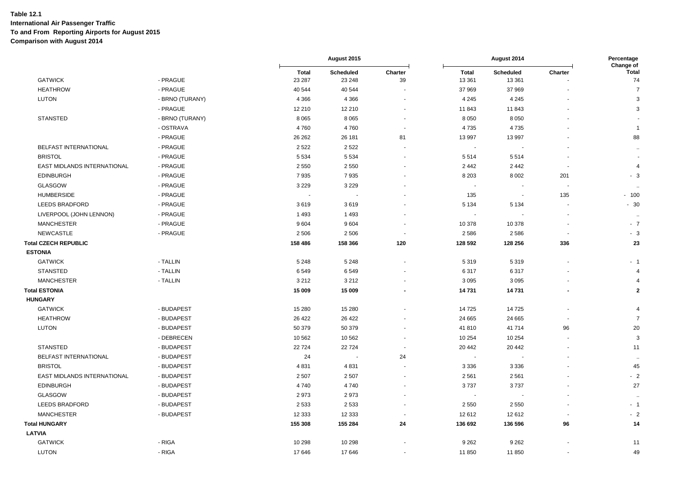|                             |                 |                        | August 2015              |                          | August 2014              |                      |                          | Percentage<br>Change of |
|-----------------------------|-----------------|------------------------|--------------------------|--------------------------|--------------------------|----------------------|--------------------------|-------------------------|
| <b>GATWICK</b>              | - PRAGUE        | <b>Total</b><br>23 287 | Scheduled<br>23 248      | Charter<br>39            | <b>Total</b><br>13 361   | Scheduled<br>13 3 61 | Charter                  | <b>Total</b><br>74      |
| <b>HEATHROW</b>             | - PRAGUE        | 40 544                 | 40 544                   |                          | 37 969                   | 37 969               |                          | $\overline{7}$          |
| <b>LUTON</b>                | - BRNO (TURANY) | 4 3 6 6                | 4 3 6 6                  |                          | 4 2 4 5                  | 4 2 4 5              |                          | 3                       |
|                             | - PRAGUE        | 12 210                 | 12 210                   | $\overline{\phantom{a}}$ | 11 843                   | 11 843               |                          | 3                       |
| <b>STANSTED</b>             | - BRNO (TURANY) | 8 0 6 5                | 8 0 6 5                  |                          | 8 0 5 0                  | 8 0 5 0              |                          |                         |
|                             | - OSTRAVA       | 4760                   | 4760                     | $\overline{\phantom{a}}$ | 4735                     | 4735                 |                          | $\overline{1}$          |
|                             | - PRAGUE        | 26 26 2                | 26 181                   | 81                       | 13 997                   | 13 997               |                          | 88                      |
| BELFAST INTERNATIONAL       | - PRAGUE        | 2 5 2 2                | 2522                     |                          | $\overline{\phantom{a}}$ |                      |                          | $\ddot{\phantom{a}}$    |
| <b>BRISTOL</b>              | - PRAGUE        | 5 5 3 4                | 5 5 3 4                  |                          | 5514                     | 5514                 |                          |                         |
| EAST MIDLANDS INTERNATIONAL | - PRAGUE        | 2 5 5 0                | 2 5 5 0                  |                          | 2 4 4 2                  | 2 4 4 2              | ٠.                       | $\overline{4}$          |
| <b>EDINBURGH</b>            | - PRAGUE        | 7935                   | 7935                     |                          | 8 2 0 3                  | 8 0 0 2              | 201                      | $-3$                    |
| <b>GLASGOW</b>              | - PRAGUE        | 3 2 2 9                | 3 2 2 9                  |                          |                          |                      |                          | $\ddotsc$               |
| <b>HUMBERSIDE</b>           | - PRAGUE        |                        | $\overline{\phantom{a}}$ |                          | 135                      | $\blacksquare$       | 135                      | $-100$                  |
| <b>LEEDS BRADFORD</b>       | - PRAGUE        | 3619                   | 3619                     |                          | 5 1 3 4                  | 5 1 3 4              | $\blacksquare$           | $-30$                   |
| LIVERPOOL (JOHN LENNON)     | - PRAGUE        | 1 4 9 3                | 1493                     |                          |                          |                      |                          | $\ddotsc$               |
| <b>MANCHESTER</b>           | - PRAGUE        | 9604                   | 9604                     |                          | 10 378                   | 10 378               |                          | $-7$                    |
| <b>NEWCASTLE</b>            | - PRAGUE        | 2 5 0 6                | 2 5 0 6                  |                          | 2586                     | 2586                 | $\overline{\phantom{a}}$ | $-3$                    |
| <b>Total CZECH REPUBLIC</b> |                 | 158 486                | 158 366                  | 120                      | 128 592                  | 128 256              | 336                      | 23                      |
| <b>ESTONIA</b>              |                 |                        |                          |                          |                          |                      |                          |                         |
| <b>GATWICK</b>              | - TALLIN        | 5 2 4 8                | 5 2 4 8                  |                          | 5319                     | 5319                 |                          | $-1$                    |
| <b>STANSTED</b>             | - TALLIN        | 6549                   | 6549                     |                          | 6317                     | 6317                 |                          | $\overline{4}$          |
| <b>MANCHESTER</b>           | - TALLIN        | 3 2 1 2                | 3 2 1 2                  |                          | 3 0 9 5                  | 3 0 9 5              |                          | $\overline{4}$          |
| <b>Total ESTONIA</b>        |                 | 15 009                 | 15 009                   |                          | 14731                    | 14731                |                          | $\mathbf{2}$            |
| <b>HUNGARY</b>              |                 |                        |                          |                          |                          |                      |                          |                         |
| <b>GATWICK</b>              | - BUDAPEST      | 15 280                 | 15 280                   |                          | 14725                    | 14725                |                          | $\overline{4}$          |
| <b>HEATHROW</b>             | - BUDAPEST      | 26 4 22                | 26 4 22                  |                          | 24 665                   | 24 6 65              |                          | $\overline{7}$          |
| <b>LUTON</b>                | - BUDAPEST      | 50 379                 | 50 379                   |                          | 41810                    | 41714                | 96                       | 20                      |
|                             | - DEBRECEN      | 10 562                 | 10 562                   |                          | 10 254                   | 10 254               |                          | $\mathbf{3}$            |
| <b>STANSTED</b>             | - BUDAPEST      | 22724                  | 22724                    |                          | 20 442                   | 20 442               |                          | 11                      |
| BELFAST INTERNATIONAL       | - BUDAPEST      | 24                     | <b>.</b>                 | 24                       | $\overline{\phantom{a}}$ |                      |                          | $\ddot{\phantom{1}}$    |
| <b>BRISTOL</b>              | - BUDAPEST      | 4831                   | 4831                     |                          | 3 3 3 6                  | 3 3 3 6              |                          | 45                      |
| EAST MIDLANDS INTERNATIONAL | - BUDAPEST      | 2 5 0 7                | 2 5 0 7                  |                          | 2 5 6 1                  | 2561                 |                          | $-2$                    |
| <b>EDINBURGH</b>            | - BUDAPEST      | 4740                   | 4740                     |                          | 3737                     | 3737                 |                          | 27                      |
| <b>GLASGOW</b>              | - BUDAPEST      | 2973                   | 2973                     |                          | $\sim$                   |                      |                          | $\ddot{\phantom{1}}$    |
| <b>LEEDS BRADFORD</b>       | - BUDAPEST      | 2 5 3 3                | 2 5 3 3                  |                          | 2 5 5 0                  | 2550                 |                          | $-1$                    |
| <b>MANCHESTER</b>           | - BUDAPEST      | 12 333                 | 12 3 33                  | $\blacksquare$           | 12612                    | 12612                |                          | $-2$                    |
| <b>Total HUNGARY</b>        |                 | 155 308                | 155 284                  | 24                       | 136 692                  | 136 596              | 96                       | 14                      |
| <b>LATVIA</b>               |                 |                        |                          |                          |                          |                      |                          |                         |
| <b>GATWICK</b>              | - RIGA          | 10 298                 | 10 298                   |                          | 9 2 6 2                  | 9 2 6 2              |                          | 11                      |
| <b>LUTON</b>                | - RIGA          | 17 646                 | 17646                    |                          | 11 850                   | 11850                |                          | 49                      |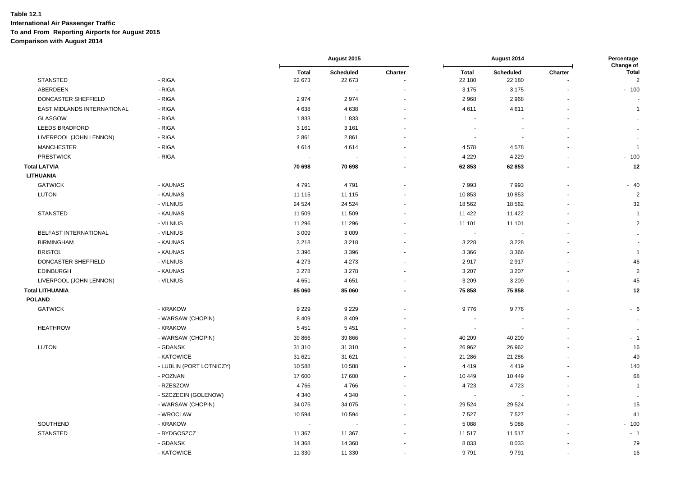|                             |                          | August 2015            |                     | August 2014 |                          |                     | Percentage<br>Change of |                                  |
|-----------------------------|--------------------------|------------------------|---------------------|-------------|--------------------------|---------------------|-------------------------|----------------------------------|
| <b>STANSTED</b>             | - RIGA                   | <b>Total</b><br>22 673 | Scheduled<br>22 673 | Charter     | <b>Total</b><br>22 180   | Scheduled<br>22 180 | Charter                 | <b>Total</b><br>$\boldsymbol{2}$ |
| ABERDEEN                    | - RIGA                   |                        |                     |             | 3 1 7 5                  | 3 1 7 5             |                         | $-100$                           |
| DONCASTER SHEFFIELD         | - RIGA                   | 2974                   | 2974                |             | 2968                     | 2968                |                         |                                  |
| EAST MIDLANDS INTERNATIONAL | - RIGA                   | 4638                   | 4638                |             | 4611                     | 4611                |                         | $\mathbf{1}$                     |
| GLASGOW                     | - RIGA                   | 1833                   | 1833                |             | $\overline{\phantom{a}}$ |                     |                         | $\bullet\bullet$                 |
| <b>LEEDS BRADFORD</b>       | - RIGA                   | 3 1 6 1                | 3 1 6 1             |             |                          |                     |                         | $\ddot{\phantom{1}}$             |
| LIVERPOOL (JOHN LENNON)     | - RIGA                   | 2861                   | 2861                |             |                          |                     |                         | $\bullet\bullet$                 |
| <b>MANCHESTER</b>           | - RIGA                   | 4614                   | 4614                |             | 4578                     | 4578                |                         | $\mathbf{1}$                     |
| <b>PRESTWICK</b>            | - RIGA                   |                        |                     |             | 4 2 2 9                  | 4 2 2 9             |                         | $-100$                           |
| <b>Total LATVIA</b>         |                          | 70 698                 | 70 698              |             | 62 853                   | 62853               |                         | 12                               |
| <b>LITHUANIA</b>            |                          |                        |                     |             |                          |                     |                         |                                  |
| <b>GATWICK</b>              | - KAUNAS                 | 4791                   | 4791                |             | 7993                     | 7993                |                         | $-40$                            |
| <b>LUTON</b>                | - KAUNAS                 | 11 115                 | 11 115              |             | 10853                    | 10853               |                         | $\overline{2}$                   |
|                             | - VILNIUS                | 24 5 24                | 24 5 24             |             | 18 5 62                  | 18 5 62             |                         | 32                               |
| <b>STANSTED</b>             | - KAUNAS                 | 11 509                 | 11 509              |             | 11 422                   | 11 4 22             |                         | $\overline{1}$                   |
|                             | - VILNIUS                | 11 296                 | 11 296              |             | 11 101                   | 11 101              |                         | 2                                |
| BELFAST INTERNATIONAL       | - VILNIUS                | 3 0 0 9                | 3 0 0 9             |             | $\sim$                   |                     |                         |                                  |
| <b>BIRMINGHAM</b>           | - KAUNAS                 | 3 2 1 8                | 3 2 1 8             |             | 3 2 2 8                  | 3 2 2 8             |                         |                                  |
| <b>BRISTOL</b>              | - KAUNAS                 | 3 3 9 6                | 3 3 9 6             |             | 3 3 6 6                  | 3 3 6 6             |                         |                                  |
|                             |                          |                        |                     |             |                          |                     |                         | $\mathbf{1}$                     |
| DONCASTER SHEFFIELD         | - VILNIUS                | 4 2 7 3                | 4 2 7 3             |             | 2917                     | 2917                |                         | 46<br>$\overline{2}$             |
| <b>EDINBURGH</b>            | - KAUNAS                 | 3 2 7 8                | 3 2 7 8             |             | 3 2 0 7                  | 3 2 0 7             |                         |                                  |
| LIVERPOOL (JOHN LENNON)     | - VILNIUS                | 4 6 5 1                | 4651                |             | 3 2 0 9                  | 3 2 0 9             |                         | 45                               |
| <b>Total LITHUANIA</b>      |                          | 85 060                 | 85 060              |             | 75 858                   | 75 858              |                         | 12                               |
| <b>POLAND</b>               |                          |                        |                     |             |                          |                     |                         |                                  |
| <b>GATWICK</b>              | - KRAKOW                 | 9 2 2 9                | 9 2 2 9             |             | 9776                     | 9776                |                         | $-6$                             |
|                             | - WARSAW (CHOPIN)        | 8 4 0 9                | 8 4 0 9             |             |                          |                     |                         |                                  |
| <b>HEATHROW</b>             | - KRAKOW                 | 5 4 5 1                | 5 4 5 1             |             |                          |                     |                         | $\ddot{\phantom{1}}$             |
|                             | - WARSAW (CHOPIN)        | 39 866                 | 39 866              |             | 40 209                   | 40 209              |                         | - 1                              |
| <b>LUTON</b>                | - GDANSK                 | 31 310                 | 31 310              |             | 26 962                   | 26 962              |                         | 16                               |
|                             | - KATOWICE               | 31 621                 | 31 621              |             | 21 28 6                  | 21 28 6             |                         | 49                               |
|                             | - LUBLIN (PORT LOTNICZY) | 10588                  | 10 588              |             | 4419                     | 4419                |                         | 140                              |
|                             | - POZNAN                 | 17 600                 | 17 600              |             | 10 449                   | 10 449              |                         | 68                               |
|                             | - RZESZOW                | 4766                   | 4766                |             | 4723                     | 4723                |                         | $\overline{1}$                   |
|                             | - SZCZECIN (GOLENOW)     | 4 3 4 0                | 4 3 4 0             |             | $\sim$                   |                     |                         | $\ddotsc$                        |
|                             | - WARSAW (CHOPIN)        | 34 075                 | 34 075              |             | 29 5 24                  | 29 5 24             |                         | 15                               |
|                             | - WROCLAW                | 10 594                 | 10 594              |             | 7 5 2 7                  | 7527                |                         | 41                               |
| SOUTHEND                    | - KRAKOW                 |                        |                     |             | 5 0 8 8                  | 5 0 8 8             |                         | $-100$                           |
| <b>STANSTED</b>             | - BYDGOSZCZ              | 11 367                 | 11 367              |             | 11 517                   | 11517               |                         | $-1$                             |
|                             | - GDANSK                 | 14 3 68                | 14 3 68             |             | 8 0 3 3                  | 8033                |                         | 79                               |
|                             | - KATOWICE               | 11 330                 | 11 330              |             | 9791                     | 9791                |                         | 16                               |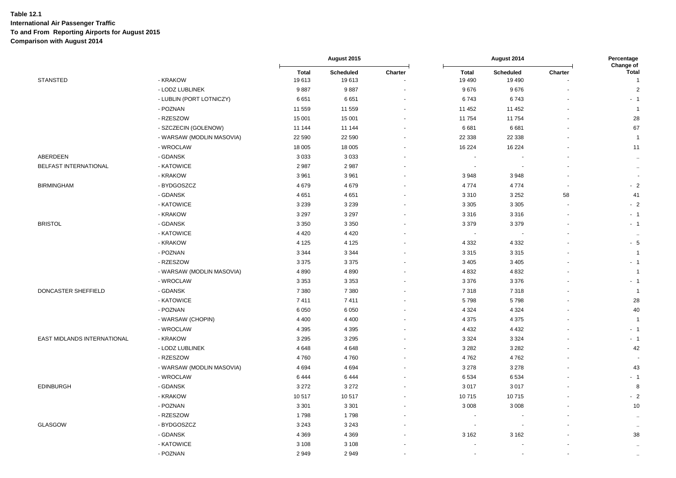|                             |                           | August 2015           |                    |         | Percentage<br>Change of  |                              |         |                                |
|-----------------------------|---------------------------|-----------------------|--------------------|---------|--------------------------|------------------------------|---------|--------------------------------|
| <b>STANSTED</b>             | - KRAKOW                  | <b>Total</b><br>19613 | Scheduled<br>19613 | Charter | <b>Total</b><br>19 490   | <b>Scheduled</b><br>19 4 9 0 | Charter | <b>Total</b><br>$\overline{1}$ |
|                             | - LODZ LUBLINEK           | 9887                  | 9887               |         | 9676                     | 9676                         |         | $\overline{2}$                 |
|                             | - LUBLIN (PORT LOTNICZY)  | 6651                  | 6651               |         | 6743                     | 6743                         |         | $-1$                           |
|                             | - POZNAN                  | 11 559                | 11 559             |         | 11 452                   | 11 452                       |         | $\overline{1}$                 |
|                             | - RZESZOW                 | 15 001                | 15 001             |         | 11754                    | 11754                        |         | 28                             |
|                             | - SZCZECIN (GOLENOW)      | 11 144                | 11 144             |         | 6681                     | 6681                         |         | 67                             |
|                             | - WARSAW (MODLIN MASOVIA) | 22 590                | 22 590             |         | 22 3 38                  | 22 3 38                      |         | $\overline{1}$                 |
|                             | - WROCLAW                 | 18 005                | 18 005             |         | 16 224                   | 16 2 24                      |         | 11                             |
| ABERDEEN                    | - GDANSK                  | 3 0 3 3               | 3 0 3 3            |         |                          |                              |         | $\sim$                         |
| BELFAST INTERNATIONAL       | - KATOWICE                | 2987                  | 2987               |         | $\sim$                   | $\overline{a}$               |         | $\sim$                         |
|                             | - KRAKOW                  | 3 9 6 1               | 3 9 6 1            |         | 3948                     | 3948                         |         |                                |
| <b>BIRMINGHAM</b>           | - BYDGOSZCZ               | 4679                  | 4679               |         | 4774                     | 4774                         |         | $-2$                           |
|                             | - GDANSK                  | 4 6 5 1               | 4651               |         | 3 3 1 0                  | 3 2 5 2                      | 58      | 41                             |
|                             | - KATOWICE                | 3 2 3 9               | 3 2 3 9            |         | 3 3 0 5                  | 3 3 0 5                      |         | $-2$                           |
|                             | - KRAKOW                  | 3 2 9 7               | 3 2 9 7            |         | 3 3 1 6                  | 3316                         |         | $-1$                           |
| <b>BRISTOL</b>              | - GDANSK                  | 3 3 5 0               | 3 3 5 0            |         | 3 3 7 9                  | 3379                         |         | $-1$                           |
|                             | - KATOWICE                | 4 4 2 0               | 4 4 2 0            |         | $\overline{\phantom{a}}$ | $\blacksquare$               |         | ٠.                             |
|                             | - KRAKOW                  | 4 1 2 5               | 4 1 2 5            |         | 4 3 3 2                  | 4 3 3 2                      |         | $-5$                           |
|                             | - POZNAN                  | 3 3 4 4               | 3 3 4 4            |         | 3 3 1 5                  | 3315                         |         | $\overline{1}$                 |
|                             | - RZESZOW                 | 3 3 7 5               | 3 3 7 5            |         | 3 4 0 5                  | 3 4 0 5                      |         | $-1$                           |
|                             | - WARSAW (MODLIN MASOVIA) | 4 8 9 0               | 4890               |         | 4 8 3 2                  | 4832                         |         | $\overline{1}$                 |
|                             | - WROCLAW                 | 3 3 5 3               | 3 3 5 3            |         | 3 3 7 6                  | 3 3 7 6                      |         | $-1$                           |
| DONCASTER SHEFFIELD         | - GDANSK                  | 7 3 8 0               | 7 3 8 0            |         | 7318                     | 7 3 1 8                      |         | $\overline{1}$                 |
|                             | - KATOWICE                | 7411                  | 7411               |         | 5798                     | 5798                         |         | 28                             |
|                             | - POZNAN                  | 6 0 5 0               | 6 0 5 0            |         | 4 3 2 4                  | 4 3 2 4                      |         | 40                             |
|                             | - WARSAW (CHOPIN)         | 4 4 0 0               | 4 4 0 0            |         | 4 3 7 5                  | 4 3 7 5                      |         | $\overline{1}$                 |
|                             | - WROCLAW                 | 4 3 9 5               | 4 3 9 5            |         | 4 4 3 2                  | 4 4 3 2                      |         | $-1$                           |
| EAST MIDLANDS INTERNATIONAL | - KRAKOW                  | 3 2 9 5               | 3 2 9 5            |         | 3 3 2 4                  | 3 3 2 4                      |         | $-1$                           |
|                             | - LODZ LUBLINEK           | 4 6 4 8               | 4648               |         | 3 2 8 2                  | 3 2 8 2                      |         | 42                             |
|                             | - RZESZOW                 | 4760                  | 4760               |         | 4762                     | 4762                         |         |                                |
|                             | - WARSAW (MODLIN MASOVIA) | 4694                  | 4694               |         | 3 2 7 8                  | 3 2 7 8                      |         | 43                             |
|                             | - WROCLAW                 | 6444                  | 6444               |         | 6 5 34                   | 6534                         |         | $-1$                           |
| <b>EDINBURGH</b>            | - GDANSK                  | 3 2 7 2               | 3 2 7 2            |         | 3017                     | 3017                         |         | 8                              |
|                             | - KRAKOW                  | 10517                 | 10517              |         | 10715                    | 10715                        |         | $-2$                           |
|                             | - POZNAN                  | 3 3 0 1               | 3 3 0 1            |         | 3 0 0 8                  | 3 0 0 8                      |         | 10                             |
|                             | - RZESZOW                 | 1798                  | 1798               |         |                          |                              |         | $\sim$                         |
| GLASGOW                     | - BYDGOSZCZ               | 3 2 4 3               | 3 2 4 3            |         | $\overline{\phantom{a}}$ | $\overline{\phantom{a}}$     |         | $\sim$                         |
|                             | - GDANSK                  | 4 3 6 9               | 4 3 6 9            |         | 3 1 6 2                  | 3 1 6 2                      |         | 38                             |
|                             | - KATOWICE                | 3 1 0 8               | 3 1 0 8            |         |                          |                              |         | $\ddotsc$                      |
|                             | - POZNAN                  | 2949                  | 2949               |         |                          |                              |         | $\sim$                         |
|                             |                           |                       |                    |         |                          |                              |         |                                |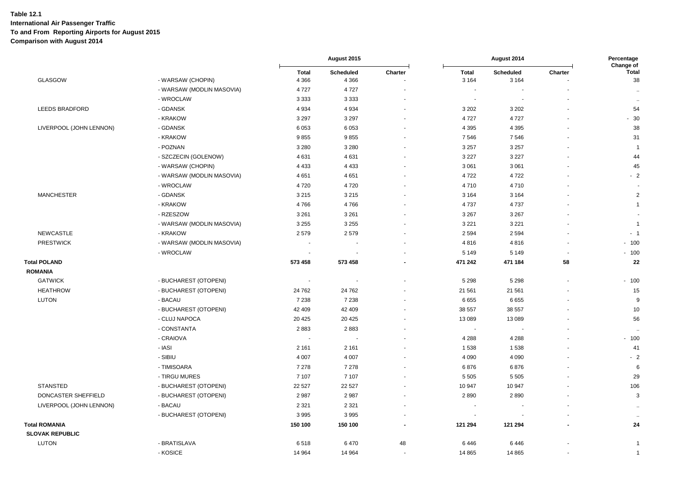|                         |                           | August 2015  |                  |         | Percentage<br>Change of |                  |         |                      |
|-------------------------|---------------------------|--------------|------------------|---------|-------------------------|------------------|---------|----------------------|
|                         |                           | <b>Total</b> | <b>Scheduled</b> | Charter | <b>Total</b>            | <b>Scheduled</b> | Charter | <b>Total</b>         |
| GLASGOW                 | - WARSAW (CHOPIN)         | 4 3 6 6      | 4 3 6 6          |         | 3 1 6 4                 | 3 1 6 4          |         | 38                   |
|                         | - WARSAW (MODLIN MASOVIA) | 4727         | 4 7 2 7          |         | $\blacksquare$          |                  |         | $\ddotsc$            |
|                         | - WROCLAW                 | 3 3 3 3      | 3 3 3 3          |         |                         |                  |         | $\ddot{\phantom{a}}$ |
| LEEDS BRADFORD          | - GDANSK                  | 4 9 3 4      | 4 9 3 4          |         | 3 2 0 2                 | 3 2 0 2          |         | 54                   |
|                         | - KRAKOW                  | 3 2 9 7      | 3 2 9 7          |         | 4727                    | 4727             |         | $-30$                |
| LIVERPOOL (JOHN LENNON) | - GDANSK                  | 6 0 5 3      | 6053             |         | 4 3 9 5                 | 4 3 9 5          |         | 38                   |
|                         | - KRAKOW                  | 9855         | 9855             |         | 7546                    | 7546             |         | 31                   |
|                         | - POZNAN                  | 3 2 8 0      | 3 2 8 0          |         | 3 2 5 7                 | 3 2 5 7          |         | -1                   |
|                         | - SZCZECIN (GOLENOW)      | 4631         | 4 6 31           |         | 3 2 2 7                 | 3 2 2 7          |         | 44                   |
|                         | - WARSAW (CHOPIN)         | 4 4 3 3      | 4 4 3 3          |         | 3 0 6 1                 | 3 0 6 1          |         | 45                   |
|                         | - WARSAW (MODLIN MASOVIA) | 4651         | 4651             |         | 4722                    | 4722             |         | $-2$                 |
|                         | - WROCLAW                 | 4720         | 4720             |         | 4710                    | 4710             |         |                      |
| <b>MANCHESTER</b>       | - GDANSK                  | 3 2 1 5      | 3 2 1 5          |         | 3 1 6 4                 | 3 1 6 4          |         | $\overline{c}$       |
|                         | - KRAKOW                  | 4766         | 4766             |         | 4 7 3 7                 | 4737             |         | $\overline{1}$       |
|                         | - RZESZOW                 | 3 2 6 1      | 3 2 6 1          |         | 3 2 6 7                 | 3 2 6 7          |         | $\sim$               |
|                         | - WARSAW (MODLIN MASOVIA) | 3 2 5 5      | 3 2 5 5          |         | 3 2 2 1                 | 3 2 2 1          |         | $\overline{1}$       |
| NEWCASTLE               | - KRAKOW                  | 2579         | 2579             |         | 2 5 9 4                 | 2594             |         | $-1$                 |
| <b>PRESTWICK</b>        | - WARSAW (MODLIN MASOVIA) |              |                  |         | 4816                    | 4816             |         | $-100$               |
|                         | - WROCLAW                 |              |                  |         | 5 1 4 9                 | 5 1 4 9          |         | $-100$               |
| <b>Total POLAND</b>     |                           | 573 458      | 573 458          |         | 471 242                 | 471 184          | 58      | 22                   |
| <b>ROMANIA</b>          |                           |              |                  |         |                         |                  |         |                      |
| <b>GATWICK</b>          | - BUCHAREST (OTOPENI)     |              |                  |         | 5 2 9 8                 | 5 2 9 8          |         | $-100$               |
| <b>HEATHROW</b>         | - BUCHAREST (OTOPENI)     | 24 762       | 24 762           |         | 21 561                  | 21 561           |         | 15                   |
| <b>LUTON</b>            | - BACAU                   | 7 2 3 8      | 7 2 3 8          |         | 6655                    | 6655             |         | 9                    |
|                         | - BUCHAREST (OTOPENI)     | 42 409       | 42 409           |         | 38 557                  | 38 557           |         | 10                   |
|                         | - CLUJ NAPOCA             | 20 4 25      | 20 4 25          |         | 13 089                  | 13 089           |         | 56                   |
|                         | - CONSTANTA               | 2883         | 2883             |         | $\sim$                  |                  |         | $\ddot{\phantom{a}}$ |
|                         | - CRAIOVA                 | $\sim$       |                  |         | 4 2 8 8                 | 4 2 8 8          |         | $-100$               |
|                         | - IASI                    | 2 1 6 1      | 2 1 6 1          |         | 1538                    | 1538             |         | 41                   |
|                         | - SIBIU                   | 4 0 0 7      | 4 0 0 7          |         | 4 0 9 0                 | 4 0 9 0          |         | $-2$                 |
|                         | - TIMISOARA               | 7 2 7 8      | 7 2 7 8          |         | 6876                    | 6876             |         | 6                    |
|                         | - TIRGU MURES             | 7 107        | 7 107            |         | 5 5 0 5                 | 5 5 0 5          |         | 29                   |
| <b>STANSTED</b>         | - BUCHAREST (OTOPENI)     | 22 5 27      | 22 5 27          |         | 10 947                  | 10 947           |         | 106                  |
| DONCASTER SHEFFIELD     | - BUCHAREST (OTOPENI)     | 2987         | 2987             |         | 2890                    | 2890             |         | 3                    |
| LIVERPOOL (JOHN LENNON) | - BACAU                   | 2 3 2 1      | 2 3 2 1          |         |                         |                  |         | $\ddotsc$            |
|                         | - BUCHAREST (OTOPENI)     | 3995         | 3 9 9 5          |         |                         |                  |         | $\ddotsc$            |
| <b>Total ROMANIA</b>    |                           | 150 100      | 150 100          |         | 121 294                 | 121 294          |         | 24                   |
| <b>SLOVAK REPUBLIC</b>  |                           |              |                  |         |                         |                  |         |                      |
| <b>LUTON</b>            | - BRATISLAVA              | 6518         | 6470             | 48      | 6446                    | 6446             |         | $\overline{1}$       |
|                         | - KOSICE                  | 14 9 64      | 14 9 64          |         | 14 8 65                 | 14 8 65          |         | $\overline{1}$       |
|                         |                           |              |                  |         |                         |                  |         |                      |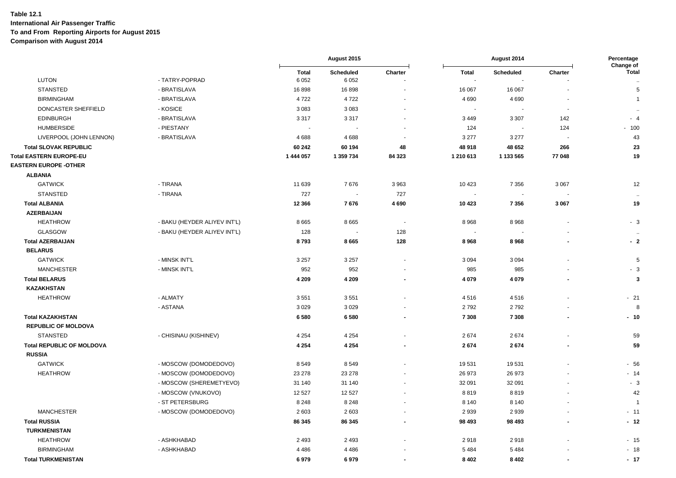| <b>Total</b><br>Charter<br><b>Total</b><br>Scheduled<br>Charter<br><b>Total</b><br><b>Scheduled</b><br><b>LUTON</b><br>- TATRY-POPRAD<br>6 0 5 2<br>6 0 5 2<br>÷,<br>$\ddot{\phantom{1}}$<br><b>STANSTED</b><br>16898<br>16898<br>16 067<br>16 067<br>5<br>- BRATISLAVA<br>- BRATISLAVA<br>4722<br>4722<br>4 6 9 0<br>4690<br><b>BIRMINGHAM</b><br>$\overline{1}$<br>DONCASTER SHEFFIELD<br>- KOSICE<br>3083<br>3 0 8 3<br>$\ddotsc$<br><b>EDINBURGH</b><br>- BRATISLAVA<br>3 3 1 7<br>3 3 1 7<br>3 4 4 9<br>3 3 0 7<br>142<br>$-4$<br><b>HUMBERSIDE</b><br>- PIESTANY<br>124<br>124<br>$-100$<br>$\sim$<br>LIVERPOOL (JOHN LENNON)<br>- BRATISLAVA<br>4688<br>4688<br>3 2 7 7<br>3 2 7 7<br>43<br><b>Total SLOVAK REPUBLIC</b><br>60 242<br>60 194<br>48<br>48 918<br>48 652<br>266<br>23<br>Total EASTERN EUROPE-EU<br>1 444 057<br>1 359 734<br>84 323<br>1 210 613<br>1 133 565<br>77 048<br>19<br><b>ALBANIA</b><br><b>GATWICK</b><br>- TIRANA<br>11 639<br>7676<br>3963<br>10 4 23<br>7 3 5 6<br>3 0 6 7<br>12<br><b>STANSTED</b><br>- TIRANA<br>727<br>727<br>$\overline{\phantom{a}}$<br>$\ddotsc$<br>7676<br>4690<br>3 0 6 7<br><b>Total ALBANIA</b><br>12 3 66<br>10 4 23<br>7356<br>19<br><b>AZERBAIJAN</b><br><b>HEATHROW</b><br>- BAKU (HEYDER ALIYEV INT'L)<br>8968<br>8665<br>8665<br>8968<br>$-3$<br>$\overline{\phantom{a}}$<br><b>GLASGOW</b><br>- BAKU (HEYDER ALIYEV INT'L)<br>128<br>128<br>÷,<br>÷,<br>$\sim$<br><b>Total AZERBAIJAN</b><br>128<br>8793<br>8665<br>8968<br>8968<br>$-2$<br><b>BELARUS</b><br><b>GATWICK</b><br>3 2 5 7<br>3 2 5 7<br>3 0 9 4<br>5<br>- MINSK INT'L<br>3094<br>$\overline{\phantom{a}}$<br>952<br>952<br>985<br><b>MANCHESTER</b><br>- MINSK INT'L<br>985<br>$-3$<br>4 0 7 9<br>$\overline{\mathbf{3}}$<br><b>Total BELARUS</b><br>4 2 0 9<br>4 2 0 9<br>4 0 7 9<br>$\sim$<br><b>KAZAKHSTAN</b><br><b>HEATHROW</b><br>3551<br>3551<br>$-21$<br>- ALMATY<br>4516<br>4516<br>3 0 2 9<br>3 0 2 9<br>2792<br>2792<br>8<br>- ASTANA<br>6580<br>6580<br>$-10$<br><b>Total KAZAKHSTAN</b><br>7 3 0 8<br>7 3 0 8<br>$\blacksquare$<br>$\sim$<br><b>REPUBLIC OF MOLDOVA</b><br><b>STANSTED</b><br>4 2 5 4<br>4 2 5 4<br>2674<br>2674<br>- CHISINAU (KISHINEV)<br>59<br><b>Total REPUBLIC OF MOLDOVA</b><br>4 2 5 4<br>4 2 5 4<br>2674<br>59<br>2674<br><b>RUSSIA</b><br><b>GATWICK</b><br>8549<br>19531<br>19531<br>$-56$<br>- MOSCOW (DOMODEDOVO)<br>8549<br><b>HEATHROW</b><br>23 278<br>26 973<br>26 973<br>$-14$<br>- MOSCOW (DOMODEDOVO)<br>23 278<br>$-3$<br>- MOSCOW (SHEREMETYEVO)<br>31 140<br>32 091<br>32 091<br>31 140<br>- MOSCOW (VNUKOVO)<br>12 5 27<br>8819<br>8819<br>42<br>12 5 27<br>- ST PETERSBURG<br>8 2 4 8<br>8 2 4 8<br>8 1 4 0<br>8 1 4 0<br>- 1<br><b>MANCHESTER</b><br>- MOSCOW (DOMODEDOVO)<br>2 6 0 3<br>2 9 3 9<br>2939<br>2603<br>$-11$<br><b>Total RUSSIA</b><br>$-12$<br>86 345<br>86 345<br>98 493<br>98 4 93<br><b>TURKMENISTAN</b><br><b>HEATHROW</b><br>- ASHKHABAD<br>2 4 9 3<br>2 4 9 3<br>2918<br>2918<br>$-15$<br><b>BIRMINGHAM</b><br>- ASHKHABAD<br>4 4 8 6<br>5 4 8 4<br>5 4 8 4<br>$-18$<br>4 4 8 6<br><b>Total TURKMENISTAN</b><br>6979<br>6979<br>8 4 0 2<br>8 4 0 2<br>$-17$ |                              |  | August 2015 |  | August 2014 | Percentage |           |
|---------------------------------------------------------------------------------------------------------------------------------------------------------------------------------------------------------------------------------------------------------------------------------------------------------------------------------------------------------------------------------------------------------------------------------------------------------------------------------------------------------------------------------------------------------------------------------------------------------------------------------------------------------------------------------------------------------------------------------------------------------------------------------------------------------------------------------------------------------------------------------------------------------------------------------------------------------------------------------------------------------------------------------------------------------------------------------------------------------------------------------------------------------------------------------------------------------------------------------------------------------------------------------------------------------------------------------------------------------------------------------------------------------------------------------------------------------------------------------------------------------------------------------------------------------------------------------------------------------------------------------------------------------------------------------------------------------------------------------------------------------------------------------------------------------------------------------------------------------------------------------------------------------------------------------------------------------------------------------------------------------------------------------------------------------------------------------------------------------------------------------------------------------------------------------------------------------------------------------------------------------------------------------------------------------------------------------------------------------------------------------------------------------------------------------------------------------------------------------------------------------------------------------------------------------------------------------------------------------------------------------------------------------------------------------------------------------------------------------------------------------------------------------------------------------------------------------------------------------------------------------------------------------------------------------------------------------------------------------------------------------------------------------------------------------------------------------------------------------------------------------------------------------------------------|------------------------------|--|-------------|--|-------------|------------|-----------|
|                                                                                                                                                                                                                                                                                                                                                                                                                                                                                                                                                                                                                                                                                                                                                                                                                                                                                                                                                                                                                                                                                                                                                                                                                                                                                                                                                                                                                                                                                                                                                                                                                                                                                                                                                                                                                                                                                                                                                                                                                                                                                                                                                                                                                                                                                                                                                                                                                                                                                                                                                                                                                                                                                                                                                                                                                                                                                                                                                                                                                                                                                                                                                                           |                              |  |             |  |             |            | Change of |
|                                                                                                                                                                                                                                                                                                                                                                                                                                                                                                                                                                                                                                                                                                                                                                                                                                                                                                                                                                                                                                                                                                                                                                                                                                                                                                                                                                                                                                                                                                                                                                                                                                                                                                                                                                                                                                                                                                                                                                                                                                                                                                                                                                                                                                                                                                                                                                                                                                                                                                                                                                                                                                                                                                                                                                                                                                                                                                                                                                                                                                                                                                                                                                           |                              |  |             |  |             |            |           |
|                                                                                                                                                                                                                                                                                                                                                                                                                                                                                                                                                                                                                                                                                                                                                                                                                                                                                                                                                                                                                                                                                                                                                                                                                                                                                                                                                                                                                                                                                                                                                                                                                                                                                                                                                                                                                                                                                                                                                                                                                                                                                                                                                                                                                                                                                                                                                                                                                                                                                                                                                                                                                                                                                                                                                                                                                                                                                                                                                                                                                                                                                                                                                                           |                              |  |             |  |             |            |           |
|                                                                                                                                                                                                                                                                                                                                                                                                                                                                                                                                                                                                                                                                                                                                                                                                                                                                                                                                                                                                                                                                                                                                                                                                                                                                                                                                                                                                                                                                                                                                                                                                                                                                                                                                                                                                                                                                                                                                                                                                                                                                                                                                                                                                                                                                                                                                                                                                                                                                                                                                                                                                                                                                                                                                                                                                                                                                                                                                                                                                                                                                                                                                                                           |                              |  |             |  |             |            |           |
|                                                                                                                                                                                                                                                                                                                                                                                                                                                                                                                                                                                                                                                                                                                                                                                                                                                                                                                                                                                                                                                                                                                                                                                                                                                                                                                                                                                                                                                                                                                                                                                                                                                                                                                                                                                                                                                                                                                                                                                                                                                                                                                                                                                                                                                                                                                                                                                                                                                                                                                                                                                                                                                                                                                                                                                                                                                                                                                                                                                                                                                                                                                                                                           |                              |  |             |  |             |            |           |
|                                                                                                                                                                                                                                                                                                                                                                                                                                                                                                                                                                                                                                                                                                                                                                                                                                                                                                                                                                                                                                                                                                                                                                                                                                                                                                                                                                                                                                                                                                                                                                                                                                                                                                                                                                                                                                                                                                                                                                                                                                                                                                                                                                                                                                                                                                                                                                                                                                                                                                                                                                                                                                                                                                                                                                                                                                                                                                                                                                                                                                                                                                                                                                           |                              |  |             |  |             |            |           |
|                                                                                                                                                                                                                                                                                                                                                                                                                                                                                                                                                                                                                                                                                                                                                                                                                                                                                                                                                                                                                                                                                                                                                                                                                                                                                                                                                                                                                                                                                                                                                                                                                                                                                                                                                                                                                                                                                                                                                                                                                                                                                                                                                                                                                                                                                                                                                                                                                                                                                                                                                                                                                                                                                                                                                                                                                                                                                                                                                                                                                                                                                                                                                                           |                              |  |             |  |             |            |           |
|                                                                                                                                                                                                                                                                                                                                                                                                                                                                                                                                                                                                                                                                                                                                                                                                                                                                                                                                                                                                                                                                                                                                                                                                                                                                                                                                                                                                                                                                                                                                                                                                                                                                                                                                                                                                                                                                                                                                                                                                                                                                                                                                                                                                                                                                                                                                                                                                                                                                                                                                                                                                                                                                                                                                                                                                                                                                                                                                                                                                                                                                                                                                                                           |                              |  |             |  |             |            |           |
|                                                                                                                                                                                                                                                                                                                                                                                                                                                                                                                                                                                                                                                                                                                                                                                                                                                                                                                                                                                                                                                                                                                                                                                                                                                                                                                                                                                                                                                                                                                                                                                                                                                                                                                                                                                                                                                                                                                                                                                                                                                                                                                                                                                                                                                                                                                                                                                                                                                                                                                                                                                                                                                                                                                                                                                                                                                                                                                                                                                                                                                                                                                                                                           |                              |  |             |  |             |            |           |
|                                                                                                                                                                                                                                                                                                                                                                                                                                                                                                                                                                                                                                                                                                                                                                                                                                                                                                                                                                                                                                                                                                                                                                                                                                                                                                                                                                                                                                                                                                                                                                                                                                                                                                                                                                                                                                                                                                                                                                                                                                                                                                                                                                                                                                                                                                                                                                                                                                                                                                                                                                                                                                                                                                                                                                                                                                                                                                                                                                                                                                                                                                                                                                           | <b>EASTERN EUROPE -OTHER</b> |  |             |  |             |            |           |
|                                                                                                                                                                                                                                                                                                                                                                                                                                                                                                                                                                                                                                                                                                                                                                                                                                                                                                                                                                                                                                                                                                                                                                                                                                                                                                                                                                                                                                                                                                                                                                                                                                                                                                                                                                                                                                                                                                                                                                                                                                                                                                                                                                                                                                                                                                                                                                                                                                                                                                                                                                                                                                                                                                                                                                                                                                                                                                                                                                                                                                                                                                                                                                           |                              |  |             |  |             |            |           |
|                                                                                                                                                                                                                                                                                                                                                                                                                                                                                                                                                                                                                                                                                                                                                                                                                                                                                                                                                                                                                                                                                                                                                                                                                                                                                                                                                                                                                                                                                                                                                                                                                                                                                                                                                                                                                                                                                                                                                                                                                                                                                                                                                                                                                                                                                                                                                                                                                                                                                                                                                                                                                                                                                                                                                                                                                                                                                                                                                                                                                                                                                                                                                                           |                              |  |             |  |             |            |           |
|                                                                                                                                                                                                                                                                                                                                                                                                                                                                                                                                                                                                                                                                                                                                                                                                                                                                                                                                                                                                                                                                                                                                                                                                                                                                                                                                                                                                                                                                                                                                                                                                                                                                                                                                                                                                                                                                                                                                                                                                                                                                                                                                                                                                                                                                                                                                                                                                                                                                                                                                                                                                                                                                                                                                                                                                                                                                                                                                                                                                                                                                                                                                                                           |                              |  |             |  |             |            |           |
|                                                                                                                                                                                                                                                                                                                                                                                                                                                                                                                                                                                                                                                                                                                                                                                                                                                                                                                                                                                                                                                                                                                                                                                                                                                                                                                                                                                                                                                                                                                                                                                                                                                                                                                                                                                                                                                                                                                                                                                                                                                                                                                                                                                                                                                                                                                                                                                                                                                                                                                                                                                                                                                                                                                                                                                                                                                                                                                                                                                                                                                                                                                                                                           |                              |  |             |  |             |            |           |
|                                                                                                                                                                                                                                                                                                                                                                                                                                                                                                                                                                                                                                                                                                                                                                                                                                                                                                                                                                                                                                                                                                                                                                                                                                                                                                                                                                                                                                                                                                                                                                                                                                                                                                                                                                                                                                                                                                                                                                                                                                                                                                                                                                                                                                                                                                                                                                                                                                                                                                                                                                                                                                                                                                                                                                                                                                                                                                                                                                                                                                                                                                                                                                           |                              |  |             |  |             |            |           |
|                                                                                                                                                                                                                                                                                                                                                                                                                                                                                                                                                                                                                                                                                                                                                                                                                                                                                                                                                                                                                                                                                                                                                                                                                                                                                                                                                                                                                                                                                                                                                                                                                                                                                                                                                                                                                                                                                                                                                                                                                                                                                                                                                                                                                                                                                                                                                                                                                                                                                                                                                                                                                                                                                                                                                                                                                                                                                                                                                                                                                                                                                                                                                                           |                              |  |             |  |             |            |           |
|                                                                                                                                                                                                                                                                                                                                                                                                                                                                                                                                                                                                                                                                                                                                                                                                                                                                                                                                                                                                                                                                                                                                                                                                                                                                                                                                                                                                                                                                                                                                                                                                                                                                                                                                                                                                                                                                                                                                                                                                                                                                                                                                                                                                                                                                                                                                                                                                                                                                                                                                                                                                                                                                                                                                                                                                                                                                                                                                                                                                                                                                                                                                                                           |                              |  |             |  |             |            |           |
|                                                                                                                                                                                                                                                                                                                                                                                                                                                                                                                                                                                                                                                                                                                                                                                                                                                                                                                                                                                                                                                                                                                                                                                                                                                                                                                                                                                                                                                                                                                                                                                                                                                                                                                                                                                                                                                                                                                                                                                                                                                                                                                                                                                                                                                                                                                                                                                                                                                                                                                                                                                                                                                                                                                                                                                                                                                                                                                                                                                                                                                                                                                                                                           |                              |  |             |  |             |            |           |
|                                                                                                                                                                                                                                                                                                                                                                                                                                                                                                                                                                                                                                                                                                                                                                                                                                                                                                                                                                                                                                                                                                                                                                                                                                                                                                                                                                                                                                                                                                                                                                                                                                                                                                                                                                                                                                                                                                                                                                                                                                                                                                                                                                                                                                                                                                                                                                                                                                                                                                                                                                                                                                                                                                                                                                                                                                                                                                                                                                                                                                                                                                                                                                           |                              |  |             |  |             |            |           |
|                                                                                                                                                                                                                                                                                                                                                                                                                                                                                                                                                                                                                                                                                                                                                                                                                                                                                                                                                                                                                                                                                                                                                                                                                                                                                                                                                                                                                                                                                                                                                                                                                                                                                                                                                                                                                                                                                                                                                                                                                                                                                                                                                                                                                                                                                                                                                                                                                                                                                                                                                                                                                                                                                                                                                                                                                                                                                                                                                                                                                                                                                                                                                                           |                              |  |             |  |             |            |           |
|                                                                                                                                                                                                                                                                                                                                                                                                                                                                                                                                                                                                                                                                                                                                                                                                                                                                                                                                                                                                                                                                                                                                                                                                                                                                                                                                                                                                                                                                                                                                                                                                                                                                                                                                                                                                                                                                                                                                                                                                                                                                                                                                                                                                                                                                                                                                                                                                                                                                                                                                                                                                                                                                                                                                                                                                                                                                                                                                                                                                                                                                                                                                                                           |                              |  |             |  |             |            |           |
|                                                                                                                                                                                                                                                                                                                                                                                                                                                                                                                                                                                                                                                                                                                                                                                                                                                                                                                                                                                                                                                                                                                                                                                                                                                                                                                                                                                                                                                                                                                                                                                                                                                                                                                                                                                                                                                                                                                                                                                                                                                                                                                                                                                                                                                                                                                                                                                                                                                                                                                                                                                                                                                                                                                                                                                                                                                                                                                                                                                                                                                                                                                                                                           |                              |  |             |  |             |            |           |
|                                                                                                                                                                                                                                                                                                                                                                                                                                                                                                                                                                                                                                                                                                                                                                                                                                                                                                                                                                                                                                                                                                                                                                                                                                                                                                                                                                                                                                                                                                                                                                                                                                                                                                                                                                                                                                                                                                                                                                                                                                                                                                                                                                                                                                                                                                                                                                                                                                                                                                                                                                                                                                                                                                                                                                                                                                                                                                                                                                                                                                                                                                                                                                           |                              |  |             |  |             |            |           |
|                                                                                                                                                                                                                                                                                                                                                                                                                                                                                                                                                                                                                                                                                                                                                                                                                                                                                                                                                                                                                                                                                                                                                                                                                                                                                                                                                                                                                                                                                                                                                                                                                                                                                                                                                                                                                                                                                                                                                                                                                                                                                                                                                                                                                                                                                                                                                                                                                                                                                                                                                                                                                                                                                                                                                                                                                                                                                                                                                                                                                                                                                                                                                                           |                              |  |             |  |             |            |           |
|                                                                                                                                                                                                                                                                                                                                                                                                                                                                                                                                                                                                                                                                                                                                                                                                                                                                                                                                                                                                                                                                                                                                                                                                                                                                                                                                                                                                                                                                                                                                                                                                                                                                                                                                                                                                                                                                                                                                                                                                                                                                                                                                                                                                                                                                                                                                                                                                                                                                                                                                                                                                                                                                                                                                                                                                                                                                                                                                                                                                                                                                                                                                                                           |                              |  |             |  |             |            |           |
|                                                                                                                                                                                                                                                                                                                                                                                                                                                                                                                                                                                                                                                                                                                                                                                                                                                                                                                                                                                                                                                                                                                                                                                                                                                                                                                                                                                                                                                                                                                                                                                                                                                                                                                                                                                                                                                                                                                                                                                                                                                                                                                                                                                                                                                                                                                                                                                                                                                                                                                                                                                                                                                                                                                                                                                                                                                                                                                                                                                                                                                                                                                                                                           |                              |  |             |  |             |            |           |
|                                                                                                                                                                                                                                                                                                                                                                                                                                                                                                                                                                                                                                                                                                                                                                                                                                                                                                                                                                                                                                                                                                                                                                                                                                                                                                                                                                                                                                                                                                                                                                                                                                                                                                                                                                                                                                                                                                                                                                                                                                                                                                                                                                                                                                                                                                                                                                                                                                                                                                                                                                                                                                                                                                                                                                                                                                                                                                                                                                                                                                                                                                                                                                           |                              |  |             |  |             |            |           |
|                                                                                                                                                                                                                                                                                                                                                                                                                                                                                                                                                                                                                                                                                                                                                                                                                                                                                                                                                                                                                                                                                                                                                                                                                                                                                                                                                                                                                                                                                                                                                                                                                                                                                                                                                                                                                                                                                                                                                                                                                                                                                                                                                                                                                                                                                                                                                                                                                                                                                                                                                                                                                                                                                                                                                                                                                                                                                                                                                                                                                                                                                                                                                                           |                              |  |             |  |             |            |           |
|                                                                                                                                                                                                                                                                                                                                                                                                                                                                                                                                                                                                                                                                                                                                                                                                                                                                                                                                                                                                                                                                                                                                                                                                                                                                                                                                                                                                                                                                                                                                                                                                                                                                                                                                                                                                                                                                                                                                                                                                                                                                                                                                                                                                                                                                                                                                                                                                                                                                                                                                                                                                                                                                                                                                                                                                                                                                                                                                                                                                                                                                                                                                                                           |                              |  |             |  |             |            |           |
|                                                                                                                                                                                                                                                                                                                                                                                                                                                                                                                                                                                                                                                                                                                                                                                                                                                                                                                                                                                                                                                                                                                                                                                                                                                                                                                                                                                                                                                                                                                                                                                                                                                                                                                                                                                                                                                                                                                                                                                                                                                                                                                                                                                                                                                                                                                                                                                                                                                                                                                                                                                                                                                                                                                                                                                                                                                                                                                                                                                                                                                                                                                                                                           |                              |  |             |  |             |            |           |
|                                                                                                                                                                                                                                                                                                                                                                                                                                                                                                                                                                                                                                                                                                                                                                                                                                                                                                                                                                                                                                                                                                                                                                                                                                                                                                                                                                                                                                                                                                                                                                                                                                                                                                                                                                                                                                                                                                                                                                                                                                                                                                                                                                                                                                                                                                                                                                                                                                                                                                                                                                                                                                                                                                                                                                                                                                                                                                                                                                                                                                                                                                                                                                           |                              |  |             |  |             |            |           |
|                                                                                                                                                                                                                                                                                                                                                                                                                                                                                                                                                                                                                                                                                                                                                                                                                                                                                                                                                                                                                                                                                                                                                                                                                                                                                                                                                                                                                                                                                                                                                                                                                                                                                                                                                                                                                                                                                                                                                                                                                                                                                                                                                                                                                                                                                                                                                                                                                                                                                                                                                                                                                                                                                                                                                                                                                                                                                                                                                                                                                                                                                                                                                                           |                              |  |             |  |             |            |           |
|                                                                                                                                                                                                                                                                                                                                                                                                                                                                                                                                                                                                                                                                                                                                                                                                                                                                                                                                                                                                                                                                                                                                                                                                                                                                                                                                                                                                                                                                                                                                                                                                                                                                                                                                                                                                                                                                                                                                                                                                                                                                                                                                                                                                                                                                                                                                                                                                                                                                                                                                                                                                                                                                                                                                                                                                                                                                                                                                                                                                                                                                                                                                                                           |                              |  |             |  |             |            |           |
|                                                                                                                                                                                                                                                                                                                                                                                                                                                                                                                                                                                                                                                                                                                                                                                                                                                                                                                                                                                                                                                                                                                                                                                                                                                                                                                                                                                                                                                                                                                                                                                                                                                                                                                                                                                                                                                                                                                                                                                                                                                                                                                                                                                                                                                                                                                                                                                                                                                                                                                                                                                                                                                                                                                                                                                                                                                                                                                                                                                                                                                                                                                                                                           |                              |  |             |  |             |            |           |
|                                                                                                                                                                                                                                                                                                                                                                                                                                                                                                                                                                                                                                                                                                                                                                                                                                                                                                                                                                                                                                                                                                                                                                                                                                                                                                                                                                                                                                                                                                                                                                                                                                                                                                                                                                                                                                                                                                                                                                                                                                                                                                                                                                                                                                                                                                                                                                                                                                                                                                                                                                                                                                                                                                                                                                                                                                                                                                                                                                                                                                                                                                                                                                           |                              |  |             |  |             |            |           |
|                                                                                                                                                                                                                                                                                                                                                                                                                                                                                                                                                                                                                                                                                                                                                                                                                                                                                                                                                                                                                                                                                                                                                                                                                                                                                                                                                                                                                                                                                                                                                                                                                                                                                                                                                                                                                                                                                                                                                                                                                                                                                                                                                                                                                                                                                                                                                                                                                                                                                                                                                                                                                                                                                                                                                                                                                                                                                                                                                                                                                                                                                                                                                                           |                              |  |             |  |             |            |           |
|                                                                                                                                                                                                                                                                                                                                                                                                                                                                                                                                                                                                                                                                                                                                                                                                                                                                                                                                                                                                                                                                                                                                                                                                                                                                                                                                                                                                                                                                                                                                                                                                                                                                                                                                                                                                                                                                                                                                                                                                                                                                                                                                                                                                                                                                                                                                                                                                                                                                                                                                                                                                                                                                                                                                                                                                                                                                                                                                                                                                                                                                                                                                                                           |                              |  |             |  |             |            |           |
|                                                                                                                                                                                                                                                                                                                                                                                                                                                                                                                                                                                                                                                                                                                                                                                                                                                                                                                                                                                                                                                                                                                                                                                                                                                                                                                                                                                                                                                                                                                                                                                                                                                                                                                                                                                                                                                                                                                                                                                                                                                                                                                                                                                                                                                                                                                                                                                                                                                                                                                                                                                                                                                                                                                                                                                                                                                                                                                                                                                                                                                                                                                                                                           |                              |  |             |  |             |            |           |
|                                                                                                                                                                                                                                                                                                                                                                                                                                                                                                                                                                                                                                                                                                                                                                                                                                                                                                                                                                                                                                                                                                                                                                                                                                                                                                                                                                                                                                                                                                                                                                                                                                                                                                                                                                                                                                                                                                                                                                                                                                                                                                                                                                                                                                                                                                                                                                                                                                                                                                                                                                                                                                                                                                                                                                                                                                                                                                                                                                                                                                                                                                                                                                           |                              |  |             |  |             |            |           |
|                                                                                                                                                                                                                                                                                                                                                                                                                                                                                                                                                                                                                                                                                                                                                                                                                                                                                                                                                                                                                                                                                                                                                                                                                                                                                                                                                                                                                                                                                                                                                                                                                                                                                                                                                                                                                                                                                                                                                                                                                                                                                                                                                                                                                                                                                                                                                                                                                                                                                                                                                                                                                                                                                                                                                                                                                                                                                                                                                                                                                                                                                                                                                                           |                              |  |             |  |             |            |           |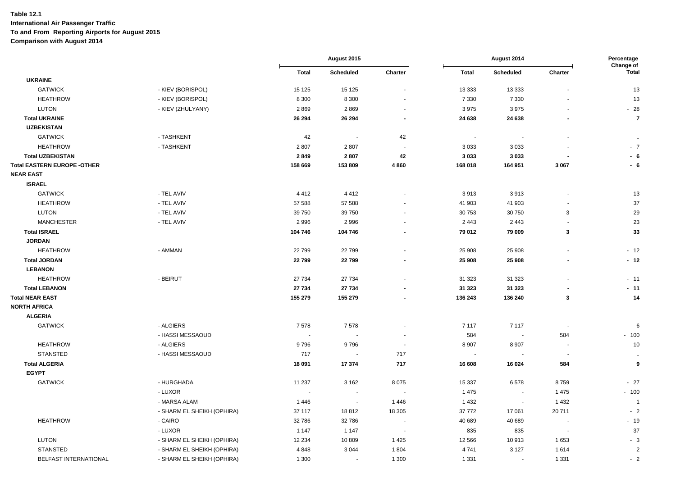|                                    |                            |              | August 2015 |         | August 2014              |                          |              | Percentage<br>Change of |
|------------------------------------|----------------------------|--------------|-------------|---------|--------------------------|--------------------------|--------------|-------------------------|
|                                    |                            | <b>Total</b> | Scheduled   | Charter | <b>Total</b>             | Scheduled                | Charter      | <b>Total</b>            |
| <b>UKRAINE</b>                     |                            |              |             |         |                          |                          |              |                         |
| <b>GATWICK</b>                     | - KIEV (BORISPOL)          | 15 125       | 15 125      |         | 13 3 3 3                 | 13 3 3 3                 |              | 13                      |
| <b>HEATHROW</b>                    | - KIEV (BORISPOL)          | 8 3 0 0      | 8 3 0 0     |         | 7 3 3 0                  | 7 3 3 0                  |              | 13                      |
| <b>LUTON</b>                       | - KIEV (ZHULYANY)          | 2869         | 2869        |         | 3975                     | 3975                     |              | $-28$                   |
| <b>Total UKRAINE</b>               |                            | 26 294       | 26 294      | $\sim$  | 24 638                   | 24 638                   |              | $\overline{7}$          |
| <b>UZBEKISTAN</b>                  |                            |              |             |         |                          |                          |              |                         |
| <b>GATWICK</b>                     | - TASHKENT                 | 42           | $\sim$      | 42      | $\sim$                   |                          |              | $\sim$                  |
| <b>HEATHROW</b>                    | - TASHKENT                 | 2807         | 2807        |         | 3 0 3 3                  | 3033                     |              | $-7$                    |
| <b>Total UZBEKISTAN</b>            |                            | 2849         | 2807        | 42      | 3 0 3 3                  | 3033                     |              | $-6$                    |
| <b>Total EASTERN EUROPE -OTHER</b> |                            | 158 669      | 153 809     | 4860    | 168 018                  | 164 951                  | 3 0 6 7      | - 6                     |
| <b>NEAR EAST</b>                   |                            |              |             |         |                          |                          |              |                         |
| <b>ISRAEL</b>                      |                            |              |             |         |                          |                          |              |                         |
| <b>GATWICK</b>                     | - TEL AVIV                 | 4 4 1 2      | 4412        |         | 3913                     | 3913                     |              | 13                      |
| <b>HEATHROW</b>                    | - TEL AVIV                 | 57 588       | 57 588      |         | 41 903                   | 41 903                   |              | 37                      |
| <b>LUTON</b>                       | - TEL AVIV                 | 39 750       | 39 750      |         | 30 753                   | 30750                    | 3            | 29                      |
| <b>MANCHESTER</b>                  | - TEL AVIV                 | 2 9 9 6      | 2996        |         | 2 4 4 3                  | 2443                     |              | 23                      |
| <b>Total ISRAEL</b>                |                            | 104 746      | 104 746     |         | 79 012                   | 79 009                   | $\mathbf{3}$ | 33                      |
| <b>JORDAN</b>                      |                            |              |             |         |                          |                          |              |                         |
| <b>HEATHROW</b>                    | - AMMAN                    | 22799        | 22799       |         | 25 908                   | 25 908                   |              | $-12$                   |
| <b>Total JORDAN</b>                |                            | 22799        | 22799       |         | 25 908                   | 25 908                   |              | $-12$                   |
| <b>LEBANON</b>                     |                            |              |             |         |                          |                          |              |                         |
| <b>HEATHROW</b>                    | - BEIRUT                   | 27 734       | 27 734      |         | 31 323                   | 31 323                   |              | $-11$                   |
| <b>Total LEBANON</b>               |                            | 27 734       | 27 734      |         | 31 323                   | 31 323                   |              | $-11$                   |
| <b>Total NEAR EAST</b>             |                            | 155 279      | 155 279     |         | 136 243                  | 136 240                  | $\mathbf{3}$ | 14                      |
| <b>NORTH AFRICA</b>                |                            |              |             |         |                          |                          |              |                         |
| <b>ALGERIA</b>                     |                            |              |             |         |                          |                          |              |                         |
| <b>GATWICK</b>                     | - ALGIERS                  | 7578         | 7578        |         | 7 1 1 7                  | 7 1 1 7                  |              | 6                       |
|                                    | - HASSI MESSAOUD           | $\sim$       |             |         | 584                      | $\overline{\phantom{a}}$ | 584          | $-100$                  |
| <b>HEATHROW</b>                    | - ALGIERS                  | 9796         | 9796        |         | 8 9 0 7                  | 8 9 0 7                  |              | $10\,$                  |
| <b>STANSTED</b>                    | - HASSI MESSAOUD           | 717          | $\sim$      | 717     | $\overline{\phantom{a}}$ |                          | $\sim$       | $\sim$                  |
| <b>Total ALGERIA</b>               |                            | 18 091       | 17374       | 717     | 16 608                   | 16 0 24                  | 584          | 9                       |
| <b>EGYPT</b>                       |                            |              |             |         |                          |                          |              |                         |
| <b>GATWICK</b>                     | - HURGHADA                 | 11 237       | 3 1 6 2     | 8075    | 15 3 37                  | 6578                     | 8759         | $-27$                   |
|                                    | - LUXOR                    | $\sim$       | $\sim$      |         | 1475                     | $\sim$                   | 1 4 7 5      | $-100$                  |
|                                    | - MARSA ALAM               | 1446         | $\sim$      | 1446    | 1 4 3 2                  |                          | 1 4 3 2      | $\overline{1}$          |
|                                    | - SHARM EL SHEIKH (OPHIRA) | 37 117       | 18812       | 18 30 5 | 37 772                   | 17 061                   | 20711        | $-2$                    |
| <b>HEATHROW</b>                    | - CAIRO                    | 32786        | 32 786      |         | 40 689                   | 40 689                   |              | $-19$                   |
|                                    | - LUXOR                    | 1 1 4 7      | 1 1 4 7     |         | 835                      | 835                      |              | 37                      |
| LUTON                              | - SHARM EL SHEIKH (OPHIRA) | 12 2 34      | 10 809      | 1425    | 12 5 6 6                 | 10913                    | 1653         | $-3$                    |
| <b>STANSTED</b>                    | - SHARM EL SHEIKH (OPHIRA) | 4848         | 3 0 4 4     | 1804    | 4741                     | 3 1 2 7                  | 1614         | $\overline{2}$          |
| BELFAST INTERNATIONAL              | - SHARM EL SHEIKH (OPHIRA) | 1 300        | $\sim$      | 1 300   | 1 3 3 1                  | $\sim$                   | 1 3 3 1      | $-2$                    |
|                                    |                            |              |             |         |                          |                          |              |                         |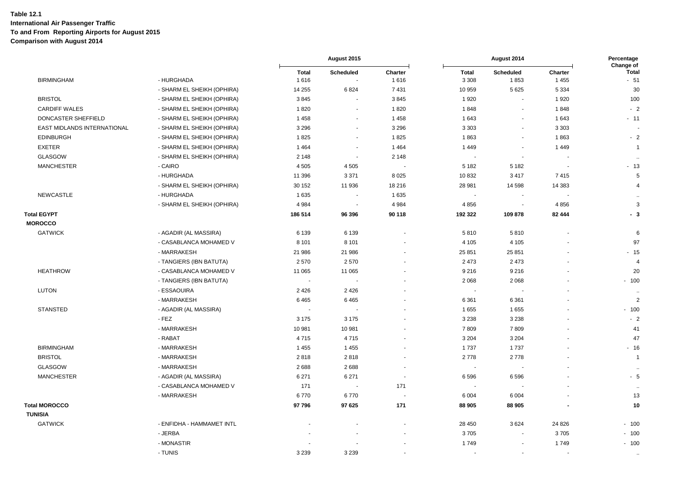|                                      |                            | August 2015          |                          |                          | Percentage<br>Change of  |                          |                    |                       |
|--------------------------------------|----------------------------|----------------------|--------------------------|--------------------------|--------------------------|--------------------------|--------------------|-----------------------|
| <b>BIRMINGHAM</b>                    | - HURGHADA                 | <b>Total</b><br>1616 | <b>Scheduled</b>         | Charter<br>1616          | <b>Total</b><br>3 3 0 8  | <b>Scheduled</b><br>1853 | Charter<br>1 4 5 5 | <b>Total</b><br>$-51$ |
|                                      | - SHARM EL SHEIKH (OPHIRA) | 14 255               | 6824                     | 7431                     | 10 959                   | 5625                     | 5 3 3 4            | 30                    |
| <b>BRISTOL</b>                       | - SHARM EL SHEIKH (OPHIRA) | 3845                 | $\ddot{\phantom{1}}$     | 3845                     | 1920                     | $\sim$                   | 1920               | 100                   |
| <b>CARDIFF WALES</b>                 | - SHARM EL SHEIKH (OPHIRA) | 1820                 | $\overline{\phantom{a}}$ | 1820                     | 1848                     | $\overline{a}$           | 1848               | $-2$                  |
| DONCASTER SHEFFIELD                  | - SHARM EL SHEIKH (OPHIRA) | 1 4 5 8              | $\blacksquare$           | 1458                     | 1643                     | $\overline{\phantom{a}}$ | 1643               | $-11$                 |
| EAST MIDLANDS INTERNATIONAL          | - SHARM EL SHEIKH (OPHIRA) | 3 2 9 6              | $\mathbf{r}$             | 3 2 9 6                  | 3 3 0 3                  | $\blacksquare$           | 3 3 0 3            |                       |
| <b>EDINBURGH</b>                     | - SHARM EL SHEIKH (OPHIRA) | 1825                 | $\sim$                   | 1825                     | 1863                     | $\sim$                   | 1863               | $-2$                  |
| <b>EXETER</b>                        | - SHARM EL SHEIKH (OPHIRA) | 1 4 6 4              | $\blacksquare$           | 1 4 6 4                  | 1 4 4 9                  | $\blacksquare$           | 1449               | $\overline{1}$        |
| GLASGOW                              | - SHARM EL SHEIKH (OPHIRA) | 2 1 4 8              | $\overline{\phantom{a}}$ | 2 1 4 8                  | $\overline{\phantom{a}}$ | $\overline{\phantom{a}}$ |                    | $\ddotsc$             |
| <b>MANCHESTER</b>                    | - CAIRO                    | 4 5 0 5              | 4 5 0 5                  |                          | 5 1 8 2                  | 5 1 8 2                  |                    | $-13$                 |
|                                      | - HURGHADA                 | 11 396               | 3 3 7 1                  | 8 0 2 5                  | 10832                    | 3417                     | 7415               | $\sqrt{5}$            |
|                                      | - SHARM EL SHEIKH (OPHIRA) | 30 152               | 11 936                   | 18 216                   | 28 981                   | 14 5 98                  | 14 3 8 3           | $\overline{4}$        |
| NEWCASTLE                            | - HURGHADA                 | 1635                 |                          | 1 6 3 5                  | $\blacksquare$           |                          |                    | $\ddotsc$             |
|                                      | - SHARM EL SHEIKH (OPHIRA) | 4 9 8 4              | $\sim$                   | 4 9 8 4                  | 4856                     | $\sim$                   | 4856               | 3                     |
| <b>Total EGYPT</b><br><b>MOROCCO</b> |                            | 186 514              | 96 396                   | 90 118                   | 192 322                  | 109878                   | 82 444             | - 3                   |
| <b>GATWICK</b>                       | - AGADIR (AL MASSIRA)      | 6 1 3 9              | 6 1 3 9                  | $\ddot{\phantom{1}}$     | 5810                     | 5810                     |                    | 6                     |
|                                      | - CASABLANCA MOHAMED V     | 8 1 0 1              | 8 1 0 1                  |                          | 4 1 0 5                  | 4 1 0 5                  |                    | 97                    |
|                                      | - MARRAKESH                | 21 986               | 21 986                   |                          | 25 851                   | 25 851                   |                    | $-15$                 |
|                                      | - TANGIERS (IBN BATUTA)    | 2570                 | 2570                     |                          | 2 4 7 3                  | 2 4 7 3                  |                    | $\overline{4}$        |
| <b>HEATHROW</b>                      | - CASABLANCA MOHAMED V     | 11 065               | 11 065                   |                          | 9 2 1 6                  | 9216                     |                    | 20                    |
|                                      | - TANGIERS (IBN BATUTA)    |                      |                          |                          | 2 0 6 8                  | 2 0 6 8                  |                    | $-100$                |
| <b>LUTON</b>                         | - ESSAOUIRA                | 2 4 2 6              | 2 4 2 6                  |                          | $\sim$                   |                          |                    | $\ddot{\phantom{a}}$  |
|                                      | - MARRAKESH                | 6465                 | 6465                     |                          | 6 3 6 1                  | 6 3 6 1                  |                    | 2                     |
| <b>STANSTED</b>                      | - AGADIR (AL MASSIRA)      |                      |                          |                          | 1655                     | 1655                     |                    | $-100$                |
|                                      | $-FEZ$                     | 3 1 7 5              | 3 1 7 5                  |                          | 3 2 3 8                  | 3 2 3 8                  |                    | $-2$                  |
|                                      | - MARRAKESH                | 10 981               | 10 981                   |                          | 7809                     | 7809                     |                    | 41                    |
|                                      | - RABAT                    | 4715                 | 4715                     |                          | 3 2 0 4                  | 3 2 0 4                  |                    | 47                    |
| <b>BIRMINGHAM</b>                    | - MARRAKESH                | 1 4 5 5              | 1 4 5 5                  |                          | 1737                     | 1737                     |                    | $-16$                 |
| <b>BRISTOL</b>                       | - MARRAKESH                | 2818                 | 2818                     |                          | 2778                     | 2778                     |                    | $\overline{1}$        |
| <b>GLASGOW</b>                       | - MARRAKESH                | 2688                 | 2688                     | ÷.                       | $\sim$                   |                          |                    | $\ldots$              |
| <b>MANCHESTER</b>                    | - AGADIR (AL MASSIRA)      | 6 2 7 1              | 6 2 7 1                  | $\overline{\phantom{a}}$ | 6596                     | 6596                     |                    | - 5                   |
|                                      | - CASABLANCA MOHAMED V     | 171                  |                          | 171                      |                          |                          |                    | $\ddotsc$             |
|                                      | - MARRAKESH                | 6770                 | 6770                     |                          | 6 0 0 4                  | 6 0 0 4                  |                    | 13                    |
| <b>Total MOROCCO</b>                 |                            | 97796                | 97 625                   | 171                      | 88 905                   | 88 905                   |                    | 10                    |
| <b>TUNISIA</b>                       |                            |                      |                          |                          |                          |                          |                    |                       |
| <b>GATWICK</b>                       | - ENFIDHA - HAMMAMET INTL  |                      |                          |                          | 28 450                   | 3624                     | 24 8 26            | $-100$                |
|                                      | - JERBA                    |                      |                          |                          | 3705                     |                          | 3705               | $-100$                |
|                                      | - MONASTIR                 |                      |                          |                          | 1749                     |                          | 1749               | $-100$                |
|                                      | - TUNIS                    | 3 2 3 9              | 3 2 3 9                  |                          |                          |                          |                    | $\bullet\bullet$      |
|                                      |                            |                      |                          |                          |                          |                          |                    |                       |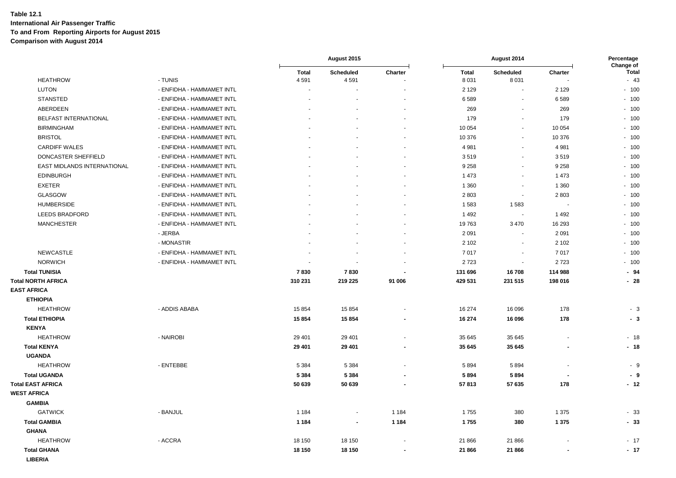|                                       |                           | August 2015              |                          |                          | Percentage<br>Change of |                          |         |                       |
|---------------------------------------|---------------------------|--------------------------|--------------------------|--------------------------|-------------------------|--------------------------|---------|-----------------------|
| <b>HEATHROW</b>                       | - TUNIS                   | <b>Total</b><br>4 5 9 1  | <b>Scheduled</b><br>4591 | Charter                  | <b>Total</b><br>8 0 3 1 | Scheduled<br>8 0 3 1     | Charter | <b>Total</b><br>$-43$ |
| LUTON                                 | - ENFIDHA - HAMMAMET INTL | $\overline{\phantom{a}}$ |                          |                          | 2 1 2 9                 | $\blacksquare$           | 2 1 2 9 | $-100$                |
| <b>STANSTED</b>                       | - ENFIDHA - HAMMAMET INTL |                          |                          |                          | 6589                    | $\overline{\phantom{a}}$ | 6589    | $-100$                |
| ABERDEEN                              | - ENFIDHA - HAMMAMET INTL |                          |                          |                          | 269                     | $\sim$                   | 269     | $-100$                |
| BELFAST INTERNATIONAL                 | - ENFIDHA - HAMMAMET INTL |                          |                          | $\overline{\phantom{a}}$ | 179                     | $\overline{\phantom{a}}$ | 179     | $-100$                |
| <b>BIRMINGHAM</b>                     | - ENFIDHA - HAMMAMET INTL |                          |                          |                          | 10 054                  | $\sim$                   | 10 054  | $-100$                |
| <b>BRISTOL</b>                        | - ENFIDHA - HAMMAMET INTL |                          |                          |                          | 10 376                  | $\blacksquare$           | 10 376  | $-100$                |
| <b>CARDIFF WALES</b>                  | - ENFIDHA - HAMMAMET INTL |                          |                          |                          | 4 9 8 1                 | $\blacksquare$           | 4 9 8 1 | $-100$                |
| DONCASTER SHEFFIELD                   | - ENFIDHA - HAMMAMET INTL |                          |                          |                          | 3519                    | $\blacksquare$           | 3519    | $-100$                |
| EAST MIDLANDS INTERNATIONAL           | - ENFIDHA - HAMMAMET INTL |                          |                          |                          | 9 2 5 8                 | $\blacksquare$           | 9 2 5 8 | $-100$                |
| <b>EDINBURGH</b>                      | - ENFIDHA - HAMMAMET INTL |                          |                          |                          | 1 4 7 3                 | ÷,                       | 1 4 7 3 | $-100$                |
| <b>EXETER</b>                         | - ENFIDHA - HAMMAMET INTL |                          |                          |                          | 1 3 6 0                 | $\mathbf{r}$             | 1 3 6 0 | $-100$                |
| <b>GLASGOW</b>                        | - ENFIDHA - HAMMAMET INTL |                          |                          |                          | 2803                    | $\sim$                   | 2803    | $-100$                |
| <b>HUMBERSIDE</b>                     | - ENFIDHA - HAMMAMET INTL |                          |                          |                          | 1583                    | 1583                     |         | $-100$                |
| LEEDS BRADFORD                        | - ENFIDHA - HAMMAMET INTL |                          |                          |                          | 1 4 9 2                 | $\overline{\phantom{a}}$ | 1 4 9 2 | $-100$                |
| <b>MANCHESTER</b>                     | - ENFIDHA - HAMMAMET INTL |                          |                          |                          | 19763                   | 3 4 7 0                  | 16 293  | $-100$                |
|                                       | - JERBA                   |                          |                          |                          | 2 0 9 1                 | $\sim$                   | 2 0 9 1 | $-100$                |
|                                       | - MONASTIR                |                          |                          |                          | 2 1 0 2                 | $\blacksquare$           | 2 1 0 2 | $-100$                |
| <b>NEWCASTLE</b>                      | - ENFIDHA - HAMMAMET INTL |                          |                          |                          | 7017                    | $\blacksquare$           | 7017    | $-100$                |
| <b>NORWICH</b>                        | - ENFIDHA - HAMMAMET INTL |                          |                          |                          | 2723                    | $\blacksquare$           | 2723    | $-100$                |
| <b>Total TUNISIA</b>                  |                           | 7830                     | 7830                     |                          | 131 696                 | 16708                    | 114 988 | $-94$                 |
| <b>Total NORTH AFRICA</b>             |                           | 310 231                  | 219 225                  | 91 006                   | 429 531                 | 231 515                  | 198 016 | $-28$                 |
| <b>EAST AFRICA</b>                    |                           |                          |                          |                          |                         |                          |         |                       |
| <b>ETHIOPIA</b>                       |                           |                          |                          |                          |                         |                          |         |                       |
| <b>HEATHROW</b>                       | - ADDIS ABABA             | 15 8 54                  | 15 854                   |                          | 16 274                  | 16 096                   | 178     | $-3$                  |
| <b>Total ETHIOPIA</b>                 |                           | 15 854                   | 15 854                   |                          | 16 274                  | 16 096                   | 178     | - 3                   |
| <b>KENYA</b>                          |                           |                          |                          |                          |                         |                          |         |                       |
| <b>HEATHROW</b>                       | - NAIROBI                 | 29 4 01                  | 29 4 01                  |                          | 35 645                  | 35 645                   |         | $-18$                 |
| <b>Total KENYA</b>                    |                           | 29 401                   | 29 401                   |                          | 35 645                  | 35 645                   |         | $-18$                 |
| <b>UGANDA</b>                         |                           |                          |                          |                          |                         |                          |         |                       |
| <b>HEATHROW</b>                       | - ENTEBBE                 | 5 3 8 4                  | 5 3 8 4                  |                          | 5894                    | 5894                     |         | - 9                   |
| <b>Total UGANDA</b>                   |                           | 5 3 8 4                  | 5 3 8 4                  |                          | 5894                    | 5894                     |         | - 9                   |
| <b>Total EAST AFRICA</b>              |                           | 50 639                   | 50 639                   |                          | 57813                   | 57 635                   | 178     | $-12$                 |
| <b>WEST AFRICA</b>                    |                           |                          |                          |                          |                         |                          |         |                       |
| <b>GAMBIA</b>                         |                           |                          |                          |                          |                         |                          |         |                       |
| <b>GATWICK</b>                        | - BANJUL                  | 1 1 8 4                  | $\blacksquare$           | 1 1 8 4                  | 1755                    | 380                      | 1 3 7 5 | $-33$                 |
| <b>Total GAMBIA</b>                   |                           | 1 1 8 4                  | $\blacksquare$           | 1 1 8 4                  | 1755                    | 380                      | 1 3 7 5 | $-33$                 |
| <b>GHANA</b>                          |                           |                          |                          |                          |                         |                          |         |                       |
| <b>HEATHROW</b>                       | - ACCRA                   | 18 150                   | 18 150                   |                          | 21 866                  | 21 866                   |         | $-17$                 |
| <b>Total GHANA</b><br><b>I IRERIA</b> |                           | 18 150                   | 18 150                   | $\overline{\phantom{a}}$ | 21 866                  | 21 866                   |         | $-17$                 |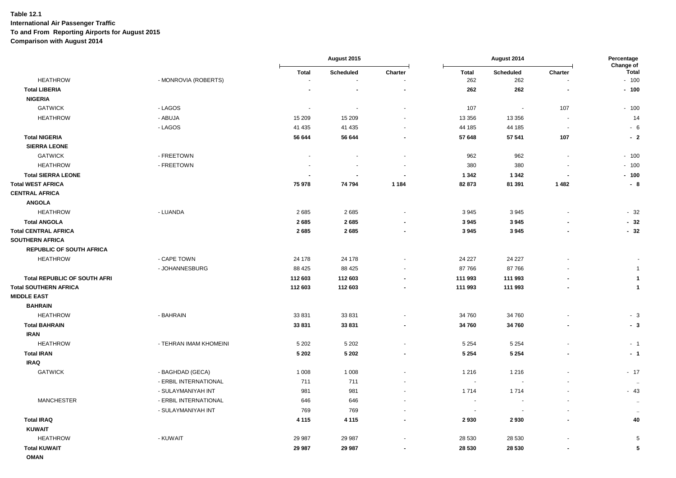|                                 |                        | August 2015       |                  |                          | August 2014              |                          |                          |                                     |
|---------------------------------|------------------------|-------------------|------------------|--------------------------|--------------------------|--------------------------|--------------------------|-------------------------------------|
| <b>HEATHROW</b>                 | - MONROVIA (ROBERTS)   | <b>Total</b><br>٠ | <b>Scheduled</b> | Charter                  | <b>Total</b><br>262      | Scheduled<br>262         | Charter                  | Change of<br><b>Total</b><br>$-100$ |
| <b>Total LIBERIA</b>            |                        |                   |                  | $\blacksquare$           | 262                      | 262                      | $\overline{\phantom{a}}$ | $-100$                              |
| <b>NIGERIA</b>                  |                        |                   |                  |                          |                          |                          |                          |                                     |
| <b>GATWICK</b>                  | - LAGOS                | $\sim$            | $\sim$           | $\blacksquare$           | 107                      | $\sim$                   | 107                      | $-100$                              |
| <b>HEATHROW</b>                 | - ABUJA                | 15 209            | 15 209           | $\overline{\phantom{a}}$ | 13 356                   | 13 3 5 6                 | $\overline{\phantom{a}}$ | 14                                  |
|                                 |                        |                   |                  |                          |                          |                          |                          |                                     |
|                                 | - LAGOS                | 41 4 35           | 41 4 35          | $\blacksquare$           | 44 185                   | 44 185                   | $\sim$                   | $-6$                                |
| <b>Total NIGERIA</b>            |                        | 56 644            | 56 644           | $\overline{\phantom{a}}$ | 57 648                   | 57 541                   | 107                      | $-2$                                |
| <b>SIERRA LEONE</b>             |                        |                   |                  |                          |                          |                          |                          |                                     |
| <b>GATWICK</b>                  | - FREETOWN             | $\blacksquare$    |                  | $\blacksquare$           | 962                      | 962                      | $\overline{\phantom{a}}$ | $-100$                              |
| <b>HEATHROW</b>                 | - FREETOWN             |                   |                  | $\blacksquare$           | 380                      | 380                      |                          | $-100$                              |
| <b>Total SIERRA LEONE</b>       |                        |                   |                  | $\blacksquare$           | 1 3 4 2                  | 1 3 4 2                  | $\overline{a}$           | $-100$                              |
| <b>Total WEST AFRICA</b>        |                        | 75 978            | 74 794           | 1 1 8 4                  | 82 873                   | 81 391                   | 1482                     | $-8$                                |
| <b>CENTRAL AFRICA</b>           |                        |                   |                  |                          |                          |                          |                          |                                     |
| <b>ANGOLA</b>                   |                        |                   |                  |                          |                          |                          |                          |                                     |
| <b>HEATHROW</b>                 | - LUANDA               | 2685              | 2685             | $\blacksquare$           | 3945                     | 3945                     |                          | $-32$                               |
| <b>Total ANGOLA</b>             |                        | 2685              | 2685             |                          | 3945                     | 3945                     |                          | $-32$                               |
| <b>Total CENTRAL AFRICA</b>     |                        | 2685              | 2685             | $\blacksquare$           | 3945                     | 3945                     |                          | $-32$                               |
| <b>SOUTHERN AFRICA</b>          |                        |                   |                  |                          |                          |                          |                          |                                     |
| <b>REPUBLIC OF SOUTH AFRICA</b> |                        |                   |                  |                          |                          |                          |                          |                                     |
| <b>HEATHROW</b>                 | - CAPE TOWN            | 24 178            | 24 178           | ÷,                       | 24 227                   | 24 227                   |                          |                                     |
|                                 | - JOHANNESBURG         | 88 4 25           | 88 4 25          |                          | 87766                    | 87766                    |                          | $\overline{1}$                      |
| Total REPUBLIC OF SOUTH AFRI    |                        | 112 603           | 112 603          |                          | 111 993                  | 111 993                  |                          | $\overline{\mathbf{1}}$             |
| <b>Total SOUTHERN AFRICA</b>    |                        | 112 603           | 112 603          | $\blacksquare$           | 111 993                  | 111 993                  |                          | $\overline{1}$                      |
| <b>MIDDLE EAST</b>              |                        |                   |                  |                          |                          |                          |                          |                                     |
| <b>BAHRAIN</b>                  |                        |                   |                  |                          |                          |                          |                          |                                     |
| <b>HEATHROW</b>                 | - BAHRAIN              | 33 831            | 33 831           | $\ddot{\phantom{1}}$     | 34 760                   | 34 760                   |                          | $-3$                                |
| <b>Total BAHRAIN</b>            |                        | 33 831            | 33 831           | $\blacksquare$           | 34 760                   | 34760                    | $\overline{\phantom{a}}$ | $-3$                                |
| <b>IRAN</b>                     |                        |                   |                  |                          |                          |                          |                          |                                     |
| <b>HEATHROW</b>                 | - TEHRAN IMAM KHOMEINI | 5 2 0 2           | 5 2 0 2          | $\blacksquare$           | 5 2 5 4                  | 5 2 5 4                  |                          | $-1$                                |
| <b>Total IRAN</b>               |                        | 5 2 0 2           | 5 2 0 2          |                          | 5 2 5 4                  | 5 2 5 4                  |                          | $-1$                                |
| <b>IRAQ</b>                     |                        |                   |                  |                          |                          |                          |                          |                                     |
| <b>GATWICK</b>                  | - BAGHDAD (GECA)       | 1 0 0 8           | 1 0 0 8          | $\overline{\phantom{a}}$ | 1 2 1 6                  | 1 2 1 6                  |                          | $-17$                               |
|                                 | - ERBIL INTERNATIONAL  | 711               | 711              |                          | $\overline{\phantom{a}}$ |                          |                          | $\sim$                              |
|                                 | - SULAYMANIYAH INT     | 981               | 981              | $\sim$                   | 1714                     | 1714                     |                          | $-43$                               |
| <b>MANCHESTER</b>               | - ERBIL INTERNATIONAL  | 646               | 646              | $\sim$                   | $\sim$                   | $\overline{\phantom{a}}$ | $\sim$                   | $\sim$                              |
|                                 | - SULAYMANIYAH INT     | 769               | 769              | $\ddot{\phantom{1}}$     | $\sim$                   | $\sim$                   |                          | $\sim$                              |
| <b>Total IRAQ</b>               |                        | 4 1 1 5           | 4 1 1 5          | $\blacksquare$           | 2930                     | 2930                     |                          | 40                                  |
| <b>KUWAIT</b>                   |                        |                   |                  |                          |                          |                          |                          |                                     |
| <b>HEATHROW</b>                 | - KUWAIT               | 29 987            | 29 987           |                          | 28 530                   | 28 530                   |                          | 5                                   |
| <b>Total KUWAIT</b>             |                        | 29 987            | 29 987           | $\blacksquare$           | 28 530                   | 28 530                   |                          | 5                                   |
| <b>OMAN</b>                     |                        |                   |                  |                          |                          |                          |                          |                                     |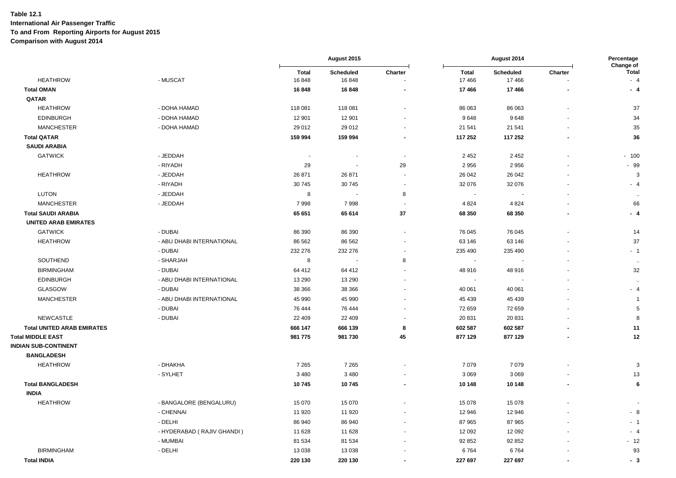|                                   |                            | August 2015           |                    |                          | August 2014              |                           |         |                             |
|-----------------------------------|----------------------------|-----------------------|--------------------|--------------------------|--------------------------|---------------------------|---------|-----------------------------|
| <b>HEATHROW</b>                   | - MUSCAT                   | <b>Total</b><br>16848 | Scheduled<br>16848 | Charter                  | <b>Total</b><br>17 466   | <b>Scheduled</b><br>17466 | Charter | Change of<br>Total<br>$-4$  |
| <b>Total OMAN</b>                 |                            | 16848                 | 16848              |                          | 17466                    | 17466                     |         | $-4$                        |
| QATAR                             |                            |                       |                    |                          |                          |                           |         |                             |
| <b>HEATHROW</b>                   | - DOHA HAMAD               | 118 081               | 118 081            |                          | 86 063                   | 86 063                    |         | 37                          |
| <b>EDINBURGH</b>                  | - DOHA HAMAD               | 12 901                | 12 901             | $\overline{\phantom{a}}$ | 9648                     | 9648                      |         | 34                          |
| <b>MANCHESTER</b>                 | - DOHA HAMAD               | 29 012                | 29 012             |                          | 21 541                   | 21 541                    |         | 35                          |
| <b>Total QATAR</b>                |                            | 159 994               | 159 994            |                          | 117 252                  | 117 252                   |         | 36                          |
| <b>SAUDI ARABIA</b>               |                            |                       |                    |                          |                          |                           |         |                             |
| <b>GATWICK</b>                    | - JEDDAH                   | $\sim$                | $\blacksquare$     |                          | 2 4 5 2                  | 2452                      |         | $-100$                      |
|                                   | - RIYADH                   | 29                    | $\blacksquare$     | 29                       | 2 9 5 6                  | 2956                      |         | $-99$                       |
| <b>HEATHROW</b>                   | - JEDDAH                   | 26 871                | 26 871             | $\overline{\phantom{a}}$ | 26 042                   | 26 042                    |         | 3                           |
|                                   | - RIYADH                   | 30 745                | 30745              | $\overline{\phantom{a}}$ | 32 076                   | 32 076                    |         |                             |
| <b>LUTON</b>                      | - JEDDAH                   | 8                     |                    | 8                        |                          |                           |         | $-4$                        |
|                                   |                            |                       |                    |                          | $\overline{\phantom{a}}$ |                           |         | $\mathcal{L}_{\mathcal{A}}$ |
| <b>MANCHESTER</b>                 | - JEDDAH                   | 7998                  | 7998               |                          | 4 8 24                   | 4 8 2 4                   |         | 66                          |
| <b>Total SAUDI ARABIA</b>         |                            | 65 651                | 65 614             | 37                       | 68 350                   | 68 350                    |         | $-4$                        |
| <b>UNITED ARAB EMIRATES</b>       |                            |                       |                    |                          |                          |                           |         |                             |
| <b>GATWICK</b>                    | - DUBAI                    | 86 390                | 86 390             |                          | 76 045                   | 76 045                    |         | 14                          |
| <b>HEATHROW</b>                   | - ABU DHABI INTERNATIONAL  | 86 562                | 86 562             | $\sim$                   | 63 146                   | 63 146                    |         | 37                          |
|                                   | - DUBAI                    | 232 276               | 232 276            |                          | 235 490                  | 235 490                   |         | $-1$                        |
| <b>SOUTHEND</b>                   | - SHARJAH                  | 8                     |                    | 8                        | $\sim$                   |                           |         | $\ddot{\phantom{a}}$        |
| <b>BIRMINGHAM</b>                 | - DUBAI                    | 64 412                | 64 412             |                          | 48 916                   | 48916                     |         | 32                          |
| <b>EDINBURGH</b>                  | - ABU DHABI INTERNATIONAL  | 13 290                | 13 290             |                          |                          |                           |         | $\ddotsc$                   |
| <b>GLASGOW</b>                    | - DUBAI                    | 38 366                | 38 366             |                          | 40 061                   | 40 061                    |         | $-4$                        |
| <b>MANCHESTER</b>                 | - ABU DHABI INTERNATIONAL  | 45 990                | 45 990             |                          | 45 439                   | 45 439                    |         | $\overline{1}$              |
|                                   | - DUBAI                    | 76 444                | 76 444             |                          | 72 659                   | 72 659                    |         | 5                           |
| <b>NEWCASTLE</b>                  | - DUBAI                    | 22 409                | 22 4 0 9           |                          | 20 831                   | 20 831                    |         | 8                           |
| <b>Total UNITED ARAB EMIRATES</b> |                            | 666 147               | 666 139            | 8                        | 602 587                  | 602 587                   |         | 11                          |
| <b>Total MIDDLE EAST</b>          |                            | 981 775               | 981 730            | 45                       | 877 129                  | 877 129                   |         | 12                          |
| <b>INDIAN SUB-CONTINENT</b>       |                            |                       |                    |                          |                          |                           |         |                             |
| <b>BANGLADESH</b>                 |                            |                       |                    |                          |                          |                           |         |                             |
| <b>HEATHROW</b>                   | - DHAKHA                   | 7 2 6 5               | 7 2 6 5            |                          | 7 0 7 9                  | 7079                      |         | 3                           |
|                                   | - SYLHET                   | 3 4 8 0               | 3 4 8 0            |                          | 3 0 6 9                  | 3 0 6 9                   |         | 13                          |
| <b>Total BANGLADESH</b>           |                            | 10745                 | 10745              | $\overline{\phantom{a}}$ | 10 148                   | 10 148                    |         | 6                           |
| <b>INDIA</b>                      |                            |                       |                    |                          |                          |                           |         |                             |
| <b>HEATHROW</b>                   | - BANGALORE (BENGALURU)    | 15 0 70               | 15 070             |                          | 15 0 78                  | 15 0 78                   |         |                             |
|                                   | - CHENNAI                  | 11 920                | 11 920             |                          | 12 946                   | 12 946                    |         | $-8$                        |
|                                   | - DELHI                    | 86 940                | 86 940             |                          | 87 965                   | 87 965                    |         | $-1$                        |
|                                   | - HYDERABAD (RAJIV GHANDI) | 11 628                | 11 628             |                          | 12 092                   | 12 0 9 2                  |         | - 4                         |
|                                   | - MUMBAI                   | 81 534                | 81 534             |                          | 92 852                   | 92 852                    |         | $-12$                       |
| <b>BIRMINGHAM</b>                 | - DELHI                    | 13 0 38               | 13 0 38            |                          | 6764                     | 6764                      |         | 93                          |
| <b>Total INDIA</b>                |                            | 220 130               | 220 130            |                          | 227 697                  | 227 697                   | ٠       | - 3                         |
|                                   |                            |                       |                    |                          |                          |                           |         |                             |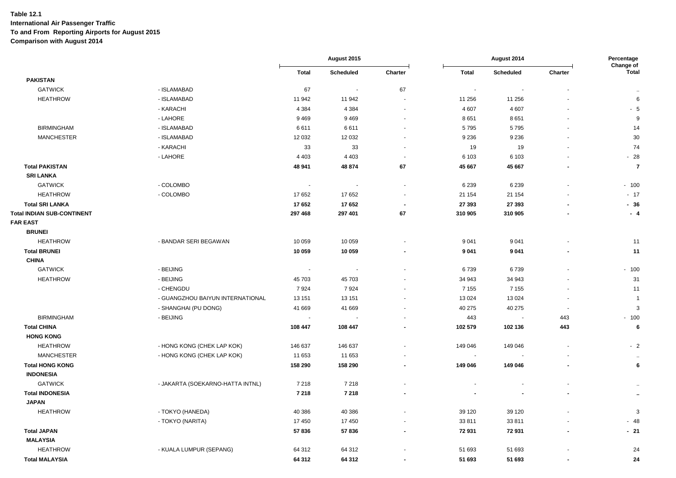|                                   |                                  |              | August 2015    |                          | August 2014  |                          | Percentage               |                           |
|-----------------------------------|----------------------------------|--------------|----------------|--------------------------|--------------|--------------------------|--------------------------|---------------------------|
|                                   |                                  | <b>Total</b> | Scheduled      | Charter                  | <b>Total</b> | <b>Scheduled</b>         | Charter                  | Change of<br><b>Total</b> |
| <b>PAKISTAN</b>                   |                                  |              |                |                          |              |                          |                          |                           |
| <b>GATWICK</b>                    | - ISLAMABAD                      | 67           | $\blacksquare$ | 67                       | $\sim$       |                          |                          | $\ddotsc$                 |
| <b>HEATHROW</b>                   | - ISLAMABAD                      | 11 942       | 11 942         | $\overline{\phantom{a}}$ | 11 256       | 11 256                   |                          | $\,6\,$                   |
|                                   | - KARACHI                        | 4 3 8 4      | 4 3 8 4        | $\blacksquare$           | 4 607        | 4607                     |                          | $-5$                      |
|                                   | - LAHORE                         | 9 4 6 9      | 9469           | $\overline{\phantom{a}}$ | 8651         | 8651                     |                          | 9                         |
| <b>BIRMINGHAM</b>                 | - ISLAMABAD                      | 6611         | 6611           | ä,                       | 5795         | 5795                     |                          | 14                        |
| <b>MANCHESTER</b>                 | - ISLAMABAD                      | 12 0 32      | 12 032         | $\blacksquare$           | 9 2 3 6      | 9 2 3 6                  |                          | 30                        |
|                                   | - KARACHI                        | 33           | 33             | $\blacksquare$           | 19           | 19                       |                          | 74                        |
|                                   | - LAHORE                         | 4 4 0 3      | 4 4 0 3        | $\overline{\phantom{a}}$ | 6 1 0 3      | 6 1 0 3                  |                          | $-28$                     |
| <b>Total PAKISTAN</b>             |                                  | 48 941       | 48 874         | 67                       | 45 667       | 45 667                   |                          | $\overline{7}$            |
| <b>SRI LANKA</b>                  |                                  |              |                |                          |              |                          |                          |                           |
| <b>GATWICK</b>                    | - COLOMBO                        | $\sim$       | $\sim$         | $\mathbf{r}$             | 6 2 3 9      | 6 2 3 9                  |                          | $-100$                    |
| <b>HEATHROW</b>                   | - COLOMBO                        | 17 652       | 17 652         | $\overline{\phantom{a}}$ | 21 154       | 21 154                   |                          | $-17$                     |
| <b>Total SRI LANKA</b>            |                                  | 17652        | 17652          | $\overline{\phantom{a}}$ | 27 393       | 27 393                   |                          | $-36$                     |
| <b>Total INDIAN SUB-CONTINENT</b> |                                  | 297 468      | 297 401        | 67                       | 310 905      | 310 905                  |                          | $-4$                      |
| <b>FAR EAST</b>                   |                                  |              |                |                          |              |                          |                          |                           |
| <b>BRUNEI</b>                     |                                  |              |                |                          |              |                          |                          |                           |
| <b>HEATHROW</b>                   | - BANDAR SERI BEGAWAN            | 10 059       | 10 059         |                          | 9 0 4 1      | 9041                     |                          | 11                        |
| <b>Total BRUNEI</b>               |                                  | 10 059       | 10 059         | $\blacksquare$           | 9 0 4 1      | 9 0 4 1                  | $\blacksquare$           | 11                        |
| <b>CHINA</b>                      |                                  |              |                |                          |              |                          |                          |                           |
| <b>GATWICK</b>                    | - BEIJING                        | $\sim$       | $\sim$         | $\blacksquare$           | 6739         | 6739                     |                          | $-100$                    |
| <b>HEATHROW</b>                   | - BEIJING                        | 45 703       | 45 703         |                          | 34 943       | 34 943                   |                          | 31                        |
|                                   | - CHENGDU                        | 7924         | 7924           | $\blacksquare$           | 7 1 5 5      | 7 1 5 5                  |                          | 11                        |
|                                   | - GUANGZHOU BAIYUN INTERNATIONAL | 13 151       | 13 151         |                          | 13 0 24      | 13 0 24                  | $\sim$                   | $\overline{1}$            |
|                                   | - SHANGHAI (PU DONG)             | 41 669       | 41 669         | $\blacksquare$           | 40 275       | 40 275                   | $\blacksquare$           | $\mathbf{3}$              |
| <b>BIRMINGHAM</b>                 | - BEIJING                        | $\sim$       | $\sim$         | $\blacksquare$           | 443          | $\overline{\phantom{a}}$ | 443                      | $-100$                    |
| <b>Total CHINA</b>                |                                  | 108 447      | 108 447        | $\blacksquare$           | 102 579      | 102 136                  | 443                      | $\bf 6$                   |
| <b>HONG KONG</b>                  |                                  |              |                |                          |              |                          |                          |                           |
| <b>HEATHROW</b>                   | - HONG KONG (CHEK LAP KOK)       | 146 637      | 146 637        | $\blacksquare$           | 149 046      | 149 046                  | $\blacksquare$           | $-2$                      |
| <b>MANCHESTER</b>                 | - HONG KONG (CHEK LAP KOK)       | 11 653       | 11 653         |                          | $\sim$       |                          |                          | $\bullet\bullet$          |
| <b>Total HONG KONG</b>            |                                  | 158 290      | 158 290        | $\blacksquare$           | 149 046      | 149 046                  | $\overline{\phantom{a}}$ | 6                         |
| <b>INDONESIA</b>                  |                                  |              |                |                          |              |                          |                          |                           |
| <b>GATWICK</b>                    | - JAKARTA (SOEKARNO-HATTA INTNL) | 7 2 1 8      | 7 2 1 8        | $\overline{\phantom{a}}$ |              |                          | ٠                        |                           |
| <b>Total INDONESIA</b>            |                                  | 7 2 1 8      | 7 2 1 8        | $\blacksquare$           |              |                          | $\blacksquare$           | $\ddot{\phantom{1}}$      |
| <b>JAPAN</b>                      |                                  |              |                |                          |              |                          |                          |                           |
| <b>HEATHROW</b>                   | - TOKYO (HANEDA)                 | 40 386       | 40 386         |                          | 39 1 20      | 39 1 20                  |                          | 3                         |
|                                   | - TOKYO (NARITA)                 | 17 450       | 17 450         | $\overline{a}$           | 33 811       | 33811                    |                          | $-48$                     |
| <b>Total JAPAN</b>                |                                  | 57836        | 57836          | $\overline{\phantom{a}}$ | 72 931       | 72931                    |                          | $-21$                     |
| <b>MALAYSIA</b>                   |                                  |              |                |                          |              |                          |                          |                           |
| <b>HEATHROW</b>                   | - KUALA LUMPUR (SEPANG)          | 64 312       | 64 312         |                          | 51 693       | 51 693                   |                          | 24                        |
| <b>Total MALAYSIA</b>             |                                  | 64 312       | 64 312         | $\overline{\phantom{a}}$ | 51 693       | 51 693                   | $\overline{\phantom{a}}$ | 24                        |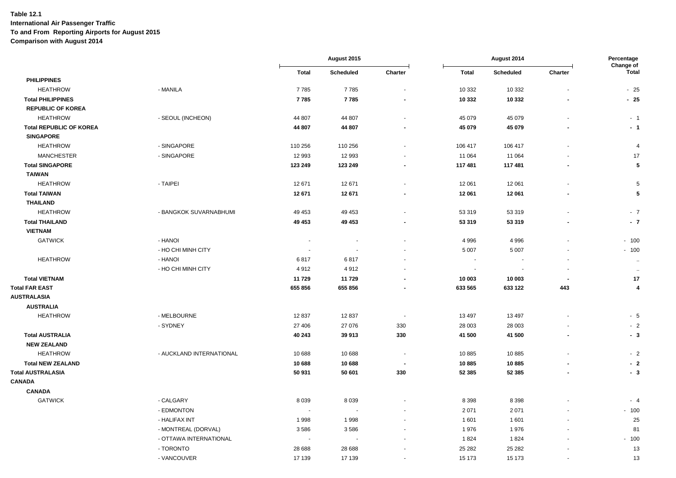|                                |                          |         | August 2015 |                          | August 2014  |           | Percentage<br>Change of |                      |
|--------------------------------|--------------------------|---------|-------------|--------------------------|--------------|-----------|-------------------------|----------------------|
|                                |                          | Total   | Scheduled   | Charter                  | <b>Total</b> | Scheduled | Charter                 | Total                |
| <b>PHILIPPINES</b>             |                          |         |             |                          |              |           |                         |                      |
| <b>HEATHROW</b>                | - MANILA                 | 7785    | 7785        | ÷,                       | 10 332       | 10 3 32   |                         | $-25$                |
| <b>Total PHILIPPINES</b>       |                          | 7785    | 7785        | $\blacksquare$           | 10 332       | 10 332    |                         | $-25$                |
| <b>REPUBLIC OF KOREA</b>       |                          |         |             |                          |              |           |                         |                      |
| <b>HEATHROW</b>                | - SEOUL (INCHEON)        | 44 807  | 44 807      | $\blacksquare$           | 45 079       | 45 0 79   |                         | $-1$                 |
| <b>Total REPUBLIC OF KOREA</b> |                          | 44 807  | 44 807      |                          | 45 079       | 45 079    |                         | - 1                  |
| <b>SINGAPORE</b>               |                          |         |             |                          |              |           |                         |                      |
| <b>HEATHROW</b>                | - SINGAPORE              | 110 256 | 110 256     | $\blacksquare$           | 106 417      | 106 417   |                         | $\overline{4}$       |
| <b>MANCHESTER</b>              | - SINGAPORE              | 12 993  | 12 993      |                          | 11 064       | 11 064    |                         | 17                   |
| <b>Total SINGAPORE</b>         |                          | 123 249 | 123 249     |                          | 117 481      | 117 481   |                         | 5                    |
| <b>TAIWAN</b>                  |                          |         |             |                          |              |           |                         |                      |
| <b>HEATHROW</b>                | - TAIPEI                 | 12 671  | 12671       | $\overline{\phantom{a}}$ | 12 061       | 12 061    |                         | 5                    |
| <b>Total TAIWAN</b>            |                          | 12 671  | 12 671      | $\overline{\phantom{a}}$ | 12 061       | 12 061    |                         | 5                    |
| <b>THAILAND</b>                |                          |         |             |                          |              |           |                         |                      |
| <b>HEATHROW</b>                | - BANGKOK SUVARNABHUMI   | 49 453  | 49 453      | $\overline{a}$           | 53 319       | 53 319    |                         | $-7$                 |
| <b>Total THAILAND</b>          |                          | 49 453  | 49 453      | $\overline{a}$           | 53 319       | 53 319    |                         | $-7$                 |
| <b>VIETNAM</b>                 |                          |         |             |                          |              |           |                         |                      |
| <b>GATWICK</b>                 | - HANOI                  | ÷,      |             |                          | 4996         | 4 9 9 6   |                         | $-100$               |
|                                | - HO CHI MINH CITY       |         |             |                          | 5 0 0 7      | 5 0 0 7   |                         | $-100$               |
| <b>HEATHROW</b>                | - HANOI                  | 6817    | 6817        | $\overline{a}$           | $\sim$       | $\sim$    |                         | $\ddot{\phantom{1}}$ |
|                                | - HO CHI MINH CITY       | 4912    | 4912        |                          |              |           |                         | $\bullet\bullet$     |
| <b>Total VIETNAM</b>           |                          | 11 729  | 11729       | $\overline{a}$           | 10 003       | 10 003    |                         | 17                   |
| <b>Total FAR EAST</b>          |                          | 655 856 | 655 856     | ٠                        | 633 565      | 633 122   | 443                     | 4                    |
| <b>AUSTRALASIA</b>             |                          |         |             |                          |              |           |                         |                      |
| <b>AUSTRALIA</b>               |                          |         |             |                          |              |           |                         |                      |
| <b>HEATHROW</b>                | - MELBOURNE              | 12837   | 12 837      | $\sim$                   | 13 4 9 7     | 13 4 9 7  |                         | $-5$                 |
|                                | - SYDNEY                 | 27 40 6 | 27 076      | 330                      | 28 003       | 28 003    |                         | $-2$                 |
| <b>Total AUSTRALIA</b>         |                          | 40 243  | 39 913      | 330                      | 41 500       | 41 500    |                         | - 3                  |
| <b>NEW ZEALAND</b>             |                          |         |             |                          |              |           |                         |                      |
| <b>HEATHROW</b>                | - AUCKLAND INTERNATIONAL | 10 688  | 10 688      | $\sim$                   | 10885        | 10885     |                         | $-2$                 |
| <b>Total NEW ZEALAND</b>       |                          | 10 688  | 10 688      | ь.                       | 10885        | 10885     |                         | $-2$                 |
| <b>Total AUSTRALASIA</b>       |                          | 50 931  | 50 601      | 330                      | 52 385       | 52 385    |                         | $-3$                 |
| <b>CANADA</b>                  |                          |         |             |                          |              |           |                         |                      |
| <b>CANADA</b>                  |                          |         |             |                          |              |           |                         |                      |
| <b>GATWICK</b>                 | - CALGARY                | 8 0 3 9 | 8 0 3 9     |                          | 8 3 9 8      | 8 3 9 8   |                         | $-4$                 |
|                                | - EDMONTON               | $\sim$  | $\sim$      |                          | 2 0 7 1      | 2 0 7 1   |                         | $-100$               |
|                                | - HALIFAX INT            | 1998    | 1998        |                          | 1601         | 1601      |                         | 25                   |
|                                | - MONTREAL (DORVAL)      | 3586    | 3586        |                          | 1976         | 1976      |                         | 81                   |
|                                | - OTTAWA INTERNATIONAL   | $\sim$  |             |                          | 1824         | 1824      |                         | $-100$               |
|                                | - TORONTO                | 28 688  | 28 688      |                          | 25 28 2      | 25 28 2   |                         | 13                   |
|                                | - VANCOUVER              | 17 139  | 17 139      | $\blacksquare$           | 15 173       | 15 173    |                         | 13                   |
|                                |                          |         |             |                          |              |           |                         |                      |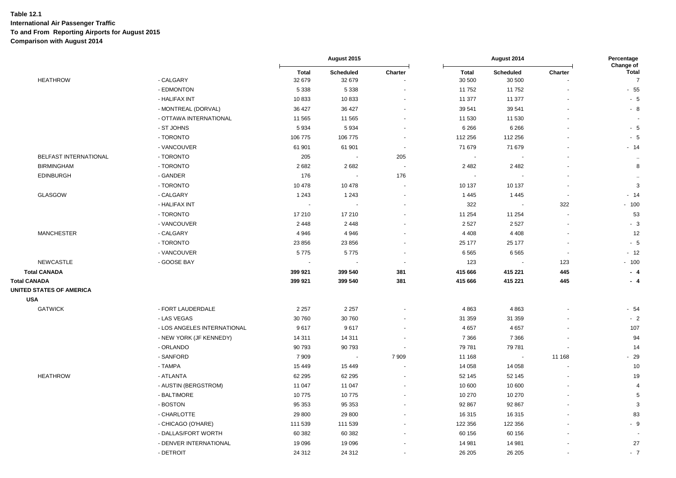|                          |                             |                          | August 2015         |                          |                        | August 2014              |                          | Percentage<br>Change of        |
|--------------------------|-----------------------------|--------------------------|---------------------|--------------------------|------------------------|--------------------------|--------------------------|--------------------------------|
| <b>HEATHROW</b>          | - CALGARY                   | <b>Total</b><br>32 679   | Scheduled<br>32 679 | Charter                  | <b>Total</b><br>30 500 | Scheduled<br>30 500      | Charter                  | <b>Total</b><br>$\overline{7}$ |
|                          | - EDMONTON                  | 5 3 3 8                  | 5 3 3 8             |                          | 11752                  | 11752                    |                          | $-55$                          |
|                          | - HALIFAX INT               | 10833                    | 10833               |                          | 11 377                 | 11 377                   |                          | $-5$                           |
|                          | - MONTREAL (DORVAL)         | 36 427                   | 36 427              | $\blacksquare$           | 39 541                 | 39 541                   |                          | $-8$                           |
|                          | - OTTAWA INTERNATIONAL      | 11 565                   | 11 565              |                          | 11 530                 | 11 530                   |                          |                                |
|                          | - ST JOHNS                  | 5934                     | 5934                |                          | 6 2 6 6                | 6 2 6 6                  |                          | - 5                            |
|                          | - TORONTO                   | 106 775                  | 106 775             |                          | 112 256                | 112 256                  |                          | - 5                            |
|                          | - VANCOUVER                 | 61 901                   | 61 901              | $\overline{\phantom{a}}$ | 71 679                 | 71 679                   |                          | $-14$                          |
| BELFAST INTERNATIONAL    | - TORONTO                   | 205                      | $\blacksquare$      | 205                      | $\blacksquare$         | $\overline{\phantom{a}}$ |                          | $\sim$                         |
| <b>BIRMINGHAM</b>        | - TORONTO                   | 2682                     | 2682                | $\overline{\phantom{a}}$ | 2 4 8 2                | 2 4 8 2                  |                          | 8                              |
| <b>EDINBURGH</b>         | - GANDER                    | 176                      |                     | 176                      |                        |                          |                          | $\ddot{\phantom{a}}$           |
|                          | - TORONTO                   | 10 478                   | 10 478              |                          | 10 137                 | 10 137                   |                          | 3                              |
| <b>GLASGOW</b>           | - CALGARY                   | 1 2 4 3                  | 1 2 4 3             | ÷,                       | 1 4 4 5                | 1 4 4 5                  |                          | $-14$                          |
|                          | - HALIFAX INT               | $\sim$                   | $\sim$              |                          | 322                    | . .                      | 322                      | $-100$                         |
|                          | - TORONTO                   | 17 210                   | 17 210              |                          | 11 254                 | 11 254                   |                          | 53                             |
|                          | - VANCOUVER                 | 2 4 4 8                  | 2448                |                          | 2527                   | 2527                     |                          | $-3$                           |
| <b>MANCHESTER</b>        | - CALGARY                   | 4 9 4 6                  | 4 9 4 6             |                          | 4 4 0 8                | 4 4 0 8                  |                          | 12                             |
|                          | - TORONTO                   | 23 856                   | 23 856              |                          | 25 177                 | 25 177                   |                          | $-5$                           |
|                          | - VANCOUVER                 | 5775                     | 5775                |                          | 6565                   | 6565                     | $\overline{\phantom{a}}$ | $-12$                          |
| <b>NEWCASTLE</b>         | - GOOSE BAY                 | $\overline{\phantom{a}}$ |                     |                          | 123                    |                          | 123                      | $-100$                         |
| <b>Total CANADA</b>      |                             | 399 921                  | 399 540             | 381                      | 415 666                | 415 221                  | 445                      | - 4                            |
| <b>Total CANADA</b>      |                             | 399 921                  | 399 540             | 381                      | 415 666                | 415 221                  | 445                      | - 4                            |
| UNITED STATES OF AMERICA |                             |                          |                     |                          |                        |                          |                          |                                |
| <b>USA</b>               |                             |                          |                     |                          |                        |                          |                          |                                |
| <b>GATWICK</b>           | - FORT LAUDERDALE           | 2 2 5 7                  | 2 2 5 7             |                          | 4863                   | 4863                     |                          | $-54$                          |
|                          | - LAS VEGAS                 | 30 760                   | 30 760              |                          | 31 359                 | 31 359                   |                          | $-2$                           |
|                          | - LOS ANGELES INTERNATIONAL | 9617                     | 9617                |                          | 4 6 5 7                | 4 6 5 7                  |                          | 107                            |
|                          | - NEW YORK (JF KENNEDY)     | 14 311                   | 14 311              |                          | 7 3 6 6                | 7 3 6 6                  |                          | 94                             |
|                          | - ORLANDO                   | 90 793                   | 90 793              |                          | 79 781                 | 79781                    |                          | 14                             |
|                          | - SANFORD                   | 7 9 0 9                  | $\sim$              | 7909                     | 11 168                 | $\overline{\phantom{a}}$ | 11 168                   | $-29$                          |
|                          | - TAMPA                     | 15 4 49                  | 15 4 49             |                          | 14 0 58                | 14 0 58                  |                          | $10$                           |
| <b>HEATHROW</b>          | - ATLANTA                   | 62 295                   | 62 295              |                          | 52 145                 | 52 145                   |                          | 19                             |
|                          | - AUSTIN (BERGSTROM)        | 11 047                   | 11 047              |                          | 10 600                 | 10 600                   |                          | $\overline{4}$                 |
|                          | - BALTIMORE                 | 10775                    | 10775               | ÷,                       | 10 270                 | 10 270                   |                          | 5                              |
|                          | - BOSTON                    | 95 353                   | 95 353              |                          | 92 867                 | 92 867                   |                          | 3                              |
|                          | - CHARLOTTE                 | 29 800                   | 29 800              |                          | 16 315                 | 16315                    |                          | 83                             |
|                          | - CHICAGO (O'HARE)          | 111 539                  | 111 539             |                          | 122 356                | 122 356                  |                          | - 9                            |
|                          | - DALLAS/FORT WORTH         | 60 382                   | 60 382              |                          | 60 156                 | 60 156                   |                          |                                |
|                          | - DENVER INTERNATIONAL      | 19 0 96                  | 19 0 96             |                          | 14 981                 | 14 981                   |                          | 27                             |
|                          | - DETROIT                   | 24 312                   | 24 312              |                          | 26 205                 | 26 20 5                  |                          | $-7$                           |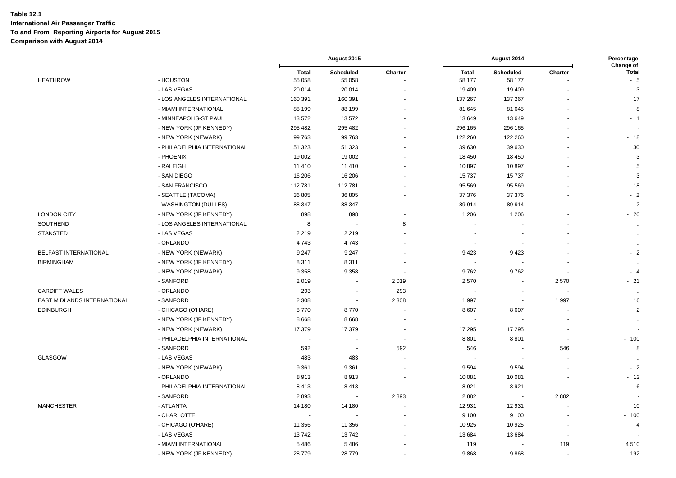| Change of<br>Total<br><b>Total</b><br>Scheduled<br>Charter<br><b>Total</b><br>Scheduled<br>Charter<br>- HOUSTON<br>55 058<br>58 177<br>58 177<br>$-5$<br><b>HEATHROW</b><br>55 058<br>- LAS VEGAS<br>20 014<br>20 014<br>19 409<br>19 409<br>3<br>17<br>- LOS ANGELES INTERNATIONAL<br>160 391<br>160 391<br>137 267<br>137 267<br>- MIAMI INTERNATIONAL<br>88 199<br>81 645<br>81 645<br>8<br>88 199<br>$\blacksquare$<br>- MINNEAPOLIS-ST PAUL<br>13572<br>13572<br>13 649<br>13649<br>$-1$<br>$\ddot{\phantom{1}}$<br>295 482<br>295 482<br>296 165<br>296 165<br>- NEW YORK (JF KENNEDY)<br>$\overline{a}$<br>99 763<br>99 763<br>122 260<br>122 260<br>$-18$<br>- NEW YORK (NEWARK)<br>39 630<br>30<br>- PHILADELPHIA INTERNATIONAL<br>51 323<br>51 323<br>39 630<br>- PHOENIX<br>19 002<br>19 002<br>18 450<br>18 450<br>3<br>- RALEIGH<br>11 410<br>11 410<br>10897<br>10897<br>5<br>3<br>- SAN DIEGO<br>16 206<br>16 206<br>15 7 37<br>15737<br>- SAN FRANCISCO<br>112781<br>112781<br>95 569<br>95 569<br>18<br>$-2$<br>- SEATTLE (TACOMA)<br>36 805<br>36 805<br>37 376<br>37 376<br>ä,<br>- WASHINGTON (DULLES)<br>88 347<br>89 914<br>89914<br>$-2$<br>88 347<br>ä,<br><b>LONDON CITY</b><br>- NEW YORK (JF KENNEDY)<br>898<br>898<br>1 2 0 6<br>1 2 0 6<br>$-26$<br>÷,<br>SOUTHEND<br>- LOS ANGELES INTERNATIONAL<br>8<br>8<br>$\sim$ |
|----------------------------------------------------------------------------------------------------------------------------------------------------------------------------------------------------------------------------------------------------------------------------------------------------------------------------------------------------------------------------------------------------------------------------------------------------------------------------------------------------------------------------------------------------------------------------------------------------------------------------------------------------------------------------------------------------------------------------------------------------------------------------------------------------------------------------------------------------------------------------------------------------------------------------------------------------------------------------------------------------------------------------------------------------------------------------------------------------------------------------------------------------------------------------------------------------------------------------------------------------------------------------------------------------------------------------------------------------|
|                                                                                                                                                                                                                                                                                                                                                                                                                                                                                                                                                                                                                                                                                                                                                                                                                                                                                                                                                                                                                                                                                                                                                                                                                                                                                                                                                    |
|                                                                                                                                                                                                                                                                                                                                                                                                                                                                                                                                                                                                                                                                                                                                                                                                                                                                                                                                                                                                                                                                                                                                                                                                                                                                                                                                                    |
|                                                                                                                                                                                                                                                                                                                                                                                                                                                                                                                                                                                                                                                                                                                                                                                                                                                                                                                                                                                                                                                                                                                                                                                                                                                                                                                                                    |
|                                                                                                                                                                                                                                                                                                                                                                                                                                                                                                                                                                                                                                                                                                                                                                                                                                                                                                                                                                                                                                                                                                                                                                                                                                                                                                                                                    |
|                                                                                                                                                                                                                                                                                                                                                                                                                                                                                                                                                                                                                                                                                                                                                                                                                                                                                                                                                                                                                                                                                                                                                                                                                                                                                                                                                    |
|                                                                                                                                                                                                                                                                                                                                                                                                                                                                                                                                                                                                                                                                                                                                                                                                                                                                                                                                                                                                                                                                                                                                                                                                                                                                                                                                                    |
|                                                                                                                                                                                                                                                                                                                                                                                                                                                                                                                                                                                                                                                                                                                                                                                                                                                                                                                                                                                                                                                                                                                                                                                                                                                                                                                                                    |
|                                                                                                                                                                                                                                                                                                                                                                                                                                                                                                                                                                                                                                                                                                                                                                                                                                                                                                                                                                                                                                                                                                                                                                                                                                                                                                                                                    |
|                                                                                                                                                                                                                                                                                                                                                                                                                                                                                                                                                                                                                                                                                                                                                                                                                                                                                                                                                                                                                                                                                                                                                                                                                                                                                                                                                    |
|                                                                                                                                                                                                                                                                                                                                                                                                                                                                                                                                                                                                                                                                                                                                                                                                                                                                                                                                                                                                                                                                                                                                                                                                                                                                                                                                                    |
|                                                                                                                                                                                                                                                                                                                                                                                                                                                                                                                                                                                                                                                                                                                                                                                                                                                                                                                                                                                                                                                                                                                                                                                                                                                                                                                                                    |
|                                                                                                                                                                                                                                                                                                                                                                                                                                                                                                                                                                                                                                                                                                                                                                                                                                                                                                                                                                                                                                                                                                                                                                                                                                                                                                                                                    |
|                                                                                                                                                                                                                                                                                                                                                                                                                                                                                                                                                                                                                                                                                                                                                                                                                                                                                                                                                                                                                                                                                                                                                                                                                                                                                                                                                    |
|                                                                                                                                                                                                                                                                                                                                                                                                                                                                                                                                                                                                                                                                                                                                                                                                                                                                                                                                                                                                                                                                                                                                                                                                                                                                                                                                                    |
|                                                                                                                                                                                                                                                                                                                                                                                                                                                                                                                                                                                                                                                                                                                                                                                                                                                                                                                                                                                                                                                                                                                                                                                                                                                                                                                                                    |
|                                                                                                                                                                                                                                                                                                                                                                                                                                                                                                                                                                                                                                                                                                                                                                                                                                                                                                                                                                                                                                                                                                                                                                                                                                                                                                                                                    |
| <b>STANSTED</b><br>- LAS VEGAS<br>2 2 1 9<br>2 2 1 9<br>$\ddot{\phantom{a}}$                                                                                                                                                                                                                                                                                                                                                                                                                                                                                                                                                                                                                                                                                                                                                                                                                                                                                                                                                                                                                                                                                                                                                                                                                                                                       |
| - ORLANDO<br>4743<br>4743<br>$\bullet\bullet$                                                                                                                                                                                                                                                                                                                                                                                                                                                                                                                                                                                                                                                                                                                                                                                                                                                                                                                                                                                                                                                                                                                                                                                                                                                                                                      |
| BELFAST INTERNATIONAL<br>9423<br>$-2$<br>- NEW YORK (NEWARK)<br>9 2 4 7<br>9 2 4 7<br>9423                                                                                                                                                                                                                                                                                                                                                                                                                                                                                                                                                                                                                                                                                                                                                                                                                                                                                                                                                                                                                                                                                                                                                                                                                                                         |
| <b>BIRMINGHAM</b><br>- NEW YORK (JF KENNEDY)<br>8311<br>8 3 1 1<br>$\ldots$                                                                                                                                                                                                                                                                                                                                                                                                                                                                                                                                                                                                                                                                                                                                                                                                                                                                                                                                                                                                                                                                                                                                                                                                                                                                        |
| - NEW YORK (NEWARK)<br>9 3 5 8<br>9 3 5 8<br>9762<br>9762<br>$-4$<br>$\blacksquare$<br>$\sim$                                                                                                                                                                                                                                                                                                                                                                                                                                                                                                                                                                                                                                                                                                                                                                                                                                                                                                                                                                                                                                                                                                                                                                                                                                                      |
| - SANFORD<br>2019<br>2019<br>2570<br>2570<br>$-21$<br>$\overline{a}$                                                                                                                                                                                                                                                                                                                                                                                                                                                                                                                                                                                                                                                                                                                                                                                                                                                                                                                                                                                                                                                                                                                                                                                                                                                                               |
| <b>CARDIFF WALES</b><br>- ORLANDO<br>293<br>293<br>$\ddot{\phantom{a}}$                                                                                                                                                                                                                                                                                                                                                                                                                                                                                                                                                                                                                                                                                                                                                                                                                                                                                                                                                                                                                                                                                                                                                                                                                                                                            |
| EAST MIDLANDS INTERNATIONAL<br>- SANFORD<br>2 3 0 8<br>1 9 9 7<br>2 3 0 8<br>1 9 9 7<br>16<br>$\overline{\phantom{a}}$                                                                                                                                                                                                                                                                                                                                                                                                                                                                                                                                                                                                                                                                                                                                                                                                                                                                                                                                                                                                                                                                                                                                                                                                                             |
| <b>EDINBURGH</b><br>- CHICAGO (O'HARE)<br>8770<br>8770<br>8 6 0 7<br>8607<br>2                                                                                                                                                                                                                                                                                                                                                                                                                                                                                                                                                                                                                                                                                                                                                                                                                                                                                                                                                                                                                                                                                                                                                                                                                                                                     |
| - NEW YORK (JF KENNEDY)<br>8668<br>8668                                                                                                                                                                                                                                                                                                                                                                                                                                                                                                                                                                                                                                                                                                                                                                                                                                                                                                                                                                                                                                                                                                                                                                                                                                                                                                            |
| 17 295<br>- NEW YORK (NEWARK)<br>17 379<br>17 379<br>17 295                                                                                                                                                                                                                                                                                                                                                                                                                                                                                                                                                                                                                                                                                                                                                                                                                                                                                                                                                                                                                                                                                                                                                                                                                                                                                        |
| - PHILADELPHIA INTERNATIONAL<br>8801<br>8801<br>$-100$<br>÷.<br>$\overline{\phantom{a}}$<br>$\blacksquare$<br>$\sim$                                                                                                                                                                                                                                                                                                                                                                                                                                                                                                                                                                                                                                                                                                                                                                                                                                                                                                                                                                                                                                                                                                                                                                                                                               |
| - SANFORD<br>592<br>592<br>546<br>546<br>8<br>$\overline{\phantom{a}}$                                                                                                                                                                                                                                                                                                                                                                                                                                                                                                                                                                                                                                                                                                                                                                                                                                                                                                                                                                                                                                                                                                                                                                                                                                                                             |
| <b>GLASGOW</b><br>- LAS VEGAS<br>483<br>483<br>$\ddot{\phantom{1}}$<br>÷,<br>$\ddotsc$                                                                                                                                                                                                                                                                                                                                                                                                                                                                                                                                                                                                                                                                                                                                                                                                                                                                                                                                                                                                                                                                                                                                                                                                                                                             |
| $-2$<br>- NEW YORK (NEWARK)<br>9 3 6 1<br>9 3 6 1<br>9594<br>9594<br>÷.<br>$\blacksquare$                                                                                                                                                                                                                                                                                                                                                                                                                                                                                                                                                                                                                                                                                                                                                                                                                                                                                                                                                                                                                                                                                                                                                                                                                                                          |
| - ORLANDO<br>10 081<br>$-12$<br>8913<br>8913<br>10 081<br>ä,<br>÷,                                                                                                                                                                                                                                                                                                                                                                                                                                                                                                                                                                                                                                                                                                                                                                                                                                                                                                                                                                                                                                                                                                                                                                                                                                                                                 |
| - PHILADELPHIA INTERNATIONAL<br>8413<br>8413<br>8921<br>8921<br>$-6$<br>÷,                                                                                                                                                                                                                                                                                                                                                                                                                                                                                                                                                                                                                                                                                                                                                                                                                                                                                                                                                                                                                                                                                                                                                                                                                                                                         |
| - SANFORD<br>2882<br>2893<br>2893<br>2882                                                                                                                                                                                                                                                                                                                                                                                                                                                                                                                                                                                                                                                                                                                                                                                                                                                                                                                                                                                                                                                                                                                                                                                                                                                                                                          |
| <b>MANCHESTER</b><br>- ATLANTA<br>12 931<br>12 931<br>10<br>14 180<br>14 180<br>L,                                                                                                                                                                                                                                                                                                                                                                                                                                                                                                                                                                                                                                                                                                                                                                                                                                                                                                                                                                                                                                                                                                                                                                                                                                                                 |
| - CHARLOTTE<br>9 100<br>9 1 0 0<br>$-100$                                                                                                                                                                                                                                                                                                                                                                                                                                                                                                                                                                                                                                                                                                                                                                                                                                                                                                                                                                                                                                                                                                                                                                                                                                                                                                          |
| - CHICAGO (O'HARE)<br>10 925<br>10 9 25<br>11 356<br>11 356<br>4                                                                                                                                                                                                                                                                                                                                                                                                                                                                                                                                                                                                                                                                                                                                                                                                                                                                                                                                                                                                                                                                                                                                                                                                                                                                                   |
| - LAS VEGAS<br>13742<br>13 684<br>13 684<br>13742                                                                                                                                                                                                                                                                                                                                                                                                                                                                                                                                                                                                                                                                                                                                                                                                                                                                                                                                                                                                                                                                                                                                                                                                                                                                                                  |
| - MIAMI INTERNATIONAL<br>5486<br>5486<br>119<br>119<br>4510                                                                                                                                                                                                                                                                                                                                                                                                                                                                                                                                                                                                                                                                                                                                                                                                                                                                                                                                                                                                                                                                                                                                                                                                                                                                                        |
| - NEW YORK (JF KENNEDY)<br>28779<br>28779<br>9868<br>9868<br>192<br>ä,<br>ä,                                                                                                                                                                                                                                                                                                                                                                                                                                                                                                                                                                                                                                                                                                                                                                                                                                                                                                                                                                                                                                                                                                                                                                                                                                                                       |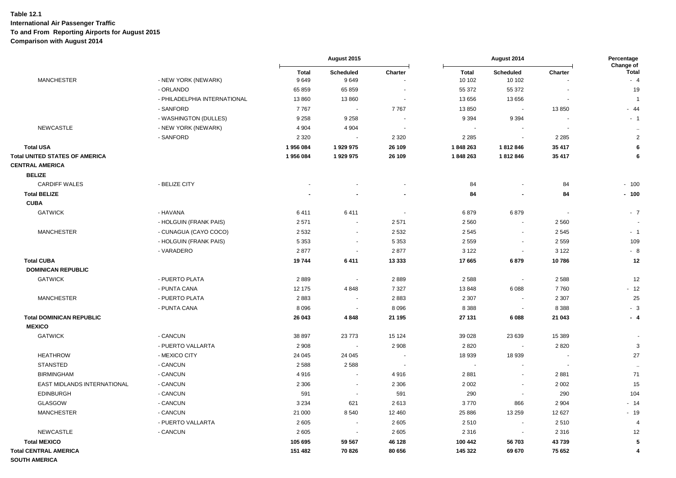|                                                                 |                              | August 2015<br>August 2014 |                          | Percentage<br>Change of  |                        |                            |                          |                      |
|-----------------------------------------------------------------|------------------------------|----------------------------|--------------------------|--------------------------|------------------------|----------------------------|--------------------------|----------------------|
| <b>MANCHESTER</b>                                               | - NEW YORK (NEWARK)          | <b>Total</b><br>9649       | Scheduled<br>9649        | Charter                  | <b>Total</b><br>10 102 | <b>Scheduled</b><br>10 102 | Charter                  | <b>Total</b><br>$-4$ |
|                                                                 | - ORLANDO                    | 65 859                     | 65 859                   |                          | 55 372                 | 55 372                     |                          | 19                   |
|                                                                 | - PHILADELPHIA INTERNATIONAL | 13 860                     | 13 860                   | $\blacksquare$           | 13 656                 | 13 656                     |                          | $\overline{1}$       |
|                                                                 | - SANFORD                    | 7767                       | $\sim$                   | 7767                     | 13 850                 | $\overline{\phantom{a}}$   | 13850                    | $-44$                |
|                                                                 | - WASHINGTON (DULLES)        | 9 2 5 8                    | 9 2 5 8                  | $\overline{\phantom{a}}$ | 9 3 9 4                | 9 3 9 4                    | $\blacksquare$           | $-1$                 |
| <b>NEWCASTLE</b>                                                | - NEW YORK (NEWARK)          | 4 9 0 4                    | 4 9 0 4                  |                          | $\sim$                 |                            |                          | $\ddot{\phantom{a}}$ |
|                                                                 | - SANFORD                    | 2 3 2 0                    |                          | 2 3 2 0                  | 2 2 8 5                | $\sim$                     | 2 2 8 5                  | $\overline{2}$       |
| <b>Total USA</b>                                                |                              | 1956084                    | 1929975                  | 26 109                   | 1848263                | 1812846                    | 35 417                   | 6                    |
| <b>Total UNITED STATES OF AMERICA</b><br><b>CENTRAL AMERICA</b> |                              | 1956084                    | 1929975                  | 26 109                   | 1848 263               | 1812846                    | 35 417                   | 6                    |
| <b>BELIZE</b>                                                   |                              |                            |                          |                          |                        |                            |                          |                      |
| <b>CARDIFF WALES</b>                                            | - BELIZE CITY                |                            |                          |                          | 84                     |                            | 84                       | $-100$               |
| <b>Total BELIZE</b>                                             |                              |                            |                          |                          | 84                     | $\blacksquare$             | 84                       | $-100$               |
| <b>CUBA</b>                                                     |                              |                            |                          |                          |                        |                            |                          |                      |
| <b>GATWICK</b>                                                  | - HAVANA                     | 6411                       | 6411                     | $\blacksquare$           | 6879                   | 6879                       | $\blacksquare$           | $-7$                 |
|                                                                 | - HOLGUIN (FRANK PAIS)       | 2571                       | $\overline{\phantom{a}}$ | 2571                     | 2 5 6 0                | $\sim$                     | 2 5 6 0                  |                      |
| <b>MANCHESTER</b>                                               | - CUNAGUA (CAYO COCO)        | 2 5 3 2                    | $\sim$                   | 2 5 3 2                  | 2 5 4 5                | $\blacksquare$             | 2545                     | $-1$                 |
|                                                                 | - HOLGUIN (FRANK PAIS)       | 5 3 5 3                    | $\sim$                   | 5 3 5 3                  | 2559                   | $\sim$                     | 2 5 5 9                  | 109                  |
|                                                                 | - VARADERO                   | 2877                       | $\sim$                   | 2877                     | 3 1 2 2                | $\blacksquare$             | 3 1 2 2                  | $-8$                 |
| <b>Total CUBA</b>                                               |                              | 19744                      | 6411                     | 13 3 3 3                 | 17665                  | 6879                       | 10786                    | 12                   |
| <b>DOMINICAN REPUBLIC</b>                                       |                              |                            |                          |                          |                        |                            |                          |                      |
| <b>GATWICK</b>                                                  | - PUERTO PLATA               | 2889                       | $\sim$                   | 2889                     | 2 5 8 8                | $\sim$                     | 2588                     | 12                   |
|                                                                 | - PUNTA CANA                 | 12 175                     | 4848                     | 7 3 2 7                  | 13848                  | 6088                       | 7760                     | $-12$                |
| <b>MANCHESTER</b>                                               | - PUERTO PLATA               | 2883                       | $\sim$                   | 2883                     | 2 3 0 7                | $\sim$                     | 2 3 0 7                  | 25                   |
|                                                                 | - PUNTA CANA                 | 8 0 9 6                    | $\sim$                   | 8 0 9 6                  | 8 3 8 8                | $\overline{\phantom{a}}$   | 8 3 8 8                  | $-3$                 |
| <b>Total DOMINICAN REPUBLIC</b><br><b>MEXICO</b>                |                              | 26 043                     | 4848                     | 21 195                   | 27 131                 | 6088                       | 21 043                   | $-4$                 |
| <b>GATWICK</b>                                                  | - CANCUN                     | 38 897                     | 23 773                   | 15 124                   | 39 0 28                | 23 639                     | 15 389                   |                      |
|                                                                 | - PUERTO VALLARTA            | 2 9 0 8                    |                          | 2 9 0 8                  | 2820                   |                            | 2820                     | 3                    |
| <b>HEATHROW</b>                                                 | - MEXICO CITY                | 24 045                     | 24 045                   | $\overline{\phantom{a}}$ | 18 939                 | 18 939                     |                          | 27                   |
| <b>STANSTED</b>                                                 | - CANCUN                     | 2 5 8 8                    | 2 5 8 8                  | $\overline{\phantom{a}}$ | $\blacksquare$         |                            | $\overline{\phantom{a}}$ | $\ddotsc$            |
| <b>BIRMINGHAM</b>                                               | - CANCUN                     | 4916                       | $\sim$                   | 4916                     | 2881                   | $\sim$                     | 2881                     | 71                   |
| EAST MIDLANDS INTERNATIONAL                                     | - CANCUN                     | 2 3 0 6                    | $\sim$                   | 2 3 0 6                  | 2 0 0 2                | $\sim$                     | 2 0 0 2                  | 15                   |
| <b>EDINBURGH</b>                                                | - CANCUN                     | 591                        | $\sim$                   | 591                      | 290                    | $\overline{\phantom{a}}$   | 290                      | 104                  |
| <b>GLASGOW</b>                                                  | - CANCUN                     | 3 2 3 4                    | 621                      | 2613                     | 3770                   | 866                        | 2 9 0 4                  | $-14$                |
| <b>MANCHESTER</b>                                               | - CANCUN                     | 21 000                     | 8540                     | 12 460                   | 25 8 86                | 13 259                     | 12 627                   | $-19$                |
|                                                                 | - PUERTO VALLARTA            | 2605                       | $\sim$                   | 2605                     | 2510                   | $\overline{\phantom{a}}$   | 2510                     | $\overline{4}$       |
| <b>NEWCASTLE</b>                                                | - CANCUN                     | 2605                       | $\sim$                   | 2 6 0 5                  | 2 3 1 6                | $\sim$                     | 2 3 1 6                  | 12                   |
| <b>Total MEXICO</b>                                             |                              | 105 695                    | 59 567                   | 46 128                   | 100 442                | 56703                      | 43739                    | 5                    |
| <b>Total CENTRAL AMERICA</b>                                    |                              | 151 482                    | 70826                    | 80 656                   | 145 322                | 69 670                     | 75 652                   | 4                    |
| <b>SOUTH AMERICA</b>                                            |                              |                            |                          |                          |                        |                            |                          |                      |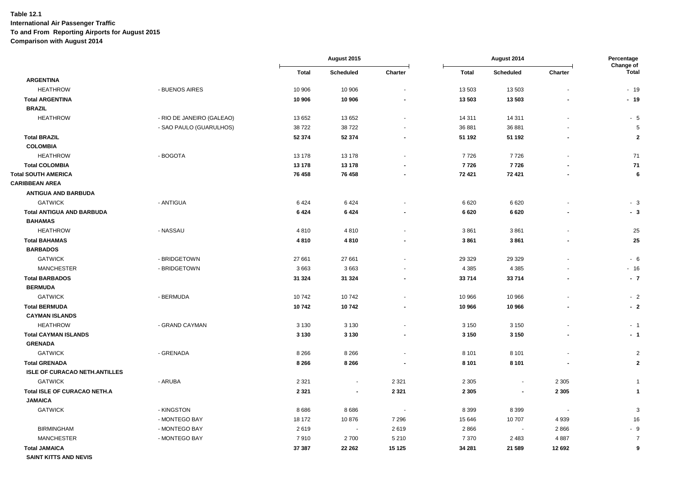|                                      |                           | August 2015<br>August 2014 |                | Percentage<br>Change of |              |                          |         |                         |
|--------------------------------------|---------------------------|----------------------------|----------------|-------------------------|--------------|--------------------------|---------|-------------------------|
|                                      |                           | <b>Total</b>               | Scheduled      | Charter                 | <b>Total</b> | <b>Scheduled</b>         | Charter | <b>Total</b>            |
| <b>ARGENTINA</b>                     |                           |                            |                |                         |              |                          |         |                         |
| <b>HEATHROW</b>                      | - BUENOS AIRES            | 10 906                     | 10 906         |                         | 13 503       | 13503                    |         | $-19$                   |
| <b>Total ARGENTINA</b>               |                           | 10 906                     | 10 906         |                         | 13 503       | 13 503                   |         | $-19$                   |
| <b>BRAZIL</b>                        |                           |                            |                |                         |              |                          |         |                         |
| <b>HEATHROW</b>                      | - RIO DE JANEIRO (GALEAO) | 13 652                     | 13 652         |                         | 14 311       | 14 311                   |         | $-5$                    |
|                                      | - SAO PAULO (GUARULHOS)   | 38722                      | 38722          |                         | 36 881       | 36 881                   |         | 5                       |
| <b>Total BRAZIL</b>                  |                           | 52 374                     | 52 374         |                         | 51 192       | 51 192                   |         | $\overline{2}$          |
| <b>COLOMBIA</b>                      |                           |                            |                |                         |              |                          |         |                         |
| <b>HEATHROW</b>                      | - BOGOTA                  | 13 178                     | 13 178         |                         | 7726         | 7726                     |         | 71                      |
| <b>Total COLOMBIA</b>                |                           | 13 178                     | 13 178         |                         | 7726         | 7726                     |         | 71                      |
| <b>Total SOUTH AMERICA</b>           |                           | 76 458                     | 76 458         |                         | 72 421       | 72 421                   |         | 6                       |
| <b>CARIBBEAN AREA</b>                |                           |                            |                |                         |              |                          |         |                         |
| <b>ANTIGUA AND BARBUDA</b>           |                           |                            |                |                         |              |                          |         |                         |
| <b>GATWICK</b>                       | - ANTIGUA                 | 6424                       | 6424           |                         | 6620         | 6620                     |         | $-3$                    |
| <b>Total ANTIGUA AND BARBUDA</b>     |                           | 6424                       | 6424           |                         | 6620         | 6620                     |         | $-3$                    |
| <b>BAHAMAS</b>                       |                           |                            |                |                         |              |                          |         |                         |
| <b>HEATHROW</b>                      | - NASSAU                  | 4810                       | 4810           |                         | 3861         | 3861                     |         | 25                      |
| <b>Total BAHAMAS</b>                 |                           | 4810                       | 4810           |                         | 3861         | 3861                     |         | 25                      |
| <b>BARBADOS</b>                      |                           |                            |                |                         |              |                          |         |                         |
| <b>GATWICK</b>                       | - BRIDGETOWN              | 27 661                     | 27 661         |                         | 29 3 29      | 29 3 29                  |         | - 6                     |
| <b>MANCHESTER</b>                    | - BRIDGETOWN              | 3663                       | 3663           |                         | 4 3 8 5      | 4 3 8 5                  |         | $-16$                   |
| <b>Total BARBADOS</b>                |                           | 31 324                     | 31 324         |                         | 33714        | 33714                    |         | $-7$                    |
| <b>BERMUDA</b>                       |                           |                            |                |                         |              |                          |         |                         |
| <b>GATWICK</b>                       | - BERMUDA                 | 10742                      | 10742          |                         | 10 966       | 10 966                   |         | $-2$                    |
| <b>Total BERMUDA</b>                 |                           | 10742                      | 10742          |                         | 10 966       | 10 966                   |         | $-2$                    |
| <b>CAYMAN ISLANDS</b>                |                           |                            |                |                         |              |                          |         |                         |
| <b>HEATHROW</b>                      | - GRAND CAYMAN            | 3 1 3 0                    | 3 1 3 0        |                         | 3 1 5 0      | 3 1 5 0                  |         | $-1$                    |
| <b>Total CAYMAN ISLANDS</b>          |                           | 3 1 3 0                    | 3 1 3 0        |                         | 3 1 5 0      | 3 1 5 0                  |         | $-1$                    |
| <b>GRENADA</b>                       |                           |                            |                |                         |              |                          |         |                         |
| <b>GATWICK</b>                       | - GRENADA                 | 8 2 6 6                    | 8 2 6 6        |                         | 8 1 0 1      | 8 1 0 1                  |         | $\overline{2}$          |
| <b>Total GRENADA</b>                 |                           | 8 2 6 6                    | 8 2 6 6        |                         | 8 1 0 1      | 8 1 0 1                  |         | $\overline{2}$          |
| <b>ISLE OF CURACAO NETH.ANTILLES</b> |                           |                            |                |                         |              |                          |         |                         |
| <b>GATWICK</b>                       | - ARUBA                   | 2 3 2 1                    | $\blacksquare$ | 2 3 2 1                 | 2 3 0 5      | $\overline{\phantom{a}}$ | 2 3 0 5 | -1                      |
| Total ISLE OF CURACAO NETH.A         |                           | 2 3 2 1                    | ٠              | 2 3 2 1                 | 2 3 0 5      | $\overline{\phantom{a}}$ | 2 3 0 5 | $\overline{\mathbf{1}}$ |
| <b>JAMAICA</b>                       |                           |                            |                |                         |              |                          |         |                         |
| <b>GATWICK</b>                       | - KINGSTON                | 8686                       | 8686           | $\sim$                  | 8 3 9 9      | 8 3 9 9                  |         | 3                       |
|                                      | - MONTEGO BAY             | 18 172                     | 10876          | 7 2 9 6                 | 15 646       | 10707                    | 4939    | 16                      |
| <b>BIRMINGHAM</b>                    | - MONTEGO BAY             | 2619                       | $\sim$         | 2619                    | 2866         | $\sim$                   | 2866    | - 9                     |
| <b>MANCHESTER</b>                    | - MONTEGO BAY             | 7910                       | 2700           | 5 2 1 0                 | 7 3 7 0      | 2483                     | 4887    | $\overline{7}$          |
| <b>Total JAMAICA</b>                 |                           | 37 387                     | 22 26 2        | 15 125                  | 34 281       | 21 589                   | 12 692  | 9                       |
| <b>SAINT KITTS AND NEVIS</b>         |                           |                            |                |                         |              |                          |         |                         |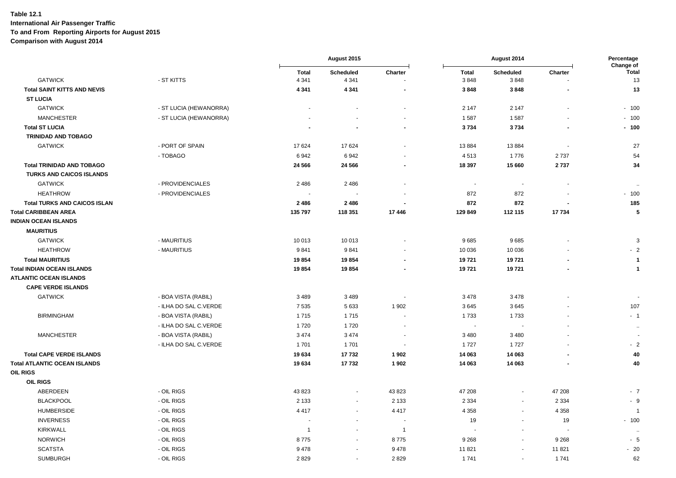|                                     |                        |                | August 2015              |                          |                          | August 2014              |                          |                           |  |
|-------------------------------------|------------------------|----------------|--------------------------|--------------------------|--------------------------|--------------------------|--------------------------|---------------------------|--|
|                                     |                        | <b>Total</b>   | Scheduled                | Charter                  | <b>Total</b>             | Scheduled                | Charter                  | Change of<br><b>Total</b> |  |
| <b>GATWICK</b>                      | - ST KITTS             | 4 3 4 1        | 4 3 4 1                  |                          | 3848                     | 3848                     |                          | 13                        |  |
| <b>Total SAINT KITTS AND NEVIS</b>  |                        | 4 3 4 1        | 4 3 4 1                  | $\overline{a}$           | 3848                     | 3848                     |                          | 13                        |  |
| <b>ST LUCIA</b>                     |                        |                |                          |                          |                          |                          |                          |                           |  |
| <b>GATWICK</b>                      | - ST LUCIA (HEWANORRA) |                |                          |                          | 2 1 4 7                  | 2 1 4 7                  |                          | $-100$                    |  |
| <b>MANCHESTER</b>                   | - ST LUCIA (HEWANORRA) |                |                          | $\blacksquare$           | 1587                     | 1587                     |                          | $-100$                    |  |
| <b>Total ST LUCIA</b>               |                        |                |                          | $\blacksquare$           | 3734                     | 3734                     |                          | $-100$                    |  |
| <b>TRINIDAD AND TOBAGO</b>          |                        |                |                          |                          |                          |                          |                          |                           |  |
| <b>GATWICK</b>                      | - PORT OF SPAIN        | 17 624         | 17 624                   | ٠                        | 13884                    | 13884                    | $\blacksquare$           | 27                        |  |
|                                     | - TOBAGO               | 6942           | 6942                     |                          | 4513                     | 1776                     | 2737                     | 54                        |  |
| <b>Total TRINIDAD AND TOBAGO</b>    |                        | 24 5 66        | 24 5 66                  | $\blacksquare$           | 18 397                   | 15 660                   | 2737                     | 34                        |  |
| <b>TURKS AND CAICOS ISLANDS</b>     |                        |                |                          |                          |                          |                          |                          |                           |  |
| <b>GATWICK</b>                      | - PROVIDENCIALES       | 2 4 8 6        | 2 4 8 6                  | $\blacksquare$           | $\blacksquare$           | $\overline{\phantom{a}}$ |                          | $\ddot{\phantom{a}}$      |  |
| <b>HEATHROW</b>                     | - PROVIDENCIALES       |                |                          | $\overline{a}$           | 872                      | 872                      |                          | $-100$                    |  |
| <b>Total TURKS AND CAICOS ISLAN</b> |                        | 2486           | 2 4 8 6                  | $\blacksquare$           | 872                      | 872                      |                          | 185                       |  |
| <b>Total CARIBBEAN AREA</b>         |                        | 135 797        | 118 351                  | 17446                    | 129 849                  | 112 115                  | 17734                    | 5                         |  |
| <b>INDIAN OCEAN ISLANDS</b>         |                        |                |                          |                          |                          |                          |                          |                           |  |
| <b>MAURITIUS</b>                    |                        |                |                          |                          |                          |                          |                          |                           |  |
| <b>GATWICK</b>                      | - MAURITIUS            | 10 013         | 10 013                   |                          | 9685                     | 9685                     |                          | 3                         |  |
| <b>HEATHROW</b>                     | - MAURITIUS            | 9841           | 9841                     |                          | 10 0 36                  | 10 0 36                  |                          | $-2$                      |  |
| <b>Total MAURITIUS</b>              |                        | 19854          | 19854                    | $\overline{\phantom{a}}$ | 19721                    | 19721                    |                          | $\overline{1}$            |  |
| <b>Total INDIAN OCEAN ISLANDS</b>   |                        | 19854          | 19854                    | $\blacksquare$           | 19721                    | 19721                    |                          | $\mathbf 1$               |  |
| <b>ATLANTIC OCEAN ISLANDS</b>       |                        |                |                          |                          |                          |                          |                          |                           |  |
| <b>CAPE VERDE ISLANDS</b>           |                        |                |                          |                          |                          |                          |                          |                           |  |
| <b>GATWICK</b>                      | - BOA VISTA (RABIL)    | 3 4 8 9        | 3489                     |                          | 3478                     | 3 4 7 8                  |                          |                           |  |
|                                     | - ILHA DO SAL C.VERDE  | 7 5 3 5        | 5633                     | 1902                     | 3645                     | 3645                     |                          | 107                       |  |
| <b>BIRMINGHAM</b>                   | - BOA VISTA (RABIL)    | 1715           | 1715                     | ÷,                       | 1733                     | 1733                     |                          | $-1$                      |  |
|                                     | - ILHA DO SAL C.VERDE  | 1720           | 1720                     | $\blacksquare$           | $\overline{\phantom{a}}$ |                          |                          | $\sim$                    |  |
| <b>MANCHESTER</b>                   | - BOA VISTA (RABIL)    | 3 4 7 4        | 3 4 7 4                  | $\blacksquare$           | 3 4 8 0                  | 3480                     |                          |                           |  |
|                                     | - ILHA DO SAL C.VERDE  | 1701           | 1 7 0 1                  | $\overline{\phantom{a}}$ | 1727                     | 1727                     |                          | $-2$                      |  |
| <b>Total CAPE VERDE ISLANDS</b>     |                        | 19634          | 17732                    | 1902                     | 14 063                   | 14 063                   |                          | 40                        |  |
| <b>Total ATLANTIC OCEAN ISLANDS</b> |                        | 19634          | 17732                    | 1902                     | 14 063                   | 14 063                   |                          | 40                        |  |
| <b>OIL RIGS</b>                     |                        |                |                          |                          |                          |                          |                          |                           |  |
| <b>OIL RIGS</b>                     |                        |                |                          |                          |                          |                          |                          |                           |  |
| ABERDEEN                            | - OIL RIGS             | 43 823         | $\overline{\phantom{a}}$ | 43 823                   | 47 208                   | $\blacksquare$           | 47 208                   | $-7$                      |  |
| <b>BLACKPOOL</b>                    | - OIL RIGS             | 2 1 3 3        | $\blacksquare$           | 2 1 3 3                  | 2 3 3 4                  | $\blacksquare$           | 2 3 3 4                  | - 9                       |  |
| <b>HUMBERSIDE</b>                   | - OIL RIGS             | 4 4 1 7        | $\sim$                   | 4417                     | 4 3 5 8                  | $\sim$                   | 4 3 5 8                  | $\overline{1}$            |  |
| <b>INVERNESS</b>                    | - OIL RIGS             |                | $\sim$                   | $\overline{\phantom{a}}$ | 19                       | $\sim$                   | 19                       | $-100$                    |  |
| <b>KIRKWALL</b>                     | - OIL RIGS             | $\overline{1}$ | $\blacksquare$           | $\overline{1}$           |                          | $\blacksquare$           | $\overline{\phantom{a}}$ |                           |  |
| <b>NORWICH</b>                      | - OIL RIGS             | 8775           | $\blacksquare$           | 8775                     | 9 2 6 8                  | $\blacksquare$           | 9 2 6 8                  | $-5$                      |  |
| <b>SCATSTA</b>                      | - OIL RIGS             | 9478           | $\sim$                   | 9478                     | 11 821                   | $\overline{\phantom{a}}$ | 11821                    | $-20$                     |  |
| <b>SUMBURGH</b>                     | - OIL RIGS             | 2829           | $\omega$                 | 2829                     | 1741                     | $\blacksquare$           | 1741                     | 62                        |  |
|                                     |                        |                |                          |                          |                          |                          |                          |                           |  |